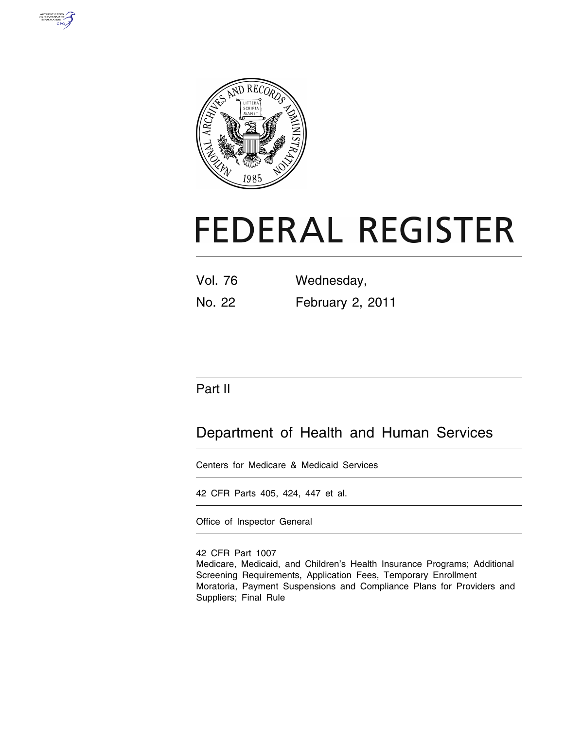



# **FEDERAL REGISTER**

| <b>Vol. 76</b> | Wednesday,       |  |
|----------------|------------------|--|
| No. 22         | February 2, 2011 |  |

### Part II

## Department of Health and Human Services

Centers for Medicare & Medicaid Services

42 CFR Parts 405, 424, 447 et al.

Office of Inspector General

42 CFR Part 1007 Medicare, Medicaid, and Children's Health Insurance Programs; Additional Screening Requirements, Application Fees, Temporary Enrollment Moratoria, Payment Suspensions and Compliance Plans for Providers and Suppliers; Final Rule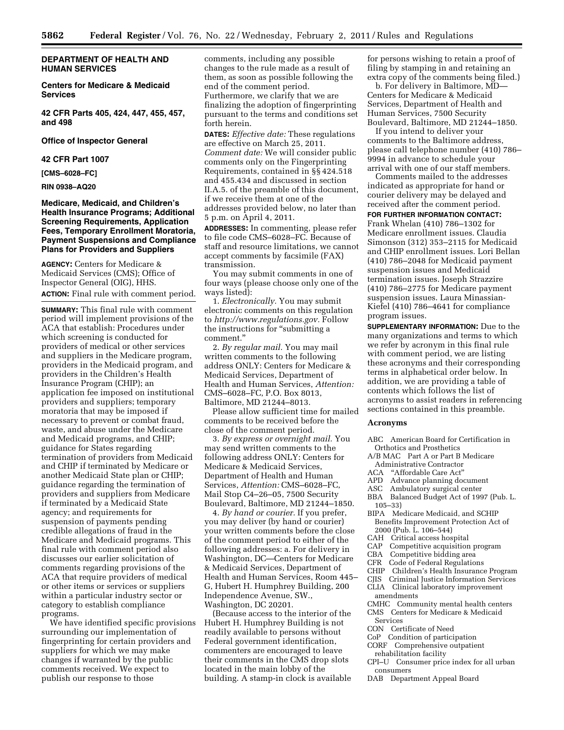#### **DEPARTMENT OF HEALTH AND HUMAN SERVICES**

**Centers for Medicare & Medicaid Services** 

**42 CFR Parts 405, 424, 447, 455, 457, and 498** 

#### **Office of Inspector General**

#### **42 CFR Part 1007**

**[CMS–6028–FC]** 

#### **RIN 0938–AQ20**

#### **Medicare, Medicaid, and Children's Health Insurance Programs; Additional Screening Requirements, Application Fees, Temporary Enrollment Moratoria, Payment Suspensions and Compliance Plans for Providers and Suppliers**

**AGENCY:** Centers for Medicare & Medicaid Services (CMS); Office of Inspector General (OIG), HHS. **ACTION:** Final rule with comment period.

**SUMMARY:** This final rule with comment period will implement provisions of the ACA that establish: Procedures under which screening is conducted for providers of medical or other services and suppliers in the Medicare program, providers in the Medicaid program, and providers in the Children's Health Insurance Program (CHIP); an application fee imposed on institutional providers and suppliers; temporary moratoria that may be imposed if necessary to prevent or combat fraud, waste, and abuse under the Medicare and Medicaid programs, and CHIP; guidance for States regarding termination of providers from Medicaid and CHIP if terminated by Medicare or another Medicaid State plan or CHIP; guidance regarding the termination of providers and suppliers from Medicare if terminated by a Medicaid State agency; and requirements for suspension of payments pending credible allegations of fraud in the Medicare and Medicaid programs. This final rule with comment period also discusses our earlier solicitation of comments regarding provisions of the ACA that require providers of medical or other items or services or suppliers within a particular industry sector or category to establish compliance programs.

We have identified specific provisions surrounding our implementation of fingerprinting for certain providers and suppliers for which we may make changes if warranted by the public comments received. We expect to publish our response to those

comments, including any possible changes to the rule made as a result of them, as soon as possible following the end of the comment period. Furthermore, we clarify that we are finalizing the adoption of fingerprinting pursuant to the terms and conditions set forth herein.

**DATES:** *Effective date:* These regulations are effective on March 25, 2011. *Comment date:* We will consider public comments only on the Fingerprinting Requirements, contained in §§ 424.518 and 455.434 and discussed in section II.A.5. of the preamble of this document, if we receive them at one of the addresses provided below, no later than 5 p.m. on April 4, 2011.

**ADDRESSES:** In commenting, please refer to file code CMS–6028–FC. Because of staff and resource limitations, we cannot accept comments by facsimile (FAX) transmission.

You may submit comments in one of four ways (please choose only one of the ways listed):

1. *Electronically.* You may submit electronic comments on this regulation to *[http://www.regulations.gov.](http://www.regulations.gov)* Follow the instructions for ''submitting a comment.''

2. *By regular mail.* You may mail written comments to the following address ONLY: Centers for Medicare & Medicaid Services, Department of Health and Human Services, *Attention:*  CMS–6028–FC, P.O. Box 8013, Baltimore, MD 21244–8013.

Please allow sufficient time for mailed comments to be received before the close of the comment period.

3. *By express or overnight mail.* You may send written comments to the following address ONLY: Centers for Medicare & Medicaid Services, Department of Health and Human Services, *Attention:* CMS–6028–FC, Mail Stop C4–26–05, 7500 Security Boulevard, Baltimore, MD 21244–1850.

4. *By hand or courier.* If you prefer, you may deliver (by hand or courier) your written comments before the close of the comment period to either of the following addresses: a. For delivery in Washington, DC—Centers for Medicare & Medicaid Services, Department of Health and Human Services, Room 445– G, Hubert H. Humphrey Building, 200 Independence Avenue, SW., Washington, DC 20201.

(Because access to the interior of the Hubert H. Humphrey Building is not readily available to persons without Federal government identification, commenters are encouraged to leave their comments in the CMS drop slots located in the main lobby of the building. A stamp-in clock is available

for persons wishing to retain a proof of filing by stamping in and retaining an extra copy of the comments being filed.)

b. For delivery in Baltimore, MD— Centers for Medicare & Medicaid Services, Department of Health and Human Services, 7500 Security Boulevard, Baltimore, MD 21244–1850.

If you intend to deliver your comments to the Baltimore address, please call telephone number (410) 786– 9994 in advance to schedule your arrival with one of our staff members.

Comments mailed to the addresses indicated as appropriate for hand or courier delivery may be delayed and received after the comment period.

**FOR FURTHER INFORMATION CONTACT:** 

Frank Whelan (410) 786–1302 for Medicare enrollment issues. Claudia Simonson (312) 353–2115 for Medicaid and CHIP enrollment issues. Lori Bellan (410) 786–2048 for Medicaid payment suspension issues and Medicaid termination issues. Joseph Strazzire (410) 786–2775 for Medicare payment suspension issues. Laura Minassian-Kiefel (410) 786–4641 for compliance program issues.

**SUPPLEMENTARY INFORMATION:** Due to the many organizations and terms to which we refer by acronym in this final rule with comment period, we are listing these acronyms and their corresponding terms in alphabetical order below. In addition, we are providing a table of contents which follows the list of acronyms to assist readers in referencing sections contained in this preamble.

#### **Acronyms**

- ABC American Board for Certification in Orthotics and Prosthetics
- A/B MAC Part A or Part B Medicare Administrative Contractor
- ACA ''Affordable Care Act''
- APD Advance planning document
- ASC Ambulatory surgical center
- BBA Balanced Budget Act of 1997 (Pub. L. 105–33)
- BIPA Medicare Medicaid, and SCHIP Benefits Improvement Protection Act of 2000 (Pub. L. 106–544)
- CAH Critical access hospital
- CAP Competitive acquisition program
- CBA Competitive bidding area
- 
- CFR Code of Federal Regulations Children's Health Insurance Program
- CJIS Criminal Justice Information Services
- CLIA Clinical laboratory improvement amendments
- CMHC Community mental health centers
- CMS Centers for Medicare & Medicaid Services
- CON Certificate of Need
- CoP Condition of participation
- CORF Comprehensive outpatient rehabilitation facility
- CPI–U Consumer price index for all urban consumers
- DAB Department Appeal Board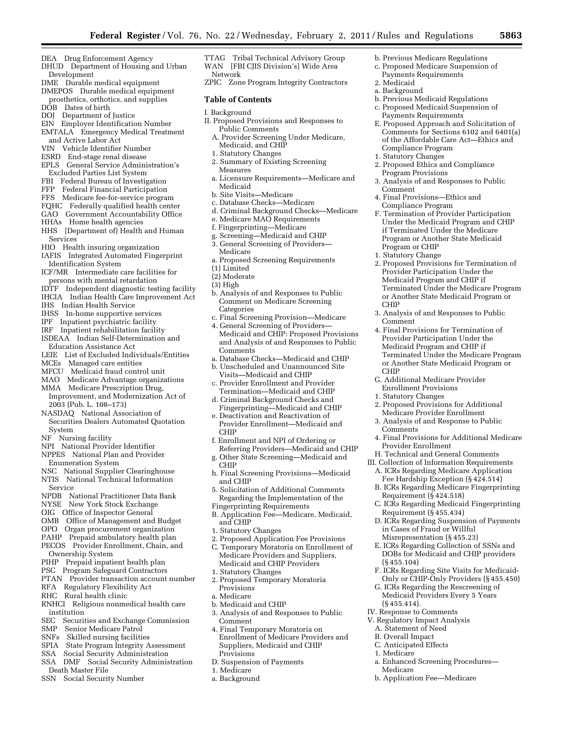b. Previous Medicare Regulations c. Proposed Medicare Suspension of Payments Requirements

b. Previous Medicaid Regulations c. Proposed Medicaid Suspension of Payments Requirements

2. Proposed Ethics and Compliance

4. Final Provisions—Ethics and Compliance Program

3. Analysis of and Responses to Public

F. Termination of Provider Participation Under the Medicaid Program and CHIP if Terminated Under the Medicare Program or Another State Medicaid

2. Proposed Provisions for Termination of Provider Participation Under the Medicaid Program and CHIP if

3. Analysis of and Responses to Public

4. Final Provisions for Termination of Provider Participation Under the Medicaid Program and CHIP if

G. Additional Medicare Provider Enrollment Provisions 1. Statutory Changes

2. Proposed Provisions for Additional Medicare Provider Enrollment 3. Analysis of and Response to Public

H. Technical and General Comments III. Collection of Information Requirements A. ICRs Regarding Medicare Application Fee Hardship Exception (§ 424.514) B. ICRs Regarding Medicare Fingerprinting

4. Final Provisions for Additional Medicare

C. ICRs Regarding Medicaid Fingerprinting

D. ICRs Regarding Suspension of Payments

F. ICRs Regarding Site Visits for Medicaid-Only or CHIP-Only Providers (§ 455.450) G. ICRs Regarding the Rescreening of Medicaid Providers Every 5 Years

a. Enhanced Screening Procedures—

b. Application Fee—Medicare

Terminated Under the Medicare Program or Another State Medicaid Program or

Terminated Under the Medicare Program or Another State Medicaid Program or

Compliance Program 1. Statutory Changes

Program Provisions

Program or CHIP 1. Statutory Change

Comment

CHIP

CHIP

Comments

(§ 455.104)

(§ 455.414). IV. Response to Comments V. Regulatory Impact Analysis A. Statement of Need B. Overall Impact C. Anticipated Effects

1. Medicare

Medicare

Provider Enrollment

Requirement (§ 424.518)

Requirement (§ 455.434)

in Cases of Fraud or Willful Misrepresentation (§ 455.23) E. ICRs Regarding Collection of SSNs and DOBs for Medicaid and CHIP providers

Comment

E. Proposed Approach and Solicitation of Comments for Sections 6102 and 6401(a) of the Affordable Care Act—Ethics and

2. Medicaid a. Background

- DEA Drug Enforcement Agency
- DHUD Department of Housing and Urban Development
- DME Durable medical equipment
- DMEPOS Durable medical equipment prosthetics, orthotics, and supplies DOB Dates of birth
- 
- DOJ Department of Justice EIN Employer Identification Number
- EMTALA Emergency Medical Treatment and Active Labor Act
- VIN Vehicle Identifier Number
- ESRD End-stage renal disease<br>EPLS General Service Admini
- General Service Administration's Excluded Parties List System
- FBI Federal Bureau of Investigation
- FFP Federal Financial Participation
- FFS Medicare fee-for-service program
- FQHC Federally qualified health center
- GAO Government Accountability Office
- HHAs Home health agencies
- HHS [Department of] Health and Human Services
- HIO Health insuring organization
- IAFIS Integrated Automated Fingerprint Identification System
- ICF/MR Intermediate care facilities for persons with mental retardation
- IDTF Independent diagnostic testing facility
- IHCIA Indian Health Care Improvement Act
- IHS Indian Health Service
- IHSS In-home supportive services
- IPF Inpatient psychiatric facility
- IRF Inpatient rehabilitation facility
- ISDEAA Indian Self-Determination and Education Assistance Act
- LEIE List of Excluded Individuals/Entities
- MCEs Managed care entities
- MFCU Medicaid fraud control unit
- MAO Medicare Advantage organizations
- MMA Medicare Prescription Drug, Improvement, and Modernization Act of 2003 (Pub. L. 108–173)
- NASDAQ National Association of Securities Dealers Automated Quotation System
- NF Nursing facility
- NPI National Provider Identifier
- NPPES National Plan and Provider Enumeration System
- NSC National Supplier Clearinghouse
- NTIS National Technical Information Service
- NPDB National Practitioner Data Bank
- NYSE New York Stock Exchange
- OIG Office of Inspector General
- OMB Office of Management and Budget
- OPO Organ procurement organization
- PAHP Prepaid ambulatory health plan
- PECOS Provider Enrollment, Chain, and
- Ownership System
- PIHP Prepaid inpatient health plan
- PSC Program Safeguard Contractors
- PTAN Provider transaction account number RFA Regulatory Flexibility Act
- RHC Rural health clinic
- RNHCI Religious nonmedical health care
- institution
- SEC Securities and Exchange Commission<br>SMP Senior Medicare Patrol
- Senior Medicare Patrol
- SNFs Skilled nursing facilities
- SPIA State Program Integrity Assessment
- SSA Social Security Administration
- SSA DMF Social Security Administration Death Master File
- SSN Social Security Number
- TTAG Tribal Technical Advisory Group WAN [FBI CJIS Division's] Wide Area
- Network
- ZPIC Zone Program Integrity Contractors

#### **Table of Contents**

- I. Background
- II. Proposed Provisions and Responses to Public Comments
	- A. Provider Screening Under Medicare, Medicaid, and CHIP
	- 1. Statutory Changes
	- 2. Summary of Existing Screening Measures
	- a. Licensure Requirements—Medicare and Medicaid
	- b. Site Visits—Medicare
	- c. Database Checks—Medicare
	- d. Criminal Background Checks—Medicare
	- e. Medicare MAO Requirements
	- f. Fingerprinting—Medicare
	- g. Screening—Medicaid and CHIP 3. General Screening of Providers—
	- Medicare
	- a. Proposed Screening Requirements
	- (1) Limited
	- (2) Moderate
	- (3) High
	- b. Analysis of and Responses to Public Comment on Medicare Screening Categories
	- c. Final Screening Provision—Medicare
	- 4. General Screening of Providers— Medicaid and CHIP: Proposed Provisions and Analysis of and Responses to Public Comments
	- a. Database Checks—Medicaid and CHIP b. Unscheduled and Unannounced Site
	- Visits—Medicaid and CHIP c. Provider Enrollment and Provider
	- Termination—Medicaid and CHIP
	- d. Criminal Background Checks and Fingerprinting—Medicaid and CHIP
	- e. Deactivation and Reactivation of Provider Enrollment—Medicaid and CHIP
	- f. Enrollment and NPI of Ordering or Referring Providers—Medicaid and CHIP g. Other State Screening—Medicaid and
	- CHIP
	- h. Final Screening Provisions—Medicaid and CHIP
	- 5. Solicitation of Additional Comments Regarding the Implementation of the Fingerprinting Requirements
	- B. Application Fee—Medicare, Medicaid,
	- and CHIP
	- 1. Statutory Changes
	- 2. Proposed Application Fee Provisions
	- C. Temporary Moratoria on Enrollment of Medicare Providers and Suppliers, Medicaid and CHIP Providers

3. Analysis of and Responses to Public

4. Final Temporary Moratoria on Enrollment of Medicare Providers and Suppliers, Medicaid and CHIP

D. Suspension of Payments

1. Statutory Changes 2. Proposed Temporary Moratoria

b. Medicaid and CHIP

Provisions a. Medicare

Comment

Provisions

1. Medicare a. Background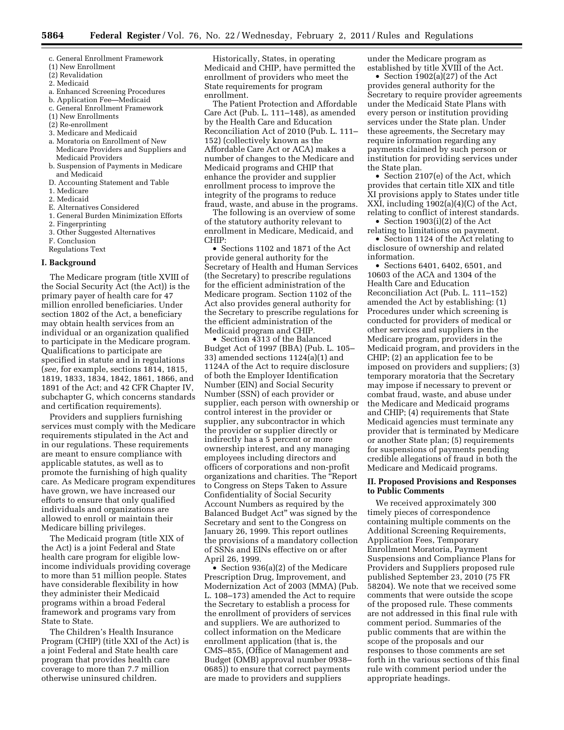- c. General Enrollment Framework
- (1) New Enrollment
- (2) Revalidation
- 2. Medicaid
- a. Enhanced Screening Procedures
- b. Application Fee—Medicaid
- c. General Enrollment Framework
- (1) New Enrollments
- (2) Re-enrollment
- 3. Medicare and Medicaid
- a. Moratoria on Enrollment of New Medicare Providers and Suppliers and Medicaid Providers
- b. Suspension of Payments in Medicare and Medicaid
- D. Accounting Statement and Table
- 1. Medicare
- 2. Medicaid
- E. Alternatives Considered
- 1. General Burden Minimization Efforts
- 2. Fingerprinting
- 3. Other Suggested Alternatives
- F. Conclusion
- Regulations Text

#### **I. Background**

The Medicare program (title XVIII of the Social Security Act (the Act)) is the primary payer of health care for 47 million enrolled beneficiaries. Under section 1802 of the Act, a beneficiary may obtain health services from an individual or an organization qualified to participate in the Medicare program. Qualifications to participate are specified in statute and in regulations (*see,* for example, sections 1814, 1815, 1819, 1833, 1834, 1842, 1861, 1866, and 1891 of the Act; and 42 CFR Chapter IV, subchapter G, which concerns standards and certification requirements).

Providers and suppliers furnishing services must comply with the Medicare requirements stipulated in the Act and in our regulations. These requirements are meant to ensure compliance with applicable statutes, as well as to promote the furnishing of high quality care. As Medicare program expenditures have grown, we have increased our efforts to ensure that only qualified individuals and organizations are allowed to enroll or maintain their Medicare billing privileges.

The Medicaid program (title XIX of the Act) is a joint Federal and State health care program for eligible lowincome individuals providing coverage to more than 51 million people. States have considerable flexibility in how they administer their Medicaid programs within a broad Federal framework and programs vary from State to State.

The Children's Health Insurance Program (CHIP) (title XXI of the Act) is a joint Federal and State health care program that provides health care coverage to more than 7.7 million otherwise uninsured children.

Historically, States, in operating Medicaid and CHIP, have permitted the enrollment of providers who meet the State requirements for program enrollment.

The Patient Protection and Affordable Care Act (Pub. L. 111–148), as amended by the Health Care and Education Reconciliation Act of 2010 (Pub. L. 111– 152) (collectively known as the Affordable Care Act or ACA) makes a number of changes to the Medicare and Medicaid programs and CHIP that enhance the provider and supplier enrollment process to improve the integrity of the programs to reduce fraud, waste, and abuse in the programs.

The following is an overview of some of the statutory authority relevant to enrollment in Medicare, Medicaid, and CHIP:

• Sections 1102 and 1871 of the Act provide general authority for the Secretary of Health and Human Services (the Secretary) to prescribe regulations for the efficient administration of the Medicare program. Section 1102 of the Act also provides general authority for the Secretary to prescribe regulations for the efficient administration of the Medicaid program and CHIP.

• Section 4313 of the Balanced Budget Act of 1997 (BBA) (Pub. L. 105– 33) amended sections 1124(a)(1) and 1124A of the Act to require disclosure of both the Employer Identification Number (EIN) and Social Security Number (SSN) of each provider or supplier, each person with ownership or control interest in the provider or supplier, any subcontractor in which the provider or supplier directly or indirectly has a 5 percent or more ownership interest, and any managing employees including directors and officers of corporations and non-profit organizations and charities. The ''Report to Congress on Steps Taken to Assure Confidentiality of Social Security Account Numbers as required by the Balanced Budget Act'' was signed by the Secretary and sent to the Congress on January 26, 1999. This report outlines the provisions of a mandatory collection of SSNs and EINs effective on or after April 26, 1999.

• Section 936(a)(2) of the Medicare Prescription Drug, Improvement, and Modernization Act of 2003 (MMA) (Pub. L. 108–173) amended the Act to require the Secretary to establish a process for the enrollment of providers of services and suppliers. We are authorized to collect information on the Medicare enrollment application (that is, the CMS–855, (Office of Management and Budget (OMB) approval number 0938– 0685)) to ensure that correct payments are made to providers and suppliers

under the Medicare program as established by title XVIII of the Act.

• Section 1902(a)(27) of the Act provides general authority for the Secretary to require provider agreements under the Medicaid State Plans with every person or institution providing services under the State plan. Under these agreements, the Secretary may require information regarding any payments claimed by such person or institution for providing services under the State plan.

• Section 2107(e) of the Act, which provides that certain title XIX and title XI provisions apply to States under title XXI, including 1902(a)(4)(C) of the Act, relating to conflict of interest standards.

• Section 1903(i)(2) of the Act relating to limitations on payment.

• Section 1124 of the Act relating to disclosure of ownership and related information.

• Sections 6401, 6402, 6501, and 10603 of the ACA and 1304 of the Health Care and Education Reconciliation Act (Pub. L. 111–152) amended the Act by establishing: (1) Procedures under which screening is conducted for providers of medical or other services and suppliers in the Medicare program, providers in the Medicaid program, and providers in the CHIP; (2) an application fee to be imposed on providers and suppliers; (3) temporary moratoria that the Secretary may impose if necessary to prevent or combat fraud, waste, and abuse under the Medicare and Medicaid programs and CHIP; (4) requirements that State Medicaid agencies must terminate any provider that is terminated by Medicare or another State plan; (5) requirements for suspensions of payments pending credible allegations of fraud in both the Medicare and Medicaid programs.

#### **II. Proposed Provisions and Responses to Public Comments**

We received approximately 300 timely pieces of correspondence containing multiple comments on the Additional Screening Requirements, Application Fees, Temporary Enrollment Moratoria, Payment Suspensions and Compliance Plans for Providers and Suppliers proposed rule published September 23, 2010 (75 FR 58204). We note that we received some comments that were outside the scope of the proposed rule. These comments are not addressed in this final rule with comment period. Summaries of the public comments that are within the scope of the proposals and our responses to those comments are set forth in the various sections of this final rule with comment period under the appropriate headings.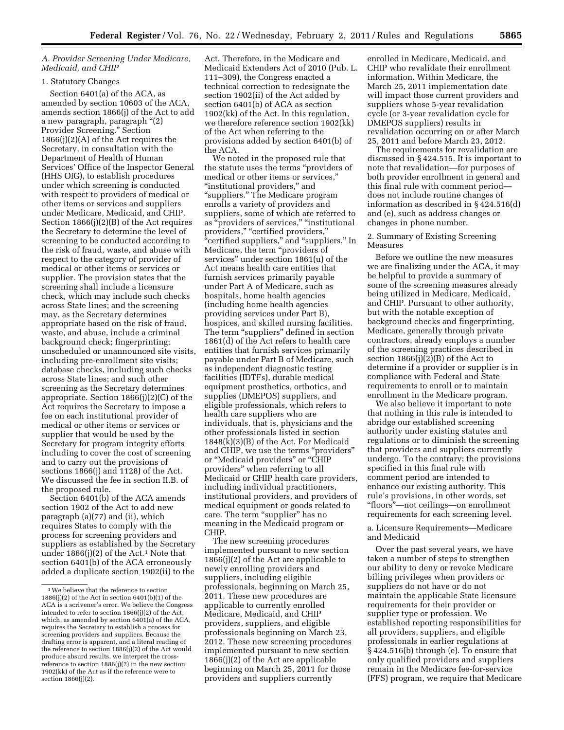#### *A. Provider Screening Under Medicare, Medicaid, and CHIP*

#### 1. Statutory Changes

Section 6401(a) of the ACA, as amended by section 10603 of the ACA, amends section 1866(j) of the Act to add a new paragraph, paragraph ''(2) Provider Screening.'' Section 1866(j)(2)(A) of the Act requires the Secretary, in consultation with the Department of Health of Human Services' Office of the Inspector General (HHS OIG), to establish procedures under which screening is conducted with respect to providers of medical or other items or services and suppliers under Medicare, Medicaid, and CHIP. Section 1866(j)(2)(B) of the Act requires the Secretary to determine the level of screening to be conducted according to the risk of fraud, waste, and abuse with respect to the category of provider of medical or other items or services or supplier. The provision states that the screening shall include a licensure check, which may include such checks across State lines; and the screening may, as the Secretary determines appropriate based on the risk of fraud, waste, and abuse, include a criminal background check; fingerprinting; unscheduled or unannounced site visits, including pre-enrollment site visits; database checks, including such checks across State lines; and such other screening as the Secretary determines appropriate. Section 1866(j)(2)(C) of the Act requires the Secretary to impose a fee on each institutional provider of medical or other items or services or supplier that would be used by the Secretary for program integrity efforts including to cover the cost of screening and to carry out the provisions of sections 1866(j) and 1128J of the Act. We discussed the fee in section II.B. of the proposed rule.

Section 6401(b) of the ACA amends section 1902 of the Act to add new paragraph (a)(77) and (ii), which requires States to comply with the process for screening providers and suppliers as established by the Secretary under  $1866(j)(2)$  of the Act.<sup>1</sup> Note that section 6401(b) of the ACA erroneously added a duplicate section 1902(ii) to the

Act. Therefore, in the Medicare and Medicaid Extenders Act of 2010 (Pub. L. 111–309), the Congress enacted a technical correction to redesignate the section 1902(ii) of the Act added by section 6401(b) of ACA as section 1902(kk) of the Act. In this regulation, we therefore reference section 1902(kk) of the Act when referring to the provisions added by section 6401(b) of the ACA.

We noted in the proposed rule that the statute uses the terms ''providers of medical or other items or services,'' ''institutional providers,'' and ''suppliers.'' The Medicare program enrolls a variety of providers and suppliers, some of which are referred to as "providers of services," "institutional providers," "certified providers," "certified suppliers," and "suppliers." In Medicare, the term ''providers of services'' under section 1861(u) of the Act means health care entities that furnish services primarily payable under Part A of Medicare, such as hospitals, home health agencies (including home health agencies providing services under Part B), hospices, and skilled nursing facilities. The term "suppliers" defined in section 1861(d) of the Act refers to health care entities that furnish services primarily payable under Part B of Medicare, such as independent diagnostic testing facilities (IDTFs), durable medical equipment prosthetics, orthotics, and supplies (DMEPOS) suppliers, and eligible professionals, which refers to health care suppliers who are individuals, that is, physicians and the other professionals listed in section 1848(k)(3)(B) of the Act. For Medicaid and CHIP, we use the terms "providers" or ''Medicaid providers'' or ''CHIP providers'' when referring to all Medicaid or CHIP health care providers, including individual practitioners, institutional providers, and providers of medical equipment or goods related to care. The term "supplier" has no meaning in the Medicaid program or CHIP.

The new screening procedures implemented pursuant to new section 1866(j)(2) of the Act are applicable to newly enrolling providers and suppliers, including eligible professionals, beginning on March 25, 2011. These new procedures are applicable to currently enrolled Medicare, Medicaid, and CHIP providers, suppliers, and eligible professionals beginning on March 23, 2012. These new screening procedures implemented pursuant to new section 1866(j)(2) of the Act are applicable beginning on March 25, 2011 for those providers and suppliers currently

enrolled in Medicare, Medicaid, and CHIP who revalidate their enrollment information. Within Medicare, the March 25, 2011 implementation date will impact those current providers and suppliers whose 5-year revalidation cycle (or 3-year revalidation cycle for DMEPOS suppliers) results in revalidation occurring on or after March 25, 2011 and before March 23, 2012.

The requirements for revalidation are discussed in § 424.515. It is important to note that revalidation—for purposes of both provider enrollment in general and this final rule with comment period does not include routine changes of information as described in § 424.516(d) and (e), such as address changes or changes in phone number.

#### 2. Summary of Existing Screening Measures

Before we outline the new measures we are finalizing under the ACA, it may be helpful to provide a summary of some of the screening measures already being utilized in Medicare, Medicaid, and CHIP. Pursuant to other authority, but with the notable exception of background checks and fingerprinting, Medicare, generally through private contractors, already employs a number of the screening practices described in section 1866(j)(2)(B) of the Act to determine if a provider or supplier is in compliance with Federal and State requirements to enroll or to maintain enrollment in the Medicare program.

We also believe it important to note that nothing in this rule is intended to abridge our established screening authority under existing statutes and regulations or to diminish the screening that providers and suppliers currently undergo. To the contrary; the provisions specified in this final rule with comment period are intended to enhance our existing authority. This rule's provisions, in other words, set ''floors''—not ceilings—on enrollment requirements for each screening level.

a. Licensure Requirements—Medicare and Medicaid

Over the past several years, we have taken a number of steps to strengthen our ability to deny or revoke Medicare billing privileges when providers or suppliers do not have or do not maintain the applicable State licensure requirements for their provider or supplier type or profession. We established reporting responsibilities for all providers, suppliers, and eligible professionals in earlier regulations at § 424.516(b) through (e). To ensure that only qualified providers and suppliers remain in the Medicare fee-for-service (FFS) program, we require that Medicare

<sup>1</sup>We believe that the reference to section 1886(j)(2) of the Act in section 6401(b)(1) of the ACA is a scrivener's error. We believe the Congress intended to refer to section 1866(j)(2) of the Act, which, as amended by section 6401(a) of the ACA, requires the Secretary to establish a process for screening providers and suppliers. Because the drafting error is apparent, and a literal reading of the reference to section 1886(j)(2) of the Act would produce absurd results, we interpret the crossreference to section  $1886(j)(2)$  in the new section 1902(kk) of the Act as if the reference were to section 1866(j)(2).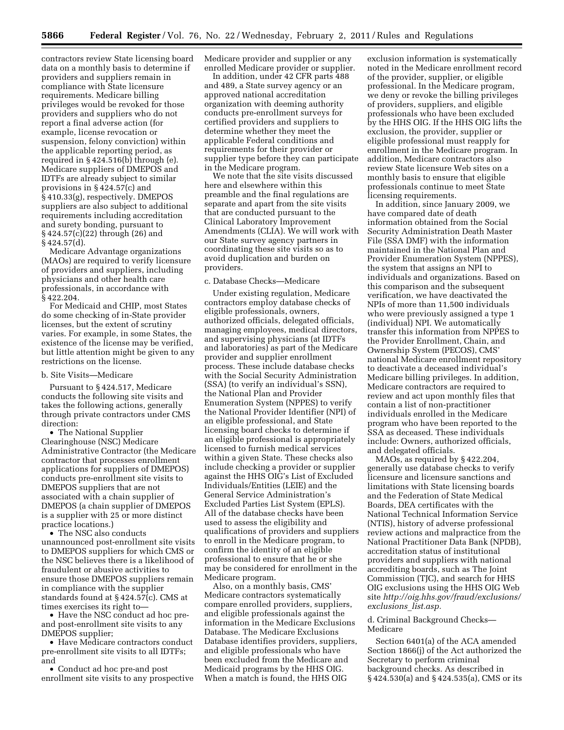contractors review State licensing board data on a monthly basis to determine if providers and suppliers remain in compliance with State licensure requirements. Medicare billing privileges would be revoked for those providers and suppliers who do not report a final adverse action (for example, license revocation or suspension, felony conviction) within the applicable reporting period, as required in § 424.516(b) through (e). Medicare suppliers of DMEPOS and IDTFs are already subject to similar provisions in § 424.57(c) and § 410.33(g), respectively. DMEPOS suppliers are also subject to additional requirements including accreditation and surety bonding, pursuant to § 424.57(c)(22) through (26) and § 424.57(d).

Medicare Advantage organizations (MAOs) are required to verify licensure of providers and suppliers, including physicians and other health care professionals, in accordance with § 422.204.

For Medicaid and CHIP, most States do some checking of in-State provider licenses, but the extent of scrutiny varies. For example, in some States, the existence of the license may be verified, but little attention might be given to any restrictions on the license.

#### b. Site Visits—Medicare

Pursuant to § 424.517, Medicare conducts the following site visits and takes the following actions, generally through private contractors under CMS direction:

• The National Supplier Clearinghouse (NSC) Medicare Administrative Contractor (the Medicare contractor that processes enrollment applications for suppliers of DMEPOS) conducts pre-enrollment site visits to DMEPOS suppliers that are not associated with a chain supplier of DMEPOS (a chain supplier of DMEPOS is a supplier with 25 or more distinct practice locations.)

• The NSC also conducts unannounced post-enrollment site visits to DMEPOS suppliers for which CMS or the NSC believes there is a likelihood of fraudulent or abusive activities to ensure those DMEPOS suppliers remain in compliance with the supplier standards found at § 424.57(c). CMS at times exercises its right to—

• Have the NSC conduct ad hoc preand post-enrollment site visits to any DMEPOS supplier;

• Have Medicare contractors conduct pre-enrollment site visits to all IDTFs; and

• Conduct ad hoc pre-and post enrollment site visits to any prospective Medicare provider and supplier or any enrolled Medicare provider or supplier.

In addition, under 42 CFR parts 488 and 489, a State survey agency or an approved national accreditation organization with deeming authority conducts pre-enrollment surveys for certified providers and suppliers to determine whether they meet the applicable Federal conditions and requirements for their provider or supplier type before they can participate in the Medicare program.

We note that the site visits discussed here and elsewhere within this preamble and the final regulations are separate and apart from the site visits that are conducted pursuant to the Clinical Laboratory Improvement Amendments (CLIA). We will work with our State survey agency partners in coordinating these site visits so as to avoid duplication and burden on providers.

#### c. Database Checks—Medicare

Under existing regulation, Medicare contractors employ database checks of eligible professionals, owners, authorized officials, delegated officials, managing employees, medical directors, and supervising physicians (at IDTFs and laboratories) as part of the Medicare provider and supplier enrollment process. These include database checks with the Social Security Administration (SSA) (to verify an individual's SSN), the National Plan and Provider Enumeration System (NPPES) to verify the National Provider Identifier (NPI) of an eligible professional, and State licensing board checks to determine if an eligible professional is appropriately licensed to furnish medical services within a given State. These checks also include checking a provider or supplier against the HHS OIG's List of Excluded Individuals/Entities (LEIE) and the General Service Administration's Excluded Parties List System (EPLS). All of the database checks have been used to assess the eligibility and qualifications of providers and suppliers to enroll in the Medicare program, to confirm the identity of an eligible professional to ensure that he or she may be considered for enrollment in the Medicare program.

Also, on a monthly basis, CMS' Medicare contractors systematically compare enrolled providers, suppliers, and eligible professionals against the information in the Medicare Exclusions Database. The Medicare Exclusions Database identifies providers, suppliers, and eligible professionals who have been excluded from the Medicare and Medicaid programs by the HHS OIG. When a match is found, the HHS OIG

exclusion information is systematically noted in the Medicare enrollment record of the provider, supplier, or eligible professional. In the Medicare program, we deny or revoke the billing privileges of providers, suppliers, and eligible professionals who have been excluded by the HHS OIG. If the HHS OIG lifts the exclusion, the provider, supplier or eligible professional must reapply for enrollment in the Medicare program. In addition, Medicare contractors also review State licensure Web sites on a monthly basis to ensure that eligible professionals continue to meet State licensing requirements.

In addition, since January 2009, we have compared date of death information obtained from the Social Security Administration Death Master File (SSA DMF) with the information maintained in the National Plan and Provider Enumeration System (NPPES), the system that assigns an NPI to individuals and organizations. Based on this comparison and the subsequent verification, we have deactivated the NPIs of more than 11,500 individuals who were previously assigned a type 1 (individual) NPI. We automatically transfer this information from NPPES to the Provider Enrollment, Chain, and Ownership System (PECOS), CMS' national Medicare enrollment repository to deactivate a deceased individual's Medicare billing privileges. In addition, Medicare contractors are required to review and act upon monthly files that contain a list of non-practitioner individuals enrolled in the Medicare program who have been reported to the SSA as deceased. These individuals include: Owners, authorized officials, and delegated officials.

MAOs, as required by § 422.204, generally use database checks to verify licensure and licensure sanctions and limitations with State licensing boards and the Federation of State Medical Boards, DEA certificates with the National Technical Information Service (NTIS), history of adverse professional review actions and malpractice from the National Practitioner Data Bank (NPDB), accreditation status of institutional providers and suppliers with national accrediting boards, such as The Joint Commission (TJC), and search for HHS OIG exclusions using the HHS OIG Web site *[http://oig.hhs.gov/fraud/exclusions/](http://oig.hhs.gov/fraud/exclusions/exclusions_list.asp)  [exclusions](http://oig.hhs.gov/fraud/exclusions/exclusions_list.asp)*\_*list.asp.* 

#### d. Criminal Background Checks— Medicare

Section 6401(a) of the ACA amended Section 1866(j) of the Act authorized the Secretary to perform criminal background checks. As described in § 424.530(a) and § 424.535(a), CMS or its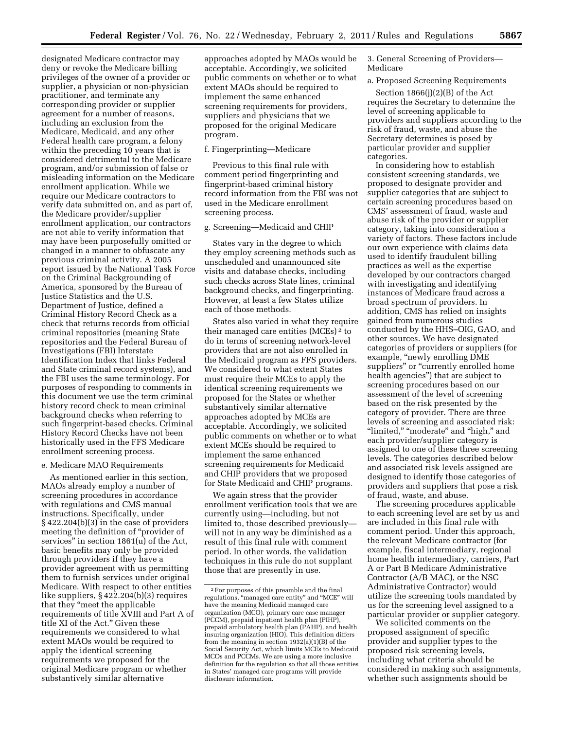designated Medicare contractor may deny or revoke the Medicare billing privileges of the owner of a provider or supplier, a physician or non-physician practitioner, and terminate any corresponding provider or supplier agreement for a number of reasons, including an exclusion from the Medicare, Medicaid, and any other Federal health care program, a felony within the preceding 10 years that is considered detrimental to the Medicare program, and/or submission of false or misleading information on the Medicare enrollment application. While we require our Medicare contractors to verify data submitted on, and as part of, the Medicare provider/supplier enrollment application, our contractors are not able to verify information that may have been purposefully omitted or changed in a manner to obfuscate any previous criminal activity. A 2005 report issued by the National Task Force on the Criminal Backgrounding of America, sponsored by the Bureau of Justice Statistics and the U.S. Department of Justice, defined a Criminal History Record Check as a check that returns records from official criminal repositories (meaning State repositories and the Federal Bureau of Investigations (FBI) Interstate Identification Index that links Federal and State criminal record systems), and the FBI uses the same terminology. For purposes of responding to comments in this document we use the term criminal history record check to mean criminal background checks when referring to such fingerprint-based checks. Criminal History Record Checks have not been historically used in the FFS Medicare enrollment screening process.

#### e. Medicare MAO Requirements

As mentioned earlier in this section, MAOs already employ a number of screening procedures in accordance with regulations and CMS manual instructions. Specifically, under § 422.204(b)(3) in the case of providers meeting the definition of ''provider of services'' in section 1861(u) of the Act, basic benefits may only be provided through providers if they have a provider agreement with us permitting them to furnish services under original Medicare. With respect to other entities like suppliers, § 422.204(b)(3) requires that they ''meet the applicable requirements of title XVIII and Part A of title XI of the Act.'' Given these requirements we considered to what extent MAOs would be required to apply the identical screening requirements we proposed for the original Medicare program or whether substantively similar alternative

approaches adopted by MAOs would be acceptable. Accordingly, we solicited public comments on whether or to what extent MAOs should be required to implement the same enhanced screening requirements for providers, suppliers and physicians that we proposed for the original Medicare program.

#### f. Fingerprinting—Medicare

Previous to this final rule with comment period fingerprinting and fingerprint-based criminal history record information from the FBI was not used in the Medicare enrollment screening process.

#### g. Screening—Medicaid and CHIP

States vary in the degree to which they employ screening methods such as unscheduled and unannounced site visits and database checks, including such checks across State lines, criminal background checks, and fingerprinting. However, at least a few States utilize each of those methods.

States also varied in what they require their managed care entities (MCEs) 2 to do in terms of screening network-level providers that are not also enrolled in the Medicaid program as FFS providers. We considered to what extent States must require their MCEs to apply the identical screening requirements we proposed for the States or whether substantively similar alternative approaches adopted by MCEs are acceptable. Accordingly, we solicited public comments on whether or to what extent MCEs should be required to implement the same enhanced screening requirements for Medicaid and CHIP providers that we proposed for State Medicaid and CHIP programs.

We again stress that the provider enrollment verification tools that we are currently using—including, but not limited to, those described previously will not in any way be diminished as a result of this final rule with comment period. In other words, the validation techniques in this rule do not supplant those that are presently in use.

3. General Screening of Providers— Medicare

#### a. Proposed Screening Requirements

Section 1866(j)(2)(B) of the Act requires the Secretary to determine the level of screening applicable to providers and suppliers according to the risk of fraud, waste, and abuse the Secretary determines is posed by particular provider and supplier categories.

In considering how to establish consistent screening standards, we proposed to designate provider and supplier categories that are subject to certain screening procedures based on CMS' assessment of fraud, waste and abuse risk of the provider or supplier category, taking into consideration a variety of factors. These factors include our own experience with claims data used to identify fraudulent billing practices as well as the expertise developed by our contractors charged with investigating and identifying instances of Medicare fraud across a broad spectrum of providers. In addition, CMS has relied on insights gained from numerous studies conducted by the HHS–OIG, GAO, and other sources. We have designated categories of providers or suppliers (for example, "newly enrolling DME suppliers" or "currently enrolled home health agencies'') that are subject to screening procedures based on our assessment of the level of screening based on the risk presented by the category of provider. There are three levels of screening and associated risk: "limited," "moderate" and "high," and each provider/supplier category is assigned to one of these three screening levels. The categories described below and associated risk levels assigned are designed to identify those categories of providers and suppliers that pose a risk of fraud, waste, and abuse.

The screening procedures applicable to each screening level are set by us and are included in this final rule with comment period. Under this approach, the relevant Medicare contractor (for example, fiscal intermediary, regional home health intermediary, carriers, Part A or Part B Medicare Administrative Contractor (A/B MAC), or the NSC Administrative Contractor) would utilize the screening tools mandated by us for the screening level assigned to a particular provider or supplier category.

We solicited comments on the proposed assignment of specific provider and supplier types to the proposed risk screening levels, including what criteria should be considered in making such assignments, whether such assignments should be

<sup>2</sup>For purposes of this preamble and the final regulations, ''managed care entity'' and ''MCE'' will have the meaning Medicaid managed care organization (MCO), primary care case manager (PCCM), prepaid inpatient health plan (PIHP), prepaid ambulatory health plan (PAHP), and health insuring organization (HIO). This definition differs from the meaning in section 1932(a)(1)(B) of the Social Security Act, which limits MCEs to Medicaid MCOs and PCCMs. We are using a more inclusive definition for the regulation so that all those entities in States' managed care programs will provide disclosure information.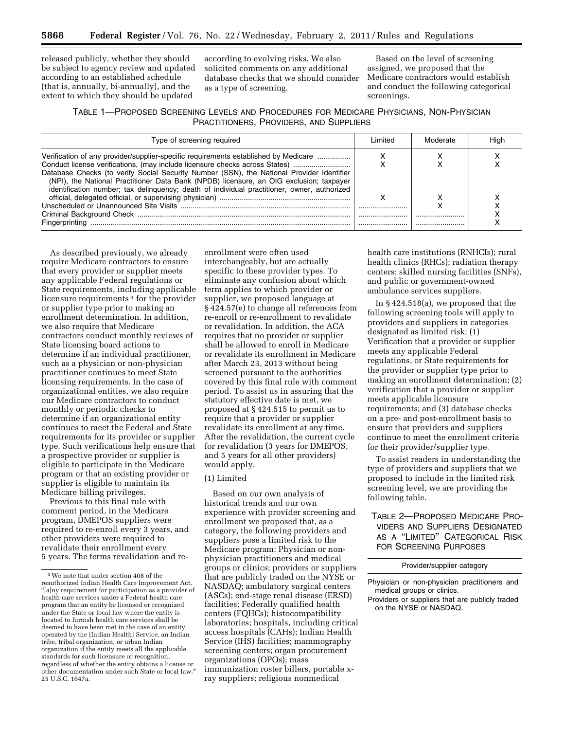released publicly, whether they should be subject to agency review and updated according to an established schedule (that is, annually, bi-annually), and the extent to which they should be updated

according to evolving risks. We also solicited comments on any additional database checks that we should consider as a type of screening.

Based on the level of screening assigned, we proposed that the Medicare contractors would establish and conduct the following categorical screenings.

#### TABLE 1—PROPOSED SCREENING LEVELS AND PROCEDURES FOR MEDICARE PHYSICIANS, NON-PHYSICIAN PRACTITIONERS, PROVIDERS, AND SUPPLIERS

| Type of screening required                                                                                                                                                                                                                                                                                                                                                                                                                                | l imited | Moderate | Hiah |
|-----------------------------------------------------------------------------------------------------------------------------------------------------------------------------------------------------------------------------------------------------------------------------------------------------------------------------------------------------------------------------------------------------------------------------------------------------------|----------|----------|------|
| Verification of any provider/supplier-specific requirements established by Medicare<br>Conduct license verifications, (may include licensure checks across States)<br>Database Checks (to verify Social Security Number (SSN), the National Provider Identifier<br>(NPI), the National Practitioner Data Bank (NPDB) licensure, an OIG exclusion; taxpayer<br>identification number; tax delinguency; death of individual practitioner, owner, authorized |          |          |      |
|                                                                                                                                                                                                                                                                                                                                                                                                                                                           |          |          |      |
|                                                                                                                                                                                                                                                                                                                                                                                                                                                           |          |          |      |
|                                                                                                                                                                                                                                                                                                                                                                                                                                                           |          |          |      |

As described previously, we already require Medicare contractors to ensure that every provider or supplier meets any applicable Federal regulations or State requirements, including applicable licensure requirements<sup>3</sup> for the provider or supplier type prior to making an enrollment determination. In addition, we also require that Medicare contractors conduct monthly reviews of State licensing board actions to determine if an individual practitioner, such as a physician or non-physician practitioner continues to meet State licensing requirements. In the case of organizational entities, we also require our Medicare contractors to conduct monthly or periodic checks to determine if an organizational entity continues to meet the Federal and State requirements for its provider or supplier type. Such verifications help ensure that a prospective provider or supplier is eligible to participate in the Medicare program or that an existing provider or supplier is eligible to maintain its Medicare billing privileges.

Previous to this final rule with comment period, in the Medicare program, DMEPOS suppliers were required to re-enroll every 3 years, and other providers were required to revalidate their enrollment every 5 years. The terms revalidation and re-

enrollment were often used interchangeably, but are actually specific to these provider types. To eliminate any confusion about which term applies to which provider or supplier, we proposed language at § 424.57(e) to change all references from re-enroll or re-enrollment to revalidate or revalidation. In addition, the ACA requires that no provider or supplier shall be allowed to enroll in Medicare or revalidate its enrollment in Medicare after March 23, 2013 without being screened pursuant to the authorities covered by this final rule with comment period. To assist us in assuring that the statutory effective date is met, we proposed at § 424.515 to permit us to require that a provider or supplier revalidate its enrollment at any time. After the revalidation, the current cycle for revalidation (3 years for DMEPOS, and 5 years for all other providers) would apply.

#### (1) Limited

Based on our own analysis of historical trends and our own experience with provider screening and enrollment we proposed that, as a category, the following providers and suppliers pose a limited risk to the Medicare program: Physician or nonphysician practitioners and medical groups or clinics; providers or suppliers that are publicly traded on the NYSE or NASDAQ; ambulatory surgical centers (ASCs); end-stage renal disease (ERSD) facilities; Federally qualified health centers (FQHCs); histocompatibility laboratories; hospitals, including critical access hospitals (CAHs); Indian Health Service (IHS) facilities; mammography screening centers; organ procurement organizations (OPOs); mass immunization roster billers, portable xray suppliers; religious nonmedical

health care institutions (RNHCIs); rural health clinics (RHCs); radiation therapy centers; skilled nursing facilities (SNFs), and public or government-owned ambulance services suppliers.

In § 424.518(a), we proposed that the following screening tools will apply to providers and suppliers in categories designated as limited risk: (1) Verification that a provider or supplier meets any applicable Federal regulations, or State requirements for the provider or supplier type prior to making an enrollment determination; (2) verification that a provider or supplier meets applicable licensure requirements; and (3) database checks on a pre- and post-enrollment basis to ensure that providers and suppliers continue to meet the enrollment criteria for their provider/supplier type.

To assist readers in understanding the type of providers and suppliers that we proposed to include in the limited risk screening level, we are providing the following table.

TABLE 2—PROPOSED MEDICARE PRO-VIDERS AND SUPPLIERS DESIGNATED AS A ''LIMITED'' CATEGORICAL RISK FOR SCREENING PURPOSES

Provider/supplier category

<sup>3</sup>We note that under section 408 of the reauthorized Indian Health Care Improvement Act, ''[a]ny requirement for participation as a provider of health care services under a Federal health care program that an entity be licensed or recognized under the State or local law where the entity is located to furnish health care services shall be deemed to have been met in the case of an entity operated by the [Indian Health] Service, an Indian tribe, tribal organization, or urban Indian organization if the entity meets all the applicable standards for such licensure or recognition, regardless of whether the entity obtains a license or other documentation under such State or local law.'' 25 U.S.C. 1647a.

Physician or non-physician practitioners and medical groups or clinics.

Providers or suppliers that are publicly traded on the NYSE or NASDAQ.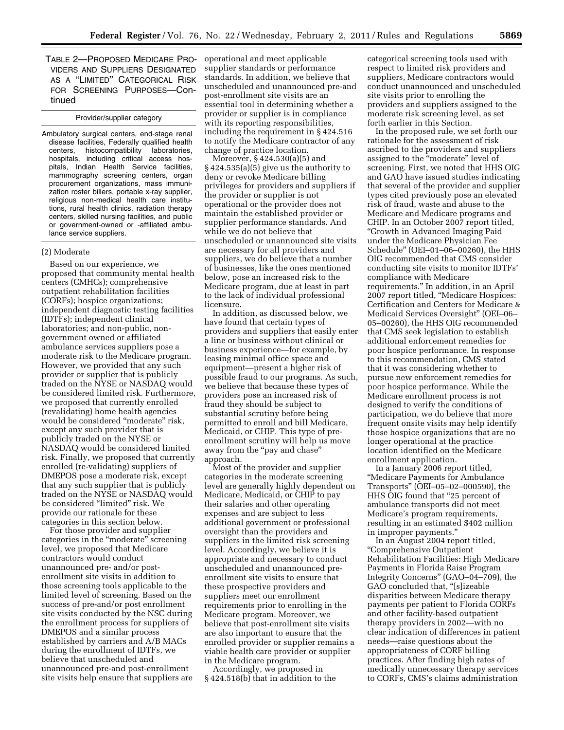TABLE 2—PROPOSED MEDICARE PRO-VIDERS AND SUPPLIERS DESIGNATED AS A ''LIMITED'' CATEGORICAL RISK FOR SCREENING PURPOSES—Continued

#### Provider/supplier category

Ambulatory surgical centers, end-stage renal disease facilities, Federally qualified health centers, histocompatibility laboratories, hospitals, including critical access hospitals, Indian Health Service facilities, mammography screening centers, organ procurement organizations, mass immunization roster billers, portable x-ray supplier, religious non-medical health care institutions, rural health clinics, radiation therapy centers, skilled nursing facilities, and public or government-owned or -affiliated ambulance service suppliers.

#### (2) Moderate

Based on our experience, we proposed that community mental health centers (CMHCs); comprehensive outpatient rehabilitation facilities (CORFs); hospice organizations; independent diagnostic testing facilities (IDTFs); independent clinical laboratories; and non-public, nongovernment owned or affiliated ambulance services suppliers pose a moderate risk to the Medicare program. However, we provided that any such provider or supplier that is publicly traded on the NYSE or NASDAQ would be considered limited risk. Furthermore, we proposed that currently enrolled (revalidating) home health agencies would be considered "moderate" risk, except any such provider that is publicly traded on the NYSE or NASDAQ would be considered limited risk. Finally, we proposed that currently enrolled (re-validating) suppliers of DMEPOS pose a moderate risk, except that any such supplier that is publicly traded on the NYSE or NASDAQ would be considered "limited" risk. We provide our rationale for these categories in this section below.

For those provider and supplier categories in the ''moderate'' screening level, we proposed that Medicare contractors would conduct unannounced pre- and/or postenrollment site visits in addition to those screening tools applicable to the limited level of screening. Based on the success of pre-and/or post enrollment site visits conducted by the NSC during the enrollment process for suppliers of DMEPOS and a similar process established by carriers and A/B MACs during the enrollment of IDTFs, we believe that unscheduled and unannounced pre-and post-enrollment site visits help ensure that suppliers are operational and meet applicable supplier standards or performance standards. In addition, we believe that unscheduled and unannounced pre-and post-enrollment site visits are an essential tool in determining whether a provider or supplier is in compliance with its reporting responsibilities, including the requirement in § 424.516 to notify the Medicare contractor of any change of practice location.

Moreover, § 424.530(a)(5) and § 424.535(a)(5) give us the authority to deny or revoke Medicare billing privileges for providers and suppliers if the provider or supplier is not operational or the provider does not maintain the established provider or supplier performance standards. And while we do not believe that unscheduled or unannounced site visits are necessary for all providers and suppliers, we do believe that a number of businesses, like the ones mentioned below, pose an increased risk to the Medicare program, due at least in part to the lack of individual professional licensure.

In addition, as discussed below, we have found that certain types of providers and suppliers that easily enter a line or business without clinical or business experience—for example, by leasing minimal office space and equipment—present a higher risk of possible fraud to our programs. As such, we believe that because these types of providers pose an increased risk of fraud they should be subject to substantial scrutiny before being permitted to enroll and bill Medicare, Medicaid, or CHIP. This type of preenrollment scrutiny will help us move away from the "pay and chase" approach.

Most of the provider and supplier categories in the moderate screening level are generally highly dependent on Medicare, Medicaid, or CHIP to pay their salaries and other operating expenses and are subject to less additional government or professional oversight than the providers and suppliers in the limited risk screening level. Accordingly, we believe it is appropriate and necessary to conduct unscheduled and unannounced preenrollment site visits to ensure that these prospective providers and suppliers meet our enrollment requirements prior to enrolling in the Medicare program. Moreover, we believe that post-enrollment site visits are also important to ensure that the enrolled provider or supplier remains a viable health care provider or supplier in the Medicare program.

Accordingly, we proposed in § 424.518(b) that in addition to the categorical screening tools used with respect to limited risk providers and suppliers, Medicare contractors would conduct unannounced and unscheduled site visits prior to enrolling the providers and suppliers assigned to the moderate risk screening level, as set forth earlier in this Section.

In the proposed rule, we set forth our rationale for the assessment of risk ascribed to the providers and suppliers assigned to the "moderate" level of screening. First, we noted that HHS OIG and GAO have issued studies indicating that several of the provider and supplier types cited previously pose an elevated risk of fraud, waste and abuse to the Medicare and Medicare programs and CHIP. In an October 2007 report titled, ''Growth in Advanced Imaging Paid under the Medicare Physician Fee Schedule'' (OEI–01–06–00260), the HHS OIG recommended that CMS consider conducting site visits to monitor IDTFs' compliance with Medicare requirements.'' In addition, in an April 2007 report titled, ''Medicare Hospices: Certification and Centers for Medicare & Medicaid Services Oversight'' (OEI–06– 05–00260), the HHS OIG recommended that CMS seek legislation to establish additional enforcement remedies for poor hospice performance. In response to this recommendation, CMS stated that it was considering whether to pursue new enforcement remedies for poor hospice performance. While the Medicare enrollment process is not designed to verify the conditions of participation, we do believe that more frequent onsite visits may help identify those hospice organizations that are no longer operational at the practice location identified on the Medicare enrollment application.

In a January 2006 report titled, ''Medicare Payments for Ambulance Transports'' (OEI–05–02–000590), the HHS OIG found that ''25 percent of ambulance transports did not meet Medicare's program requirements, resulting in an estimated \$402 million in improper payments.''

In an August 2004 report titled, ''Comprehensive Outpatient Rehabilitation Facilities: High Medicare Payments in Florida Raise Program Integrity Concerns'' (GAO–04–709), the GAO concluded that, "[s]izeable disparities between Medicare therapy payments per patient to Florida CORFs and other facility-based outpatient therapy providers in 2002—with no clear indication of differences in patient needs—raise questions about the appropriateness of CORF billing practices. After finding high rates of medically unnecessary therapy services to CORFs, CMS's claims administration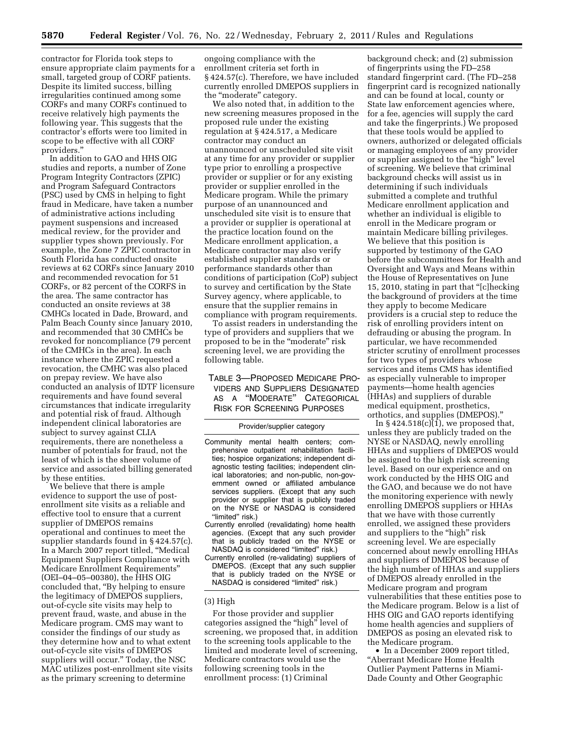contractor for Florida took steps to ensure appropriate claim payments for a small, targeted group of CORF patients. Despite its limited success, billing irregularities continued among some CORFs and many CORFs continued to receive relatively high payments the following year. This suggests that the contractor's efforts were too limited in scope to be effective with all CORF providers.''

In addition to GAO and HHS OIG studies and reports, a number of Zone Program Integrity Contractors (ZPIC) and Program Safeguard Contractors (PSC) used by CMS in helping to fight fraud in Medicare, have taken a number of administrative actions including payment suspensions and increased medical review, for the provider and supplier types shown previously. For example, the Zone 7 ZPIC contractor in South Florida has conducted onsite reviews at 62 CORFs since January 2010 and recommended revocation for 51 CORFs, or 82 percent of the CORFS in the area. The same contractor has conducted an onsite reviews at 38 CMHCs located in Dade, Broward, and Palm Beach County since January 2010, and recommended that 30 CMHCs be revoked for noncompliance (79 percent of the CMHCs in the area). In each instance where the ZPIC requested a revocation, the CMHC was also placed on prepay review. We have also conducted an analysis of IDTF licensure requirements and have found several circumstances that indicate irregularity and potential risk of fraud. Although independent clinical laboratories are subject to survey against CLIA requirements, there are nonetheless a number of potentials for fraud, not the least of which is the sheer volume of service and associated billing generated by these entities.

We believe that there is ample evidence to support the use of postenrollment site visits as a reliable and effective tool to ensure that a current supplier of DMEPOS remains operational and continues to meet the supplier standards found in § 424.57(c). In a March 2007 report titled, ''Medical Equipment Suppliers Compliance with Medicare Enrollment Requirements'' (OEI–04–05–00380), the HHS OIG concluded that, ''By helping to ensure the legitimacy of DMEPOS suppliers, out-of-cycle site visits may help to prevent fraud, waste, and abuse in the Medicare program. CMS may want to consider the findings of our study as they determine how and to what extent out-of-cycle site visits of DMEPOS suppliers will occur.'' Today, the NSC MAC utilizes post-enrollment site visits as the primary screening to determine

ongoing compliance with the enrollment criteria set forth in § 424.57(c). Therefore, we have included currently enrolled DMEPOS suppliers in the "moderate" category.

We also noted that, in addition to the new screening measures proposed in the proposed rule under the existing regulation at § 424.517, a Medicare contractor may conduct an unannounced or unscheduled site visit at any time for any provider or supplier type prior to enrolling a prospective provider or supplier or for any existing provider or supplier enrolled in the Medicare program. While the primary purpose of an unannounced and unscheduled site visit is to ensure that a provider or supplier is operational at the practice location found on the Medicare enrollment application, a Medicare contractor may also verify established supplier standards or performance standards other than conditions of participation (CoP) subject to survey and certification by the State Survey agency, where applicable, to ensure that the supplier remains in compliance with program requirements.

To assist readers in understanding the type of providers and suppliers that we proposed to be in the ''moderate'' risk screening level, we are providing the following table.

TABLE 3—PROPOSED MEDICARE PRO-VIDERS AND SUPPLIERS DESIGNATED AS A ''MODERATE'' CATEGORICAL RISK FOR SCREENING PURPOSES

#### Provider/supplier category

- Community mental health centers; comprehensive outpatient rehabilitation facilities; hospice organizations; independent diagnostic testing facilities; independent clinical laboratories; and non-public, non-government owned or affiliated ambulance services suppliers. (Except that any such provider or supplier that is publicly traded on the NYSE or NASDAQ is considered "limited" risk.)
- Currently enrolled (revalidating) home health agencies. (Except that any such provider that is publicly traded on the NYSE or NASDAQ is considered "limited" risk.)
- Currently enrolled (re-validating) suppliers of DMEPOS. (Except that any such supplier that is publicly traded on the NYSE or NASDAQ is considered "limited" risk.)

#### (3) High

For those provider and supplier categories assigned the "high" level of screening, we proposed that, in addition to the screening tools applicable to the limited and moderate level of screening, Medicare contractors would use the following screening tools in the enrollment process: (1) Criminal

background check; and (2) submission of fingerprints using the FD–258 standard fingerprint card. (The FD–258 fingerprint card is recognized nationally and can be found at local, county or State law enforcement agencies where, for a fee, agencies will supply the card and take the fingerprints.) We proposed that these tools would be applied to owners, authorized or delegated officials or managing employees of any provider or supplier assigned to the "high" level of screening. We believe that criminal background checks will assist us in determining if such individuals submitted a complete and truthful Medicare enrollment application and whether an individual is eligible to enroll in the Medicare program or maintain Medicare billing privileges. We believe that this position is supported by testimony of the GAO before the subcommittees for Health and Oversight and Ways and Means within the House of Representatives on June 15, 2010, stating in part that "[c]hecking the background of providers at the time they apply to become Medicare providers is a crucial step to reduce the risk of enrolling providers intent on defrauding or abusing the program. In particular, we have recommended stricter scrutiny of enrollment processes for two types of providers whose services and items CMS has identified as especially vulnerable to improper payments—home health agencies (HHAs) and suppliers of durable medical equipment, prosthetics, orthotics, and supplies (DMEPOS).''

In  $\S 424.518(c)(1)$ , we proposed that, unless they are publicly traded on the NYSE or NASDAQ, newly enrolling HHAs and suppliers of DMEPOS would be assigned to the high risk screening level. Based on our experience and on work conducted by the HHS OIG and the GAO, and because we do not have the monitoring experience with newly enrolling DMEPOS suppliers or HHAs that we have with those currently enrolled, we assigned these providers and suppliers to the "high" risk screening level. We are especially concerned about newly enrolling HHAs and suppliers of DMEPOS because of the high number of HHAs and suppliers of DMEPOS already enrolled in the Medicare program and program vulnerabilities that these entities pose to the Medicare program. Below is a list of HHS OIG and GAO reports identifying home health agencies and suppliers of DMEPOS as posing an elevated risk to the Medicare program.

• In a December 2009 report titled, ''Aberrant Medicare Home Health Outlier Payment Patterns in Miami-Dade County and Other Geographic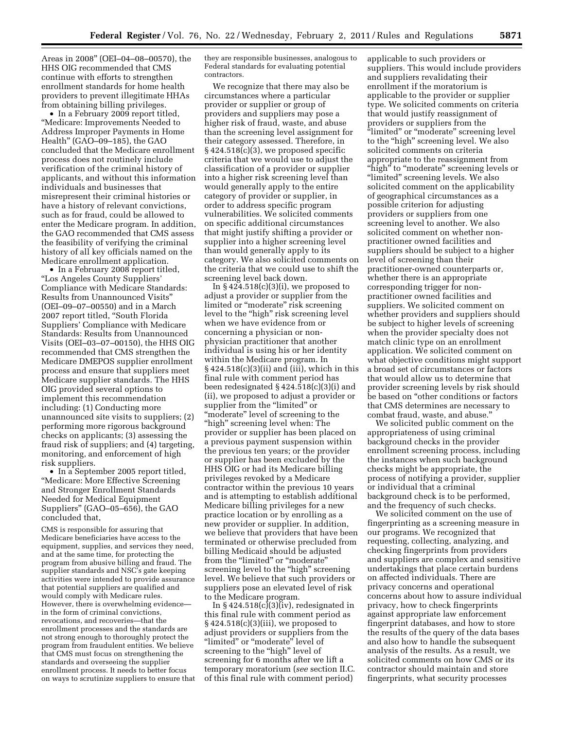Areas in 2008'' (OEI–04–08–00570), the HHS OIG recommended that CMS continue with efforts to strengthen enrollment standards for home health providers to prevent illegitimate HHAs from obtaining billing privileges.

• In a February 2009 report titled, ''Medicare: Improvements Needed to Address Improper Payments in Home Health'' (GAO–09–185), the GAO concluded that the Medicare enrollment process does not routinely include verification of the criminal history of applicants, and without this information individuals and businesses that misrepresent their criminal histories or have a history of relevant convictions, such as for fraud, could be allowed to enter the Medicare program. In addition, the GAO recommended that CMS assess the feasibility of verifying the criminal history of all key officials named on the Medicare enrollment application.

• In a February 2008 report titled, ''Los Angeles County Suppliers' Compliance with Medicare Standards: Results from Unannounced Visits'' (OEI–09–07–00550) and in a March 2007 report titled, ''South Florida Suppliers' Compliance with Medicare Standards: Results from Unannounced Visits (OEI–03–07–00150), the HHS OIG recommended that CMS strengthen the Medicare DMEPOS supplier enrollment process and ensure that suppliers meet Medicare supplier standards. The HHS OIG provided several options to implement this recommendation including: (1) Conducting more unannounced site visits to suppliers; (2) performing more rigorous background checks on applicants; (3) assessing the fraud risk of suppliers; and (4) targeting, monitoring, and enforcement of high risk suppliers.

• In a September 2005 report titled, ''Medicare: More Effective Screening and Stronger Enrollment Standards Needed for Medical Equipment Suppliers'' (GAO–05–656), the GAO concluded that,

CMS is responsible for assuring that Medicare beneficiaries have access to the equipment, supplies, and services they need, and at the same time, for protecting the program from abusive billing and fraud. The supplier standards and NSC's gate keeping activities were intended to provide assurance that potential suppliers are qualified and would comply with Medicare rules. However, there is overwhelming evidence in the form of criminal convictions, revocations, and recoveries—that the enrollment processes and the standards are not strong enough to thoroughly protect the program from fraudulent entities. We believe that CMS must focus on strengthening the standards and overseeing the supplier enrollment process. It needs to better focus on ways to scrutinize suppliers to ensure that they are responsible businesses, analogous to Federal standards for evaluating potential contractors.

We recognize that there may also be circumstances where a particular provider or supplier or group of providers and suppliers may pose a higher risk of fraud, waste, and abuse than the screening level assignment for their category assessed. Therefore, in  $§$  424.518 $\overline{c}$ (c)(3), we proposed specific criteria that we would use to adjust the classification of a provider or supplier into a higher risk screening level than would generally apply to the entire category of provider or supplier, in order to address specific program vulnerabilities. We solicited comments on specific additional circumstances that might justify shifting a provider or supplier into a higher screening level than would generally apply to its category. We also solicited comments on the criteria that we could use to shift the screening level back down.

In  $\S 424.518(c)(3)(i)$ , we proposed to adjust a provider or supplier from the limited or ''moderate'' risk screening level to the "high" risk screening level when we have evidence from or concerning a physician or nonphysician practitioner that another individual is using his or her identity within the Medicare program. In § 424.518(c)(3)(ii) and (iii), which in this final rule with comment period has been redesignated § 424.518(c)(3)(i) and (ii), we proposed to adjust a provider or supplier from the "limited" or "moderate" level of screening to the ''high'' screening level when: The provider or supplier has been placed on a previous payment suspension within the previous ten years; or the provider or supplier has been excluded by the HHS OIG or had its Medicare billing privileges revoked by a Medicare contractor within the previous 10 years and is attempting to establish additional Medicare billing privileges for a new practice location or by enrolling as a new provider or supplier. In addition, we believe that providers that have been terminated or otherwise precluded from billing Medicaid should be adjusted from the "limited" or "moderate" screening level to the "high" screening level. We believe that such providers or suppliers pose an elevated level of risk to the Medicare program.

In  $\S 424.518(c)(3)(iv)$ , redesignated in this final rule with comment period as § 424.518(c)(3)(iii), we proposed to adjust providers or suppliers from the "limited" or "moderate" level of screening to the "high" level of screening for 6 months after we lift a temporary moratorium (*see* section II.C. of this final rule with comment period)

applicable to such providers or suppliers. This would include providers and suppliers revalidating their enrollment if the moratorium is applicable to the provider or supplier type. We solicited comments on criteria that would justify reassignment of providers or suppliers from the ''limited'' or ''moderate'' screening level to the "high" screening level. We also solicited comments on criteria appropriate to the reassignment from "high" to "moderate" screening levels or "limited" screening levels. We also solicited comment on the applicability of geographical circumstances as a possible criterion for adjusting providers or suppliers from one screening level to another. We also solicited comment on whether nonpractitioner owned facilities and suppliers should be subject to a higher level of screening than their practitioner-owned counterparts or, whether there is an appropriate corresponding trigger for nonpractitioner owned facilities and suppliers. We solicited comment on whether providers and suppliers should be subject to higher levels of screening when the provider specialty does not match clinic type on an enrollment application. We solicited comment on what objective conditions might support a broad set of circumstances or factors that would allow us to determine that provider screening levels by risk should be based on ''other conditions or factors that CMS determines are necessary to combat fraud, waste, and abuse.''

We solicited public comment on the appropriateness of using criminal background checks in the provider enrollment screening process, including the instances when such background checks might be appropriate, the process of notifying a provider, supplier or individual that a criminal background check is to be performed, and the frequency of such checks.

We solicited comment on the use of fingerprinting as a screening measure in our programs. We recognized that requesting, collecting, analyzing, and checking fingerprints from providers and suppliers are complex and sensitive undertakings that place certain burdens on affected individuals. There are privacy concerns and operational concerns about how to assure individual privacy, how to check fingerprints against appropriate law enforcement fingerprint databases, and how to store the results of the query of the data bases and also how to handle the subsequent analysis of the results. As a result, we solicited comments on how CMS or its contractor should maintain and store fingerprints, what security processes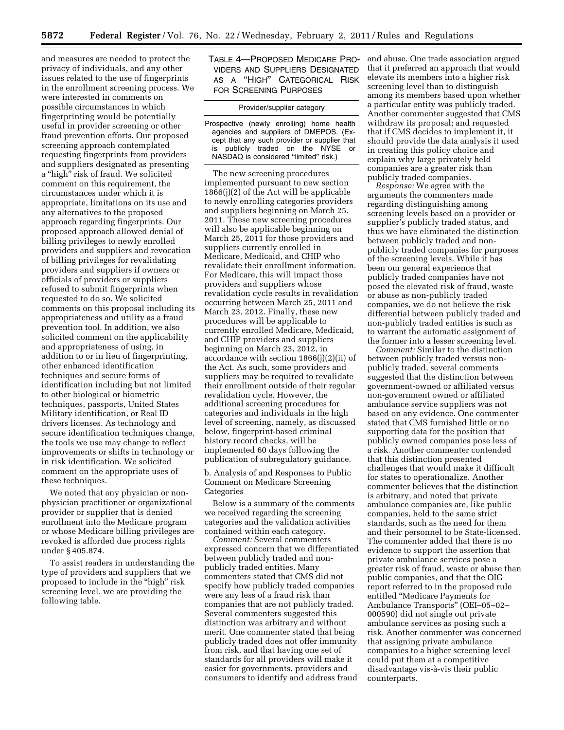and measures are needed to protect the privacy of individuals, and any other issues related to the use of fingerprints in the enrollment screening process. We were interested in comments on possible circumstances in which fingerprinting would be potentially useful in provider screening or other fraud prevention efforts. Our proposed screening approach contemplated requesting fingerprints from providers and suppliers designated as presenting a ''high'' risk of fraud. We solicited comment on this requirement, the circumstances under which it is appropriate, limitations on its use and any alternatives to the proposed approach regarding fingerprints. Our proposed approach allowed denial of billing privileges to newly enrolled providers and suppliers and revocation of billing privileges for revalidating providers and suppliers if owners or officials of providers or suppliers refused to submit fingerprints when requested to do so. We solicited comments on this proposal including its appropriateness and utility as a fraud prevention tool. In addition, we also solicited comment on the applicability and appropriateness of using, in addition to or in lieu of fingerprinting, other enhanced identification techniques and secure forms of identification including but not limited to other biological or biometric techniques, passports, United States Military identification, or Real ID drivers licenses. As technology and secure identification techniques change, the tools we use may change to reflect improvements or shifts in technology or in risk identification. We solicited comment on the appropriate uses of these techniques.

We noted that any physician or nonphysician practitioner or organizational provider or supplier that is denied enrollment into the Medicare program or whose Medicare billing privileges are revoked is afforded due process rights under § 405.874.

To assist readers in understanding the type of providers and suppliers that we proposed to include in the "high" risk screening level, we are providing the following table.

TABLE 4—PROPOSED MEDICARE PRO-VIDERS AND SUPPLIERS DESIGNATED AS A ''HIGH'' CATEGORICAL RISK FOR SCREENING PURPOSES

#### Provider/supplier category

Prospective (newly enrolling) home health agencies and suppliers of DMEPOS. (Except that any such provider or supplier that is publicly traded on the NYSE or NASDAQ is considered "limited" risk.)

The new screening procedures implemented pursuant to new section 1866(j)(2) of the Act will be applicable to newly enrolling categories providers and suppliers beginning on March 25, 2011. These new screening procedures will also be applicable beginning on March 25, 2011 for those providers and suppliers currently enrolled in Medicare, Medicaid, and CHIP who revalidate their enrollment information. For Medicare, this will impact those providers and suppliers whose revalidation cycle results in revalidation occurring between March 25, 2011 and March 23, 2012. Finally, these new procedures will be applicable to currently enrolled Medicare, Medicaid, and CHIP providers and suppliers beginning on March 23, 2012, in accordance with section 1866(j)(2)(ii) of the Act. As such, some providers and suppliers may be required to revalidate their enrollment outside of their regular revalidation cycle. However, the additional screening procedures for categories and individuals in the high level of screening, namely, as discussed below, fingerprint-based criminal history record checks, will be implemented 60 days following the publication of subregulatory guidance.

b. Analysis of and Responses to Public Comment on Medicare Screening **Categories** 

Below is a summary of the comments we received regarding the screening categories and the validation activities contained within each category.

*Comment:* Several commenters expressed concern that we differentiated between publicly traded and nonpublicly traded entities. Many commenters stated that CMS did not specify how publicly traded companies were any less of a fraud risk than companies that are not publicly traded. Several commenters suggested this distinction was arbitrary and without merit. One commenter stated that being publicly traded does not offer immunity from risk, and that having one set of standards for all providers will make it easier for governments, providers and consumers to identify and address fraud

and abuse. One trade association argued that it preferred an approach that would elevate its members into a higher risk screening level than to distinguish among its members based upon whether a particular entity was publicly traded. Another commenter suggested that CMS withdraw its proposal; and requested that if CMS decides to implement it, it should provide the data analysis it used in creating this policy choice and explain why large privately held companies are a greater risk than publicly traded companies.

*Response:* We agree with the arguments the commenters made regarding distinguishing among screening levels based on a provider or supplier's publicly traded status, and thus we have eliminated the distinction between publicly traded and nonpublicly traded companies for purposes of the screening levels. While it has been our general experience that publicly traded companies have not posed the elevated risk of fraud, waste or abuse as non-publicly traded companies, we do not believe the risk differential between publicly traded and non-publicly traded entities is such as to warrant the automatic assignment of the former into a lesser screening level.

*Comment:* Similar to the distinction between publicly traded versus nonpublicly traded, several comments suggested that the distinction between government-owned or affiliated versus non-government owned or affiliated ambulance service suppliers was not based on any evidence. One commenter stated that CMS furnished little or no supporting data for the position that publicly owned companies pose less of a risk. Another commenter contended that this distinction presented challenges that would make it difficult for states to operationalize. Another commenter believes that the distinction is arbitrary, and noted that private ambulance companies are, like public companies, held to the same strict standards, such as the need for them and their personnel to be State-licensed. The commenter added that there is no evidence to support the assertion that private ambulance services pose a greater risk of fraud, waste or abuse than public companies, and that the OIG report referred to in the proposed rule entitled ''Medicare Payments for Ambulance Transports'' (OEI–05–02– 000590) did not single out private ambulance services as posing such a risk. Another commenter was concerned that assigning private ambulance companies to a higher screening level could put them at a competitive disadvantage vis-à-vis their public counterparts.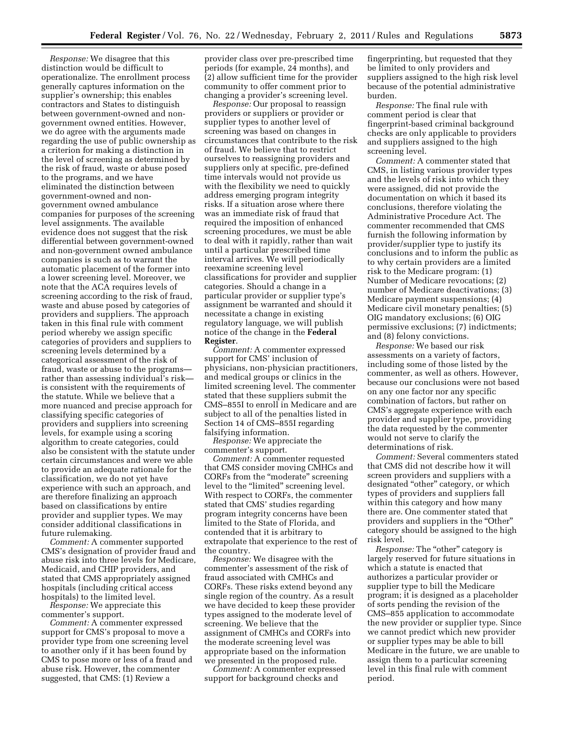*Response:* We disagree that this distinction would be difficult to operationalize. The enrollment process generally captures information on the supplier's ownership; this enables contractors and States to distinguish between government-owned and nongovernment owned entities. However, we do agree with the arguments made regarding the use of public ownership as a criterion for making a distinction in the level of screening as determined by the risk of fraud, waste or abuse posed to the programs, and we have eliminated the distinction between government-owned and nongovernment owned ambulance companies for purposes of the screening level assignments. The available evidence does not suggest that the risk differential between government-owned and non-government owned ambulance companies is such as to warrant the automatic placement of the former into a lower screening level. Moreover, we note that the ACA requires levels of screening according to the risk of fraud, waste and abuse posed by categories of providers and suppliers. The approach taken in this final rule with comment period whereby we assign specific categories of providers and suppliers to screening levels determined by a categorical assessment of the risk of fraud, waste or abuse to the programs rather than assessing individual's risk is consistent with the requirements of the statute. While we believe that a more nuanced and precise approach for classifying specific categories of providers and suppliers into screening levels, for example using a scoring algorithm to create categories, could also be consistent with the statute under certain circumstances and were we able to provide an adequate rationale for the classification, we do not yet have experience with such an approach, and are therefore finalizing an approach based on classifications by entire provider and supplier types. We may consider additional classifications in future rulemaking.

*Comment:* A commenter supported CMS's designation of provider fraud and abuse risk into three levels for Medicare, Medicaid, and CHIP providers, and stated that CMS appropriately assigned hospitals (including critical access hospitals) to the limited level.

*Response:* We appreciate this commenter's support.

*Comment:* A commenter expressed support for CMS's proposal to move a provider type from one screening level to another only if it has been found by CMS to pose more or less of a fraud and abuse risk. However, the commenter suggested, that CMS: (1) Review a

provider class over pre-prescribed time periods (for example, 24 months), and (2) allow sufficient time for the provider community to offer comment prior to changing a provider's screening level.

*Response:* Our proposal to reassign providers or suppliers or provider or supplier types to another level of screening was based on changes in circumstances that contribute to the risk of fraud. We believe that to restrict ourselves to reassigning providers and suppliers only at specific, pre-defined time intervals would not provide us with the flexibility we need to quickly address emerging program integrity risks. If a situation arose where there was an immediate risk of fraud that required the imposition of enhanced screening procedures, we must be able to deal with it rapidly, rather than wait until a particular prescribed time interval arrives. We will periodically reexamine screening level classifications for provider and supplier categories. Should a change in a particular provider or supplier type's assignment be warranted and should it necessitate a change in existing regulatory language, we will publish notice of the change in the **Federal Register**.

*Comment:* A commenter expressed support for CMS' inclusion of physicians, non-physician practitioners, and medical groups or clinics in the limited screening level. The commenter stated that these suppliers submit the CMS–855I to enroll in Medicare and are subject to all of the penalties listed in Section 14 of CMS–855I regarding falsifying information.

*Response:* We appreciate the commenter's support.

*Comment:* A commenter requested that CMS consider moving CMHCs and CORFs from the "moderate" screening level to the "limited" screening level. With respect to CORFs, the commenter stated that CMS' studies regarding program integrity concerns have been limited to the State of Florida, and contended that it is arbitrary to extrapolate that experience to the rest of the country.

*Response:* We disagree with the commenter's assessment of the risk of fraud associated with CMHCs and CORFs. These risks extend beyond any single region of the country. As a result we have decided to keep these provider types assigned to the moderate level of screening. We believe that the assignment of CMHCs and CORFs into the moderate screening level was appropriate based on the information we presented in the proposed rule.

*Comment:* A commenter expressed support for background checks and

fingerprinting, but requested that they be limited to only providers and suppliers assigned to the high risk level because of the potential administrative burden.

*Response:* The final rule with comment period is clear that fingerprint-based criminal background checks are only applicable to providers and suppliers assigned to the high screening level.

*Comment:* A commenter stated that CMS, in listing various provider types and the levels of risk into which they were assigned, did not provide the documentation on which it based its conclusions, therefore violating the Administrative Procedure Act. The commenter recommended that CMS furnish the following information by provider/supplier type to justify its conclusions and to inform the public as to why certain providers are a limited risk to the Medicare program: (1) Number of Medicare revocations; (2) number of Medicare deactivations; (3) Medicare payment suspensions; (4) Medicare civil monetary penalties; (5) OIG mandatory exclusions; (6) OIG permissive exclusions; (7) indictments; and (8) felony convictions.

*Response:* We based our risk assessments on a variety of factors, including some of those listed by the commenter, as well as others. However, because our conclusions were not based on any one factor nor any specific combination of factors, but rather on CMS's aggregate experience with each provider and supplier type, providing the data requested by the commenter would not serve to clarify the determinations of risk.

*Comment:* Several commenters stated that CMS did not describe how it will screen providers and suppliers with a designated "other" category, or which types of providers and suppliers fall within this category and how many there are. One commenter stated that providers and suppliers in the "Other" category should be assigned to the high risk level.

*Response:* The "other" category is largely reserved for future situations in which a statute is enacted that authorizes a particular provider or supplier type to bill the Medicare program; it is designed as a placeholder of sorts pending the revision of the CMS–855 application to accommodate the new provider or supplier type. Since we cannot predict which new provider or supplier types may be able to bill Medicare in the future, we are unable to assign them to a particular screening level in this final rule with comment period.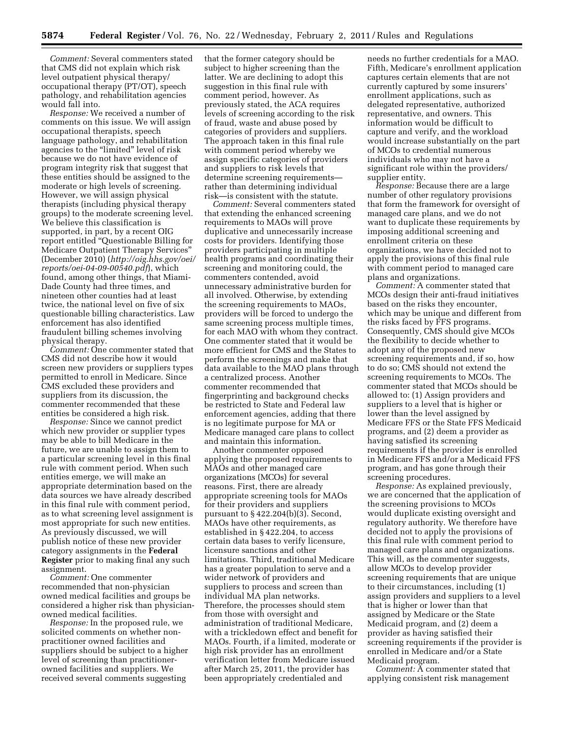*Comment:* Several commenters stated that CMS did not explain which risk level outpatient physical therapy/ occupational therapy (PT/OT), speech pathology, and rehabilitation agencies would fall into.

*Response:* We received a number of comments on this issue. We will assign occupational therapists, speech language pathology, and rehabilitation agencies to the "limited" level of risk because we do not have evidence of program integrity risk that suggest that these entities should be assigned to the moderate or high levels of screening. However, we will assign physical therapists (including physical therapy groups) to the moderate screening level. We believe this classification is supported, in part, by a recent OIG report entitled ''Questionable Billing for Medicare Outpatient Therapy Services'' (December 2010) (*[http://oig.hhs.gov/oei/](http://oig.hhs.gov/oei/reports/oei-04-09-00540.pdf) [reports/oei-04-09-00540.pdf](http://oig.hhs.gov/oei/reports/oei-04-09-00540.pdf)*), which found, among other things, that Miami-Dade County had three times, and nineteen other counties had at least twice, the national level on five of six questionable billing characteristics. Law enforcement has also identified fraudulent billing schemes involving physical therapy.

*Comment:* One commenter stated that CMS did not describe how it would screen new providers or suppliers types permitted to enroll in Medicare. Since CMS excluded these providers and suppliers from its discussion, the commenter recommended that these entities be considered a high risk.

*Response:* Since we cannot predict which new provider or supplier types may be able to bill Medicare in the future, we are unable to assign them to a particular screening level in this final rule with comment period. When such entities emerge, we will make an appropriate determination based on the data sources we have already described in this final rule with comment period, as to what screening level assignment is most appropriate for such new entities. As previously discussed, we will publish notice of these new provider category assignments in the **Federal Register** prior to making final any such assignment.

*Comment:* One commenter recommended that non-physician owned medical facilities and groups be considered a higher risk than physicianowned medical facilities.

*Response:* In the proposed rule, we solicited comments on whether nonpractitioner owned facilities and suppliers should be subject to a higher level of screening than practitionerowned facilities and suppliers. We received several comments suggesting

that the former category should be subject to higher screening than the latter. We are declining to adopt this suggestion in this final rule with comment period, however. As previously stated, the ACA requires levels of screening according to the risk of fraud, waste and abuse posed by categories of providers and suppliers. The approach taken in this final rule with comment period whereby we assign specific categories of providers and suppliers to risk levels that determine screening requirements rather than determining individual risk—is consistent with the statute.

*Comment:* Several commenters stated that extending the enhanced screening requirements to MAOs will prove duplicative and unnecessarily increase costs for providers. Identifying those providers participating in multiple health programs and coordinating their screening and monitoring could, the commenters contended, avoid unnecessary administrative burden for all involved. Otherwise, by extending the screening requirements to MAOs, providers will be forced to undergo the same screening process multiple times, for each MAO with whom they contract. One commenter stated that it would be more efficient for CMS and the States to perform the screenings and make that data available to the MAO plans through a centralized process. Another commenter recommended that fingerprinting and background checks be restricted to State and Federal law enforcement agencies, adding that there is no legitimate purpose for MA or Medicare managed care plans to collect and maintain this information.

Another commenter opposed applying the proposed requirements to MAOs and other managed care organizations (MCOs) for several reasons. First, there are already appropriate screening tools for MAOs for their providers and suppliers pursuant to § 422.204(b)(3). Second, MAOs have other requirements, as established in § 422.204, to access certain data bases to verify licensure, licensure sanctions and other limitations. Third, traditional Medicare has a greater population to serve and a wider network of providers and suppliers to process and screen than individual MA plan networks. Therefore, the processes should stem from those with oversight and administration of traditional Medicare, with a trickledown effect and benefit for MAOs. Fourth, if a limited, moderate or high risk provider has an enrollment verification letter from Medicare issued after March 25, 2011, the provider has been appropriately credentialed and

needs no further credentials for a MAO. Fifth, Medicare's enrollment application captures certain elements that are not currently captured by some insurers' enrollment applications, such as delegated representative, authorized representative, and owners. This information would be difficult to capture and verify, and the workload would increase substantially on the part of MCOs to credential numerous individuals who may not have a significant role within the providers/ supplier entity.

*Response:* Because there are a large number of other regulatory provisions that form the framework for oversight of managed care plans, and we do not want to duplicate these requirements by imposing additional screening and enrollment criteria on these organizations, we have decided not to apply the provisions of this final rule with comment period to managed care plans and organizations.

*Comment:* A commenter stated that MCOs design their anti-fraud initiatives based on the risks they encounter, which may be unique and different from the risks faced by FFS programs. Consequently, CMS should give MCOs the flexibility to decide whether to adopt any of the proposed new screening requirements and, if so, how to do so; CMS should not extend the screening requirements to MCOs. The commenter stated that MCOs should be allowed to: (1) Assign providers and suppliers to a level that is higher or lower than the level assigned by Medicare FFS or the State FFS Medicaid programs, and (2) deem a provider as having satisfied its screening requirements if the provider is enrolled in Medicare FFS and/or a Medicaid FFS program, and has gone through their screening procedures.

*Response:* As explained previously, we are concerned that the application of the screening provisions to MCOs would duplicate existing oversight and regulatory authority. We therefore have decided not to apply the provisions of this final rule with comment period to managed care plans and organizations. This will, as the commenter suggests, allow MCOs to develop provider screening requirements that are unique to their circumstances, including (1) assign providers and suppliers to a level that is higher or lower than that assigned by Medicare or the State Medicaid program, and (2) deem a provider as having satisfied their screening requirements if the provider is enrolled in Medicare and/or a State Medicaid program.

*Comment:* A commenter stated that applying consistent risk management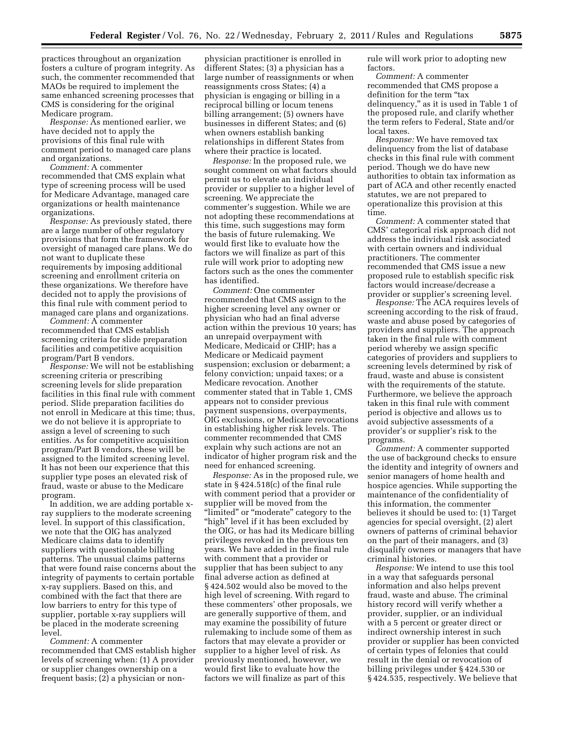practices throughout an organization fosters a culture of program integrity. As such, the commenter recommended that MAOs be required to implement the same enhanced screening processes that CMS is considering for the original Medicare program.

*Response:* As mentioned earlier, we have decided not to apply the provisions of this final rule with comment period to managed care plans and organizations.

*Comment:* A commenter recommended that CMS explain what type of screening process will be used for Medicare Advantage, managed care organizations or health maintenance organizations.

*Response:* As previously stated, there are a large number of other regulatory provisions that form the framework for oversight of managed care plans. We do not want to duplicate these requirements by imposing additional screening and enrollment criteria on these organizations. We therefore have decided not to apply the provisions of this final rule with comment period to managed care plans and organizations.

*Comment:* A commenter recommended that CMS establish screening criteria for slide preparation facilities and competitive acquisition program/Part B vendors.

*Response:* We will not be establishing screening criteria or prescribing screening levels for slide preparation facilities in this final rule with comment period. Slide preparation facilities do not enroll in Medicare at this time; thus, we do not believe it is appropriate to assign a level of screening to such entities. As for competitive acquisition program/Part B vendors, these will be assigned to the limited screening level. It has not been our experience that this supplier type poses an elevated risk of fraud, waste or abuse to the Medicare program.

In addition, we are adding portable xray suppliers to the moderate screening level. In support of this classification, we note that the OIG has analyzed Medicare claims data to identify suppliers with questionable billing patterns. The unusual claims patterns that were found raise concerns about the integrity of payments to certain portable x-ray suppliers. Based on this, and combined with the fact that there are low barriers to entry for this type of supplier, portable x-ray suppliers will be placed in the moderate screening level.

*Comment:* A commenter recommended that CMS establish higher levels of screening when: (1) A provider or supplier changes ownership on a frequent basis; (2) a physician or non-

physician practitioner is enrolled in different States; (3) a physician has a large number of reassignments or when reassignments cross States; (4) a physician is engaging or billing in a reciprocal billing or locum tenens billing arrangement; (5) owners have businesses in different States; and (6) when owners establish banking relationships in different States from where their practice is located.

*Response:* In the proposed rule, we sought comment on what factors should permit us to elevate an individual provider or supplier to a higher level of screening. We appreciate the commenter's suggestion. While we are not adopting these recommendations at this time, such suggestions may form the basis of future rulemaking. We would first like to evaluate how the factors we will finalize as part of this rule will work prior to adopting new factors such as the ones the commenter has identified.

*Comment:* One commenter recommended that CMS assign to the higher screening level any owner or physician who had an final adverse action within the previous 10 years; has an unrepaid overpayment with Medicare, Medicaid or CHIP; has a Medicare or Medicaid payment suspension; exclusion or debarment; a felony conviction; unpaid taxes; or a Medicare revocation. Another commenter stated that in Table 1, CMS appears not to consider previous payment suspensions, overpayments, OIG exclusions, or Medicare revocations in establishing higher risk levels. The commenter recommended that CMS explain why such actions are not an indicator of higher program risk and the need for enhanced screening.

*Response:* As in the proposed rule, we state in § 424.518(c) of the final rule with comment period that a provider or supplier will be moved from the "limited" or "moderate" category to the "high" level if it has been excluded by the OIG, or has had its Medicare billing privileges revoked in the previous ten years. We have added in the final rule with comment that a provider or supplier that has been subject to any final adverse action as defined at § 424.502 would also be moved to the high level of screening. With regard to these commenters' other proposals, we are generally supportive of them, and may examine the possibility of future rulemaking to include some of them as factors that may elevate a provider or supplier to a higher level of risk. As previously mentioned, however, we would first like to evaluate how the factors we will finalize as part of this

rule will work prior to adopting new factors.

*Comment:* A commenter recommended that CMS propose a definition for the term "tax delinquency,'' as it is used in Table 1 of the proposed rule, and clarify whether the term refers to Federal, State and/or local taxes.

*Response:* We have removed tax delinquency from the list of database checks in this final rule with comment period. Though we do have new authorities to obtain tax information as part of ACA and other recently enacted statutes, we are not prepared to operationalize this provision at this time.

*Comment:* A commenter stated that CMS' categorical risk approach did not address the individual risk associated with certain owners and individual practitioners. The commenter recommended that CMS issue a new proposed rule to establish specific risk factors would increase/decrease a provider or supplier's screening level.

*Response:* The ACA requires levels of screening according to the risk of fraud, waste and abuse posed by categories of providers and suppliers. The approach taken in the final rule with comment period whereby we assign specific categories of providers and suppliers to screening levels determined by risk of fraud, waste and abuse is consistent with the requirements of the statute. Furthermore, we believe the approach taken in this final rule with comment period is objective and allows us to avoid subjective assessments of a provider's or supplier's risk to the programs.

*Comment:* A commenter supported the use of background checks to ensure the identity and integrity of owners and senior managers of home health and hospice agencies. While supporting the maintenance of the confidentiality of this information, the commenter believes it should be used to: (1) Target agencies for special oversight, (2) alert owners of patterns of criminal behavior on the part of their managers, and (3) disqualify owners or managers that have criminal histories.

*Response:* We intend to use this tool in a way that safeguards personal information and also helps prevent fraud, waste and abuse. The criminal history record will verify whether a provider, supplier, or an individual with a 5 percent or greater direct or indirect ownership interest in such provider or supplier has been convicted of certain types of felonies that could result in the denial or revocation of billing privileges under § 424.530 or § 424.535, respectively. We believe that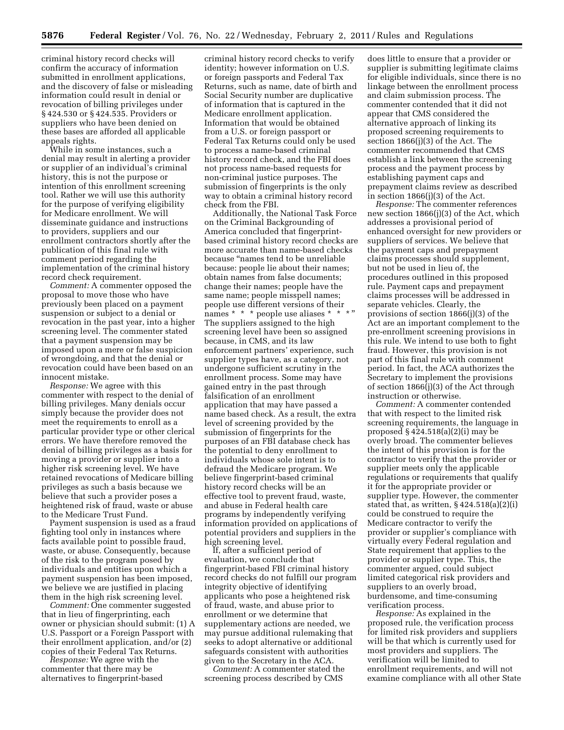criminal history record checks will confirm the accuracy of information submitted in enrollment applications, and the discovery of false or misleading information could result in denial or revocation of billing privileges under § 424.530 or § 424.535. Providers or suppliers who have been denied on these bases are afforded all applicable appeals rights.

While in some instances, such a denial may result in alerting a provider or supplier of an individual's criminal history, this is not the purpose or intention of this enrollment screening tool. Rather we will use this authority for the purpose of verifying eligibility for Medicare enrollment. We will disseminate guidance and instructions to providers, suppliers and our enrollment contractors shortly after the publication of this final rule with comment period regarding the implementation of the criminal history record check requirement.

*Comment:* A commenter opposed the proposal to move those who have previously been placed on a payment suspension or subject to a denial or revocation in the past year, into a higher screening level. The commenter stated that a payment suspension may be imposed upon a mere or false suspicion of wrongdoing, and that the denial or revocation could have been based on an innocent mistake.

*Response:* We agree with this commenter with respect to the denial of billing privileges. Many denials occur simply because the provider does not meet the requirements to enroll as a particular provider type or other clerical errors. We have therefore removed the denial of billing privileges as a basis for moving a provider or supplier into a higher risk screening level. We have retained revocations of Medicare billing privileges as such a basis because we believe that such a provider poses a heightened risk of fraud, waste or abuse to the Medicare Trust Fund.

Payment suspension is used as a fraud fighting tool only in instances where facts available point to possible fraud, waste, or abuse. Consequently, because of the risk to the program posed by individuals and entities upon which a payment suspension has been imposed, we believe we are justified in placing them in the high risk screening level.

*Comment:* One commenter suggested that in lieu of fingerprinting, each owner or physician should submit: (1) A U.S. Passport or a Foreign Passport with their enrollment application, and/or (2) copies of their Federal Tax Returns.

*Response:* We agree with the commenter that there may be alternatives to fingerprint-based

criminal history record checks to verify identity; however information on U.S. or foreign passports and Federal Tax Returns, such as name, date of birth and Social Security number are duplicative of information that is captured in the Medicare enrollment application. Information that would be obtained from a U.S. or foreign passport or Federal Tax Returns could only be used to process a name-based criminal history record check, and the FBI does not process name-based requests for non-criminal justice purposes. The submission of fingerprints is the only way to obtain a criminal history record check from the FBI.

Additionally, the National Task Force on the Criminal Backgrounding of America concluded that fingerprintbased criminal history record checks are more accurate than name-based checks because ''names tend to be unreliable because: people lie about their names; obtain names from false documents; change their names; people have the same name; people misspell names; people use different versions of their names \* \* \* people use aliases \* \* \* " The suppliers assigned to the high screening level have been so assigned because, in CMS, and its law enforcement partners' experience, such supplier types have, as a category, not undergone sufficient scrutiny in the enrollment process. Some may have gained entry in the past through falsification of an enrollment application that may have passed a name based check. As a result, the extra level of screening provided by the submission of fingerprints for the purposes of an FBI database check has the potential to deny enrollment to individuals whose sole intent is to defraud the Medicare program. We believe fingerprint-based criminal history record checks will be an effective tool to prevent fraud, waste, and abuse in Federal health care programs by independently verifying information provided on applications of potential providers and suppliers in the high screening level.

If, after a sufficient period of evaluation, we conclude that fingerprint-based FBI criminal history record checks do not fulfill our program integrity objective of identifying applicants who pose a heightened risk of fraud, waste, and abuse prior to enrollment or we determine that supplementary actions are needed, we may pursue additional rulemaking that seeks to adopt alternative or additional safeguards consistent with authorities given to the Secretary in the ACA.

*Comment:* A commenter stated the screening process described by CMS

does little to ensure that a provider or supplier is submitting legitimate claims for eligible individuals, since there is no linkage between the enrollment process and claim submission process. The commenter contended that it did not appear that CMS considered the alternative approach of linking its proposed screening requirements to section 1866(j)(3) of the Act. The commenter recommended that CMS establish a link between the screening process and the payment process by establishing payment caps and prepayment claims review as described in section 1866(j)(3) of the Act.

*Response:* The commenter references new section 1866(j)(3) of the Act, which addresses a provisional period of enhanced oversight for new providers or suppliers of services. We believe that the payment caps and prepayment claims processes should supplement, but not be used in lieu of, the procedures outlined in this proposed rule. Payment caps and prepayment claims processes will be addressed in separate vehicles. Clearly, the provisions of section 1866(j)(3) of the Act are an important complement to the pre-enrollment screening provisions in this rule. We intend to use both to fight fraud. However, this provision is not part of this final rule with comment period. In fact, the ACA authorizes the Secretary to implement the provisions of section 1866(j)(3) of the Act through instruction or otherwise.

*Comment:* A commenter contended that with respect to the limited risk screening requirements, the language in proposed § 424.518(a)(2)(i) may be overly broad. The commenter believes the intent of this provision is for the contractor to verify that the provider or supplier meets only the applicable regulations or requirements that qualify it for the appropriate provider or supplier type. However, the commenter stated that, as written,  $\S 424.518(a)(2)(i)$ could be construed to require the Medicare contractor to verify the provider or supplier's compliance with virtually every Federal regulation and State requirement that applies to the provider or supplier type. This, the commenter argued, could subject limited categorical risk providers and suppliers to an overly broad, burdensome, and time-consuming verification process.

*Response:* As explained in the proposed rule, the verification process for limited risk providers and suppliers will be that which is currently used for most providers and suppliers. The verification will be limited to enrollment requirements, and will not examine compliance with all other State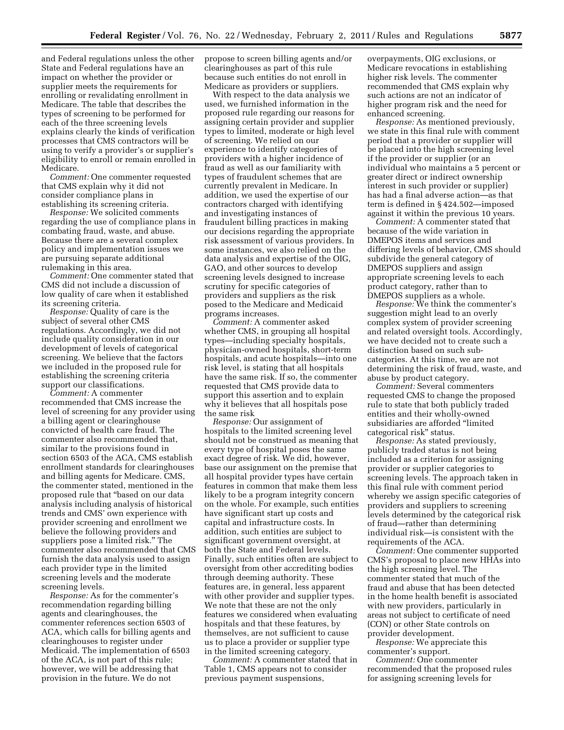and Federal regulations unless the other State and Federal regulations have an impact on whether the provider or supplier meets the requirements for enrolling or revalidating enrollment in Medicare. The table that describes the types of screening to be performed for each of the three screening levels explains clearly the kinds of verification processes that CMS contractors will be using to verify a provider's or supplier's eligibility to enroll or remain enrolled in Medicare.

*Comment:* One commenter requested that CMS explain why it did not consider compliance plans in establishing its screening criteria.

*Response:* We solicited comments regarding the use of compliance plans in combating fraud, waste, and abuse. Because there are a several complex policy and implementation issues we are pursuing separate additional rulemaking in this area.

*Comment:* One commenter stated that CMS did not include a discussion of low quality of care when it established its screening criteria.

*Response:* Quality of care is the subject of several other CMS regulations. Accordingly, we did not include quality consideration in our development of levels of categorical screening. We believe that the factors we included in the proposed rule for establishing the screening criteria support our classifications.

*Comment:* A commenter recommended that CMS increase the level of screening for any provider using a billing agent or clearinghouse convicted of health care fraud. The commenter also recommended that, similar to the provisions found in section 6503 of the ACA, CMS establish enrollment standards for clearinghouses and billing agents for Medicare. CMS, the commenter stated, mentioned in the proposed rule that ''based on our data analysis including analysis of historical trends and CMS' own experience with provider screening and enrollment we believe the following providers and suppliers pose a limited risk.'' The commenter also recommended that CMS furnish the data analysis used to assign each provider type in the limited screening levels and the moderate screening levels.

*Response:* As for the commenter's recommendation regarding billing agents and clearinghouses, the commenter references section 6503 of ACA, which calls for billing agents and clearinghouses to register under Medicaid. The implementation of 6503 of the ACA, is not part of this rule; however, we will be addressing that provision in the future. We do not

propose to screen billing agents and/or clearinghouses as part of this rule because such entities do not enroll in Medicare as providers or suppliers.

With respect to the data analysis we used, we furnished information in the proposed rule regarding our reasons for assigning certain provider and supplier types to limited, moderate or high level of screening. We relied on our experience to identify categories of providers with a higher incidence of fraud as well as our familiarity with types of fraudulent schemes that are currently prevalent in Medicare. In addition, we used the expertise of our contractors charged with identifying and investigating instances of fraudulent billing practices in making our decisions regarding the appropriate risk assessment of various providers. In some instances, we also relied on the data analysis and expertise of the OIG, GAO, and other sources to develop screening levels designed to increase scrutiny for specific categories of providers and suppliers as the risk posed to the Medicare and Medicaid programs increases.

*Comment:* A commenter asked whether CMS, in grouping all hospital types—including specialty hospitals, physician-owned hospitals, short-term hospitals, and acute hospitals—into one risk level, is stating that all hospitals have the same risk. If so, the commenter requested that CMS provide data to support this assertion and to explain why it believes that all hospitals pose the same risk

*Response:* Our assignment of hospitals to the limited screening level should not be construed as meaning that every type of hospital poses the same exact degree of risk. We did, however, base our assignment on the premise that all hospital provider types have certain features in common that make them less likely to be a program integrity concern on the whole. For example, such entities have significant start up costs and capital and infrastructure costs. In addition, such entities are subject to significant government oversight, at both the State and Federal levels. Finally, such entities often are subject to oversight from other accrediting bodies through deeming authority. These features are, in general, less apparent with other provider and supplier types. We note that these are not the only features we considered when evaluating hospitals and that these features, by themselves, are not sufficient to cause us to place a provider or supplier type in the limited screening category.

*Comment:* A commenter stated that in Table 1, CMS appears not to consider previous payment suspensions,

overpayments, OIG exclusions, or Medicare revocations in establishing higher risk levels. The commenter recommended that CMS explain why such actions are not an indicator of higher program risk and the need for enhanced screening.

*Response:* As mentioned previously, we state in this final rule with comment period that a provider or supplier will be placed into the high screening level if the provider or supplier (or an individual who maintains a 5 percent or greater direct or indirect ownership interest in such provider or supplier) has had a final adverse action—as that term is defined in § 424.502—imposed against it within the previous 10 years.

*Comment:* A commenter stated that because of the wide variation in DMEPOS items and services and differing levels of behavior, CMS should subdivide the general category of DMEPOS suppliers and assign appropriate screening levels to each product category, rather than to DMEPOS suppliers as a whole.

*Response:* We think the commenter's suggestion might lead to an overly complex system of provider screening and related oversight tools. Accordingly, we have decided not to create such a distinction based on such subcategories. At this time, we are not determining the risk of fraud, waste, and abuse by product category.

*Comment:* Several commenters requested CMS to change the proposed rule to state that both publicly traded entities and their wholly-owned subsidiaries are afforded ''limited categorical risk'' status.

*Response:* As stated previously, publicly traded status is not being included as a criterion for assigning provider or supplier categories to screening levels. The approach taken in this final rule with comment period whereby we assign specific categories of providers and suppliers to screening levels determined by the categorical risk of fraud—rather than determining individual risk—is consistent with the requirements of the ACA.

*Comment:* One commenter supported CMS's proposal to place new HHAs into the high screening level. The commenter stated that much of the fraud and abuse that has been detected in the home health benefit is associated with new providers, particularly in areas not subject to certificate of need (CON) or other State controls on provider development.

*Response:* We appreciate this commenter's support.

*Comment:* One commenter recommended that the proposed rules for assigning screening levels for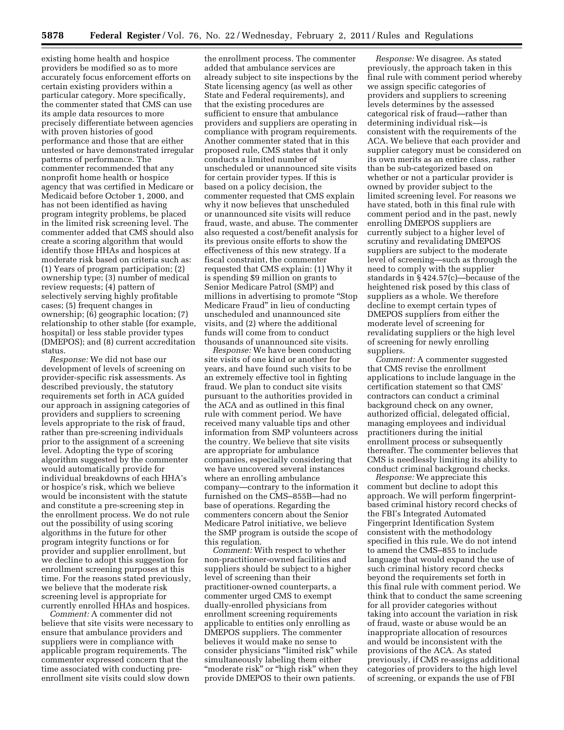existing home health and hospice providers be modified so as to more accurately focus enforcement efforts on certain existing providers within a particular category. More specifically, the commenter stated that CMS can use its ample data resources to more precisely differentiate between agencies with proven histories of good performance and those that are either untested or have demonstrated irregular patterns of performance. The commenter recommended that any nonprofit home health or hospice agency that was certified in Medicare or Medicaid before October 1, 2000, and has not been identified as having program integrity problems, be placed in the limited risk screening level. The commenter added that CMS should also create a scoring algorithm that would identify those HHAs and hospices at moderate risk based on criteria such as: (1) Years of program participation; (2) ownership type; (3) number of medical review requests; (4) pattern of selectively serving highly profitable cases; (5) frequent changes in ownership; (6) geographic location; (7) relationship to other stable (for example, hospital) or less stable provider types (DMEPOS); and (8) current accreditation status.

*Response:* We did not base our development of levels of screening on provider-specific risk assessments. As described previously, the statutory requirements set forth in ACA guided our approach in assigning categories of providers and suppliers to screening levels appropriate to the risk of fraud, rather than pre-screening individuals prior to the assignment of a screening level. Adopting the type of scoring algorithm suggested by the commenter would automatically provide for individual breakdowns of each HHA's or hospice's risk, which we believe would be inconsistent with the statute and constitute a pre-screening step in the enrollment process. We do not rule out the possibility of using scoring algorithms in the future for other program integrity functions or for provider and supplier enrollment, but we decline to adopt this suggestion for enrollment screening purposes at this time. For the reasons stated previously, we believe that the moderate risk screening level is appropriate for currently enrolled HHAs and hospices.

*Comment:* A commenter did not believe that site visits were necessary to ensure that ambulance providers and suppliers were in compliance with applicable program requirements. The commenter expressed concern that the time associated with conducting preenrollment site visits could slow down

the enrollment process. The commenter added that ambulance services are already subject to site inspections by the State licensing agency (as well as other State and Federal requirements), and that the existing procedures are sufficient to ensure that ambulance providers and suppliers are operating in compliance with program requirements. Another commenter stated that in this proposed rule, CMS states that it only conducts a limited number of unscheduled or unannounced site visits for certain provider types. If this is based on a policy decision, the commenter requested that CMS explain why it now believes that unscheduled or unannounced site visits will reduce fraud, waste, and abuse. The commenter also requested a cost/benefit analysis for its previous onsite efforts to show the effectiveness of this new strategy. If a fiscal constraint, the commenter requested that CMS explain: (1) Why it is spending \$9 million on grants to Senior Medicare Patrol (SMP) and millions in advertising to promote ''Stop Medicare Fraud'' in lieu of conducting unscheduled and unannounced site visits, and (2) where the additional funds will come from to conduct thousands of unannounced site visits.

*Response:* We have been conducting site visits of one kind or another for years, and have found such visits to be an extremely effective tool in fighting fraud. We plan to conduct site visits pursuant to the authorities provided in the ACA and as outlined in this final rule with comment period. We have received many valuable tips and other information from SMP volunteers across the country. We believe that site visits are appropriate for ambulance companies, especially considering that we have uncovered several instances where an enrolling ambulance company—contrary to the information it furnished on the CMS–855B—had no base of operations. Regarding the commenters concern about the Senior Medicare Patrol initiative, we believe the SMP program is outside the scope of this regulation.

*Comment:* With respect to whether non-practitioner-owned facilities and suppliers should be subject to a higher level of screening than their practitioner-owned counterparts, a commenter urged CMS to exempt dually-enrolled physicians from enrollment screening requirements applicable to entities only enrolling as DMEPOS suppliers. The commenter believes it would make no sense to consider physicians "limited risk" while simultaneously labeling them either "moderate risk" or "high risk" when they provide DMEPOS to their own patients.

*Response:* We disagree. As stated previously, the approach taken in this final rule with comment period whereby we assign specific categories of providers and suppliers to screening levels determines by the assessed categorical risk of fraud—rather than determining individual risk—is consistent with the requirements of the ACA. We believe that each provider and supplier category must be considered on its own merits as an entire class, rather than be sub-categorized based on whether or not a particular provider is owned by provider subject to the limited screening level. For reasons we have stated, both in this final rule with comment period and in the past, newly enrolling DMEPOS suppliers are currently subject to a higher level of scrutiny and revalidating DMEPOS suppliers are subject to the moderate level of screening—such as through the need to comply with the supplier standards in § 424.57(c)—because of the heightened risk posed by this class of suppliers as a whole. We therefore decline to exempt certain types of DMEPOS suppliers from either the moderate level of screening for revalidating suppliers or the high level of screening for newly enrolling suppliers.

*Comment:* A commenter suggested that CMS revise the enrollment applications to include language in the certification statement so that CMS' contractors can conduct a criminal background check on any owner, authorized official, delegated official, managing employees and individual practitioners during the initial enrollment process or subsequently thereafter. The commenter believes that CMS is needlessly limiting its ability to conduct criminal background checks.

*Response:* We appreciate this comment but decline to adopt this approach. We will perform fingerprintbased criminal history record checks of the FBI's Integrated Automated Fingerprint Identification System consistent with the methodology specified in this rule. We do not intend to amend the CMS–855 to include language that would expand the use of such criminal history record checks beyond the requirements set forth in this final rule with comment period. We think that to conduct the same screening for all provider categories without taking into account the variation in risk of fraud, waste or abuse would be an inappropriate allocation of resources and would be inconsistent with the provisions of the ACA. As stated previously, if CMS re-assigns additional categories of providers to the high level of screening, or expands the use of FBI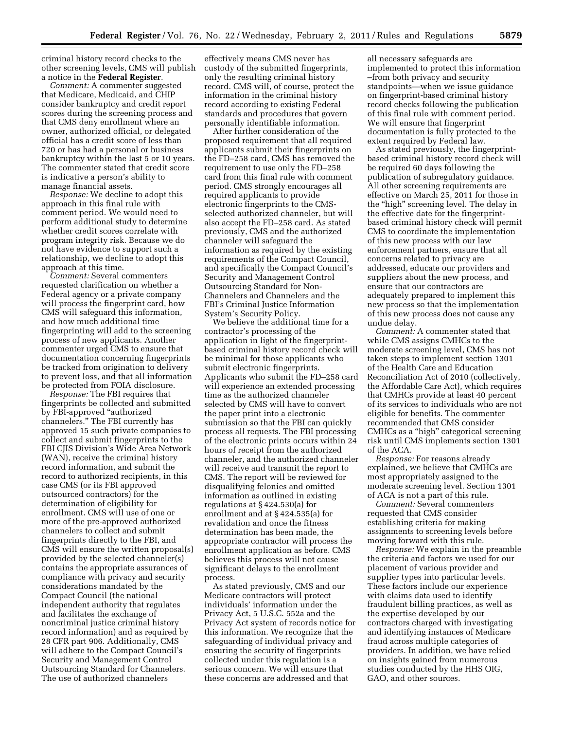criminal history record checks to the other screening levels, CMS will publish a notice in the **Federal Register**.

*Comment:* A commenter suggested that Medicare, Medicaid, and CHIP consider bankruptcy and credit report scores during the screening process and that CMS deny enrollment where an owner, authorized official, or delegated official has a credit score of less than 720 or has had a personal or business bankruptcy within the last 5 or 10 years. The commenter stated that credit score is indicative a person's ability to manage financial assets.

*Response:* We decline to adopt this approach in this final rule with comment period. We would need to perform additional study to determine whether credit scores correlate with program integrity risk. Because we do not have evidence to support such a relationship, we decline to adopt this approach at this time.

*Comment:* Several commenters requested clarification on whether a Federal agency or a private company will process the fingerprint card, how CMS will safeguard this information, and how much additional time fingerprinting will add to the screening process of new applicants. Another commenter urged CMS to ensure that documentation concerning fingerprints be tracked from origination to delivery to prevent loss, and that all information be protected from FOIA disclosure.

*Response:* The FBI requires that fingerprints be collected and submitted by FBI-approved ''authorized channelers.'' The FBI currently has approved 15 such private companies to collect and submit fingerprints to the FBI CJIS Division's Wide Area Network (WAN), receive the criminal history record information, and submit the record to authorized recipients, in this case CMS (or its FBI approved outsourced contractors) for the determination of eligibility for enrollment. CMS will use of one or more of the pre-approved authorized channelers to collect and submit fingerprints directly to the FBI, and CMS will ensure the written proposal(s) provided by the selected channeler(s) contains the appropriate assurances of compliance with privacy and security considerations mandated by the Compact Council (the national independent authority that regulates and facilitates the exchange of noncriminal justice criminal history record information) and as required by 28 CFR part 906. Additionally, CMS will adhere to the Compact Council's Security and Management Control Outsourcing Standard for Channelers. The use of authorized channelers

effectively means CMS never has custody of the submitted fingerprints, only the resulting criminal history record. CMS will, of course, protect the information in the criminal history record according to existing Federal standards and procedures that govern personally identifiable information.

After further consideration of the proposed requirement that all required applicants submit their fingerprints on the FD–258 card, CMS has removed the requirement to use only the FD–258 card from this final rule with comment period. CMS strongly encourages all required applicants to provide electronic fingerprints to the CMSselected authorized channeler, but will also accept the FD–258 card. As stated previously, CMS and the authorized channeler will safeguard the information as required by the existing requirements of the Compact Council, and specifically the Compact Council's Security and Management Control Outsourcing Standard for Non-Channelers and Channelers and the FBI's Criminal Justice Information System's Security Policy.

We believe the additional time for a contractor's processing of the application in light of the fingerprintbased criminal history record check will be minimal for those applicants who submit electronic fingerprints. Applicants who submit the FD–258 card will experience an extended processing time as the authorized channeler selected by CMS will have to convert the paper print into a electronic submission so that the FBI can quickly process all requests. The FBI processing of the electronic prints occurs within 24 hours of receipt from the authorized channeler, and the authorized channeler will receive and transmit the report to CMS. The report will be reviewed for disqualifying felonies and omitted information as outlined in existing regulations at § 424.530(a) for enrollment and at § 424.535(a) for revalidation and once the fitness determination has been made, the appropriate contractor will process the enrollment application as before. CMS believes this process will not cause significant delays to the enrollment process.

As stated previously, CMS and our Medicare contractors will protect individuals' information under the Privacy Act, 5 U.S.C. 552a and the Privacy Act system of records notice for this information. We recognize that the safeguarding of individual privacy and ensuring the security of fingerprints collected under this regulation is a serious concern. We will ensure that these concerns are addressed and that

all necessary safeguards are implemented to protect this information –from both privacy and security standpoints—when we issue guidance on fingerprint-based criminal history record checks following the publication of this final rule with comment period. We will ensure that fingerprint documentation is fully protected to the extent required by Federal law.

As stated previously, the fingerprintbased criminal history record check will be required 60 days following the publication of subregulatory guidance. All other screening requirements are effective on March 25, 2011 for those in the ''high'' screening level. The delay in the effective date for the fingerprintbased criminal history check will permit CMS to coordinate the implementation of this new process with our law enforcement partners, ensure that all concerns related to privacy are addressed, educate our providers and suppliers about the new process, and ensure that our contractors are adequately prepared to implement this new process so that the implementation of this new process does not cause any undue delay.

*Comment:* A commenter stated that while CMS assigns CMHCs to the moderate screening level, CMS has not taken steps to implement section 1301 of the Health Care and Education Reconciliation Act of 2010 (collectively, the Affordable Care Act), which requires that CMHCs provide at least 40 percent of its services to individuals who are not eligible for benefits. The commenter recommended that CMS consider CMHCs as a ''high'' categorical screening risk until CMS implements section 1301 of the ACA.

*Response:* For reasons already explained, we believe that CMHCs are most appropriately assigned to the moderate screening level. Section 1301 of ACA is not a part of this rule.

*Comment:* Several commenters requested that CMS consider establishing criteria for making assignments to screening levels before moving forward with this rule.

*Response:* We explain in the preamble the criteria and factors we used for our placement of various provider and supplier types into particular levels. These factors include our experience with claims data used to identify fraudulent billing practices, as well as the expertise developed by our contractors charged with investigating and identifying instances of Medicare fraud across multiple categories of providers. In addition, we have relied on insights gained from numerous studies conducted by the HHS OIG, GAO, and other sources.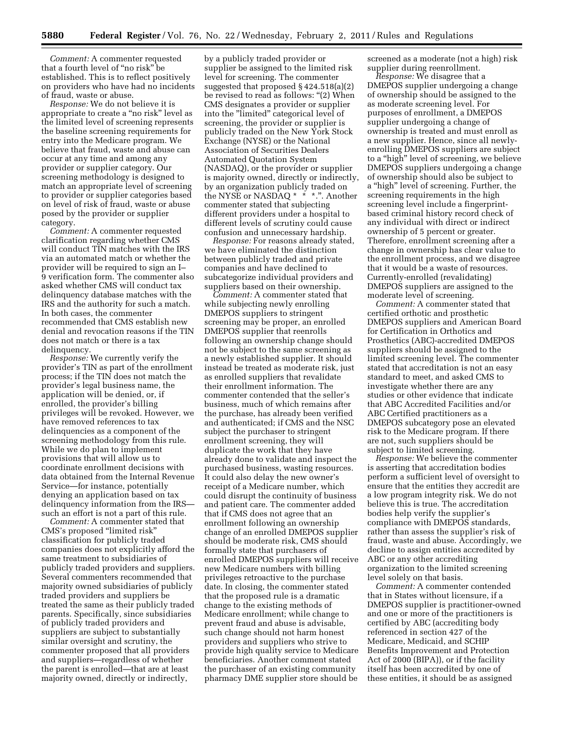*Comment:* A commenter requested that a fourth level of ''no risk'' be established. This is to reflect positively on providers who have had no incidents of fraud, waste or abuse.

*Response:* We do not believe it is appropriate to create a ''no risk'' level as the limited level of screening represents the baseline screening requirements for entry into the Medicare program. We believe that fraud, waste and abuse can occur at any time and among any provider or supplier category. Our screening methodology is designed to match an appropriate level of screening to provider or supplier categories based on level of risk of fraud, waste or abuse posed by the provider or supplier category.

*Comment:* A commenter requested clarification regarding whether CMS will conduct TIN matches with the IRS via an automated match or whether the provider will be required to sign an I– 9 verification form. The commenter also asked whether CMS will conduct tax delinquency database matches with the IRS and the authority for such a match. In both cases, the commenter recommended that CMS establish new denial and revocation reasons if the TIN does not match or there is a tax delinquency.

*Response:* We currently verify the provider's TIN as part of the enrollment process; if the TIN does not match the provider's legal business name, the application will be denied, or, if enrolled, the provider's billing privileges will be revoked. However, we have removed references to tax delinquencies as a component of the screening methodology from this rule. While we do plan to implement provisions that will allow us to coordinate enrollment decisions with data obtained from the Internal Revenue Service—for instance, potentially denying an application based on tax delinquency information from the IRS such an effort is not a part of this rule.

*Comment:* A commenter stated that CMS's proposed ''limited risk'' classification for publicly traded companies does not explicitly afford the same treatment to subsidiaries of publicly traded providers and suppliers. Several commenters recommended that majority owned subsidiaries of publicly traded providers and suppliers be treated the same as their publicly traded parents. Specifically, since subsidiaries of publicly traded providers and suppliers are subject to substantially similar oversight and scrutiny, the commenter proposed that all providers and suppliers—regardless of whether the parent is enrolled—that are at least majority owned, directly or indirectly,

by a publicly traded provider or supplier be assigned to the limited risk level for screening. The commenter suggested that proposed § 424.518(a)(2) be revised to read as follows: "(2) When CMS designates a provider or supplier into the ''limited'' categorical level of screening, the provider or supplier is publicly traded on the New York Stock Exchange (NYSE) or the National Association of Securities Dealers Automated Quotation System (NASDAQ), or the provider or supplier is majority owned, directly or indirectly, by an organization publicly traded on the NYSE or NASDAQ \* \* \*.". Another commenter stated that subjecting different providers under a hospital to different levels of scrutiny could cause confusion and unnecessary hardship.

*Response:* For reasons already stated, we have eliminated the distinction between publicly traded and private companies and have declined to subcategorize individual providers and suppliers based on their ownership.

*Comment:* A commenter stated that while subjecting newly enrolling DMEPOS suppliers to stringent screening may be proper, an enrolled DMEPOS supplier that reenrolls following an ownership change should not be subject to the same screening as a newly established supplier. It should instead be treated as moderate risk, just as enrolled suppliers that revalidate their enrollment information. The commenter contended that the seller's business, much of which remains after the purchase, has already been verified and authenticated; if CMS and the NSC subject the purchaser to stringent enrollment screening, they will duplicate the work that they have already done to validate and inspect the purchased business, wasting resources. It could also delay the new owner's receipt of a Medicare number, which could disrupt the continuity of business and patient care. The commenter added that if CMS does not agree that an enrollment following an ownership change of an enrolled DMEPOS supplier should be moderate risk, CMS should formally state that purchasers of enrolled DMEPOS suppliers will receive new Medicare numbers with billing privileges retroactive to the purchase date. In closing, the commenter stated that the proposed rule is a dramatic change to the existing methods of Medicare enrollment; while change to prevent fraud and abuse is advisable, such change should not harm honest providers and suppliers who strive to provide high quality service to Medicare beneficiaries. Another comment stated the purchaser of an existing community pharmacy DME supplier store should be

screened as a moderate (not a high) risk supplier during reenrollment.

*Response:* We disagree that a DMEPOS supplier undergoing a change of ownership should be assigned to the as moderate screening level. For purposes of enrollment, a DMEPOS supplier undergoing a change of ownership is treated and must enroll as a new supplier. Hence, since all newlyenrolling DMEPOS suppliers are subject to a ''high'' level of screening, we believe DMEPOS suppliers undergoing a change of ownership should also be subject to a ''high'' level of screening. Further, the screening requirements in the high screening level include a fingerprintbased criminal history record check of any individual with direct or indirect ownership of 5 percent or greater. Therefore, enrollment screening after a change in ownership has clear value to the enrollment process, and we disagree that it would be a waste of resources. Currently-enrolled (revalidating) DMEPOS suppliers are assigned to the moderate level of screening.

*Comment:* A commenter stated that certified orthotic and prosthetic DMEPOS suppliers and American Board for Certification in Orthotics and Prosthetics (ABC)-accredited DMEPOS suppliers should be assigned to the limited screening level. The commenter stated that accreditation is not an easy standard to meet, and asked CMS to investigate whether there are any studies or other evidence that indicate that ABC Accredited Facilities and/or ABC Certified practitioners as a DMEPOS subcategory pose an elevated risk to the Medicare program. If there are not, such suppliers should be subject to limited screening.

*Response:* We believe the commenter is asserting that accreditation bodies perform a sufficient level of oversight to ensure that the entities they accredit are a low program integrity risk. We do not believe this is true. The accreditation bodies help verify the supplier's compliance with DMEPOS standards, rather than assess the supplier's risk of fraud, waste and abuse. Accordingly, we decline to assign entities accredited by ABC or any other accrediting organization to the limited screening level solely on that basis.

*Comment:* A commenter contended that in States without licensure, if a DMEPOS supplier is practitioner-owned and one or more of the practitioners is certified by ABC (accrediting body referenced in section 427 of the Medicare, Medicaid, and SCHIP Benefits Improvement and Protection Act of 2000 (BIPA)), or if the facility itself has been accredited by one of these entities, it should be as assigned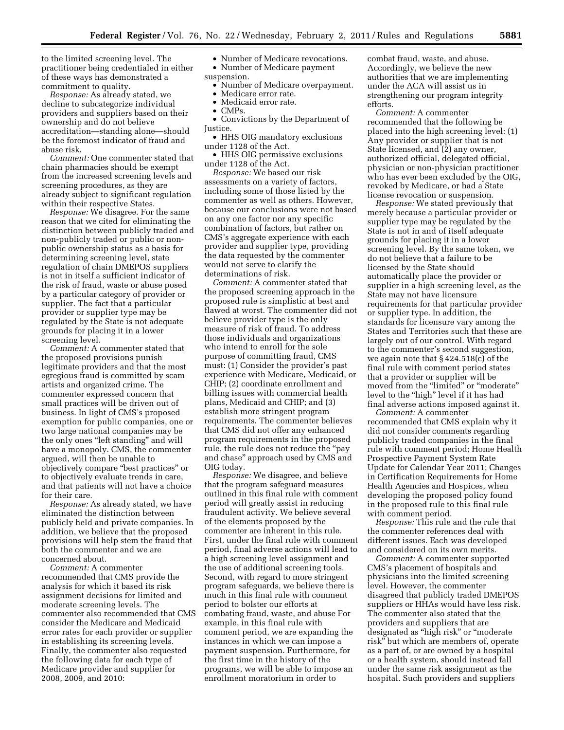to the limited screening level. The practitioner being credentialed in either of these ways has demonstrated a commitment to quality.

*Response:* As already stated, we decline to subcategorize individual providers and suppliers based on their ownership and do not believe accreditation—standing alone—should be the foremost indicator of fraud and abuse risk.

*Comment:* One commenter stated that chain pharmacies should be exempt from the increased screening levels and screening procedures, as they are already subject to significant regulation within their respective States.

*Response:* We disagree. For the same reason that we cited for eliminating the distinction between publicly traded and non-publicly traded or public or nonpublic ownership status as a basis for determining screening level, state regulation of chain DMEPOS suppliers is not in itself a sufficient indicator of the risk of fraud, waste or abuse posed by a particular category of provider or supplier. The fact that a particular provider or supplier type may be regulated by the State is not adequate grounds for placing it in a lower screening level.

*Comment:* A commenter stated that the proposed provisions punish legitimate providers and that the most egregious fraud is committed by scam artists and organized crime. The commenter expressed concern that small practices will be driven out of business. In light of CMS's proposed exemption for public companies, one or two large national companies may be the only ones "left standing" and will have a monopoly. CMS, the commenter argued, will then be unable to objectively compare ''best practices'' or to objectively evaluate trends in care, and that patients will not have a choice for their care.

*Response:* As already stated, we have eliminated the distinction between publicly held and private companies. In addition, we believe that the proposed provisions will help stem the fraud that both the commenter and we are concerned about.

*Comment:* A commenter recommended that CMS provide the analysis for which it based its risk assignment decisions for limited and moderate screening levels. The commenter also recommended that CMS consider the Medicare and Medicaid error rates for each provider or supplier in establishing its screening levels. Finally, the commenter also requested the following data for each type of Medicare provider and supplier for 2008, 2009, and 2010:

• Number of Medicare revocations.

- Number of Medicare payment
- suspension. • Number of Medicare overpayment.
	- Medicare error rate.
	- Medicaid error rate.
	- CMPs.

• Convictions by the Department of Justice.

• HHS OIG mandatory exclusions under 1128 of the Act.

• HHS OIG permissive exclusions under 1128 of the Act.

*Response:* We based our risk assessments on a variety of factors, including some of those listed by the commenter as well as others. However, because our conclusions were not based on any one factor nor any specific combination of factors, but rather on CMS's aggregate experience with each provider and supplier type, providing the data requested by the commenter would not serve to clarify the determinations of risk.

*Comment:* A commenter stated that the proposed screening approach in the proposed rule is simplistic at best and flawed at worst. The commenter did not believe provider type is the only measure of risk of fraud. To address those individuals and organizations who intend to enroll for the sole purpose of committing fraud, CMS must: (1) Consider the provider's past experience with Medicare, Medicaid, or CHIP; (2) coordinate enrollment and billing issues with commercial health plans, Medicaid and CHIP; and (3) establish more stringent program requirements. The commenter believes that CMS did not offer any enhanced program requirements in the proposed rule, the rule does not reduce the ''pay and chase'' approach used by CMS and OIG today.

*Response:* We disagree, and believe that the program safeguard measures outlined in this final rule with comment period will greatly assist in reducing fraudulent activity. We believe several of the elements proposed by the commenter are inherent in this rule. First, under the final rule with comment period, final adverse actions will lead to a high screening level assignment and the use of additional screening tools. Second, with regard to more stringent program safeguards, we believe there is much in this final rule with comment period to bolster our efforts at combating fraud, waste, and abuse For example, in this final rule with comment period, we are expanding the instances in which we can impose a payment suspension. Furthermore, for the first time in the history of the programs, we will be able to impose an enrollment moratorium in order to

combat fraud, waste, and abuse. Accordingly, we believe the new authorities that we are implementing under the ACA will assist us in strengthening our program integrity efforts.

*Comment:* A commenter recommended that the following be placed into the high screening level: (1) Any provider or supplier that is not State licensed, and (2) any owner, authorized official, delegated official, physician or non-physician practitioner who has ever been excluded by the OIG, revoked by Medicare, or had a State license revocation or suspension.

*Response:* We stated previously that merely because a particular provider or supplier type may be regulated by the State is not in and of itself adequate grounds for placing it in a lower screening level. By the same token, we do not believe that a failure to be licensed by the State should automatically place the provider or supplier in a high screening level, as the State may not have licensure requirements for that particular provider or supplier type. In addition, the standards for licensure vary among the States and Territories such that these are largely out of our control. With regard to the commenter's second suggestion, we again note that § 424.518(c) of the final rule with comment period states that a provider or supplier will be moved from the "limited" or "moderate" level to the ''high'' level if it has had final adverse actions imposed against it.

*Comment:* A commenter recommended that CMS explain why it did not consider comments regarding publicly traded companies in the final rule with comment period; Home Health Prospective Payment System Rate Update for Calendar Year 2011; Changes in Certification Requirements for Home Health Agencies and Hospices, when developing the proposed policy found in the proposed rule to this final rule with comment period.

*Response:* This rule and the rule that the commenter references deal with different issues. Each was developed and considered on its own merits.

*Comment:* A commenter supported CMS's placement of hospitals and physicians into the limited screening level. However, the commenter disagreed that publicly traded DMEPOS suppliers or HHAs would have less risk. The commenter also stated that the providers and suppliers that are designated as ''high risk'' or ''moderate risk'' but which are members of, operate as a part of, or are owned by a hospital or a health system, should instead fall under the same risk assignment as the hospital. Such providers and suppliers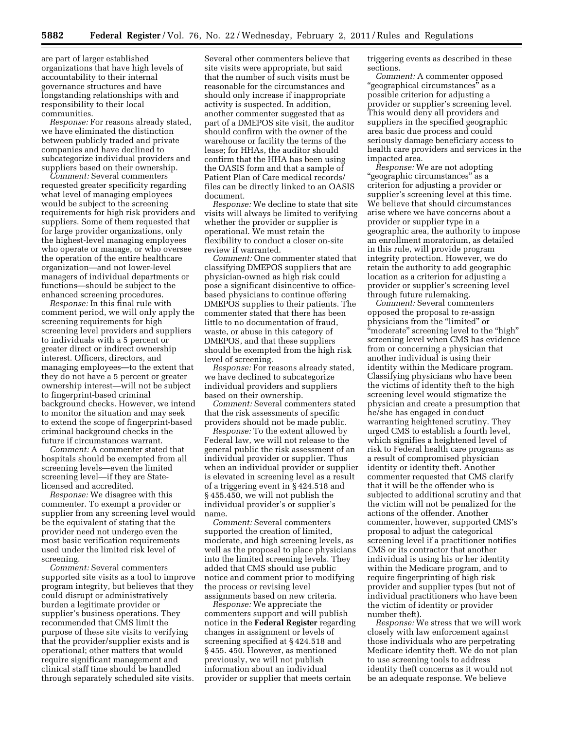are part of larger established organizations that have high levels of accountability to their internal governance structures and have longstanding relationships with and responsibility to their local communities.

*Response:* For reasons already stated, we have eliminated the distinction between publicly traded and private companies and have declined to subcategorize individual providers and suppliers based on their ownership.

*Comment:* Several commenters requested greater specificity regarding what level of managing employees would be subject to the screening requirements for high risk providers and suppliers. Some of them requested that for large provider organizations, only the highest-level managing employees who operate or manage, or who oversee the operation of the entire healthcare organization—and not lower-level managers of individual departments or functions—should be subject to the enhanced screening procedures.

*Response:* In this final rule with comment period, we will only apply the screening requirements for high screening level providers and suppliers to individuals with a 5 percent or greater direct or indirect ownership interest. Officers, directors, and managing employees—to the extent that they do not have a 5 percent or greater ownership interest—will not be subject to fingerprint-based criminal background checks. However, we intend to monitor the situation and may seek to extend the scope of fingerprint-based criminal background checks in the future if circumstances warrant.

*Comment:* A commenter stated that hospitals should be exempted from all screening levels—even the limited screening level—if they are Statelicensed and accredited.

*Response:* We disagree with this commenter. To exempt a provider or supplier from any screening level would be the equivalent of stating that the provider need not undergo even the most basic verification requirements used under the limited risk level of screening.

*Comment:* Several commenters supported site visits as a tool to improve program integrity, but believes that they could disrupt or administratively burden a legitimate provider or supplier's business operations. They recommended that CMS limit the purpose of these site visits to verifying that the provider/supplier exists and is operational; other matters that would require significant management and clinical staff time should be handled through separately scheduled site visits.

Several other commenters believe that site visits were appropriate, but said that the number of such visits must be reasonable for the circumstances and should only increase if inappropriate activity is suspected. In addition, another commenter suggested that as part of a DMEPOS site visit, the auditor should confirm with the owner of the warehouse or facility the terms of the lease; for HHAs, the auditor should confirm that the HHA has been using the OASIS form and that a sample of Patient Plan of Care medical records/ files can be directly linked to an OASIS document.

*Response:* We decline to state that site visits will always be limited to verifying whether the provider or supplier is operational. We must retain the flexibility to conduct a closer on-site review if warranted.

*Comment:* One commenter stated that classifying DMEPOS suppliers that are physician-owned as high risk could pose a significant disincentive to officebased physicians to continue offering DMEPOS supplies to their patients. The commenter stated that there has been little to no documentation of fraud, waste, or abuse in this category of DMEPOS, and that these suppliers should be exempted from the high risk level of screening.

*Response:* For reasons already stated, we have declined to subcategorize individual providers and suppliers based on their ownership.

*Comment:* Several commenters stated that the risk assessments of specific providers should not be made public.

*Response:* To the extent allowed by Federal law, we will not release to the general public the risk assessment of an individual provider or supplier. Thus when an individual provider or supplier is elevated in screening level as a result of a triggering event in § 424.518 and § 455.450, we will not publish the individual provider's or supplier's name.

*Comment:* Several commenters supported the creation of limited, moderate, and high screening levels, as well as the proposal to place physicians into the limited screening levels. They added that CMS should use public notice and comment prior to modifying the process or revising level assignments based on new criteria.

*Response:* We appreciate the commenters support and will publish notice in the **Federal Register** regarding changes in assignment or levels of screening specified at § 424.518 and § 455. 450. However, as mentioned previously, we will not publish information about an individual provider or supplier that meets certain

triggering events as described in these sections.

*Comment:* A commenter opposed ''geographical circumstances'' as a possible criterion for adjusting a provider or supplier's screening level. This would deny all providers and suppliers in the specified geographic area basic due process and could seriously damage beneficiary access to health care providers and services in the impacted area.

*Response:* We are not adopting ''geographic circumstances'' as a criterion for adjusting a provider or supplier's screening level at this time. We believe that should circumstances arise where we have concerns about a provider or supplier type in a geographic area, the authority to impose an enrollment moratorium, as detailed in this rule, will provide program integrity protection. However, we do retain the authority to add geographic location as a criterion for adjusting a provider or supplier's screening level through future rulemaking.

*Comment:* Several commenters opposed the proposal to re-assign physicians from the "limited" or "moderate" screening level to the "high" screening level when CMS has evidence from or concerning a physician that another individual is using their identity within the Medicare program. Classifying physicians who have been the victims of identity theft to the high screening level would stigmatize the physician and create a presumption that he/she has engaged in conduct warranting heightened scrutiny. They urged CMS to establish a fourth level, which signifies a heightened level of risk to Federal health care programs as a result of compromised physician identity or identity theft. Another commenter requested that CMS clarify that it will be the offender who is subjected to additional scrutiny and that the victim will not be penalized for the actions of the offender. Another commenter, however, supported CMS's proposal to adjust the categorical screening level if a practitioner notifies CMS or its contractor that another individual is using his or her identity within the Medicare program, and to require fingerprinting of high risk provider and supplier types (but not of individual practitioners who have been the victim of identity or provider number theft).

*Response:* We stress that we will work closely with law enforcement against those individuals who are perpetrating Medicare identity theft. We do not plan to use screening tools to address identity theft concerns as it would not be an adequate response. We believe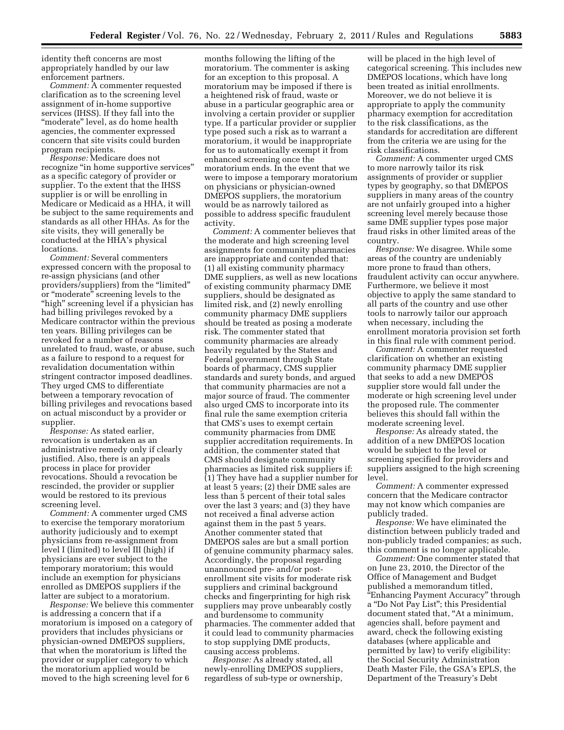identity theft concerns are most appropriately handled by our law enforcement partners.

*Comment:* A commenter requested clarification as to the screening level assignment of in-home supportive services (IHSS). If they fall into the "moderate" level, as do home health agencies, the commenter expressed concern that site visits could burden program recipients.

*Response:* Medicare does not recognize "in home supportive services" as a specific category of provider or supplier. To the extent that the IHSS supplier is or will be enrolling in Medicare or Medicaid as a HHA, it will be subject to the same requirements and standards as all other HHAs. As for the site visits, they will generally be conducted at the HHA's physical locations.

*Comment:* Several commenters expressed concern with the proposal to re-assign physicians (and other providers/suppliers) from the ''limited'' or ''moderate'' screening levels to the "high" screening level if a physician has had billing privileges revoked by a Medicare contractor within the previous ten years. Billing privileges can be revoked for a number of reasons unrelated to fraud, waste, or abuse, such as a failure to respond to a request for revalidation documentation within stringent contractor imposed deadlines. They urged CMS to differentiate between a temporary revocation of billing privileges and revocations based on actual misconduct by a provider or supplier.

*Response:* As stated earlier, revocation is undertaken as an administrative remedy only if clearly justified. Also, there is an appeals process in place for provider revocations. Should a revocation be rescinded, the provider or supplier would be restored to its previous screening level.

*Comment:* A commenter urged CMS to exercise the temporary moratorium authority judiciously and to exempt physicians from re-assignment from level I (limited) to level III (high) if physicians are ever subject to the temporary moratorium; this would include an exemption for physicians enrolled as DMEPOS suppliers if the latter are subject to a moratorium.

*Response:* We believe this commenter is addressing a concern that if a moratorium is imposed on a category of providers that includes physicians or physician-owned DMEPOS suppliers, that when the moratorium is lifted the provider or supplier category to which the moratorium applied would be moved to the high screening level for 6

months following the lifting of the moratorium. The commenter is asking for an exception to this proposal. A moratorium may be imposed if there is a heightened risk of fraud, waste or abuse in a particular geographic area or involving a certain provider or supplier type. If a particular provider or supplier type posed such a risk as to warrant a moratorium, it would be inappropriate for us to automatically exempt it from enhanced screening once the moratorium ends. In the event that we were to impose a temporary moratorium on physicians or physician-owned DMEPOS suppliers, the moratorium would be as narrowly tailored as possible to address specific fraudulent activity.

*Comment:* A commenter believes that the moderate and high screening level assignments for community pharmacies are inappropriate and contended that: (1) all existing community pharmacy DME suppliers, as well as new locations of existing community pharmacy DME suppliers, should be designated as limited risk, and (2) newly enrolling community pharmacy DME suppliers should be treated as posing a moderate risk. The commenter stated that community pharmacies are already heavily regulated by the States and Federal government through State boards of pharmacy, CMS supplier standards and surety bonds, and argued that community pharmacies are not a major source of fraud. The commenter also urged CMS to incorporate into its final rule the same exemption criteria that CMS's uses to exempt certain community pharmacies from DME supplier accreditation requirements. In addition, the commenter stated that CMS should designate community pharmacies as limited risk suppliers if: (1) They have had a supplier number for at least 5 years; (2) their DME sales are less than 5 percent of their total sales over the last 3 years; and (3) they have not received a final adverse action against them in the past 5 years. Another commenter stated that DMEPOS sales are but a small portion of genuine community pharmacy sales. Accordingly, the proposal regarding unannounced pre- and/or postenrollment site visits for moderate risk suppliers and criminal background checks and fingerprinting for high risk suppliers may prove unbearably costly and burdensome to community pharmacies. The commenter added that it could lead to community pharmacies to stop supplying DME products, causing access problems.

*Response:* As already stated, all newly-enrolling DMEPOS suppliers, regardless of sub-type or ownership,

will be placed in the high level of categorical screening. This includes new DMEPOS locations, which have long been treated as initial enrollments. Moreover, we do not believe it is appropriate to apply the community pharmacy exemption for accreditation to the risk classifications, as the standards for accreditation are different from the criteria we are using for the risk classifications.

*Comment:* A commenter urged CMS to more narrowly tailor its risk assignments of provider or supplier types by geography, so that DMEPOS suppliers in many areas of the country are not unfairly grouped into a higher screening level merely because those same DME supplier types pose major fraud risks in other limited areas of the country.

*Response:* We disagree. While some areas of the country are undeniably more prone to fraud than others, fraudulent activity can occur anywhere. Furthermore, we believe it most objective to apply the same standard to all parts of the country and use other tools to narrowly tailor our approach when necessary, including the enrollment moratoria provision set forth in this final rule with comment period.

*Comment:* A commenter requested clarification on whether an existing community pharmacy DME supplier that seeks to add a new DMEPOS supplier store would fall under the moderate or high screening level under the proposed rule. The commenter believes this should fall within the moderate screening level.

*Response:* As already stated, the addition of a new DMEPOS location would be subject to the level or screening specified for providers and suppliers assigned to the high screening level.

*Comment:* A commenter expressed concern that the Medicare contractor may not know which companies are publicly traded.

*Response:* We have eliminated the distinction between publicly traded and non-publicly traded companies; as such, this comment is no longer applicable.

*Comment:* One commenter stated that on June 23, 2010, the Director of the Office of Management and Budget published a memorandum titled, ''Enhancing Payment Accuracy'' through a ''Do Not Pay List''; this Presidential document stated that, ''At a minimum, agencies shall, before payment and award, check the following existing databases (where applicable and permitted by law) to verify eligibility: the Social Security Administration Death Master File, the GSA's EPLS, the Department of the Treasury's Debt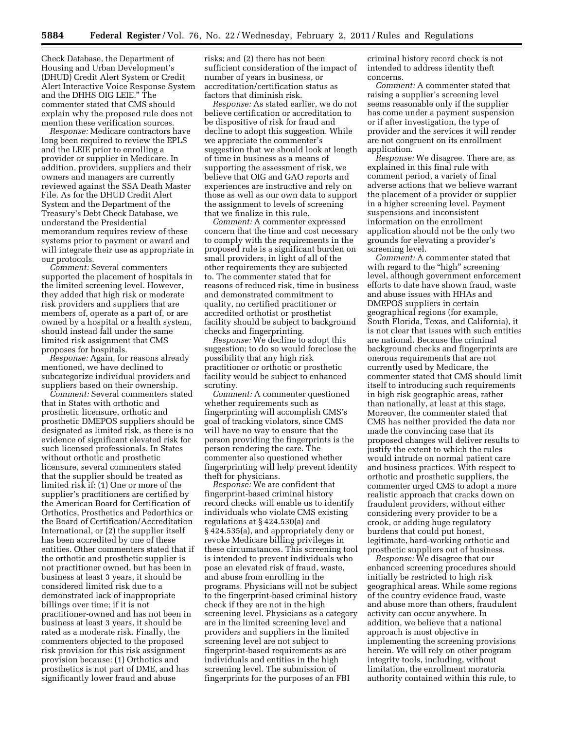Check Database, the Department of Housing and Urban Development's (DHUD) Credit Alert System or Credit Alert Interactive Voice Response System and the DHHS OIG LEIE.'' The commenter stated that CMS should explain why the proposed rule does not mention these verification sources.

*Response:* Medicare contractors have long been required to review the EPLS and the LEIE prior to enrolling a provider or supplier in Medicare. In addition, providers, suppliers and their owners and managers are currently reviewed against the SSA Death Master File. As for the DHUD Credit Alert System and the Department of the Treasury's Debt Check Database, we understand the Presidential memorandum requires review of these systems prior to payment or award and will integrate their use as appropriate in our protocols.

*Comment:* Several commenters supported the placement of hospitals in the limited screening level. However, they added that high risk or moderate risk providers and suppliers that are members of, operate as a part of, or are owned by a hospital or a health system, should instead fall under the same limited risk assignment that CMS proposes for hospitals.

*Response:* Again, for reasons already mentioned, we have declined to subcategorize individual providers and suppliers based on their ownership.

*Comment:* Several commenters stated that in States with orthotic and prosthetic licensure, orthotic and prosthetic DMEPOS suppliers should be designated as limited risk, as there is no evidence of significant elevated risk for such licensed professionals. In States without orthotic and prosthetic licensure, several commenters stated that the supplier should be treated as limited risk if: (1) One or more of the supplier's practitioners are certified by the American Board for Certification of Orthotics, Prosthetics and Pedorthics or the Board of Certification/Accreditation International, or (2) the supplier itself has been accredited by one of these entities. Other commenters stated that if the orthotic and prosthetic supplier is not practitioner owned, but has been in business at least 3 years, it should be considered limited risk due to a demonstrated lack of inappropriate billings over time; if it is not practitioner-owned and has not been in business at least 3 years, it should be rated as a moderate risk. Finally, the commenters objected to the proposed risk provision for this risk assignment provision because: (1) Orthotics and prosthetics is not part of DME, and has significantly lower fraud and abuse

risks; and (2) there has not been sufficient consideration of the impact of number of years in business, or accreditation/certification status as factors that diminish risk.

*Response:* As stated earlier, we do not believe certification or accreditation to be dispositive of risk for fraud and decline to adopt this suggestion. While we appreciate the commenter's suggestion that we should look at length of time in business as a means of supporting the assessment of risk, we believe that OIG and GAO reports and experiences are instructive and rely on those as well as our own data to support the assignment to levels of screening that we finalize in this rule.

*Comment:* A commenter expressed concern that the time and cost necessary to comply with the requirements in the proposed rule is a significant burden on small providers, in light of all of the other requirements they are subjected to. The commenter stated that for reasons of reduced risk, time in business and demonstrated commitment to quality, no certified practitioner or accredited orthotist or prosthetist facility should be subject to background checks and fingerprinting.

*Response:* We decline to adopt this suggestion; to do so would foreclose the possibility that any high risk practitioner or orthotic or prosthetic facility would be subject to enhanced scrutiny.

*Comment:* A commenter questioned whether requirements such as fingerprinting will accomplish CMS's goal of tracking violators, since CMS will have no way to ensure that the person providing the fingerprints is the person rendering the care. The commenter also questioned whether fingerprinting will help prevent identity theft for physicians.

*Response:* We are confident that fingerprint-based criminal history record checks will enable us to identify individuals who violate CMS existing regulations at § 424.530(a) and § 424.535(a), and appropriately deny or revoke Medicare billing privileges in these circumstances. This screening tool is intended to prevent individuals who pose an elevated risk of fraud, waste, and abuse from enrolling in the programs. Physicians will not be subject to the fingerprint-based criminal history check if they are not in the high screening level. Physicians as a category are in the limited screening level and providers and suppliers in the limited screening level are not subject to fingerprint-based requirements as are individuals and entities in the high screening level. The submission of fingerprints for the purposes of an FBI

criminal history record check is not intended to address identity theft concerns.

*Comment:* A commenter stated that raising a supplier's screening level seems reasonable only if the supplier has come under a payment suspension or if after investigation, the type of provider and the services it will render are not congruent on its enrollment application.

*Response:* We disagree. There are, as explained in this final rule with comment period, a variety of final adverse actions that we believe warrant the placement of a provider or supplier in a higher screening level. Payment suspensions and inconsistent information on the enrollment application should not be the only two grounds for elevating a provider's screening level.

*Comment:* A commenter stated that with regard to the "high" screening level, although government enforcement efforts to date have shown fraud, waste and abuse issues with HHAs and DMEPOS suppliers in certain geographical regions (for example, South Florida, Texas, and California), it is not clear that issues with such entities are national. Because the criminal background checks and fingerprints are onerous requirements that are not currently used by Medicare, the commenter stated that CMS should limit itself to introducing such requirements in high risk geographic areas, rather than nationally, at least at this stage. Moreover, the commenter stated that CMS has neither provided the data nor made the convincing case that its proposed changes will deliver results to justify the extent to which the rules would intrude on normal patient care and business practices. With respect to orthotic and prosthetic suppliers, the commenter urged CMS to adopt a more realistic approach that cracks down on fraudulent providers, without either considering every provider to be a crook, or adding huge regulatory burdens that could put honest, legitimate, hard-working orthotic and prosthetic suppliers out of business.

*Response:* We disagree that our enhanced screening procedures should initially be restricted to high risk geographical areas. While some regions of the country evidence fraud, waste and abuse more than others, fraudulent activity can occur anywhere. In addition, we believe that a national approach is most objective in implementing the screening provisions herein. We will rely on other program integrity tools, including, without limitation, the enrollment moratoria authority contained within this rule, to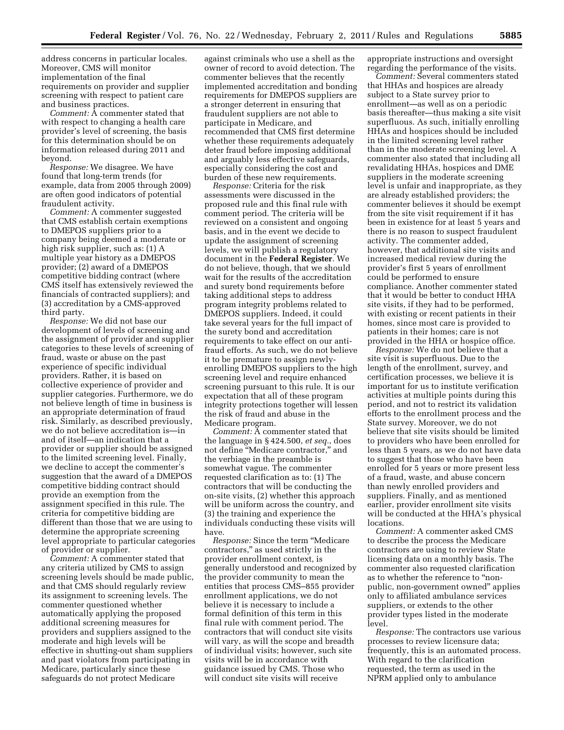address concerns in particular locales. Moreover, CMS will monitor implementation of the final requirements on provider and supplier screening with respect to patient care and business practices.

*Comment:* A commenter stated that with respect to changing a health care provider's level of screening, the basis for this determination should be on information released during 2011 and beyond.

*Response:* We disagree. We have found that long-term trends (for example, data from 2005 through 2009) are often good indicators of potential fraudulent activity.

*Comment:* A commenter suggested that CMS establish certain exemptions to DMEPOS suppliers prior to a company being deemed a moderate or high risk supplier, such as: (1) A multiple year history as a DMEPOS provider; (2) award of a DMEPOS competitive bidding contract (where CMS itself has extensively reviewed the financials of contracted suppliers); and (3) accreditation by a CMS-approved third party.

*Response:* We did not base our development of levels of screening and the assignment of provider and supplier categories to these levels of screening of fraud, waste or abuse on the past experience of specific individual providers. Rather, it is based on collective experience of provider and supplier categories. Furthermore, we do not believe length of time in business is an appropriate determination of fraud risk. Similarly, as described previously, we do not believe accreditation is—in and of itself—an indication that a provider or supplier should be assigned to the limited screening level. Finally, we decline to accept the commenter's suggestion that the award of a DMEPOS competitive bidding contract should provide an exemption from the assignment specified in this rule. The criteria for competitive bidding are different than those that we are using to determine the appropriate screening level appropriate to particular categories of provider or supplier.

*Comment:* A commenter stated that any criteria utilized by CMS to assign screening levels should be made public, and that CMS should regularly review its assignment to screening levels. The commenter questioned whether automatically applying the proposed additional screening measures for providers and suppliers assigned to the moderate and high levels will be effective in shutting-out sham suppliers and past violators from participating in Medicare, particularly since these safeguards do not protect Medicare

against criminals who use a shell as the owner of record to avoid detection. The commenter believes that the recently implemented accreditation and bonding requirements for DMEPOS suppliers are a stronger deterrent in ensuring that fraudulent suppliers are not able to participate in Medicare, and recommended that CMS first determine whether these requirements adequately deter fraud before imposing additional and arguably less effective safeguards, especially considering the cost and burden of these new requirements.

*Response:* Criteria for the risk assessments were discussed in the proposed rule and this final rule with comment period. The criteria will be reviewed on a consistent and ongoing basis, and in the event we decide to update the assignment of screening levels, we will publish a regulatory document in the **Federal Register**. We do not believe, though, that we should wait for the results of the accreditation and surety bond requirements before taking additional steps to address program integrity problems related to DMEPOS suppliers. Indeed, it could take several years for the full impact of the surety bond and accreditation requirements to take effect on our antifraud efforts. As such, we do not believe it to be premature to assign newlyenrolling DMEPOS suppliers to the high screening level and require enhanced screening pursuant to this rule. It is our expectation that all of these program integrity protections together will lessen the risk of fraud and abuse in the Medicare program.

*Comment:* A commenter stated that the language in § 424.500, *et seq.*, does not define ''Medicare contractor,'' and the verbiage in the preamble is somewhat vague. The commenter requested clarification as to: (1) The contractors that will be conducting the on-site visits, (2) whether this approach will be uniform across the country, and (3) the training and experience the individuals conducting these visits will have.

*Response:* Since the term ''Medicare contractors,'' as used strictly in the provider enrollment context, is generally understood and recognized by the provider community to mean the entities that process CMS–855 provider enrollment applications, we do not believe it is necessary to include a formal definition of this term in this final rule with comment period. The contractors that will conduct site visits will vary, as will the scope and breadth of individual visits; however, such site visits will be in accordance with guidance issued by CMS. Those who will conduct site visits will receive

appropriate instructions and oversight regarding the performance of the visits.

*Comment:* Several commenters stated that HHAs and hospices are already subject to a State survey prior to enrollment—as well as on a periodic basis thereafter—thus making a site visit superfluous. As such, initially enrolling HHAs and hospices should be included in the limited screening level rather than in the moderate screening level. A commenter also stated that including all revalidating HHAs, hospices and DME suppliers in the moderate screening level is unfair and inappropriate, as they are already established providers; the commenter believes it should be exempt from the site visit requirement if it has been in existence for at least 5 years and there is no reason to suspect fraudulent activity. The commenter added, however, that additional site visits and increased medical review during the provider's first 5 years of enrollment could be performed to ensure compliance. Another commenter stated that it would be better to conduct HHA site visits, if they had to be performed, with existing or recent patients in their homes, since most care is provided to patients in their homes; care is not provided in the HHA or hospice office.

*Response:* We do not believe that a site visit is superfluous. Due to the length of the enrollment, survey, and certification processes, we believe it is important for us to institute verification activities at multiple points during this period, and not to restrict its validation efforts to the enrollment process and the State survey. Moreover, we do not believe that site visits should be limited to providers who have been enrolled for less than 5 years, as we do not have data to suggest that those who have been enrolled for 5 years or more present less of a fraud, waste, and abuse concern than newly enrolled providers and suppliers. Finally, and as mentioned earlier, provider enrollment site visits will be conducted at the HHA's physical locations.

*Comment:* A commenter asked CMS to describe the process the Medicare contractors are using to review State licensing data on a monthly basis. The commenter also requested clarification as to whether the reference to ''nonpublic, non-government owned'' applies only to affiliated ambulance services suppliers, or extends to the other provider types listed in the moderate level.

*Response:* The contractors use various processes to review licensure data; frequently, this is an automated process. With regard to the clarification requested, the term as used in the NPRM applied only to ambulance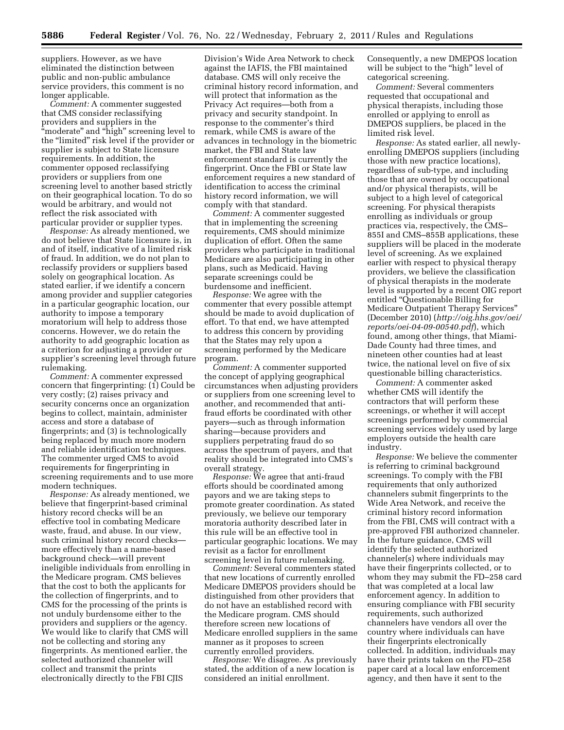suppliers. However, as we have eliminated the distinction between public and non-public ambulance service providers, this comment is no longer applicable.

*Comment:* A commenter suggested that CMS consider reclassifying providers and suppliers in the ''moderate'' and ''high'' screening level to the "limited" risk level if the provider or supplier is subject to State licensure requirements. In addition, the commenter opposed reclassifying providers or suppliers from one screening level to another based strictly on their geographical location. To do so would be arbitrary, and would not reflect the risk associated with particular provider or supplier types.

*Response:* As already mentioned, we do not believe that State licensure is, in and of itself, indicative of a limited risk of fraud. In addition, we do not plan to reclassify providers or suppliers based solely on geographical location. As stated earlier, if we identify a concern among provider and supplier categories in a particular geographic location, our authority to impose a temporary moratorium will help to address those concerns. However, we do retain the authority to add geographic location as a criterion for adjusting a provider or supplier's screening level through future rulemaking.

*Comment:* A commenter expressed concern that fingerprinting: (1) Could be very costly; (2) raises privacy and security concerns once an organization begins to collect, maintain, administer access and store a database of fingerprints; and (3) is technologically being replaced by much more modern and reliable identification techniques. The commenter urged CMS to avoid requirements for fingerprinting in screening requirements and to use more modern techniques.

*Response:* As already mentioned, we believe that fingerprint-based criminal history record checks will be an effective tool in combating Medicare waste, fraud, and abuse. In our view, such criminal history record checks more effectively than a name-based background check—will prevent ineligible individuals from enrolling in the Medicare program. CMS believes that the cost to both the applicants for the collection of fingerprints, and to CMS for the processing of the prints is not unduly burdensome either to the providers and suppliers or the agency. We would like to clarify that CMS will not be collecting and storing any fingerprints. As mentioned earlier, the selected authorized channeler will collect and transmit the prints electronically directly to the FBI CJIS

Division's Wide Area Network to check against the IAFIS, the FBI maintained database. CMS will only receive the criminal history record information, and will protect that information as the Privacy Act requires—both from a privacy and security standpoint. In response to the commenter's third remark, while CMS is aware of the advances in technology in the biometric market, the FBI and State law enforcement standard is currently the fingerprint. Once the FBI or State law enforcement requires a new standard of identification to access the criminal history record information, we will comply with that standard.

*Comment:* A commenter suggested that in implementing the screening requirements, CMS should minimize duplication of effort. Often the same providers who participate in traditional Medicare are also participating in other plans, such as Medicaid. Having separate screenings could be burdensome and inefficient.

*Response:* We agree with the commenter that every possible attempt should be made to avoid duplication of effort. To that end, we have attempted to address this concern by providing that the States may rely upon a screening performed by the Medicare program.

*Comment:* A commenter supported the concept of applying geographical circumstances when adjusting providers or suppliers from one screening level to another, and recommended that antifraud efforts be coordinated with other payers—such as through information sharing—because providers and suppliers perpetrating fraud do so across the spectrum of payers, and that reality should be integrated into CMS's overall strategy.

*Response:* We agree that anti-fraud efforts should be coordinated among payors and we are taking steps to promote greater coordination. As stated previously, we believe our temporary moratoria authority described later in this rule will be an effective tool in particular geographic locations. We may revisit as a factor for enrollment screening level in future rulemaking.

*Comment:* Several commenters stated that new locations of currently enrolled Medicare DMEPOS providers should be distinguished from other providers that do not have an established record with the Medicare program. CMS should therefore screen new locations of Medicare enrolled suppliers in the same manner as it proposes to screen currently enrolled providers.

*Response:* We disagree. As previously stated, the addition of a new location is considered an initial enrollment.

Consequently, a new DMEPOS location will be subject to the "high" level of categorical screening.

*Comment:* Several commenters requested that occupational and physical therapists, including those enrolled or applying to enroll as DMEPOS suppliers, be placed in the limited risk level.

*Response:* As stated earlier, all newlyenrolling DMEPOS suppliers (including those with new practice locations), regardless of sub-type, and including those that are owned by occupational and/or physical therapists, will be subject to a high level of categorical screening. For physical therapists enrolling as individuals or group practices via, respectively, the CMS– 855I and CMS–855B applications, these suppliers will be placed in the moderate level of screening. As we explained earlier with respect to physical therapy providers, we believe the classification of physical therapists in the moderate level is supported by a recent OIG report entitled ''Questionable Billing for Medicare Outpatient Therapy Services'' (December 2010) (*[http://oig.hhs.gov/oei/](http://oig.hhs.gov/oei/reports/oei-04-09-00540.pdf) [reports/oei-04-09-00540.pdf](http://oig.hhs.gov/oei/reports/oei-04-09-00540.pdf)*), which found, among other things, that Miami-Dade County had three times, and nineteen other counties had at least twice, the national level on five of six questionable billing characteristics.

*Comment:* A commenter asked whether CMS will identify the contractors that will perform these screenings, or whether it will accept screenings performed by commercial screening services widely used by large employers outside the health care industry.

*Response:* We believe the commenter is referring to criminal background screenings. To comply with the FBI requirements that only authorized channelers submit fingerprints to the Wide Area Network, and receive the criminal history record information from the FBI, CMS will contract with a pre-approved FBI authorized channeler. In the future guidance, CMS will identify the selected authorized channeler(s) where individuals may have their fingerprints collected, or to whom they may submit the FD–258 card that was completed at a local law enforcement agency. In addition to ensuring compliance with FBI security requirements, such authorized channelers have vendors all over the country where individuals can have their fingerprints electronically collected. In addition, individuals may have their prints taken on the FD–258 paper card at a local law enforcement agency, and then have it sent to the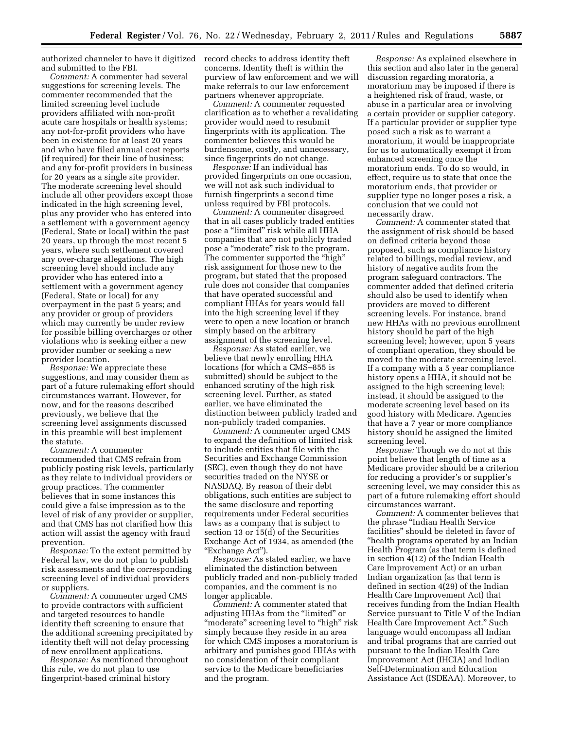authorized channeler to have it digitized record checks to address identity theft and submitted to the FBI.

*Comment:* A commenter had several suggestions for screening levels. The commenter recommended that the limited screening level include providers affiliated with non-profit acute care hospitals or health systems; any not-for-profit providers who have been in existence for at least 20 years and who have filed annual cost reports (if required) for their line of business; and any for-profit providers in business for 20 years as a single site provider. The moderate screening level should include all other providers except those indicated in the high screening level, plus any provider who has entered into a settlement with a government agency (Federal, State or local) within the past 20 years, up through the most recent 5 years, where such settlement covered any over-charge allegations. The high screening level should include any provider who has entered into a settlement with a government agency (Federal, State or local) for any overpayment in the past 5 years; and any provider or group of providers which may currently be under review for possible billing overcharges or other violations who is seeking either a new provider number or seeking a new provider location.

*Response:* We appreciate these suggestions, and may consider them as part of a future rulemaking effort should circumstances warrant. However, for now, and for the reasons described previously, we believe that the screening level assignments discussed in this preamble will best implement the statute.

*Comment:* A commenter recommended that CMS refrain from publicly posting risk levels, particularly as they relate to individual providers or group practices. The commenter believes that in some instances this could give a false impression as to the level of risk of any provider or supplier, and that CMS has not clarified how this action will assist the agency with fraud prevention.

*Response:* To the extent permitted by Federal law, we do not plan to publish risk assessments and the corresponding screening level of individual providers or suppliers.

*Comment:* A commenter urged CMS to provide contractors with sufficient and targeted resources to handle identity theft screening to ensure that the additional screening precipitated by identity theft will not delay processing of new enrollment applications.

*Response:* As mentioned throughout this rule, we do not plan to use fingerprint-based criminal history

concerns. Identity theft is within the purview of law enforcement and we will make referrals to our law enforcement partners whenever appropriate.

*Comment:* A commenter requested clarification as to whether a revalidating provider would need to resubmit fingerprints with its application. The commenter believes this would be burdensome, costly, and unnecessary, since fingerprints do not change.

*Response:* If an individual has provided fingerprints on one occasion, we will not ask such individual to furnish fingerprints a second time unless required by FBI protocols.

*Comment:* A commenter disagreed that in all cases publicly traded entities pose a ''limited'' risk while all HHA companies that are not publicly traded pose a ''moderate'' risk to the program. The commenter supported the "high" risk assignment for those new to the program, but stated that the proposed rule does not consider that companies that have operated successful and compliant HHAs for years would fall into the high screening level if they were to open a new location or branch simply based on the arbitrary assignment of the screening level.

*Response:* As stated earlier, we believe that newly enrolling HHA locations (for which a CMS–855 is submitted) should be subject to the enhanced scrutiny of the high risk screening level. Further, as stated earlier, we have eliminated the distinction between publicly traded and non-publicly traded companies.

*Comment:* A commenter urged CMS to expand the definition of limited risk to include entities that file with the Securities and Exchange Commission (SEC), even though they do not have securities traded on the NYSE or NASDAQ. By reason of their debt obligations, such entities are subject to the same disclosure and reporting requirements under Federal securities laws as a company that is subject to section 13 or 15(d) of the Securities Exchange Act of 1934, as amended (the "Exchange Act").

*Response:* As stated earlier, we have eliminated the distinction between publicly traded and non-publicly traded companies, and the comment is no longer applicable.

*Comment:* A commenter stated that adjusting HHAs from the "limited" or ''moderate'' screening level to ''high'' risk simply because they reside in an area for which CMS imposes a moratorium is arbitrary and punishes good HHAs with no consideration of their compliant service to the Medicare beneficiaries and the program.

*Response:* As explained elsewhere in this section and also later in the general discussion regarding moratoria, a moratorium may be imposed if there is a heightened risk of fraud, waste, or abuse in a particular area or involving a certain provider or supplier category. If a particular provider or supplier type posed such a risk as to warrant a moratorium, it would be inappropriate for us to automatically exempt it from enhanced screening once the moratorium ends. To do so would, in effect, require us to state that once the moratorium ends, that provider or supplier type no longer poses a risk, a conclusion that we could not necessarily draw.

*Comment:* A commenter stated that the assignment of risk should be based on defined criteria beyond those proposed, such as compliance history related to billings, medial review, and history of negative audits from the program safeguard contractors. The commenter added that defined criteria should also be used to identify when providers are moved to different screening levels. For instance, brand new HHAs with no previous enrollment history should be part of the high screening level; however, upon 5 years of compliant operation, they should be moved to the moderate screening level. If a company with a 5 year compliance history opens a HHA, it should not be assigned to the high screening level; instead, it should be assigned to the moderate screening level based on its good history with Medicare. Agencies that have a 7 year or more compliance history should be assigned the limited screening level.

*Response:* Though we do not at this point believe that length of time as a Medicare provider should be a criterion for reducing a provider's or supplier's screening level, we may consider this as part of a future rulemaking effort should circumstances warrant.

*Comment:* A commenter believes that the phrase ''Indian Health Service facilities'' should be deleted in favor of ''health programs operated by an Indian Health Program (as that term is defined in section 4(12) of the Indian Health Care Improvement Act) or an urban Indian organization (as that term is defined in section 4(29) of the Indian Health Care Improvement Act) that receives funding from the Indian Health Service pursuant to Title V of the Indian Health Care Improvement Act.'' Such language would encompass all Indian and tribal programs that are carried out pursuant to the Indian Health Care Improvement Act (IHCIA) and Indian Self-Determination and Education Assistance Act (ISDEAA). Moreover, to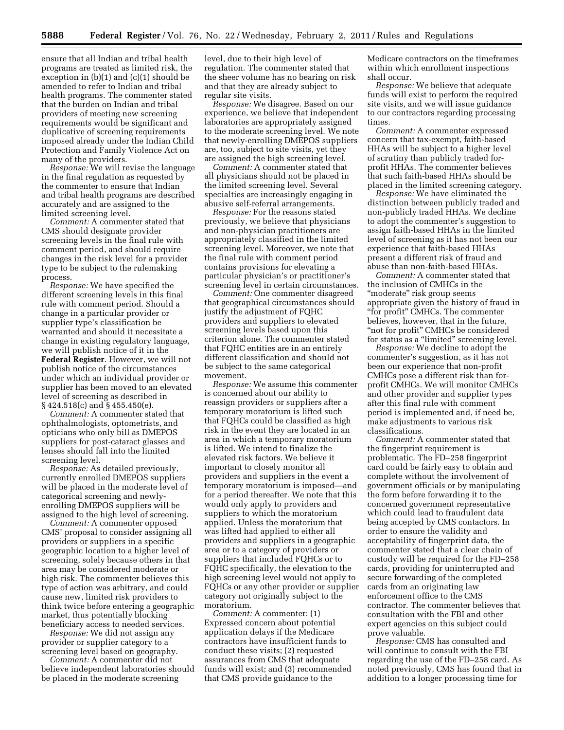ensure that all Indian and tribal health programs are treated as limited risk, the exception in (b)(1) and (c)(1) should be amended to refer to Indian and tribal health programs. The commenter stated that the burden on Indian and tribal providers of meeting new screening requirements would be significant and duplicative of screening requirements imposed already under the Indian Child Protection and Family Violence Act on many of the providers.

*Response:* We will revise the language in the final regulation as requested by the commenter to ensure that Indian and tribal health programs are described accurately and are assigned to the limited screening level.

*Comment:* A commenter stated that CMS should designate provider screening levels in the final rule with comment period, and should require changes in the risk level for a provider type to be subject to the rulemaking process.

*Response:* We have specified the different screening levels in this final rule with comment period. Should a change in a particular provider or supplier type's classification be warranted and should it necessitate a change in existing regulatory language, we will publish notice of it in the **Federal Register**. However, we will not publish notice of the circumstances under which an individual provider or supplier has been moved to an elevated level of screening as described in § 424.518(c) and § 455.450(e).

*Comment:* A commenter stated that ophthalmologists, optometrists, and opticians who only bill as DMEPOS suppliers for post-cataract glasses and lenses should fall into the limited screening level.

*Response:* As detailed previously, currently enrolled DMEPOS suppliers will be placed in the moderate level of categorical screening and newlyenrolling DMEPOS suppliers will be assigned to the high level of screening.

*Comment:* A commenter opposed CMS' proposal to consider assigning all providers or suppliers in a specific geographic location to a higher level of screening, solely because others in that area may be considered moderate or high risk. The commenter believes this type of action was arbitrary, and could cause new, limited risk providers to think twice before entering a geographic market, thus potentially blocking beneficiary access to needed services.

*Response:* We did not assign any provider or supplier category to a screening level based on geography.

*Comment:* A commenter did not believe independent laboratories should be placed in the moderate screening

level, due to their high level of regulation. The commenter stated that the sheer volume has no bearing on risk and that they are already subject to regular site visits.

*Response:* We disagree. Based on our experience, we believe that independent laboratories are appropriately assigned to the moderate screening level. We note that newly-enrolling DMEPOS suppliers are, too, subject to site visits, yet they are assigned the high screening level.

*Comment:* A commenter stated that all physicians should not be placed in the limited screening level. Several specialties are increasingly engaging in abusive self-referral arrangements.

*Response:* For the reasons stated previously, we believe that physicians and non-physician practitioners are appropriately classified in the limited screening level. Moreover, we note that the final rule with comment period contains provisions for elevating a particular physician's or practitioner's screening level in certain circumstances.

*Comment:* One commenter disagreed that geographical circumstances should justify the adjustment of FQHC providers and suppliers to elevated screening levels based upon this criterion alone. The commenter stated that FQHC entities are in an entirely different classification and should not be subject to the same categorical movement.

*Response:* We assume this commenter is concerned about our ability to reassign providers or suppliers after a temporary moratorium is lifted such that FQHCs could be classified as high risk in the event they are located in an area in which a temporary moratorium is lifted. We intend to finalize the elevated risk factors. We believe it important to closely monitor all providers and suppliers in the event a temporary moratorium is imposed—and for a period thereafter. We note that this would only apply to providers and suppliers to which the moratorium applied. Unless the moratorium that was lifted had applied to either all providers and suppliers in a geographic area or to a category of providers or suppliers that included FQHCs or to FQHC specifically, the elevation to the high screening level would not apply to FQHCs or any other provider or supplier category not originally subject to the moratorium.

*Comment:* A commenter: (1) Expressed concern about potential application delays if the Medicare contractors have insufficient funds to conduct these visits; (2) requested assurances from CMS that adequate funds will exist; and (3) recommended that CMS provide guidance to the

Medicare contractors on the timeframes within which enrollment inspections shall occur.

*Response:* We believe that adequate funds will exist to perform the required site visits, and we will issue guidance to our contractors regarding processing times.

*Comment:* A commenter expressed concern that tax-exempt, faith-based HHAs will be subject to a higher level of scrutiny than publicly traded forprofit HHAs. The commenter believes that such faith-based HHAs should be placed in the limited screening category.

*Response:* We have eliminated the distinction between publicly traded and non-publicly traded HHAs. We decline to adopt the commenter's suggestion to assign faith-based HHAs in the limited level of screening as it has not been our experience that faith-based HHAs present a different risk of fraud and abuse than non-faith-based HHAs.

*Comment:* A commenter stated that the inclusion of CMHCs in the ''moderate'' risk group seems appropriate given the history of fraud in ''for profit'' CMHCs. The commenter believes, however, that in the future, "not for profit" CMHCs be considered for status as a "limited" screening level.

*Response:* We decline to adopt the commenter's suggestion, as it has not been our experience that non-profit CMHCs pose a different risk than forprofit CMHCs. We will monitor CMHCs and other provider and supplier types after this final rule with comment period is implemented and, if need be, make adjustments to various risk classifications.

*Comment:* A commenter stated that the fingerprint requirement is problematic. The FD–258 fingerprint card could be fairly easy to obtain and complete without the involvement of government officials or by manipulating the form before forwarding it to the concerned government representative which could lead to fraudulent data being accepted by CMS contactors. In order to ensure the validity and acceptability of fingerprint data, the commenter stated that a clear chain of custody will be required for the FD–258 cards, providing for uninterrupted and secure forwarding of the completed cards from an originating law enforcement office to the CMS contractor. The commenter believes that consultation with the FBI and other expert agencies on this subject could prove valuable.

*Response:* CMS has consulted and will continue to consult with the FBI regarding the use of the FD–258 card. As noted previously, CMS has found that in addition to a longer processing time for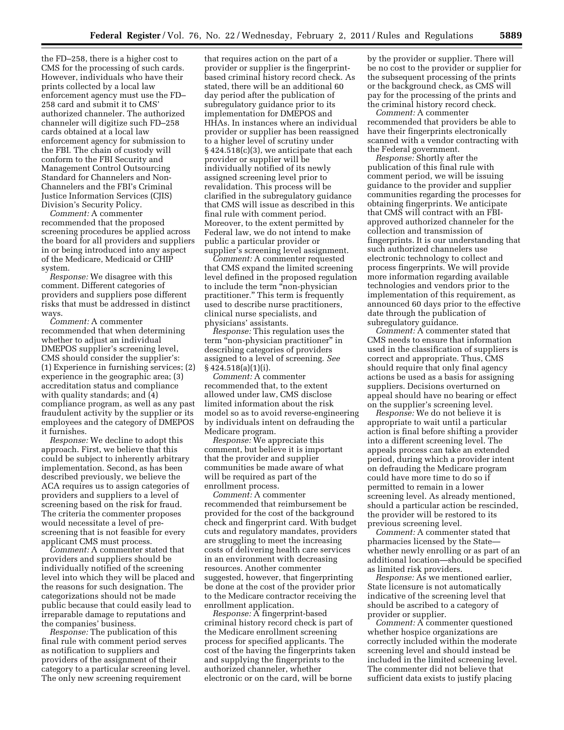the FD–258, there is a higher cost to CMS for the processing of such cards. However, individuals who have their prints collected by a local law enforcement agency must use the FD– 258 card and submit it to CMS' authorized channeler. The authorized channeler will digitize such FD–258 cards obtained at a local law enforcement agency for submission to the FBI. The chain of custody will conform to the FBI Security and Management Control Outsourcing Standard for Channelers and Non-Channelers and the FBI's Criminal Justice Information Services (CJIS) Division's Security Policy.

*Comment:* A commenter recommended that the proposed screening procedures be applied across the board for all providers and suppliers in or being introduced into any aspect of the Medicare, Medicaid or CHIP system.

*Response:* We disagree with this comment. Different categories of providers and suppliers pose different risks that must be addressed in distinct ways.

*Comment:* A commenter recommended that when determining whether to adjust an individual DMEPOS supplier's screening level, CMS should consider the supplier's: (1) Experience in furnishing services; (2) experience in the geographic area; (3) accreditation status and compliance with quality standards; and (4) compliance program, as well as any past fraudulent activity by the supplier or its employees and the category of DMEPOS it furnishes.

*Response:* We decline to adopt this approach. First, we believe that this could be subject to inherently arbitrary implementation. Second, as has been described previously, we believe the ACA requires us to assign categories of providers and suppliers to a level of screening based on the risk for fraud. The criteria the commenter proposes would necessitate a level of prescreening that is not feasible for every applicant CMS must process.

*Comment:* A commenter stated that providers and suppliers should be individually notified of the screening level into which they will be placed and the reasons for such designation. The categorizations should not be made public because that could easily lead to irreparable damage to reputations and the companies' business.

*Response:* The publication of this final rule with comment period serves as notification to suppliers and providers of the assignment of their category to a particular screening level. The only new screening requirement

that requires action on the part of a provider or supplier is the fingerprintbased criminal history record check. As stated, there will be an additional 60 day period after the publication of subregulatory guidance prior to its implementation for DMEPOS and HHAs. In instances where an individual provider or supplier has been reassigned to a higher level of scrutiny under § 424.518(c)(3), we anticipate that each provider or supplier will be individually notified of its newly assigned screening level prior to revalidation. This process will be clarified in the subregulatory guidance that CMS will issue as described in this final rule with comment period. Moreover, to the extent permitted by Federal law, we do not intend to make public a particular provider or supplier's screening level assignment.

*Comment:* A commenter requested that CMS expand the limited screening level defined in the proposed regulation to include the term ''non-physician practitioner.'' This term is frequently used to describe nurse practitioners, clinical nurse specialists, and physicians' assistants.

*Response:* This regulation uses the term "non-physician practitioner" in describing categories of providers assigned to a level of screening. *See*  § 424.518(a)(1)(i).

*Comment:* A commenter recommended that, to the extent allowed under law, CMS disclose limited information about the risk model so as to avoid reverse-engineering by individuals intent on defrauding the Medicare program.

*Response:* We appreciate this comment, but believe it is important that the provider and supplier communities be made aware of what will be required as part of the enrollment process.

*Comment:* A commenter recommended that reimbursement be provided for the cost of the background check and fingerprint card. With budget cuts and regulatory mandates, providers are struggling to meet the increasing costs of delivering health care services in an environment with decreasing resources. Another commenter suggested, however, that fingerprinting be done at the cost of the provider prior to the Medicare contractor receiving the enrollment application.

*Response:* A fingerprint-based criminal history record check is part of the Medicare enrollment screening process for specified applicants. The cost of the having the fingerprints taken and supplying the fingerprints to the authorized channeler, whether electronic or on the card, will be borne

by the provider or supplier. There will be no cost to the provider or supplier for the subsequent processing of the prints or the background check, as CMS will pay for the processing of the prints and the criminal history record check.

*Comment:* A commenter recommended that providers be able to have their fingerprints electronically scanned with a vendor contracting with the Federal government.

*Response:* Shortly after the publication of this final rule with comment period, we will be issuing guidance to the provider and supplier communities regarding the processes for obtaining fingerprints. We anticipate that CMS will contract with an FBIapproved authorized channeler for the collection and transmission of fingerprints. It is our understanding that such authorized channelers use electronic technology to collect and process fingerprints. We will provide more information regarding available technologies and vendors prior to the implementation of this requirement, as announced 60 days prior to the effective date through the publication of subregulatory guidance.

*Comment:* A commenter stated that CMS needs to ensure that information used in the classification of suppliers is correct and appropriate. Thus, CMS should require that only final agency actions be used as a basis for assigning suppliers. Decisions overturned on appeal should have no bearing or effect on the supplier's screening level.

*Response:* We do not believe it is appropriate to wait until a particular action is final before shifting a provider into a different screening level. The appeals process can take an extended period, during which a provider intent on defrauding the Medicare program could have more time to do so if permitted to remain in a lower screening level. As already mentioned, should a particular action be rescinded, the provider will be restored to its previous screening level.

*Comment:* A commenter stated that pharmacies licensed by the State whether newly enrolling or as part of an additional location—should be specified as limited risk providers.

*Response:* As we mentioned earlier, State licensure is not automatically indicative of the screening level that should be ascribed to a category of provider or supplier.

*Comment:* A commenter questioned whether hospice organizations are correctly included within the moderate screening level and should instead be included in the limited screening level. The commenter did not believe that sufficient data exists to justify placing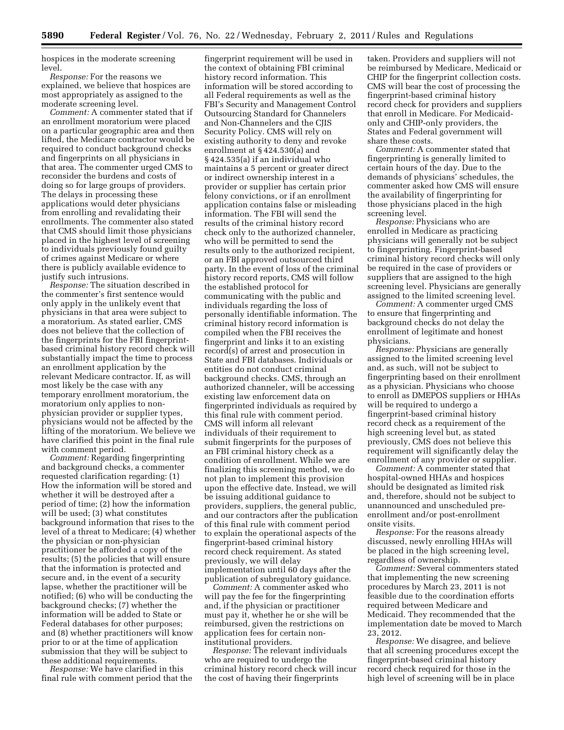hospices in the moderate screening level.

*Response:* For the reasons we explained, we believe that hospices are most appropriately as assigned to the moderate screening level.

*Comment:* A commenter stated that if an enrollment moratorium were placed on a particular geographic area and then lifted, the Medicare contractor would be required to conduct background checks and fingerprints on all physicians in that area. The commenter urged CMS to reconsider the burdens and costs of doing so for large groups of providers. The delays in processing these applications would deter physicians from enrolling and revalidating their enrollments. The commenter also stated that CMS should limit those physicians placed in the highest level of screening to individuals previously found guilty of crimes against Medicare or where there is publicly available evidence to justify such intrusions.

*Response:* The situation described in the commenter's first sentence would only apply in the unlikely event that physicians in that area were subject to a moratorium. As stated earlier, CMS does not believe that the collection of the fingerprints for the FBI fingerprintbased criminal history record check will substantially impact the time to process an enrollment application by the relevant Medicare contractor. If, as will most likely be the case with any temporary enrollment moratorium, the moratorium only applies to nonphysician provider or supplier types, physicians would not be affected by the lifting of the moratorium. We believe we have clarified this point in the final rule with comment period.

*Comment:* Regarding fingerprinting and background checks, a commenter requested clarification regarding: (1) How the information will be stored and whether it will be destroyed after a period of time; (2) how the information will be used; (3) what constitutes background information that rises to the level of a threat to Medicare; (4) whether the physician or non-physician practitioner be afforded a copy of the results; (5) the policies that will ensure that the information is protected and secure and, in the event of a security lapse, whether the practitioner will be notified; (6) who will be conducting the background checks; (7) whether the information will be added to State or Federal databases for other purposes; and (8) whether practitioners will know prior to or at the time of application submission that they will be subject to these additional requirements.

*Response:* We have clarified in this final rule with comment period that the

fingerprint requirement will be used in the context of obtaining FBI criminal history record information. This information will be stored according to all Federal requirements as well as the FBI's Security and Management Control Outsourcing Standard for Channelers and Non-Channelers and the CJIS Security Policy. CMS will rely on existing authority to deny and revoke enrollment at § 424.530(a) and § 424.535(a) if an individual who maintains a 5 percent or greater direct or indirect ownership interest in a provider or supplier has certain prior felony convictions, or if an enrollment application contains false or misleading information. The FBI will send the results of the criminal history record check only to the authorized channeler, who will be permitted to send the results only to the authorized recipient, or an FBI approved outsourced third party. In the event of loss of the criminal history record reports, CMS will follow the established protocol for communicating with the public and individuals regarding the loss of personally identifiable information. The criminal history record information is compiled when the FBI receives the fingerprint and links it to an existing record(s) of arrest and prosecution in State and FBI databases. Individuals or entities do not conduct criminal background checks. CMS, through an authorized channeler, will be accessing existing law enforcement data on fingerprinted individuals as required by this final rule with comment period. CMS will inform all relevant individuals of their requirement to submit fingerprints for the purposes of an FBI criminal history check as a condition of enrollment. While we are finalizing this screening method, we do not plan to implement this provision upon the effective date. Instead, we will be issuing additional guidance to providers, suppliers, the general public, and our contractors after the publication of this final rule with comment period to explain the operational aspects of the fingerprint-based criminal history record check requirement. As stated previously, we will delay implementation until 60 days after the

publication of subregulatory guidance. *Comment:* A commenter asked who will pay the fee for the fingerprinting and, if the physician or practitioner must pay it, whether he or she will be reimbursed, given the restrictions on application fees for certain noninstitutional providers.

*Response:* The relevant individuals who are required to undergo the criminal history record check will incur the cost of having their fingerprints

taken. Providers and suppliers will not be reimbursed by Medicare, Medicaid or CHIP for the fingerprint collection costs. CMS will bear the cost of processing the fingerprint-based criminal history record check for providers and suppliers that enroll in Medicare. For Medicaidonly and CHIP-only providers, the States and Federal government will share these costs.

*Comment:* A commenter stated that fingerprinting is generally limited to certain hours of the day. Due to the demands of physicians' schedules, the commenter asked how CMS will ensure the availability of fingerprinting for those physicians placed in the high screening level.

*Response:* Physicians who are enrolled in Medicare as practicing physicians will generally not be subject to fingerprinting. Fingerprint-based criminal history record checks will only be required in the case of providers or suppliers that are assigned to the high screening level. Physicians are generally assigned to the limited screening level.

*Comment:* A commenter urged CMS to ensure that fingerprinting and background checks do not delay the enrollment of legitimate and honest physicians.

*Response:* Physicians are generally assigned to the limited screening level and, as such, will not be subject to fingerprinting based on their enrollment as a physician. Physicians who choose to enroll as DMEPOS suppliers or HHAs will be required to undergo a fingerprint-based criminal history record check as a requirement of the high screening level but, as stated previously, CMS does not believe this requirement will significantly delay the enrollment of any provider or supplier.

*Comment:* A commenter stated that hospital-owned HHAs and hospices should be designated as limited risk and, therefore, should not be subject to unannounced and unscheduled preenrollment and/or post-enrollment onsite visits.

*Response:* For the reasons already discussed, newly enrolling HHAs will be placed in the high screening level, regardless of ownership.

*Comment:* Several commenters stated that implementing the new screening procedures by March 23, 2011 is not feasible due to the coordination efforts required between Medicare and Medicaid. They recommended that the implementation date be moved to March 23, 2012.

*Response:* We disagree, and believe that all screening procedures except the fingerprint-based criminal history record check required for those in the high level of screening will be in place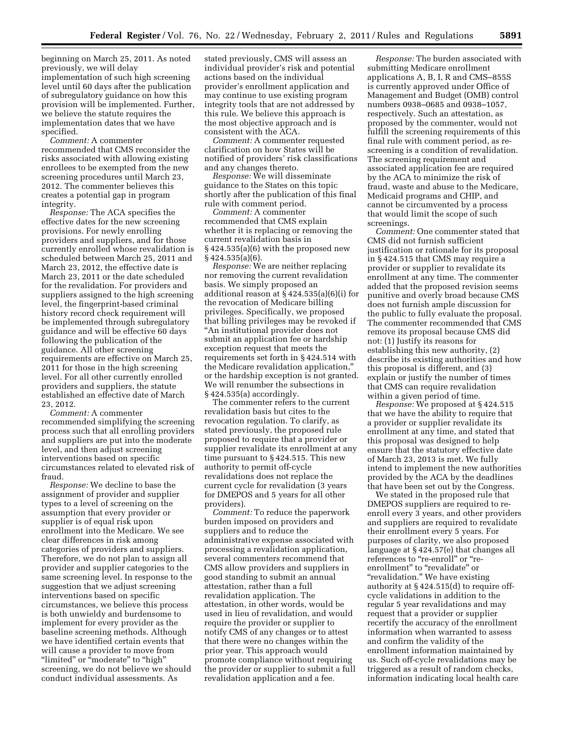beginning on March 25, 2011. As noted previously, we will delay implementation of such high screening level until 60 days after the publication of subregulatory guidance on how this provision will be implemented. Further, we believe the statute requires the implementation dates that we have specified.

*Comment:* A commenter recommended that CMS reconsider the risks associated with allowing existing enrollees to be exempted from the new screening procedures until March 23, 2012. The commenter believes this creates a potential gap in program integrity.

*Response:* The ACA specifies the effective dates for the new screening provisions. For newly enrolling providers and suppliers, and for those currently enrolled whose revalidation is scheduled between March 25, 2011 and March 23, 2012, the effective date is March 23, 2011 or the date scheduled for the revalidation. For providers and suppliers assigned to the high screening level, the fingerprint-based criminal history record check requirement will be implemented through subregulatory guidance and will be effective 60 days following the publication of the guidance. All other screening requirements are effective on March 25, 2011 for those in the high screening level. For all other currently enrolled providers and suppliers, the statute established an effective date of March 23, 2012.

*Comment:* A commenter recommended simplifying the screening process such that all enrolling providers and suppliers are put into the moderate level, and then adjust screening interventions based on specific circumstances related to elevated risk of fraud.

*Response:* We decline to base the assignment of provider and supplier types to a level of screening on the assumption that every provider or supplier is of equal risk upon enrollment into the Medicare. We see clear differences in risk among categories of providers and suppliers. Therefore, we do not plan to assign all provider and supplier categories to the same screening level. In response to the suggestion that we adjust screening interventions based on specific circumstances, we believe this process is both unwieldy and burdensome to implement for every provider as the baseline screening methods. Although we have identified certain events that will cause a provider to move from "limited" or "moderate" to "high" screening, we do not believe we should conduct individual assessments. As

stated previously, CMS will assess an individual provider's risk and potential actions based on the individual provider's enrollment application and may continue to use existing program integrity tools that are not addressed by this rule. We believe this approach is the most objective approach and is consistent with the ACA.

*Comment:* A commenter requested clarification on how States will be notified of providers' risk classifications and any changes thereto.

*Response:* We will disseminate guidance to the States on this topic shortly after the publication of this final rule with comment period.

*Comment:* A commenter recommended that CMS explain whether it is replacing or removing the current revalidation basis in § 424.535(a)(6) with the proposed new § 424.535(a)(6).

*Response:* We are neither replacing nor removing the current revalidation basis. We simply proposed an additional reason at § 424.535(a)(6)(i) for the revocation of Medicare billing privileges. Specifically, we proposed that billing privileges may be revoked if ''An institutional provider does not submit an application fee or hardship exception request that meets the requirements set forth in § 424.514 with the Medicare revalidation application,'' or the hardship exception is not granted. We will renumber the subsections in § 424.535(a) accordingly.

The commenter refers to the current revalidation basis but cites to the revocation regulation. To clarify, as stated previously, the proposed rule proposed to require that a provider or supplier revalidate its enrollment at any time pursuant to § 424.515. This new authority to permit off-cycle revalidations does not replace the current cycle for revalidation (3 years for DMEPOS and 5 years for all other providers).

*Comment:* To reduce the paperwork burden imposed on providers and suppliers and to reduce the administrative expense associated with processing a revalidation application, several commenters recommend that CMS allow providers and suppliers in good standing to submit an annual attestation, rather than a full revalidation application. The attestation, in other words, would be used in lieu of revalidation, and would require the provider or supplier to notify CMS of any changes or to attest that there were no changes within the prior year. This approach would promote compliance without requiring the provider or supplier to submit a full revalidation application and a fee.

*Response:* The burden associated with submitting Medicare enrollment applications A, B, I, R and CMS–855S is currently approved under Office of Management and Budget (OMB) control numbers 0938–0685 and 0938–1057, respectively. Such an attestation, as proposed by the commenter, would not fulfill the screening requirements of this final rule with comment period, as rescreening is a condition of revalidation. The screening requirement and associated application fee are required by the ACA to minimize the risk of fraud, waste and abuse to the Medicare, Medicaid programs and CHIP, and cannot be circumvented by a process that would limit the scope of such screenings.

*Comment:* One commenter stated that CMS did not furnish sufficient justification or rationale for its proposal in § 424.515 that CMS may require a provider or supplier to revalidate its enrollment at any time. The commenter added that the proposed revision seems punitive and overly broad because CMS does not furnish ample discussion for the public to fully evaluate the proposal. The commenter recommended that CMS remove its proposal because CMS did not: (1) Justify its reasons for establishing this new authority, (2) describe its existing authorities and how this proposal is different, and (3) explain or justify the number of times that CMS can require revalidation within a given period of time.

*Response:* We proposed at § 424.515 that we have the ability to require that a provider or supplier revalidate its enrollment at any time, and stated that this proposal was designed to help ensure that the statutory effective date of March 23, 2013 is met. We fully intend to implement the new authorities provided by the ACA by the deadlines that have been set out by the Congress.

We stated in the proposed rule that DMEPOS suppliers are required to reenroll every 3 years, and other providers and suppliers are required to revalidate their enrollment every 5 years. For purposes of clarity, we also proposed language at § 424.57(e) that changes all references to "re-enroll" or "reenrollment" to "revalidate" or ''revalidation.'' We have existing authority at § 424.515(d) to require offcycle validations in addition to the regular 5 year revalidations and may request that a provider or supplier recertify the accuracy of the enrollment information when warranted to assess and confirm the validity of the enrollment information maintained by us. Such off-cycle revalidations may be triggered as a result of random checks, information indicating local health care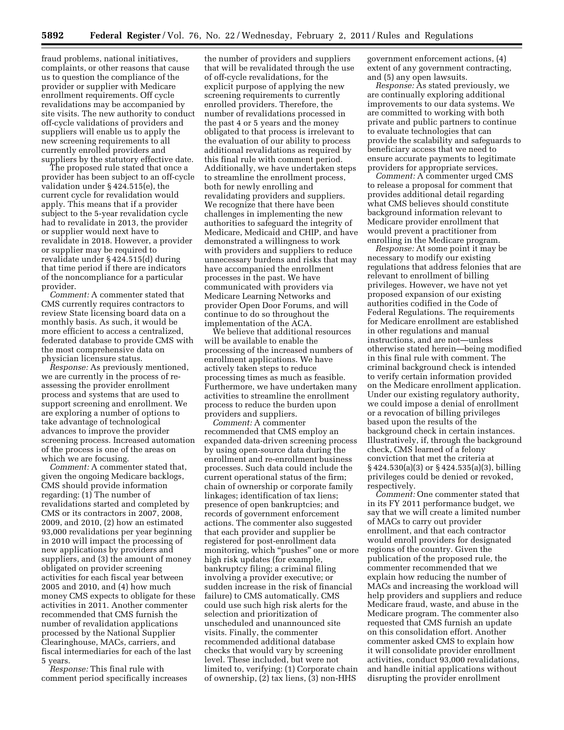fraud problems, national initiatives, complaints, or other reasons that cause us to question the compliance of the provider or supplier with Medicare enrollment requirements. Off cycle revalidations may be accompanied by site visits. The new authority to conduct off-cycle validations of providers and suppliers will enable us to apply the new screening requirements to all currently enrolled providers and suppliers by the statutory effective date.

The proposed rule stated that once a provider has been subject to an off-cycle validation under § 424.515(e), the current cycle for revalidation would apply. This means that if a provider subject to the 5-year revalidation cycle had to revalidate in 2013, the provider or supplier would next have to revalidate in 2018. However, a provider or supplier may be required to revalidate under § 424.515(d) during that time period if there are indicators of the noncompliance for a particular provider.

*Comment:* A commenter stated that CMS currently requires contractors to review State licensing board data on a monthly basis. As such, it would be more efficient to access a centralized, federated database to provide CMS with the most comprehensive data on physician licensure status.

*Response:* As previously mentioned, we are currently in the process of reassessing the provider enrollment process and systems that are used to support screening and enrollment. We are exploring a number of options to take advantage of technological advances to improve the provider screening process. Increased automation of the process is one of the areas on which we are focusing.

*Comment:* A commenter stated that, given the ongoing Medicare backlogs, CMS should provide information regarding: (1) The number of revalidations started and completed by CMS or its contractors in 2007, 2008, 2009, and 2010, (2) how an estimated 93,000 revalidations per year beginning in 2010 will impact the processing of new applications by providers and suppliers, and (3) the amount of money obligated on provider screening activities for each fiscal year between 2005 and 2010, and (4) how much money CMS expects to obligate for these activities in 2011. Another commenter recommended that CMS furnish the number of revalidation applications processed by the National Supplier Clearinghouse, MACs, carriers, and fiscal intermediaries for each of the last 5 years.

*Response:* This final rule with comment period specifically increases

the number of providers and suppliers that will be revalidated through the use of off-cycle revalidations, for the explicit purpose of applying the new screening requirements to currently enrolled providers. Therefore, the number of revalidations processed in the past 4 or 5 years and the money obligated to that process is irrelevant to the evaluation of our ability to process additional revalidations as required by this final rule with comment period. Additionally, we have undertaken steps to streamline the enrollment process, both for newly enrolling and revalidating providers and suppliers. We recognize that there have been challenges in implementing the new authorities to safeguard the integrity of Medicare, Medicaid and CHIP, and have demonstrated a willingness to work with providers and suppliers to reduce unnecessary burdens and risks that may have accompanied the enrollment processes in the past. We have communicated with providers via Medicare Learning Networks and provider Open Door Forums, and will continue to do so throughout the implementation of the ACA.

We believe that additional resources will be available to enable the processing of the increased numbers of enrollment applications. We have actively taken steps to reduce processing times as much as feasible. Furthermore, we have undertaken many activities to streamline the enrollment process to reduce the burden upon providers and suppliers.

*Comment:* A commenter recommended that CMS employ an expanded data-driven screening process by using open-source data during the enrollment and re-enrollment business processes. Such data could include the current operational status of the firm; chain of ownership or corporate family linkages; identification of tax liens; presence of open bankruptcies; and records of government enforcement actions. The commenter also suggested that each provider and supplier be registered for post-enrollment data monitoring, which "pushes" one or more high risk updates (for example, bankruptcy filing; a criminal filing involving a provider executive; or sudden increase in the risk of financial failure) to CMS automatically. CMS could use such high risk alerts for the selection and prioritization of unscheduled and unannounced site visits. Finally, the commenter recommended additional database checks that would vary by screening level. These included, but were not limited to, verifying: (1) Corporate chain of ownership, (2) tax liens, (3) non-HHS

government enforcement actions, (4) extent of any government contracting, and (5) any open lawsuits.

*Response:* As stated previously, we are continually exploring additional improvements to our data systems. We are committed to working with both private and public partners to continue to evaluate technologies that can provide the scalability and safeguards to beneficiary access that we need to ensure accurate payments to legitimate providers for appropriate services.

*Comment:* A commenter urged CMS to release a proposal for comment that provides additional detail regarding what CMS believes should constitute background information relevant to Medicare provider enrollment that would prevent a practitioner from enrolling in the Medicare program.

*Response:* At some point it may be necessary to modify our existing regulations that address felonies that are relevant to enrollment of billing privileges. However, we have not yet proposed expansion of our existing authorities codified in the Code of Federal Regulations. The requirements for Medicare enrollment are established in other regulations and manual instructions, and are not—unless otherwise stated herein—being modified in this final rule with comment. The criminal background check is intended to verify certain information provided on the Medicare enrollment application. Under our existing regulatory authority, we could impose a denial of enrollment or a revocation of billing privileges based upon the results of the background check in certain instances. Illustratively, if, through the background check, CMS learned of a felony conviction that met the criteria at § 424.530(a)(3) or § 424.535(a)(3), billing privileges could be denied or revoked, respectively.

*Comment:* One commenter stated that in its FY 2011 performance budget, we say that we will create a limited number of MACs to carry out provider enrollment, and that each contractor would enroll providers for designated regions of the country. Given the publication of the proposed rule, the commenter recommended that we explain how reducing the number of MACs and increasing the workload will help providers and suppliers and reduce Medicare fraud, waste, and abuse in the Medicare program. The commenter also requested that CMS furnish an update on this consolidation effort. Another commenter asked CMS to explain how it will consolidate provider enrollment activities, conduct 93,000 revalidations, and handle initial applications without disrupting the provider enrollment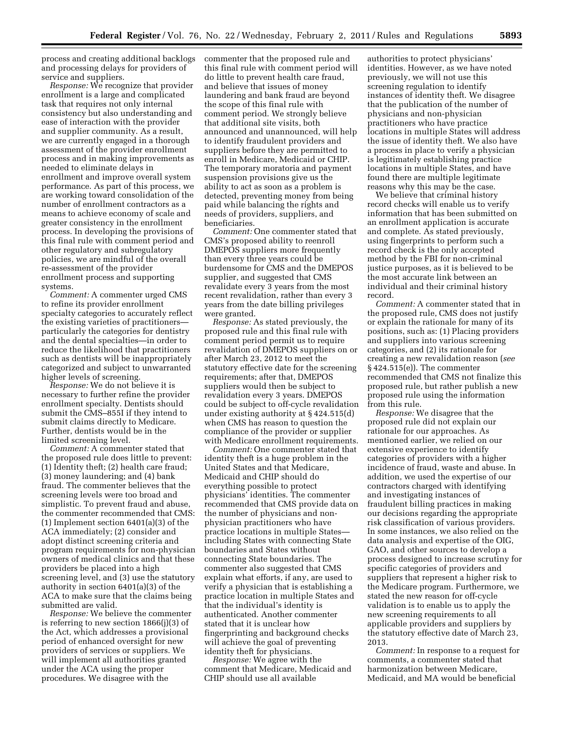process and creating additional backlogs and processing delays for providers of service and suppliers.

*Response:* We recognize that provider enrollment is a large and complicated task that requires not only internal consistency but also understanding and ease of interaction with the provider and supplier community. As a result, we are currently engaged in a thorough assessment of the provider enrollment process and in making improvements as needed to eliminate delays in enrollment and improve overall system performance. As part of this process, we are working toward consolidation of the number of enrollment contractors as a means to achieve economy of scale and greater consistency in the enrollment process. In developing the provisions of this final rule with comment period and other regulatory and subregulatory policies, we are mindful of the overall re-assessment of the provider enrollment process and supporting systems.

*Comment:* A commenter urged CMS to refine its provider enrollment specialty categories to accurately reflect the existing varieties of practitioners particularly the categories for dentistry and the dental specialties—in order to reduce the likelihood that practitioners such as dentists will be inappropriately categorized and subject to unwarranted higher levels of screening.

*Response:* We do not believe it is necessary to further refine the provider enrollment specialty. Dentists should submit the CMS–855I if they intend to submit claims directly to Medicare. Further, dentists would be in the limited screening level.

*Comment:* A commenter stated that the proposed rule does little to prevent: (1) Identity theft; (2) health care fraud; (3) money laundering; and (4) bank fraud. The commenter believes that the screening levels were too broad and simplistic. To prevent fraud and abuse, the commenter recommended that CMS: (1) Implement section 6401(a)(3) of the ACA immediately; (2) consider and adopt distinct screening criteria and program requirements for non-physician owners of medical clinics and that these providers be placed into a high screening level, and (3) use the statutory authority in section 6401(a)(3) of the ACA to make sure that the claims being submitted are valid.

*Response:* We believe the commenter is referring to new section 1866(j)(3) of the Act, which addresses a provisional period of enhanced oversight for new providers of services or suppliers. We will implement all authorities granted under the ACA using the proper procedures. We disagree with the

commenter that the proposed rule and this final rule with comment period will do little to prevent health care fraud, and believe that issues of money laundering and bank fraud are beyond the scope of this final rule with comment period. We strongly believe that additional site visits, both announced and unannounced, will help to identify fraudulent providers and suppliers before they are permitted to enroll in Medicare, Medicaid or CHIP. The temporary moratoria and payment suspension provisions give us the ability to act as soon as a problem is detected, preventing money from being paid while balancing the rights and needs of providers, suppliers, and beneficiaries.

*Comment:* One commenter stated that CMS's proposed ability to reenroll DMEPOS suppliers more frequently than every three years could be burdensome for CMS and the DMEPOS supplier, and suggested that CMS revalidate every 3 years from the most recent revalidation, rather than every 3 years from the date billing privileges were granted.

*Response:* As stated previously, the proposed rule and this final rule with comment period permit us to require revalidation of DMEPOS suppliers on or after March 23, 2012 to meet the statutory effective date for the screening requirements; after that, DMEPOS suppliers would then be subject to revalidation every 3 years. DMEPOS could be subject to off-cycle revalidation under existing authority at § 424.515(d) when CMS has reason to question the compliance of the provider or supplier with Medicare enrollment requirements.

*Comment:* One commenter stated that identity theft is a huge problem in the United States and that Medicare, Medicaid and CHIP should do everything possible to protect physicians' identities. The commenter recommended that CMS provide data on the number of physicians and nonphysician practitioners who have practice locations in multiple States including States with connecting State boundaries and States without connecting State boundaries. The commenter also suggested that CMS explain what efforts, if any, are used to verify a physician that is establishing a practice location in multiple States and that the individual's identity is authenticated. Another commenter stated that it is unclear how fingerprinting and background checks will achieve the goal of preventing identity theft for physicians.

*Response:* We agree with the comment that Medicare, Medicaid and CHIP should use all available

authorities to protect physicians' identities. However, as we have noted previously, we will not use this screening regulation to identify instances of identity theft. We disagree that the publication of the number of physicians and non-physician practitioners who have practice locations in multiple States will address the issue of identity theft. We also have a process in place to verify a physician is legitimately establishing practice locations in multiple States, and have found there are multiple legitimate reasons why this may be the case.

We believe that criminal history record checks will enable us to verify information that has been submitted on an enrollment application is accurate and complete. As stated previously, using fingerprints to perform such a record check is the only accepted method by the FBI for non-criminal justice purposes, as it is believed to be the most accurate link between an individual and their criminal history record.

*Comment:* A commenter stated that in the proposed rule, CMS does not justify or explain the rationale for many of its positions, such as: (1) Placing providers and suppliers into various screening categories, and (2) its rationale for creating a new revalidation reason (*see*  § 424.515(e)). The commenter recommended that CMS not finalize this proposed rule, but rather publish a new proposed rule using the information from this rule.

*Response:* We disagree that the proposed rule did not explain our rationale for our approaches. As mentioned earlier, we relied on our extensive experience to identify categories of providers with a higher incidence of fraud, waste and abuse. In addition, we used the expertise of our contractors charged with identifying and investigating instances of fraudulent billing practices in making our decisions regarding the appropriate risk classification of various providers. In some instances, we also relied on the data analysis and expertise of the OIG, GAO, and other sources to develop a process designed to increase scrutiny for specific categories of providers and suppliers that represent a higher risk to the Medicare program. Furthermore, we stated the new reason for off-cycle validation is to enable us to apply the new screening requirements to all applicable providers and suppliers by the statutory effective date of March 23, 2013.

*Comment:* In response to a request for comments, a commenter stated that harmonization between Medicare, Medicaid, and MA would be beneficial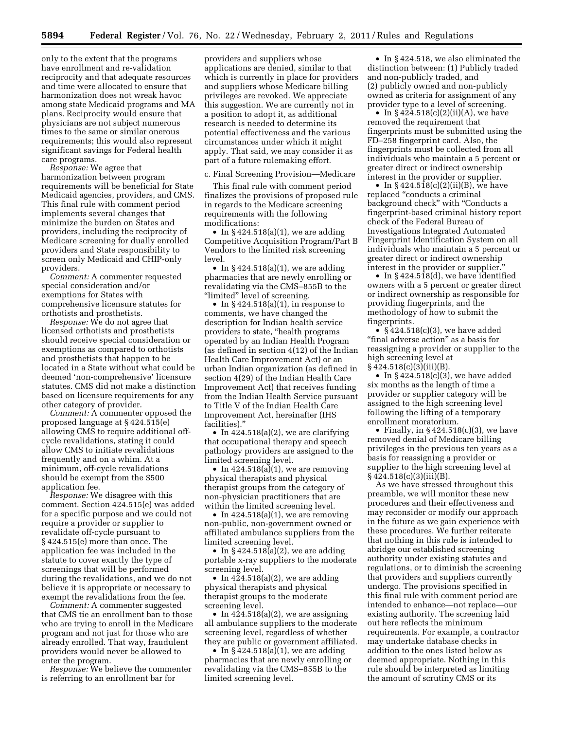only to the extent that the programs have enrollment and re-validation reciprocity and that adequate resources and time were allocated to ensure that harmonization does not wreak havoc among state Medicaid programs and MA plans. Reciprocity would ensure that physicians are not subject numerous times to the same or similar onerous requirements; this would also represent significant savings for Federal health care programs.

*Response:* We agree that harmonization between program requirements will be beneficial for State Medicaid agencies, providers, and CMS. This final rule with comment period implements several changes that minimize the burden on States and providers, including the reciprocity of Medicare screening for dually enrolled providers and State responsibility to screen only Medicaid and CHIP-only providers.

*Comment:* A commenter requested special consideration and/or exemptions for States with comprehensive licensure statutes for orthotists and prosthetists.

*Response:* We do not agree that licensed orthotists and prosthetists should receive special consideration or exemptions as compared to orthotists and prosthetists that happen to be located in a State without what could be deemed 'non-comprehensive' licensure statutes. CMS did not make a distinction based on licensure requirements for any other category of provider.

*Comment:* A commenter opposed the proposed language at § 424.515(e) allowing CMS to require additional offcycle revalidations, stating it could allow CMS to initiate revalidations frequently and on a whim. At a minimum, off-cycle revalidations should be exempt from the \$500 application fee.

*Response:* We disagree with this comment. Section 424.515(e) was added for a specific purpose and we could not require a provider or supplier to revalidate off-cycle pursuant to § 424.515(e) more than once. The application fee was included in the statute to cover exactly the type of screenings that will be performed during the revalidations, and we do not believe it is appropriate or necessary to exempt the revalidations from the fee.

*Comment:* A commenter suggested that CMS tie an enrollment ban to those who are trying to enroll in the Medicare program and not just for those who are already enrolled. That way, fraudulent providers would never be allowed to enter the program.

*Response:* We believe the commenter is referring to an enrollment bar for

providers and suppliers whose applications are denied, similar to that which is currently in place for providers and suppliers whose Medicare billing privileges are revoked. We appreciate this suggestion. We are currently not in a position to adopt it, as additional research is needed to determine its potential effectiveness and the various circumstances under which it might apply. That said, we may consider it as part of a future rulemaking effort.

c. Final Screening Provision—Medicare

This final rule with comment period finalizes the provisions of proposed rule in regards to the Medicare screening requirements with the following modifications:

• In  $§$ 424.518(a)(1), we are adding Competitive Acquisition Program/Part B Vendors to the limited risk screening level.

• In  $\S$  424.518(a)(1), we are adding pharmacies that are newly enrolling or revalidating via the CMS–855B to the "limited" level of screening.

• In § 424.518(a)(1), in response to comments, we have changed the description for Indian health service providers to state, ''health programs operated by an Indian Health Program (as defined in section 4(12) of the Indian Health Care Improvement Act) or an urban Indian organization (as defined in section 4(29) of the Indian Health Care Improvement Act) that receives funding from the Indian Health Service pursuant to Title V of the Indian Health Care Improvement Act, hereinafter (IHS facilities).''

• In 424.518(a)(2), we are clarifying that occupational therapy and speech pathology providers are assigned to the limited screening level.

• In  $424.518(a)(1)$ , we are removing physical therapists and physical therapist groups from the category of non-physician practitioners that are within the limited screening level.

• In  $424.518(a)(1)$ , we are removing non-public, non-government owned or affiliated ambulance suppliers from the limited screening level.

• In  $\S 424.518(a)(2)$ , we are adding portable x-ray suppliers to the moderate screening level.

• In  $424.518(a)(2)$ , we are adding physical therapists and physical therapist groups to the moderate screening level.

• In  $424.518(a)(2)$ , we are assigning all ambulance suppliers to the moderate screening level, regardless of whether they are public or government affiliated.

• In § 424.518(a)(1), we are adding pharmacies that are newly enrolling or revalidating via the CMS–855B to the limited screening level.

• In §424.518, we also eliminated the distinction between: (1) Publicly traded and non-publicly traded, and (2) publicly owned and non-publicly owned as criteria for assignment of any provider type to a level of screening.

• In  $§ 424.518(c)(2)(ii)(A)$ , we have removed the requirement that fingerprints must be submitted using the FD–258 fingerprint card. Also, the fingerprints must be collected from all individuals who maintain a 5 percent or greater direct or indirect ownership interest in the provider or supplier.

• In  $§ 424.518(c)(2)(ii)(B)$ , we have replaced ''conducts a criminal background check" with "Conducts a fingerprint-based criminal history report check of the Federal Bureau of Investigations Integrated Automated Fingerprint Identification System on all individuals who maintain a 5 percent or greater direct or indirect ownership interest in the provider or supplier.

• In §424.518(d), we have identified owners with a 5 percent or greater direct or indirect ownership as responsible for providing fingerprints, and the methodology of how to submit the fingerprints.

•  $§$ 424.518(c)(3), we have added "final adverse action" as a basis for reassigning a provider or supplier to the high screening level at § 424.518(c)(3)(iii)(B).

• In  $\S 424.518(c)(3)$ , we have added six months as the length of time a provider or supplier category will be assigned to the high screening level following the lifting of a temporary enrollment moratorium.

• Finally, in  $§$  424.518(c)(3), we have removed denial of Medicare billing privileges in the previous ten years as a basis for reassigning a provider or supplier to the high screening level at  $§ 424.518(c)(3)(iii)(B).$ 

As we have stressed throughout this preamble, we will monitor these new procedures and their effectiveness and may reconsider or modify our approach in the future as we gain experience with these procedures. We further reiterate that nothing in this rule is intended to abridge our established screening authority under existing statutes and regulations, or to diminish the screening that providers and suppliers currently undergo. The provisions specified in this final rule with comment period are intended to enhance—not replace—our existing authority. The screening laid out here reflects the minimum requirements. For example, a contractor may undertake database checks in addition to the ones listed below as deemed appropriate. Nothing in this rule should be interpreted as limiting the amount of scrutiny CMS or its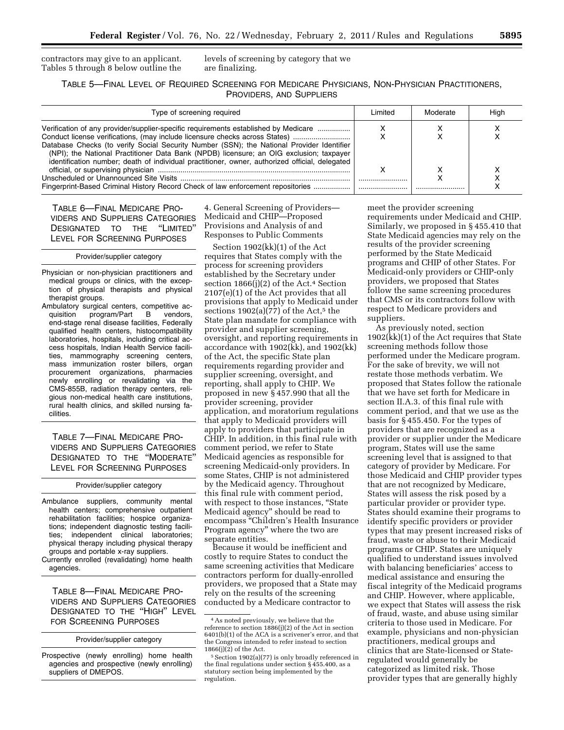contractors may give to an applicant. Tables 5 through 8 below outline the levels of screening by category that we are finalizing.

TABLE 5—FINAL LEVEL OF REQUIRED SCREENING FOR MEDICARE PHYSICIANS, NON-PHYSICIAN PRACTITIONERS, PROVIDERS, AND SUPPLIERS

| Type of screening required                                                                                                                                                                                                                                                                                                                                                                                                                                   | ∟imited | Moderate | Hiah |
|--------------------------------------------------------------------------------------------------------------------------------------------------------------------------------------------------------------------------------------------------------------------------------------------------------------------------------------------------------------------------------------------------------------------------------------------------------------|---------|----------|------|
| Verification of any provider/supplier-specific requirements established by Medicare<br>Conduct license verifications, (may include licensure checks across States)<br>Database Checks (to verify Social Security Number (SSN); the National Provider Identifier<br>(NPI); the National Practitioner Data Bank (NPDB) licensure; an OIG exclusion; taxpayer<br>identification number; death of individual practitioner, owner, authorized official, delegated |         |          |      |
|                                                                                                                                                                                                                                                                                                                                                                                                                                                              |         |          |      |
| Fingerprint-Based Criminal History Record Check of law enforcement repositories                                                                                                                                                                                                                                                                                                                                                                              |         |          |      |

TABLE 6—FINAL MEDICARE PRO-VIDERS AND SUPPLIERS CATEGORIES DESIGNATED TO THE ''LIMITED'' LEVEL FOR SCREENING PURPOSES

#### Provider/supplier category

Physician or non-physician practitioners and medical groups or clinics, with the exception of physical therapists and physical therapist groups.

Ambulatory surgical centers, competitive acquisition program/Part B vendors, end-stage renal disease facilities, Federally qualified health centers, histocompatibility laboratories, hospitals, including critical access hospitals, Indian Health Service facilities, mammography screening centers, mass immunization roster billers, organ procurement organizations, pharmacies newly enrolling or revalidating via the CMS-855B, radiation therapy centers, religious non-medical health care institutions, rural health clinics, and skilled nursing facilities.

TABLE 7—FINAL MEDICARE PRO-VIDERS AND SUPPLIERS CATEGORIES DESIGNATED TO THE ''MODERATE'' LEVEL FOR SCREENING PURPOSES

#### Provider/supplier category

Ambulance suppliers, community mental health centers; comprehensive outpatient rehabilitation facilities; hospice organizations; independent diagnostic testing facilities; independent clinical laboratories; physical therapy including physical therapy groups and portable x-ray suppliers.

Currently enrolled (revalidating) home health agencies.

TABLE 8—FINAL MEDICARE PRO-VIDERS AND SUPPLIERS CATEGORIES DESIGNATED TO THE "HIGH" LEVEL FOR SCREENING PURPOSES

#### Provider/supplier category

4. General Screening of Providers— Medicaid and CHIP—Proposed Provisions and Analysis of and Responses to Public Comments

Section 1902(kk)(1) of the Act requires that States comply with the process for screening providers established by the Secretary under section  $1866(j)(2)$  of the Act.<sup>4</sup> Section 2107(e)(1) of the Act provides that all provisions that apply to Medicaid under sections  $1902(a)(77)$  of the Act,<sup>5</sup> the State plan mandate for compliance with provider and supplier screening, oversight, and reporting requirements in accordance with 1902(kk), and 1902(kk) of the Act, the specific State plan requirements regarding provider and supplier screening, oversight, and reporting, shall apply to CHIP. We proposed in new § 457.990 that all the provider screening, provider application, and moratorium regulations that apply to Medicaid providers will apply to providers that participate in CHIP. In addition, in this final rule with comment period, we refer to State Medicaid agencies as responsible for screening Medicaid-only providers. In some States, CHIP is not administered by the Medicaid agency. Throughout this final rule with comment period, with respect to those instances, "State Medicaid agency'' should be read to encompass ''Children's Health Insurance Program agency'' where the two are separate entities.

Because it would be inefficient and costly to require States to conduct the same screening activities that Medicare contractors perform for dually-enrolled providers, we proposed that a State may rely on the results of the screening conducted by a Medicare contractor to

meet the provider screening requirements under Medicaid and CHIP. Similarly, we proposed in § 455.410 that State Medicaid agencies may rely on the results of the provider screening performed by the State Medicaid programs and CHIP of other States. For Medicaid-only providers or CHIP-only providers, we proposed that States follow the same screening procedures that CMS or its contractors follow with respect to Medicare providers and suppliers.

As previously noted, section 1902(kk)(1) of the Act requires that State screening methods follow those performed under the Medicare program. For the sake of brevity, we will not restate those methods verbatim. We proposed that States follow the rationale that we have set forth for Medicare in section II.A.3. of this final rule with comment period, and that we use as the basis for § 455.450. For the types of providers that are recognized as a provider or supplier under the Medicare program, States will use the same screening level that is assigned to that category of provider by Medicare. For those Medicaid and CHIP provider types that are not recognized by Medicare, States will assess the risk posed by a particular provider or provider type. States should examine their programs to identify specific providers or provider types that may present increased risks of fraud, waste or abuse to their Medicaid programs or CHIP. States are uniquely qualified to understand issues involved with balancing beneficiaries' access to medical assistance and ensuring the fiscal integrity of the Medicaid programs and CHIP. However, where applicable, we expect that States will assess the risk of fraud, waste, and abuse using similar criteria to those used in Medicare. For example, physicians and non-physician practitioners, medical groups and clinics that are State-licensed or Stateregulated would generally be categorized as limited risk. Those provider types that are generally highly

Prospective (newly enrolling) home health agencies and prospective (newly enrolling) suppliers of DMEPOS.

<sup>4</sup>As noted previously, we believe that the reference to section 1886(j)(2) of the Act in section 6401(b)(1) of the ACA is a scrivener's error, and that the Congress intended to refer instead to section  $1866(j)(2)$  of the Act.

<sup>5</sup>Section 1902(a)(77) is only broadly referenced in the final regulations under section § 455.400, as a statutory section being implemented by the regulation.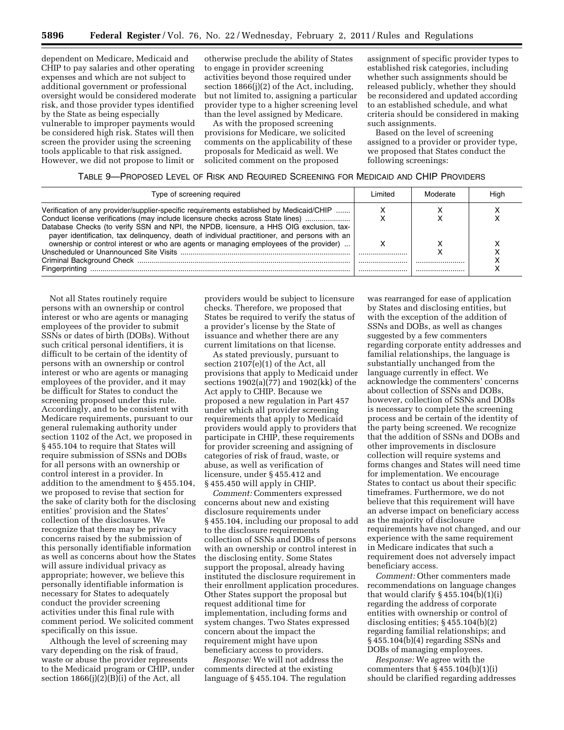dependent on Medicare, Medicaid and CHIP to pay salaries and other operating expenses and which are not subject to additional government or professional oversight would be considered moderate risk, and those provider types identified by the State as being especially vulnerable to improper payments would be considered high risk. States will then screen the provider using the screening tools applicable to that risk assigned. However, we did not propose to limit or

otherwise preclude the ability of States to engage in provider screening activities beyond those required under section 1866(j)(2) of the Act, including, but not limited to, assigning a particular provider type to a higher screening level than the level assigned by Medicare.

As with the proposed screening provisions for Medicare, we solicited comments on the applicability of these proposals for Medicaid as well. We solicited comment on the proposed

assignment of specific provider types to established risk categories, including whether such assignments should be released publicly, whether they should be reconsidered and updated according to an established schedule, and what criteria should be considered in making such assignments.

Based on the level of screening assigned to a provider or provider type, we proposed that States conduct the following screenings:

#### TABLE 9—PROPOSED LEVEL OF RISK AND REQUIRED SCREENING FOR MEDICAID AND CHIP PROVIDERS

| Type of screening required                                                                                                                                                                                                                                                                                                                                                                                                                                                        |      | Moderate | High |
|-----------------------------------------------------------------------------------------------------------------------------------------------------------------------------------------------------------------------------------------------------------------------------------------------------------------------------------------------------------------------------------------------------------------------------------------------------------------------------------|------|----------|------|
| Verification of any provider/supplier-specific requirements established by Medicaid/CHIP<br>Conduct license verifications (may include licensure checks across State lines)<br>Database Checks (to verify SSN and NPI, the NPDB, licensure, a HHS OIG exclusion, tax-<br>payer identification, tax delinguency, death of individual practitioner, and persons with an<br>ownership or control interest or who are agents or managing employees of the provider)<br>Fingerprinting | <br> |          |      |

Not all States routinely require persons with an ownership or control interest or who are agents or managing employees of the provider to submit SSNs or dates of birth (DOBs). Without such critical personal identifiers, it is difficult to be certain of the identity of persons with an ownership or control interest or who are agents or managing employees of the provider, and it may be difficult for States to conduct the screening proposed under this rule. Accordingly, and to be consistent with Medicare requirements, pursuant to our general rulemaking authority under section 1102 of the Act, we proposed in § 455.104 to require that States will require submission of SSNs and DOBs for all persons with an ownership or control interest in a provider. In addition to the amendment to § 455.104, we proposed to revise that section for the sake of clarity both for the disclosing entities' provision and the States' collection of the disclosures. We recognize that there may be privacy concerns raised by the submission of this personally identifiable information as well as concerns about how the States will assure individual privacy as appropriate; however, we believe this personally identifiable information is necessary for States to adequately conduct the provider screening activities under this final rule with comment period. We solicited comment specifically on this issue.

Although the level of screening may vary depending on the risk of fraud, waste or abuse the provider represents to the Medicaid program or CHIP, under section  $1866(j)(2)(B)(i)$  of the Act, all

providers would be subject to licensure checks. Therefore, we proposed that States be required to verify the status of a provider's license by the State of issuance and whether there are any current limitations on that license.

As stated previously, pursuant to section 2107(e)(1) of the Act, all provisions that apply to Medicaid under sections 1902(a)(77) and 1902(kk) of the Act apply to CHIP. Because we proposed a new regulation in Part 457 under which all provider screening requirements that apply to Medicaid providers would apply to providers that participate in CHIP, these requirements for provider screening and assigning of categories of risk of fraud, waste, or abuse, as well as verification of licensure, under § 455.412 and § 455.450 will apply in CHIP.

*Comment:* Commenters expressed concerns about new and existing disclosure requirements under § 455.104, including our proposal to add to the disclosure requirements collection of SSNs and DOBs of persons with an ownership or control interest in the disclosing entity. Some States support the proposal, already having instituted the disclosure requirement in their enrollment application procedures. Other States support the proposal but request additional time for implementation, including forms and system changes. Two States expressed concern about the impact the requirement might have upon beneficiary access to providers.

*Response:* We will not address the comments directed at the existing language of § 455.104. The regulation

was rearranged for ease of application by States and disclosing entities, but with the exception of the addition of SSNs and DOBs, as well as changes suggested by a few commenters regarding corporate entity addresses and familial relationships, the language is substantially unchanged from the language currently in effect. We acknowledge the commenters' concerns about collection of SSNs and DOBs, however, collection of SSNs and DOBs is necessary to complete the screening process and be certain of the identity of the party being screened. We recognize that the addition of SSNs and DOBs and other improvements in disclosure collection will require systems and forms changes and States will need time for implementation. We encourage States to contact us about their specific timeframes. Furthermore, we do not believe that this requirement will have an adverse impact on beneficiary access as the majority of disclosure requirements have not changed, and our experience with the same requirement in Medicare indicates that such a requirement does not adversely impact beneficiary access.

*Comment:* Other commenters made recommendations on language changes that would clarify  $\S 455.104(b)(1)(i)$ regarding the address of corporate entities with ownership or control of disclosing entities; § 455.104(b)(2) regarding familial relationships; and § 455.104(b)(4) regarding SSNs and DOBs of managing employees.

*Response:* We agree with the commenters that  $\S 455.104(b)(1)(i)$ should be clarified regarding addresses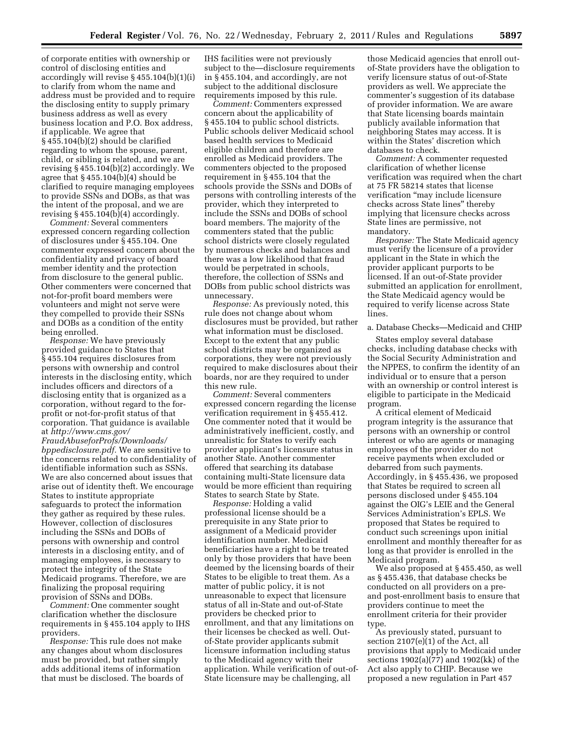of corporate entities with ownership or control of disclosing entities and accordingly will revise § 455.104(b)(1)(i) to clarify from whom the name and address must be provided and to require the disclosing entity to supply primary business address as well as every business location and P.O. Box address, if applicable. We agree that § 455.104(b)(2) should be clarified regarding to whom the spouse, parent, child, or sibling is related, and we are revising § 455.104(b)(2) accordingly. We agree that  $\S$  455.104(b)(4) should be clarified to require managing employees to provide SSNs and DOBs, as that was the intent of the proposal, and we are revising  $§$  455.10 $\overline{4(b)}$ (4) accordingly.

*Comment:* Several commenters expressed concern regarding collection of disclosures under § 455.104. One commenter expressed concern about the confidentiality and privacy of board member identity and the protection from disclosure to the general public. Other commenters were concerned that not-for-profit board members were volunteers and might not serve were they compelled to provide their SSNs and DOBs as a condition of the entity being enrolled.

*Response:* We have previously provided guidance to States that § 455.104 requires disclosures from persons with ownership and control interests in the disclosing entity, which includes officers and directors of a disclosing entity that is organized as a corporation, without regard to the forprofit or not-for-profit status of that corporation. That guidance is available at *[http://www.cms.gov/](http://www.cms.gov/FraudAbuseforProfs/Downloads/bppedisclosure.pdf) [FraudAbuseforProfs/Downloads/](http://www.cms.gov/FraudAbuseforProfs/Downloads/bppedisclosure.pdf) [bppedisclosure.pdf.](http://www.cms.gov/FraudAbuseforProfs/Downloads/bppedisclosure.pdf)* We are sensitive to the concerns related to confidentiality of identifiable information such as SSNs. We are also concerned about issues that arise out of identity theft. We encourage States to institute appropriate safeguards to protect the information they gather as required by these rules. However, collection of disclosures including the SSNs and DOBs of persons with ownership and control interests in a disclosing entity, and of managing employees, is necessary to protect the integrity of the State Medicaid programs. Therefore, we are finalizing the proposal requiring provision of SSNs and DOBs.

*Comment:* One commenter sought clarification whether the disclosure requirements in § 455.104 apply to IHS providers.

*Response:* This rule does not make any changes about whom disclosures must be provided, but rather simply adds additional items of information that must be disclosed. The boards of IHS facilities were not previously subject to the—disclosure requirements in § 455.104, and accordingly, are not subject to the additional disclosure requirements imposed by this rule.

*Comment:* Commenters expressed concern about the applicability of § 455.104 to public school districts. Public schools deliver Medicaid school based health services to Medicaid eligible children and therefore are enrolled as Medicaid providers. The commenters objected to the proposed requirement in § 455.104 that the schools provide the SSNs and DOBs of persons with controlling interests of the provider, which they interpreted to include the SSNs and DOBs of school board members. The majority of the commenters stated that the public school districts were closely regulated by numerous checks and balances and there was a low likelihood that fraud would be perpetrated in schools, therefore, the collection of SSNs and DOBs from public school districts was unnecessary.

*Response:* As previously noted, this rule does not change about whom disclosures must be provided, but rather what information must be disclosed. Except to the extent that any public school districts may be organized as corporations, they were not previously required to make disclosures about their boards, nor are they required to under this new rule.

*Comment:* Several commenters expressed concern regarding the license verification requirement in § 455.412. One commenter noted that it would be administratively inefficient, costly, and unrealistic for States to verify each provider applicant's licensure status in another State. Another commenter offered that searching its database containing multi-State licensure data would be more efficient than requiring States to search State by State.

*Response:* Holding a valid professional license should be a prerequisite in any State prior to assignment of a Medicaid provider identification number. Medicaid beneficiaries have a right to be treated only by those providers that have been deemed by the licensing boards of their States to be eligible to treat them. As a matter of public policy, it is not unreasonable to expect that licensure status of all in-State and out-of-State providers be checked prior to enrollment, and that any limitations on their licenses be checked as well. Outof-State provider applicants submit licensure information including status to the Medicaid agency with their application. While verification of out-of-State licensure may be challenging, all

those Medicaid agencies that enroll outof-State providers have the obligation to verify licensure status of out-of-State providers as well. We appreciate the commenter's suggestion of its database of provider information. We are aware that State licensing boards maintain publicly available information that neighboring States may access. It is within the States' discretion which databases to check.

*Comment:* A commenter requested clarification of whether license verification was required when the chart at 75 FR 58214 states that license verification ''may include licensure checks across State lines'' thereby implying that licensure checks across State lines are permissive, not mandatory.

*Response:* The State Medicaid agency must verify the licensure of a provider applicant in the State in which the provider applicant purports to be licensed. If an out-of-State provider submitted an application for enrollment, the State Medicaid agency would be required to verify license across State lines.

a. Database Checks—Medicaid and CHIP

States employ several database checks, including database checks with the Social Security Administration and the NPPES, to confirm the identity of an individual or to ensure that a person with an ownership or control interest is eligible to participate in the Medicaid program.

A critical element of Medicaid program integrity is the assurance that persons with an ownership or control interest or who are agents or managing employees of the provider do not receive payments when excluded or debarred from such payments. Accordingly, in § 455.436, we proposed that States be required to screen all persons disclosed under § 455.104 against the OIG's LEIE and the General Services Administration's EPLS. We proposed that States be required to conduct such screenings upon initial enrollment and monthly thereafter for as long as that provider is enrolled in the Medicaid program.

We also proposed at § 455.450, as well as § 455.436, that database checks be conducted on all providers on a preand post-enrollment basis to ensure that providers continue to meet the enrollment criteria for their provider type.

As previously stated, pursuant to section 2107(e)(1) of the Act, all provisions that apply to Medicaid under sections 1902(a)(77) and 1902(kk) of the Act also apply to CHIP. Because we proposed a new regulation in Part 457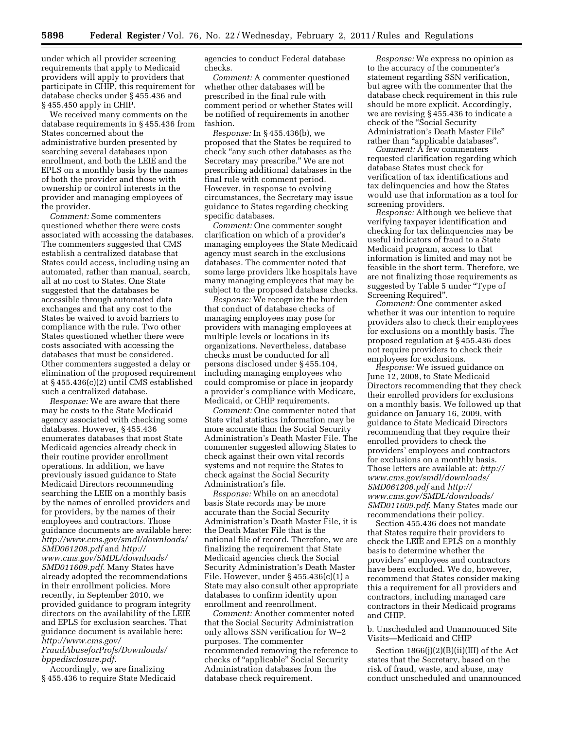under which all provider screening requirements that apply to Medicaid providers will apply to providers that participate in CHIP, this requirement for database checks under § 455.436 and § 455.450 apply in CHIP.

We received many comments on the database requirements in § 455.436 from States concerned about the administrative burden presented by searching several databases upon enrollment, and both the LEIE and the EPLS on a monthly basis by the names of both the provider and those with ownership or control interests in the provider and managing employees of the provider.

*Comment:* Some commenters questioned whether there were costs associated with accessing the databases. The commenters suggested that CMS establish a centralized database that States could access, including using an automated, rather than manual, search, all at no cost to States. One State suggested that the databases be accessible through automated data exchanges and that any cost to the States be waived to avoid barriers to compliance with the rule. Two other States questioned whether there were costs associated with accessing the databases that must be considered. Other commenters suggested a delay or elimination of the proposed requirement at § 455.436(c)(2) until CMS established such a centralized database.

*Response:* We are aware that there may be costs to the State Medicaid agency associated with checking some databases. However, § 455.436 enumerates databases that most State Medicaid agencies already check in their routine provider enrollment operations. In addition, we have previously issued guidance to State Medicaid Directors recommending searching the LEIE on a monthly basis by the names of enrolled providers and for providers, by the names of their employees and contractors. Those guidance documents are available here: *[http://www.cms.gov/smdl/downloads/](http://www.cms.gov/smdl/downloads/SMD061208.pdf)  [SMD061208.pdf](http://www.cms.gov/smdl/downloads/SMD061208.pdf)* and *[http://](http://www.cms.gov/SMDL/downloads/SMD011609.pdf) [www.cms.gov/SMDL/downloads/](http://www.cms.gov/SMDL/downloads/SMD011609.pdf)  [SMD011609.pdf.](http://www.cms.gov/SMDL/downloads/SMD011609.pdf)* Many States have already adopted the recommendations in their enrollment policies. More recently, in September 2010, we provided guidance to program integrity directors on the availability of the LEIE and EPLS for exclusion searches. That guidance document is available here: *[http://www.cms.gov/](http://www.cms.gov/FraudAbuseforProfs/Downloads/bppedisclosure.pdf) [FraudAbuseforProfs/Downloads/](http://www.cms.gov/FraudAbuseforProfs/Downloads/bppedisclosure.pdf)* 

*[bppedisclosure.pdf.](http://www.cms.gov/FraudAbuseforProfs/Downloads/bppedisclosure.pdf)* 

Accordingly, we are finalizing § 455.436 to require State Medicaid agencies to conduct Federal database checks.

*Comment:* A commenter questioned whether other databases will be prescribed in the final rule with comment period or whether States will be notified of requirements in another fashion.

*Response:* In § 455.436(b), we proposed that the States be required to check ''any such other databases as the Secretary may prescribe.'' We are not prescribing additional databases in the final rule with comment period. However, in response to evolving circumstances, the Secretary may issue guidance to States regarding checking specific databases.

*Comment:* One commenter sought clarification on which of a provider's managing employees the State Medicaid agency must search in the exclusions databases. The commenter noted that some large providers like hospitals have many managing employees that may be subject to the proposed database checks.

*Response:* We recognize the burden that conduct of database checks of managing employees may pose for providers with managing employees at multiple levels or locations in its organizations. Nevertheless, database checks must be conducted for all persons disclosed under § 455.104, including managing employees who could compromise or place in jeopardy a provider's compliance with Medicare, Medicaid, or CHIP requirements.

*Comment:* One commenter noted that State vital statistics information may be more accurate than the Social Security Administration's Death Master File. The commenter suggested allowing States to check against their own vital records systems and not require the States to check against the Social Security Administration's file.

*Response:* While on an anecdotal basis State records may be more accurate than the Social Security Administration's Death Master File, it is the Death Master File that is the national file of record. Therefore, we are finalizing the requirement that State Medicaid agencies check the Social Security Administration's Death Master File. However, under  $\S$  455.436(c)(1) a State may also consult other appropriate databases to confirm identity upon enrollment and reenrollment.

*Comment:* Another commenter noted that the Social Security Administration only allows SSN verification for W–2 purposes. The commenter recommended removing the reference to checks of ''applicable'' Social Security Administration databases from the database check requirement.

*Response:* We express no opinion as to the accuracy of the commenter's statement regarding SSN verification, but agree with the commenter that the database check requirement in this rule should be more explicit. Accordingly, we are revising § 455.436 to indicate a check of the ''Social Security Administration's Death Master File'' rather than ''applicable databases''.

*Comment:* A few commenters requested clarification regarding which database States must check for verification of tax identifications and tax delinquencies and how the States would use that information as a tool for screening providers.

*Response:* Although we believe that verifying taxpayer identification and checking for tax delinquencies may be useful indicators of fraud to a State Medicaid program, access to that information is limited and may not be feasible in the short term. Therefore, we are not finalizing those requirements as suggested by Table 5 under ''Type of Screening Required''.

*Comment:* One commenter asked whether it was our intention to require providers also to check their employees for exclusions on a monthly basis. The proposed regulation at § 455.436 does not require providers to check their employees for exclusions.

*Response:* We issued guidance on June 12, 2008, to State Medicaid Directors recommending that they check their enrolled providers for exclusions on a monthly basis. We followed up that guidance on January 16, 2009, with guidance to State Medicaid Directors recommending that they require their enrolled providers to check the providers' employees and contractors for exclusions on a monthly basis. Those letters are available at: *[http://](http://www.cms.gov/smdl/downloads/SMD061208.pdf)  [www.cms.gov/smdl/downloads/](http://www.cms.gov/smdl/downloads/SMD061208.pdf) [SMD061208.pdf](http://www.cms.gov/smdl/downloads/SMD061208.pdf)* and *[http://](http://www.cms.gov/SMDL/downloads/SMD011609.pdf) [www.cms.gov/SMDL/downloads/](http://www.cms.gov/SMDL/downloads/SMD011609.pdf)  [SMD011609.pdf](http://www.cms.gov/SMDL/downloads/SMD011609.pdf)*. Many States made our recommendations their policy.

Section 455.436 does not mandate that States require their providers to check the LEIE and EPLS on a monthly basis to determine whether the providers' employees and contractors have been excluded. We do, however, recommend that States consider making this a requirement for all providers and contractors, including managed care contractors in their Medicaid programs and CHIP.

b. Unscheduled and Unannounced Site Visits—Medicaid and CHIP

Section 1866(j)(2)(B)(ii)(III) of the Act states that the Secretary, based on the risk of fraud, waste, and abuse, may conduct unscheduled and unannounced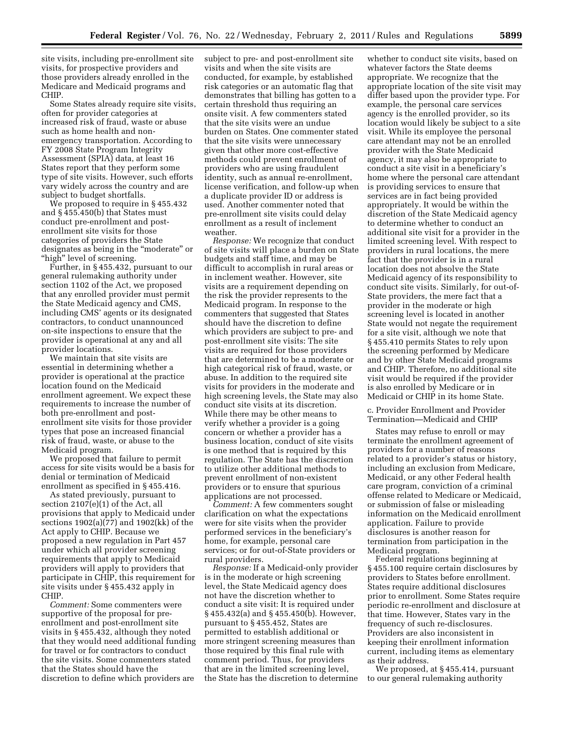site visits, including pre-enrollment site visits, for prospective providers and those providers already enrolled in the Medicare and Medicaid programs and CHIP.

Some States already require site visits, often for provider categories at increased risk of fraud, waste or abuse such as home health and nonemergency transportation. According to FY 2008 State Program Integrity Assessment (SPIA) data, at least 16 States report that they perform some type of site visits. However, such efforts vary widely across the country and are subject to budget shortfalls.

We proposed to require in § 455.432 and § 455.450(b) that States must conduct pre-enrollment and postenrollment site visits for those categories of providers the State designates as being in the ''moderate'' or "high" level of screening.

Further, in § 455.432, pursuant to our general rulemaking authority under section 1102 of the Act, we proposed that any enrolled provider must permit the State Medicaid agency and CMS, including CMS' agents or its designated contractors, to conduct unannounced on-site inspections to ensure that the provider is operational at any and all provider locations.

We maintain that site visits are essential in determining whether a provider is operational at the practice location found on the Medicaid enrollment agreement. We expect these requirements to increase the number of both pre-enrollment and postenrollment site visits for those provider types that pose an increased financial risk of fraud, waste, or abuse to the Medicaid program.

We proposed that failure to permit access for site visits would be a basis for denial or termination of Medicaid enrollment as specified in § 455.416.

As stated previously, pursuant to section 2107(e)(1) of the Act, all provisions that apply to Medicaid under sections 1902(a)(77) and 1902(kk) of the Act apply to CHIP. Because we proposed a new regulation in Part 457 under which all provider screening requirements that apply to Medicaid providers will apply to providers that participate in CHIP, this requirement for site visits under § 455.432 apply in CHIP.

*Comment:* Some commenters were supportive of the proposal for preenrollment and post-enrollment site visits in § 455.432, although they noted that they would need additional funding for travel or for contractors to conduct the site visits. Some commenters stated that the States should have the discretion to define which providers are

subject to pre- and post-enrollment site visits and when the site visits are conducted, for example, by established risk categories or an automatic flag that demonstrates that billing has gotten to a certain threshold thus requiring an onsite visit. A few commenters stated that the site visits were an undue burden on States. One commenter stated that the site visits were unnecessary given that other more cost-effective methods could prevent enrollment of providers who are using fraudulent identity, such as annual re-enrollment, license verification, and follow-up when a duplicate provider ID or address is used. Another commenter noted that pre-enrollment site visits could delay enrollment as a result of inclement weather.

*Response:* We recognize that conduct of site visits will place a burden on State budgets and staff time, and may be difficult to accomplish in rural areas or in inclement weather. However, site visits are a requirement depending on the risk the provider represents to the Medicaid program. In response to the commenters that suggested that States should have the discretion to define which providers are subject to pre- and post-enrollment site visits: The site visits are required for those providers that are determined to be a moderate or high categorical risk of fraud, waste, or abuse. In addition to the required site visits for providers in the moderate and high screening levels, the State may also conduct site visits at its discretion. While there may be other means to verify whether a provider is a going concern or whether a provider has a business location, conduct of site visits is one method that is required by this regulation. The State has the discretion to utilize other additional methods to prevent enrollment of non-existent providers or to ensure that spurious applications are not processed.

*Comment:* A few commenters sought clarification on what the expectations were for site visits when the provider performed services in the beneficiary's home, for example, personal care services; or for out-of-State providers or rural providers.

*Response:* If a Medicaid-only provider is in the moderate or high screening level, the State Medicaid agency does not have the discretion whether to conduct a site visit: It is required under § 455.432(a) and § 455.450(b). However, pursuant to § 455.452, States are permitted to establish additional or more stringent screening measures than those required by this final rule with comment period. Thus, for providers that are in the limited screening level, the State has the discretion to determine

whether to conduct site visits, based on whatever factors the State deems appropriate. We recognize that the appropriate location of the site visit may differ based upon the provider type. For example, the personal care services agency is the enrolled provider, so its location would likely be subject to a site visit. While its employee the personal care attendant may not be an enrolled provider with the State Medicaid agency, it may also be appropriate to conduct a site visit in a beneficiary's home where the personal care attendant is providing services to ensure that services are in fact being provided appropriately. It would be within the discretion of the State Medicaid agency to determine whether to conduct an additional site visit for a provider in the limited screening level. With respect to providers in rural locations, the mere fact that the provider is in a rural location does not absolve the State Medicaid agency of its responsibility to conduct site visits. Similarly, for out-of-State providers, the mere fact that a provider in the moderate or high screening level is located in another State would not negate the requirement for a site visit, although we note that § 455.410 permits States to rely upon the screening performed by Medicare and by other State Medicaid programs and CHIP. Therefore, no additional site visit would be required if the provider is also enrolled by Medicare or in Medicaid or CHIP in its home State.

c. Provider Enrollment and Provider Termination—Medicaid and CHIP

States may refuse to enroll or may terminate the enrollment agreement of providers for a number of reasons related to a provider's status or history, including an exclusion from Medicare, Medicaid, or any other Federal health care program, conviction of a criminal offense related to Medicare or Medicaid, or submission of false or misleading information on the Medicaid enrollment application. Failure to provide disclosures is another reason for termination from participation in the Medicaid program.

Federal regulations beginning at § 455.100 require certain disclosures by providers to States before enrollment. States require additional disclosures prior to enrollment. Some States require periodic re-enrollment and disclosure at that time. However, States vary in the frequency of such re-disclosures. Providers are also inconsistent in keeping their enrollment information current, including items as elementary as their address.

We proposed, at § 455.414, pursuant to our general rulemaking authority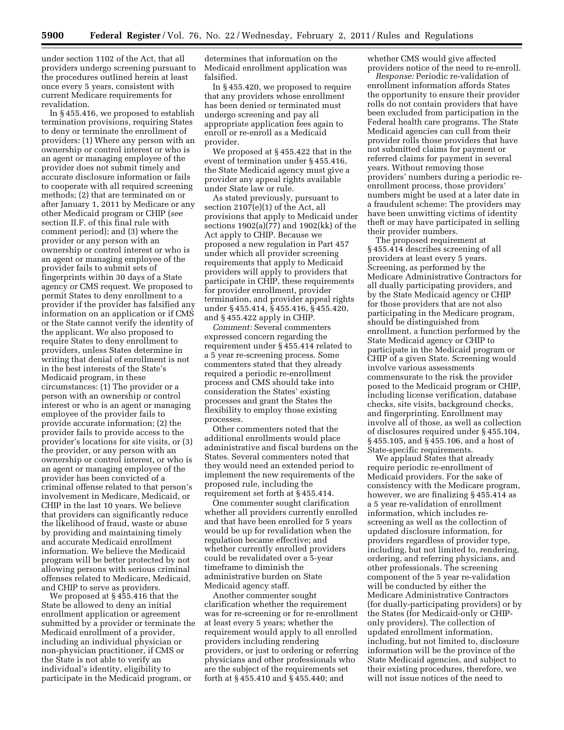under section 1102 of the Act, that all providers undergo screening pursuant to the procedures outlined herein at least once every 5 years, consistent with current Medicare requirements for revalidation.

In § 455.416, we proposed to establish termination provisions, requiring States to deny or terminate the enrollment of providers: (1) Where any person with an ownership or control interest or who is an agent or managing employee of the provider does not submit timely and accurate disclosure information or fails to cooperate with all required screening methods; (2) that are terminated on or after January 1, 2011 by Medicare or any other Medicaid program or CHIP (*see*  section II.F. of this final rule with comment period); and (3) where the provider or any person with an ownership or control interest or who is an agent or managing employee of the provider fails to submit sets of fingerprints within 30 days of a State agency or CMS request. We proposed to permit States to deny enrollment to a provider if the provider has falsified any information on an application or if CMS or the State cannot verify the identity of the applicant. We also proposed to require States to deny enrollment to providers, unless States determine in writing that denial of enrollment is not in the best interests of the State's Medicaid program, in these circumstances: (1) The provider or a person with an ownership or control interest or who is an agent or managing employee of the provider fails to provide accurate information; (2) the provider fails to provide access to the provider's locations for site visits, or (3) the provider, or any person with an ownership or control interest, or who is an agent or managing employee of the provider has been convicted of a criminal offense related to that person's involvement in Medicare, Medicaid, or CHIP in the last 10 years. We believe that providers can significantly reduce the likelihood of fraud, waste or abuse by providing and maintaining timely and accurate Medicaid enrollment information. We believe the Medicaid program will be better protected by not allowing persons with serious criminal offenses related to Medicare, Medicaid, and CHIP to serve as providers.

We proposed at § 455.416 that the State be allowed to deny an initial enrollment application or agreement submitted by a provider or terminate the Medicaid enrollment of a provider, including an individual physician or non-physician practitioner, if CMS or the State is not able to verify an individual's identity, eligibility to participate in the Medicaid program, or

determines that information on the Medicaid enrollment application was falsified.

In § 455.420, we proposed to require that any providers whose enrollment has been denied or terminated must undergo screening and pay all appropriate application fees again to enroll or re-enroll as a Medicaid provider.

We proposed at § 455.422 that in the event of termination under § 455.416, the State Medicaid agency must give a provider any appeal rights available under State law or rule.

As stated previously, pursuant to section 2107(e)(1) of the Act, all provisions that apply to Medicaid under sections 1902(a)(77) and 1902(kk) of the Act apply to CHIP. Because we proposed a new regulation in Part 457 under which all provider screening requirements that apply to Medicaid providers will apply to providers that participate in CHIP, these requirements for provider enrollment, provider termination, and provider appeal rights under § 455.414, § 455.416, § 455.420, and § 455.422 apply in CHIP.

*Comment:* Several commenters expressed concern regarding the requirement under § 455.414 related to a 5 year re-screening process. Some commenters stated that they already required a periodic re-enrollment process and CMS should take into consideration the States' existing processes and grant the States the flexibility to employ those existing processes.

Other commenters noted that the additional enrollments would place administrative and fiscal burdens on the States. Several commenters noted that they would need an extended period to implement the new requirements of the proposed rule, including the requirement set forth at § 455.414.

One commenter sought clarification whether all providers currently enrolled and that have been enrolled for 5 years would be up for revalidation when the regulation became effective; and whether currently enrolled providers could be revalidated over a 5-year timeframe to diminish the administrative burden on State Medicaid agency staff.

Another commenter sought clarification whether the requirement was for re-screening or for re-enrollment at least every 5 years; whether the requirement would apply to all enrolled providers including rendering providers, or just to ordering or referring physicians and other professionals who are the subject of the requirements set forth at § 455.410 and § 455.440; and

whether CMS would give affected providers notice of the need to re-enroll.

*Response:* Periodic re-validation of enrollment information affords States the opportunity to ensure their provider rolls do not contain providers that have been excluded from participation in the Federal health care programs. The State Medicaid agencies can cull from their provider rolls those providers that have not submitted claims for payment or referred claims for payment in several years. Without removing those providers' numbers during a periodic reenrollment process, those providers' numbers might be used at a later date in a fraudulent scheme: The providers may have been unwitting victims of identity theft or may have participated in selling their provider numbers.

The proposed requirement at § 455.414 describes screening of all providers at least every 5 years. Screening, as performed by the Medicare Administrative Contractors for all dually participating providers, and by the State Medicaid agency or CHIP for those providers that are not also participating in the Medicare program, should be distinguished from enrollment, a function performed by the State Medicaid agency or CHIP to participate in the Medicaid program or CHIP of a given State. Screening would involve various assessments commensurate to the risk the provider posed to the Medicaid program or CHIP, including license verification, database checks, site visits, background checks, and fingerprinting. Enrollment may involve all of those, as well as collection of disclosures required under § 455.104, § 455.105, and § 455.106, and a host of State-specific requirements.

We applaud States that already require periodic re-enrollment of Medicaid providers. For the sake of consistency with the Medicare program, however, we are finalizing § 455.414 as a 5 year re-validation of enrollment information, which includes rescreening as well as the collection of updated disclosure information, for providers regardless of provider type, including, but not limited to, rendering, ordering, and referring physicians, and other professionals. The screening component of the 5 year re-validation will be conducted by either the Medicare Administrative Contractors (for dually-participating providers) or by the States (for Medicaid-only or CHIPonly providers). The collection of updated enrollment information, including, but not limited to, disclosure information will be the province of the State Medicaid agencies, and subject to their existing procedures, therefore, we will not issue notices of the need to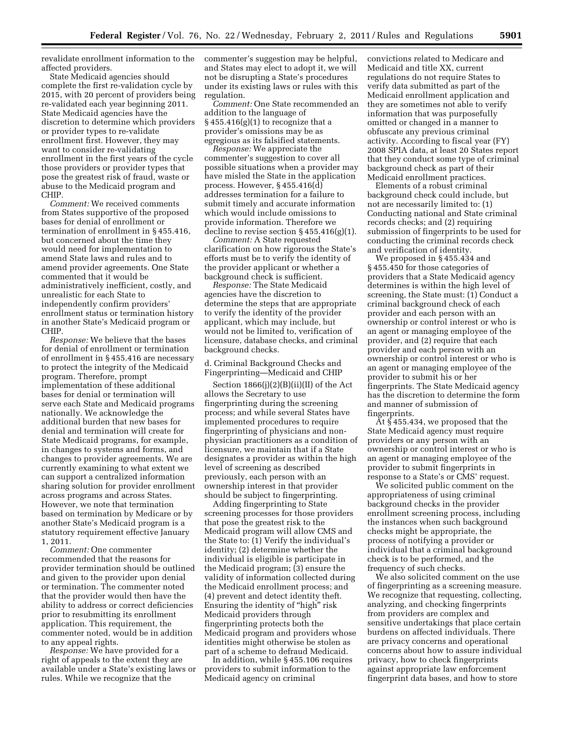revalidate enrollment information to the affected providers.

State Medicaid agencies should complete the first re-validation cycle by 2015, with 20 percent of providers being re-validated each year beginning 2011. State Medicaid agencies have the discretion to determine which providers or provider types to re-validate enrollment first. However, they may want to consider re-validating enrollment in the first years of the cycle those providers or provider types that pose the greatest risk of fraud, waste or abuse to the Medicaid program and CHIP.

*Comment:* We received comments from States supportive of the proposed bases for denial of enrollment or termination of enrollment in § 455.416, but concerned about the time they would need for implementation to amend State laws and rules and to amend provider agreements. One State commented that it would be administratively inefficient, costly, and unrealistic for each State to independently confirm providers' enrollment status or termination history in another State's Medicaid program or CHIP.

*Response:* We believe that the bases for denial of enrollment or termination of enrollment in § 455.416 are necessary to protect the integrity of the Medicaid program. Therefore, prompt implementation of these additional bases for denial or termination will serve each State and Medicaid programs nationally. We acknowledge the additional burden that new bases for denial and termination will create for State Medicaid programs, for example, in changes to systems and forms, and changes to provider agreements. We are currently examining to what extent we can support a centralized information sharing solution for provider enrollment across programs and across States. However, we note that termination based on termination by Medicare or by another State's Medicaid program is a statutory requirement effective January 1, 2011.

*Comment:* One commenter recommended that the reasons for provider termination should be outlined and given to the provider upon denial or termination. The commenter noted that the provider would then have the ability to address or correct deficiencies prior to resubmitting its enrollment application. This requirement, the commenter noted, would be in addition to any appeal rights.

*Response:* We have provided for a right of appeals to the extent they are available under a State's existing laws or rules. While we recognize that the

commenter's suggestion may be helpful, and States may elect to adopt it, we will not be disrupting a State's procedures under its existing laws or rules with this regulation.

*Comment:* One State recommended an addition to the language of § 455.416(g)(1) to recognize that a provider's omissions may be as egregious as its falsified statements.

*Response:* We appreciate the commenter's suggestion to cover all possible situations when a provider may have misled the State in the application process. However, § 455.416(d) addresses termination for a failure to submit timely and accurate information which would include omissions to provide information. Therefore we decline to revise section § 455.416(g)(1).

*Comment:* A State requested clarification on how rigorous the State's efforts must be to verify the identity of the provider applicant or whether a background check is sufficient.

*Response:* The State Medicaid agencies have the discretion to determine the steps that are appropriate to verify the identity of the provider applicant, which may include, but would not be limited to, verification of licensure, database checks, and criminal background checks.

d. Criminal Background Checks and Fingerprinting—Medicaid and CHIP

Section 1866(j)(2)(B)(ii)(II) of the Act allows the Secretary to use fingerprinting during the screening process; and while several States have implemented procedures to require fingerprinting of physicians and nonphysician practitioners as a condition of licensure, we maintain that if a State designates a provider as within the high level of screening as described previously, each person with an ownership interest in that provider should be subject to fingerprinting.

Adding fingerprinting to State screening processes for those providers that pose the greatest risk to the Medicaid program will allow CMS and the State to: (1) Verify the individual's identity; (2) determine whether the individual is eligible is participate in the Medicaid program; (3) ensure the validity of information collected during the Medicaid enrollment process; and (4) prevent and detect identity theft. Ensuring the identity of "high" risk Medicaid providers through fingerprinting protects both the Medicaid program and providers whose identities might otherwise be stolen as part of a scheme to defraud Medicaid.

In addition, while § 455.106 requires providers to submit information to the Medicaid agency on criminal

convictions related to Medicare and Medicaid and title XX, current regulations do not require States to verify data submitted as part of the Medicaid enrollment application and they are sometimes not able to verify information that was purposefully omitted or changed in a manner to obfuscate any previous criminal activity. According to fiscal year (FY) 2008 SPIA data, at least 20 States report that they conduct some type of criminal background check as part of their Medicaid enrollment practices.

Elements of a robust criminal background check could include, but not are necessarily limited to: (1) Conducting national and State criminal records checks; and (2) requiring submission of fingerprints to be used for conducting the criminal records check and verification of identity.

We proposed in § 455.434 and § 455.450 for those categories of providers that a State Medicaid agency determines is within the high level of screening, the State must: (1) Conduct a criminal background check of each provider and each person with an ownership or control interest or who is an agent or managing employee of the provider, and (2) require that each provider and each person with an ownership or control interest or who is an agent or managing employee of the provider to submit his or her fingerprints. The State Medicaid agency has the discretion to determine the form and manner of submission of fingerprints.

At § 455.434, we proposed that the State Medicaid agency must require providers or any person with an ownership or control interest or who is an agent or managing employee of the provider to submit fingerprints in response to a State's or CMS' request.

We solicited public comment on the appropriateness of using criminal background checks in the provider enrollment screening process, including the instances when such background checks might be appropriate, the process of notifying a provider or individual that a criminal background check is to be performed, and the frequency of such checks.

We also solicited comment on the use of fingerprinting as a screening measure. We recognize that requesting, collecting, analyzing, and checking fingerprints from providers are complex and sensitive undertakings that place certain burdens on affected individuals. There are privacy concerns and operational concerns about how to assure individual privacy, how to check fingerprints against appropriate law enforcement fingerprint data bases, and how to store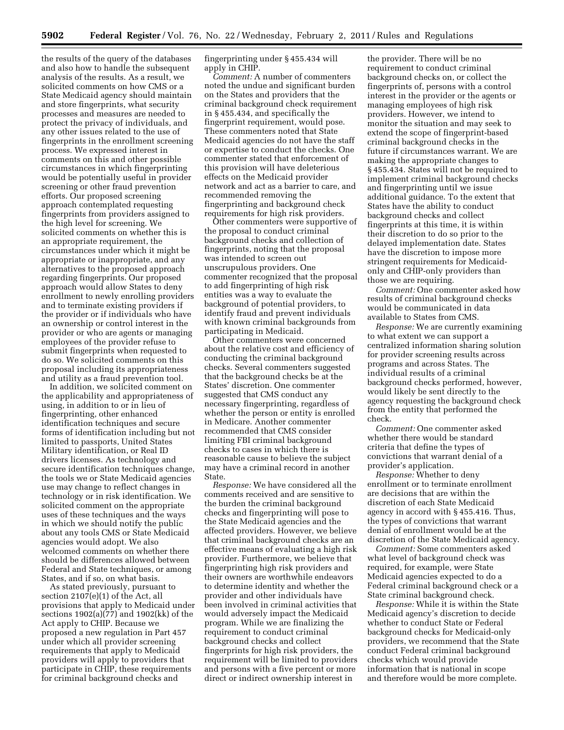the results of the query of the databases and also how to handle the subsequent analysis of the results. As a result, we solicited comments on how CMS or a State Medicaid agency should maintain and store fingerprints, what security processes and measures are needed to protect the privacy of individuals, and any other issues related to the use of fingerprints in the enrollment screening process. We expressed interest in comments on this and other possible circumstances in which fingerprinting would be potentially useful in provider screening or other fraud prevention efforts. Our proposed screening approach contemplated requesting fingerprints from providers assigned to the high level for screening. We solicited comments on whether this is an appropriate requirement, the circumstances under which it might be appropriate or inappropriate, and any alternatives to the proposed approach regarding fingerprints. Our proposed approach would allow States to deny enrollment to newly enrolling providers and to terminate existing providers if the provider or if individuals who have an ownership or control interest in the provider or who are agents or managing employees of the provider refuse to submit fingerprints when requested to do so. We solicited comments on this proposal including its appropriateness and utility as a fraud prevention tool.

In addition, we solicited comment on the applicability and appropriateness of using, in addition to or in lieu of fingerprinting, other enhanced identification techniques and secure forms of identification including but not limited to passports, United States Military identification, or Real ID drivers licenses. As technology and secure identification techniques change, the tools we or State Medicaid agencies use may change to reflect changes in technology or in risk identification. We solicited comment on the appropriate uses of these techniques and the ways in which we should notify the public about any tools CMS or State Medicaid agencies would adopt. We also welcomed comments on whether there should be differences allowed between Federal and State techniques, or among States, and if so, on what basis.

As stated previously, pursuant to section 2107(e)(1) of the Act, all provisions that apply to Medicaid under sections 1902(a)(77) and 1902(kk) of the Act apply to CHIP. Because we proposed a new regulation in Part 457 under which all provider screening requirements that apply to Medicaid providers will apply to providers that participate in CHIP, these requirements for criminal background checks and

fingerprinting under § 455.434 will apply in CHIP.

*Comment:* A number of commenters noted the undue and significant burden on the States and providers that the criminal background check requirement in § 455.434, and specifically the fingerprint requirement, would pose. These commenters noted that State Medicaid agencies do not have the staff or expertise to conduct the checks. One commenter stated that enforcement of this provision will have deleterious effects on the Medicaid provider network and act as a barrier to care, and recommended removing the fingerprinting and background check requirements for high risk providers.

Other commenters were supportive of the proposal to conduct criminal background checks and collection of fingerprints, noting that the proposal was intended to screen out unscrupulous providers. One commenter recognized that the proposal to add fingerprinting of high risk entities was a way to evaluate the background of potential providers, to identify fraud and prevent individuals with known criminal backgrounds from participating in Medicaid.

Other commenters were concerned about the relative cost and efficiency of conducting the criminal background checks. Several commenters suggested that the background checks be at the States' discretion. One commenter suggested that CMS conduct any necessary fingerprinting, regardless of whether the person or entity is enrolled in Medicare. Another commenter recommended that CMS consider limiting FBI criminal background checks to cases in which there is reasonable cause to believe the subject may have a criminal record in another State.

*Response:* We have considered all the comments received and are sensitive to the burden the criminal background checks and fingerprinting will pose to the State Medicaid agencies and the affected providers. However, we believe that criminal background checks are an effective means of evaluating a high risk provider. Furthermore, we believe that fingerprinting high risk providers and their owners are worthwhile endeavors to determine identity and whether the provider and other individuals have been involved in criminal activities that would adversely impact the Medicaid program. While we are finalizing the requirement to conduct criminal background checks and collect fingerprints for high risk providers, the requirement will be limited to providers and persons with a five percent or more direct or indirect ownership interest in

the provider. There will be no requirement to conduct criminal background checks on, or collect the fingerprints of, persons with a control interest in the provider or the agents or managing employees of high risk providers. However, we intend to monitor the situation and may seek to extend the scope of fingerprint-based criminal background checks in the future if circumstances warrant. We are making the appropriate changes to § 455.434. States will not be required to implement criminal background checks and fingerprinting until we issue additional guidance. To the extent that States have the ability to conduct background checks and collect fingerprints at this time, it is within their discretion to do so prior to the delayed implementation date. States have the discretion to impose more stringent requirements for Medicaidonly and CHIP-only providers than those we are requiring.

*Comment:* One commenter asked how results of criminal background checks would be communicated in data available to States from CMS.

*Response:* We are currently examining to what extent we can support a centralized information sharing solution for provider screening results across programs and across States. The individual results of a criminal background checks performed, however, would likely be sent directly to the agency requesting the background check from the entity that performed the check.

*Comment:* One commenter asked whether there would be standard criteria that define the types of convictions that warrant denial of a provider's application.

*Response:* Whether to deny enrollment or to terminate enrollment are decisions that are within the discretion of each State Medicaid agency in accord with § 455.416. Thus, the types of convictions that warrant denial of enrollment would be at the discretion of the State Medicaid agency.

*Comment:* Some commenters asked what level of background check was required, for example, were State Medicaid agencies expected to do a Federal criminal background check or a State criminal background check.

*Response:* While it is within the State Medicaid agency's discretion to decide whether to conduct State or Federal background checks for Medicaid-only providers, we recommend that the State conduct Federal criminal background checks which would provide information that is national in scope and therefore would be more complete.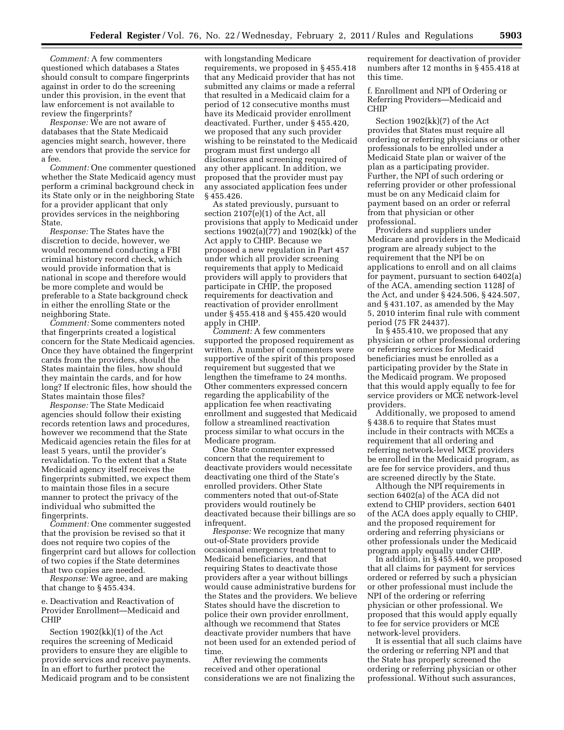*Comment:* A few commenters questioned which databases a States should consult to compare fingerprints against in order to do the screening under this provision, in the event that law enforcement is not available to review the fingerprints?

*Response:* We are not aware of databases that the State Medicaid agencies might search, however, there are vendors that provide the service for a fee.

*Comment:* One commenter questioned whether the State Medicaid agency must perform a criminal background check in its State only or in the neighboring State for a provider applicant that only provides services in the neighboring State.

*Response:* The States have the discretion to decide, however, we would recommend conducting a FBI criminal history record check, which would provide information that is national in scope and therefore would be more complete and would be preferable to a State background check in either the enrolling State or the neighboring State.

*Comment:* Some commenters noted that fingerprints created a logistical concern for the State Medicaid agencies. Once they have obtained the fingerprint cards from the providers, should the States maintain the files, how should they maintain the cards, and for how long? If electronic files, how should the States maintain those files?

*Response:* The State Medicaid agencies should follow their existing records retention laws and procedures, however we recommend that the State Medicaid agencies retain the files for at least 5 years, until the provider's revalidation. To the extent that a State Medicaid agency itself receives the fingerprints submitted, we expect them to maintain those files in a secure manner to protect the privacy of the individual who submitted the fingerprints.

*Comment:* One commenter suggested that the provision be revised so that it does not require two copies of the fingerprint card but allows for collection of two copies if the State determines that two copies are needed.

*Response:* We agree, and are making that change to § 455.434.

e. Deactivation and Reactivation of Provider Enrollment—Medicaid and CHIP

Section 1902(kk)(1) of the Act requires the screening of Medicaid providers to ensure they are eligible to provide services and receive payments. In an effort to further protect the Medicaid program and to be consistent

with longstanding Medicare requirements, we proposed in § 455.418 that any Medicaid provider that has not submitted any claims or made a referral that resulted in a Medicaid claim for a period of 12 consecutive months must have its Medicaid provider enrollment deactivated. Further, under § 455.420, we proposed that any such provider wishing to be reinstated to the Medicaid program must first undergo all disclosures and screening required of any other applicant. In addition, we proposed that the provider must pay any associated application fees under § 455.426.

As stated previously, pursuant to section 2107(e)(1) of the Act, all provisions that apply to Medicaid under sections 1902(a)(77) and 1902(kk) of the Act apply to CHIP. Because we proposed a new regulation in Part 457 under which all provider screening requirements that apply to Medicaid providers will apply to providers that participate in CHIP, the proposed requirements for deactivation and reactivation of provider enrollment under § 455.418 and § 455.420 would apply in CHIP.

*Comment:* A few commenters supported the proposed requirement as written. A number of commenters were supportive of the spirit of this proposed requirement but suggested that we lengthen the timeframe to 24 months. Other commenters expressed concern regarding the applicability of the application fee when reactivating enrollment and suggested that Medicaid follow a streamlined reactivation process similar to what occurs in the Medicare program.

One State commenter expressed concern that the requirement to deactivate providers would necessitate deactivating one third of the State's enrolled providers. Other State commenters noted that out-of-State providers would routinely be deactivated because their billings are so infrequent.

*Response:* We recognize that many out-of-State providers provide occasional emergency treatment to Medicaid beneficiaries, and that requiring States to deactivate those providers after a year without billings would cause administrative burdens for the States and the providers. We believe States should have the discretion to police their own provider enrollment, although we recommend that States deactivate provider numbers that have not been used for an extended period of time.

After reviewing the comments received and other operational considerations we are not finalizing the requirement for deactivation of provider numbers after 12 months in § 455.418 at this time.

f. Enrollment and NPI of Ordering or Referring Providers—Medicaid and CHIP

Section 1902(kk)(7) of the Act provides that States must require all ordering or referring physicians or other professionals to be enrolled under a Medicaid State plan or waiver of the plan as a participating provider. Further, the NPI of such ordering or referring provider or other professional must be on any Medicaid claim for payment based on an order or referral from that physician or other professional.

Providers and suppliers under Medicare and providers in the Medicaid program are already subject to the requirement that the NPI be on applications to enroll and on all claims for payment, pursuant to section 6402(a) of the ACA, amending section 1128J of the Act, and under § 424.506, § 424.507, and § 431.107, as amended by the May 5, 2010 interim final rule with comment period (75 FR 24437).

In § 455.410, we proposed that any physician or other professional ordering or referring services for Medicaid beneficiaries must be enrolled as a participating provider by the State in the Medicaid program. We proposed that this would apply equally to fee for service providers or MCE network-level providers.

Additionally, we proposed to amend § 438.6 to require that States must include in their contracts with MCEs a requirement that all ordering and referring network-level MCE providers be enrolled in the Medicaid program, as are fee for service providers, and thus are screened directly by the State.

Although the NPI requirements in section 6402(a) of the ACA did not extend to CHIP providers, section 6401 of the ACA does apply equally to CHIP, and the proposed requirement for ordering and referring physicians or other professionals under the Medicaid program apply equally under CHIP.

In addition, in § 455.440, we proposed that all claims for payment for services ordered or referred by such a physician or other professional must include the NPI of the ordering or referring physician or other professional. We proposed that this would apply equally to fee for service providers or MCE network-level providers.

It is essential that all such claims have the ordering or referring NPI and that the State has properly screened the ordering or referring physician or other professional. Without such assurances,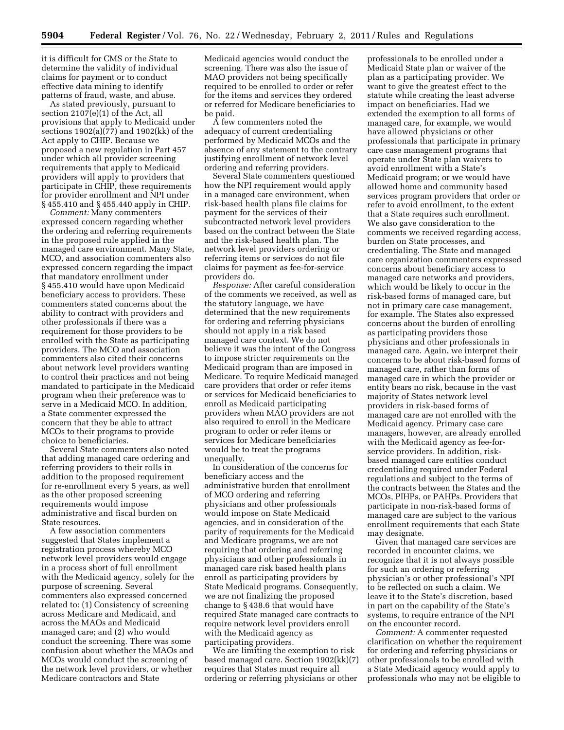it is difficult for CMS or the State to determine the validity of individual claims for payment or to conduct effective data mining to identify patterns of fraud, waste, and abuse.

As stated previously, pursuant to section 2107(e)(1) of the Act, all provisions that apply to Medicaid under sections 1902(a)(77) and 1902(kk) of the Act apply to CHIP. Because we proposed a new regulation in Part 457 under which all provider screening requirements that apply to Medicaid providers will apply to providers that participate in CHIP, these requirements for provider enrollment and NPI under § 455.410 and § 455.440 apply in CHIP.

*Comment:* Many commenters expressed concern regarding whether the ordering and referring requirements in the proposed rule applied in the managed care environment. Many State, MCO, and association commenters also expressed concern regarding the impact that mandatory enrollment under § 455.410 would have upon Medicaid beneficiary access to providers. These commenters stated concerns about the ability to contract with providers and other professionals if there was a requirement for those providers to be enrolled with the State as participating providers. The MCO and association commenters also cited their concerns about network level providers wanting to control their practices and not being mandated to participate in the Medicaid program when their preference was to serve in a Medicaid MCO. In addition, a State commenter expressed the concern that they be able to attract MCOs to their programs to provide choice to beneficiaries.

Several State commenters also noted that adding managed care ordering and referring providers to their rolls in addition to the proposed requirement for re-enrollment every 5 years, as well as the other proposed screening requirements would impose administrative and fiscal burden on State resources.

A few association commenters suggested that States implement a registration process whereby MCO network level providers would engage in a process short of full enrollment with the Medicaid agency, solely for the purpose of screening. Several commenters also expressed concerned related to: (1) Consistency of screening across Medicare and Medicaid, and across the MAOs and Medicaid managed care; and (2) who would conduct the screening. There was some confusion about whether the MAOs and MCOs would conduct the screening of the network level providers, or whether Medicare contractors and State

Medicaid agencies would conduct the screening. There was also the issue of MAO providers not being specifically required to be enrolled to order or refer for the items and services they ordered or referred for Medicare beneficiaries to be paid.

A few commenters noted the adequacy of current credentialing performed by Medicaid MCOs and the absence of any statement to the contrary justifying enrollment of network level ordering and referring providers.

Several State commenters questioned how the NPI requirement would apply in a managed care environment, when risk-based health plans file claims for payment for the services of their subcontracted network level providers based on the contract between the State and the risk-based health plan. The network level providers ordering or referring items or services do not file claims for payment as fee-for-service providers do.

*Response:* After careful consideration of the comments we received, as well as the statutory language, we have determined that the new requirements for ordering and referring physicians should not apply in a risk based managed care context. We do not believe it was the intent of the Congress to impose stricter requirements on the Medicaid program than are imposed in Medicare. To require Medicaid managed care providers that order or refer items or services for Medicaid beneficiaries to enroll as Medicaid participating providers when MAO providers are not also required to enroll in the Medicare program to order or refer items or services for Medicare beneficiaries would be to treat the programs unequally.

In consideration of the concerns for beneficiary access and the administrative burden that enrollment of MCO ordering and referring physicians and other professionals would impose on State Medicaid agencies, and in consideration of the parity of requirements for the Medicaid and Medicare programs, we are not requiring that ordering and referring physicians and other professionals in managed care risk based health plans enroll as participating providers by State Medicaid programs. Consequently, we are not finalizing the proposed change to § 438.6 that would have required State managed care contracts to require network level providers enroll with the Medicaid agency as participating providers.

We are limiting the exemption to risk based managed care. Section 1902(kk)(7) requires that States must require all ordering or referring physicians or other

professionals to be enrolled under a Medicaid State plan or waiver of the plan as a participating provider. We want to give the greatest effect to the statute while creating the least adverse impact on beneficiaries. Had we extended the exemption to all forms of managed care, for example, we would have allowed physicians or other professionals that participate in primary care case management programs that operate under State plan waivers to avoid enrollment with a State's Medicaid program; or we would have allowed home and community based services program providers that order or refer to avoid enrollment, to the extent that a State requires such enrollment. We also gave consideration to the comments we received regarding access, burden on State processes, and credentialing. The State and managed care organization commenters expressed concerns about beneficiary access to managed care networks and providers, which would be likely to occur in the risk-based forms of managed care, but not in primary care case management, for example. The States also expressed concerns about the burden of enrolling as participating providers those physicians and other professionals in managed care. Again, we interpret their concerns to be about risk-based forms of managed care, rather than forms of managed care in which the provider or entity bears no risk, because in the vast majority of States network level providers in risk-based forms of managed care are not enrolled with the Medicaid agency. Primary case care managers, however, are already enrolled with the Medicaid agency as fee-forservice providers. In addition, riskbased managed care entities conduct credentialing required under Federal regulations and subject to the terms of the contracts between the States and the MCOs, PIHPs, or PAHPs. Providers that participate in non-risk-based forms of managed care are subject to the various enrollment requirements that each State may designate.

Given that managed care services are recorded in encounter claims, we recognize that it is not always possible for such an ordering or referring physician's or other professional's NPI to be reflected on such a claim. We leave it to the State's discretion, based in part on the capability of the State's systems, to require entrance of the NPI on the encounter record.

*Comment:* A commenter requested clarification on whether the requirement for ordering and referring physicians or other professionals to be enrolled with a State Medicaid agency would apply to professionals who may not be eligible to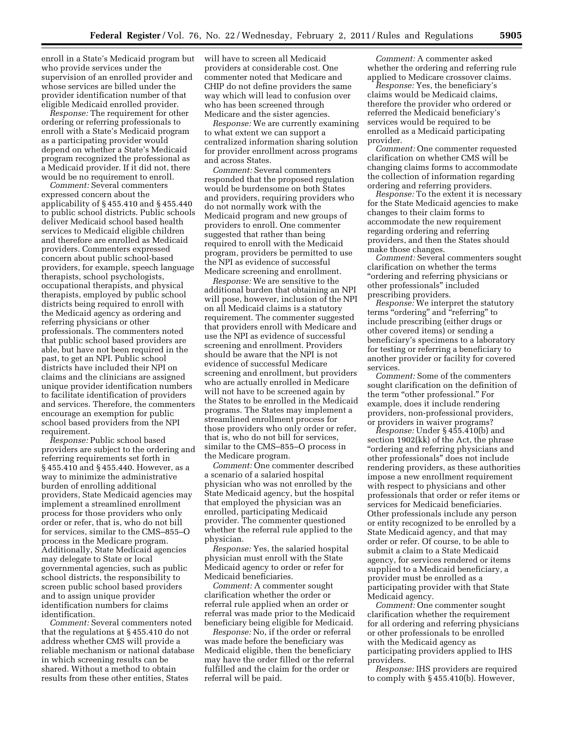enroll in a State's Medicaid program but who provide services under the supervision of an enrolled provider and whose services are billed under the provider identification number of that eligible Medicaid enrolled provider.

*Response:* The requirement for other ordering or referring professionals to enroll with a State's Medicaid program as a participating provider would depend on whether a State's Medicaid program recognized the professional as a Medicaid provider. If it did not, there would be no requirement to enroll.

*Comment:* Several commenters expressed concern about the applicability of § 455.410 and § 455.440 to public school districts. Public schools deliver Medicaid school based health services to Medicaid eligible children and therefore are enrolled as Medicaid providers. Commenters expressed concern about public school-based providers, for example, speech language therapists, school psychologists, occupational therapists, and physical therapists, employed by public school districts being required to enroll with the Medicaid agency as ordering and referring physicians or other professionals. The commenters noted that public school based providers are able, but have not been required in the past, to get an NPI. Public school districts have included their NPI on claims and the clinicians are assigned unique provider identification numbers to facilitate identification of providers and services. Therefore, the commenters encourage an exemption for public school based providers from the NPI requirement.

*Response:* Public school based providers are subject to the ordering and referring requirements set forth in § 455.410 and § 455.440. However, as a way to minimize the administrative burden of enrolling additional providers, State Medicaid agencies may implement a streamlined enrollment process for those providers who only order or refer, that is, who do not bill for services, similar to the CMS–855–O process in the Medicare program. Additionally, State Medicaid agencies may delegate to State or local governmental agencies, such as public school districts, the responsibility to screen public school based providers and to assign unique provider identification numbers for claims identification.

*Comment:* Several commenters noted that the regulations at § 455.410 do not address whether CMS will provide a reliable mechanism or national database in which screening results can be shared. Without a method to obtain results from these other entities, States

will have to screen all Medicaid providers at considerable cost. One commenter noted that Medicare and CHIP do not define providers the same way which will lead to confusion over who has been screened through Medicare and the sister agencies.

*Response:* We are currently examining to what extent we can support a centralized information sharing solution for provider enrollment across programs and across States.

*Comment:* Several commenters responded that the proposed regulation would be burdensome on both States and providers, requiring providers who do not normally work with the Medicaid program and new groups of providers to enroll. One commenter suggested that rather than being required to enroll with the Medicaid program, providers be permitted to use the NPI as evidence of successful Medicare screening and enrollment.

*Response:* We are sensitive to the additional burden that obtaining an NPI will pose, however, inclusion of the NPI on all Medicaid claims is a statutory requirement. The commenter suggested that providers enroll with Medicare and use the NPI as evidence of successful screening and enrollment. Providers should be aware that the NPI is not evidence of successful Medicare screening and enrollment, but providers who are actually enrolled in Medicare will not have to be screened again by the States to be enrolled in the Medicaid programs. The States may implement a streamlined enrollment process for those providers who only order or refer, that is, who do not bill for services, similar to the CMS–855–O process in the Medicare program.

*Comment:* One commenter described a scenario of a salaried hospital physician who was not enrolled by the State Medicaid agency, but the hospital that employed the physician was an enrolled, participating Medicaid provider. The commenter questioned whether the referral rule applied to the physician.

*Response:* Yes, the salaried hospital physician must enroll with the State Medicaid agency to order or refer for Medicaid beneficiaries.

*Comment:* A commenter sought clarification whether the order or referral rule applied when an order or referral was made prior to the Medicaid beneficiary being eligible for Medicaid.

*Response:* No, if the order or referral was made before the beneficiary was Medicaid eligible, then the beneficiary may have the order filled or the referral fulfilled and the claim for the order or referral will be paid.

*Comment:* A commenter asked whether the ordering and referring rule applied to Medicare crossover claims.

*Response:* Yes, the beneficiary's claims would be Medicaid claims, therefore the provider who ordered or referred the Medicaid beneficiary's services would be required to be enrolled as a Medicaid participating provider.

*Comment:* One commenter requested clarification on whether CMS will be changing claims forms to accommodate the collection of information regarding ordering and referring providers.

*Response:* To the extent it is necessary for the State Medicaid agencies to make changes to their claim forms to accommodate the new requirement regarding ordering and referring providers, and then the States should make those changes.

*Comment:* Several commenters sought clarification on whether the terms ''ordering and referring physicians or other professionals'' included prescribing providers.

*Response:* We interpret the statutory terms "ordering" and "referring" to include prescribing (either drugs or other covered items) or sending a beneficiary's specimens to a laboratory for testing or referring a beneficiary to another provider or facility for covered services.

*Comment:* Some of the commenters sought clarification on the definition of the term "other professional." For example, does it include rendering providers, non-professional providers, or providers in waiver programs?

*Response:* Under § 455.410(b) and section 1902(kk) of the Act, the phrase ''ordering and referring physicians and other professionals'' does not include rendering providers, as these authorities impose a new enrollment requirement with respect to physicians and other professionals that order or refer items or services for Medicaid beneficiaries. Other professionals include any person or entity recognized to be enrolled by a State Medicaid agency, and that may order or refer. Of course, to be able to submit a claim to a State Medicaid agency, for services rendered or items supplied to a Medicaid beneficiary, a provider must be enrolled as a participating provider with that State Medicaid agency.

*Comment:* One commenter sought clarification whether the requirement for all ordering and referring physicians or other professionals to be enrolled with the Medicaid agency as participating providers applied to IHS providers.

*Response:* IHS providers are required to comply with § 455.410(b). However,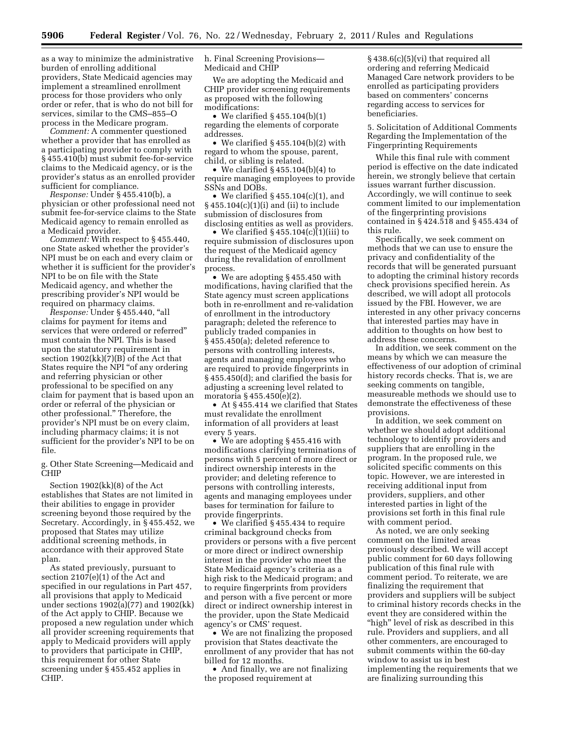as a way to minimize the administrative burden of enrolling additional providers, State Medicaid agencies may implement a streamlined enrollment process for those providers who only order or refer, that is who do not bill for services, similar to the CMS–855–O process in the Medicare program.

*Comment:* A commenter questioned whether a provider that has enrolled as a participating provider to comply with § 455.410(b) must submit fee-for-service claims to the Medicaid agency, or is the provider's status as an enrolled provider sufficient for compliance.

*Response:* Under § 455.410(b), a physician or other professional need not submit fee-for-service claims to the State Medicaid agency to remain enrolled as a Medicaid provider.

*Comment:* With respect to § 455.440, one State asked whether the provider's NPI must be on each and every claim or whether it is sufficient for the provider's NPI to be on file with the State Medicaid agency, and whether the prescribing provider's NPI would be required on pharmacy claims.

*Response:* Under § 455.440, ''all claims for payment for items and services that were ordered or referred'' must contain the NPI. This is based upon the statutory requirement in section 1902(kk)(7)(B) of the Act that States require the NPI ''of any ordering and referring physician or other professional to be specified on any claim for payment that is based upon an order or referral of the physician or other professional.'' Therefore, the provider's NPI must be on every claim, including pharmacy claims; it is not sufficient for the provider's NPI to be on file.

g. Other State Screening—Medicaid and CHIP

Section 1902(kk)(8) of the Act establishes that States are not limited in their abilities to engage in provider screening beyond those required by the Secretary. Accordingly, in § 455.452, we proposed that States may utilize additional screening methods, in accordance with their approved State plan.

As stated previously, pursuant to section  $2107(e)(1)$  of the Act and specified in our regulations in Part 457, all provisions that apply to Medicaid under sections 1902(a)(77) and 1902(kk) of the Act apply to CHIP. Because we proposed a new regulation under which all provider screening requirements that apply to Medicaid providers will apply to providers that participate in CHIP, this requirement for other State screening under § 455.452 applies in CHIP.

h. Final Screening Provisions— Medicaid and CHIP

We are adopting the Medicaid and CHIP provider screening requirements as proposed with the following modifications:

• We clarified  $\S$  455.104(b)(1) regarding the elements of corporate addresses.

• We clarified §455.104(b)(2) with regard to whom the spouse, parent, child, or sibling is related.

• We clarified § 455.104(b)(4) to require managing employees to provide SSNs and DOBs.

• We clarified  $\S 455.104(c)(1)$ , and § 455.104(c)(1)(i) and (ii) to include submission of disclosures from disclosing entities as well as providers.

• We clarified  $\S 455.104(c)(1)(iii)$  to require submission of disclosures upon the request of the Medicaid agency during the revalidation of enrollment process.

• We are adopting §455.450 with modifications, having clarified that the State agency must screen applications both in re-enrollment and re-validation of enrollment in the introductory paragraph; deleted the reference to publicly traded companies in § 455.450(a); deleted reference to persons with controlling interests, agents and managing employees who are required to provide fingerprints in § 455.450(d); and clarified the basis for adjusting a screening level related to moratoria § 455.450(e)(2).

• At § 455.414 we clarified that States must revalidate the enrollment information of all providers at least every 5 years.

• We are adopting §455.416 with modifications clarifying terminations of persons with 5 percent of more direct or indirect ownership interests in the provider; and deleting reference to persons with controlling interests, agents and managing employees under bases for termination for failure to provide fingerprints.

• We clarified §455.434 to require criminal background checks from providers or persons with a five percent or more direct or indirect ownership interest in the provider who meet the State Medicaid agency's criteria as a high risk to the Medicaid program; and to require fingerprints from providers and person with a five percent or more direct or indirect ownership interest in the provider, upon the State Medicaid agency's or CMS' request.

• We are not finalizing the proposed provision that States deactivate the enrollment of any provider that has not billed for 12 months.

• And finally, we are not finalizing the proposed requirement at

§ 438.6(c)(5)(vi) that required all ordering and referring Medicaid Managed Care network providers to be enrolled as participating providers based on commenters' concerns regarding access to services for beneficiaries.

5. Solicitation of Additional Comments Regarding the Implementation of the Fingerprinting Requirements

While this final rule with comment period is effective on the date indicated herein, we strongly believe that certain issues warrant further discussion. Accordingly, we will continue to seek comment limited to our implementation of the fingerprinting provisions contained in § 424.518 and § 455.434 of this rule.

Specifically, we seek comment on methods that we can use to ensure the privacy and confidentiality of the records that will be generated pursuant to adopting the criminal history records check provisions specified herein. As described, we will adopt all protocols issued by the FBI. However, we are interested in any other privacy concerns that interested parties may have in addition to thoughts on how best to address these concerns.

In addition, we seek comment on the means by which we can measure the effectiveness of our adoption of criminal history records checks. That is, we are seeking comments on tangible, measureable methods we should use to demonstrate the effectiveness of these provisions.

In addition, we seek comment on whether we should adopt additional technology to identify providers and suppliers that are enrolling in the program. In the proposed rule, we solicited specific comments on this topic. However, we are interested in receiving additional input from providers, suppliers, and other interested parties in light of the provisions set forth in this final rule with comment period.

As noted, we are only seeking comment on the limited areas previously described. We will accept public comment for 60 days following publication of this final rule with comment period. To reiterate, we are finalizing the requirement that providers and suppliers will be subject to criminal history records checks in the event they are considered within the "high" level of risk as described in this rule. Providers and suppliers, and all other commenters, are encouraged to submit comments within the 60-day window to assist us in best implementing the requirements that we are finalizing surrounding this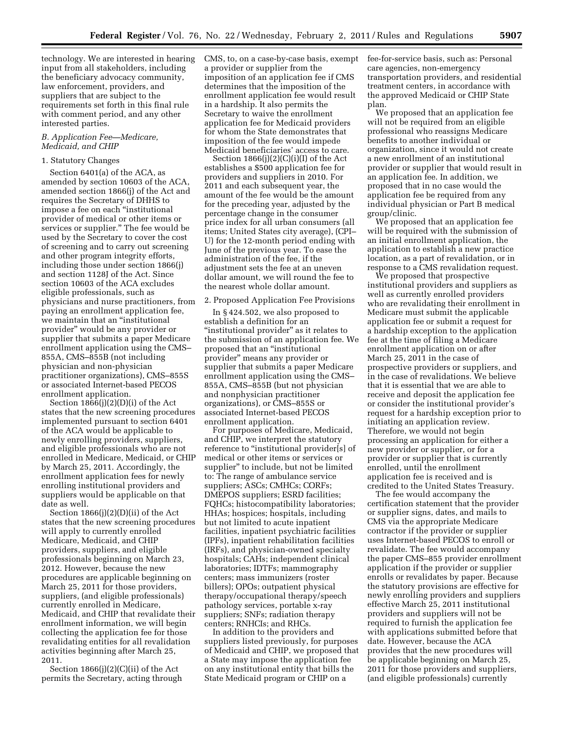technology. We are interested in hearing input from all stakeholders, including the beneficiary advocacy community, law enforcement, providers, and suppliers that are subject to the requirements set forth in this final rule with comment period, and any other interested parties.

#### *B. Application Fee—Medicare, Medicaid, and CHIP*

### 1. Statutory Changes

Section 6401(a) of the ACA, as amended by section 10603 of the ACA, amended section 1866(j) of the Act and requires the Secretary of DHHS to impose a fee on each ''institutional provider of medical or other items or services or supplier.'' The fee would be used by the Secretary to cover the cost of screening and to carry out screening and other program integrity efforts, including those under section 1866(j) and section 1128J of the Act. Since section 10603 of the ACA excludes eligible professionals, such as physicians and nurse practitioners, from paying an enrollment application fee, we maintain that an ''institutional provider'' would be any provider or supplier that submits a paper Medicare enrollment application using the CMS– 855A, CMS–855B (not including physician and non-physician practitioner organizations), CMS–855S or associated Internet-based PECOS enrollment application.

Section 1866(j)(2)(D)(i) of the Act states that the new screening procedures implemented pursuant to section 6401 of the ACA would be applicable to newly enrolling providers, suppliers, and eligible professionals who are not enrolled in Medicare, Medicaid, or CHIP by March 25, 2011. Accordingly, the enrollment application fees for newly enrolling institutional providers and suppliers would be applicable on that date as well.

Section 1866(j)(2)(D)(ii) of the Act states that the new screening procedures will apply to currently enrolled Medicare, Medicaid, and CHIP providers, suppliers, and eligible professionals beginning on March 23, 2012. However, because the new procedures are applicable beginning on March 25, 2011 for those providers, suppliers, (and eligible professionals) currently enrolled in Medicare, Medicaid, and CHIP that revalidate their enrollment information, we will begin collecting the application fee for those revalidating entities for all revalidation activities beginning after March 25, 2011.

Section  $1866(i)(2)(C)(ii)$  of the Act permits the Secretary, acting through CMS, to, on a case-by-case basis, exempt a provider or supplier from the imposition of an application fee if CMS determines that the imposition of the enrollment application fee would result in a hardship. It also permits the Secretary to waive the enrollment application fee for Medicaid providers for whom the State demonstrates that imposition of the fee would impede Medicaid beneficiaries' access to care.

Section  $1866(j)(2)(C)(i)(I)$  of the Act establishes a \$500 application fee for providers and suppliers in 2010. For 2011 and each subsequent year, the amount of the fee would be the amount for the preceding year, adjusted by the percentage change in the consumer price index for all urban consumers (all items; United States city average), (CPI– U) for the 12-month period ending with June of the previous year. To ease the administration of the fee, if the adjustment sets the fee at an uneven dollar amount, we will round the fee to the nearest whole dollar amount.

#### 2. Proposed Application Fee Provisions

In § 424.502, we also proposed to establish a definition for an "institutional provider" as it relates to the submission of an application fee. We proposed that an ''institutional provider'' means any provider or supplier that submits a paper Medicare enrollment application using the CMS– 855A, CMS–855B (but not physician and nonphysician practitioner organizations), or CMS–855S or associated Internet-based PECOS enrollment application.

For purposes of Medicare, Medicaid, and CHIP, we interpret the statutory reference to ''institutional provider[s] of medical or other items or services or supplier'' to include, but not be limited to: The range of ambulance service suppliers; ASCs; CMHCs; CORFs; DMEPOS suppliers; ESRD facilities; FQHCs; histocompatibility laboratories; HHAs; hospices; hospitals, including but not limited to acute inpatient facilities, inpatient psychiatric facilities (IPFs), inpatient rehabilitation facilities (IRFs), and physician-owned specialty hospitals; CAHs; independent clinical laboratories; IDTFs; mammography centers; mass immunizers (roster billers); OPOs; outpatient physical therapy/occupational therapy/speech pathology services, portable x-ray suppliers; SNFs; radiation therapy centers; RNHCIs; and RHCs.

In addition to the providers and suppliers listed previously, for purposes of Medicaid and CHIP, we proposed that a State may impose the application fee on any institutional entity that bills the State Medicaid program or CHIP on a

fee-for-service basis, such as: Personal care agencies, non-emergency transportation providers, and residential treatment centers, in accordance with the approved Medicaid or CHIP State plan.

We proposed that an application fee will not be required from an eligible professional who reassigns Medicare benefits to another individual or organization, since it would not create a new enrollment of an institutional provider or supplier that would result in an application fee. In addition, we proposed that in no case would the application fee be required from any individual physician or Part B medical group/clinic.

We proposed that an application fee will be required with the submission of an initial enrollment application, the application to establish a new practice location, as a part of revalidation, or in response to a CMS revalidation request.

We proposed that prospective institutional providers and suppliers as well as currently enrolled providers who are revalidating their enrollment in Medicare must submit the applicable application fee or submit a request for a hardship exception to the application fee at the time of filing a Medicare enrollment application on or after March 25, 2011 in the case of prospective providers or suppliers, and in the case of revalidations. We believe that it is essential that we are able to receive and deposit the application fee or consider the institutional provider's request for a hardship exception prior to initiating an application review. Therefore, we would not begin processing an application for either a new provider or supplier, or for a provider or supplier that is currently enrolled, until the enrollment application fee is received and is credited to the United States Treasury.

The fee would accompany the certification statement that the provider or supplier signs, dates, and mails to CMS via the appropriate Medicare contractor if the provider or supplier uses Internet-based PECOS to enroll or revalidate. The fee would accompany the paper CMS–855 provider enrollment application if the provider or supplier enrolls or revalidates by paper. Because the statutory provisions are effective for newly enrolling providers and suppliers effective March 25, 2011 institutional providers and suppliers will not be required to furnish the application fee with applications submitted before that date. However, because the ACA provides that the new procedures will be applicable beginning on March 25, 2011 for those providers and suppliers, (and eligible professionals) currently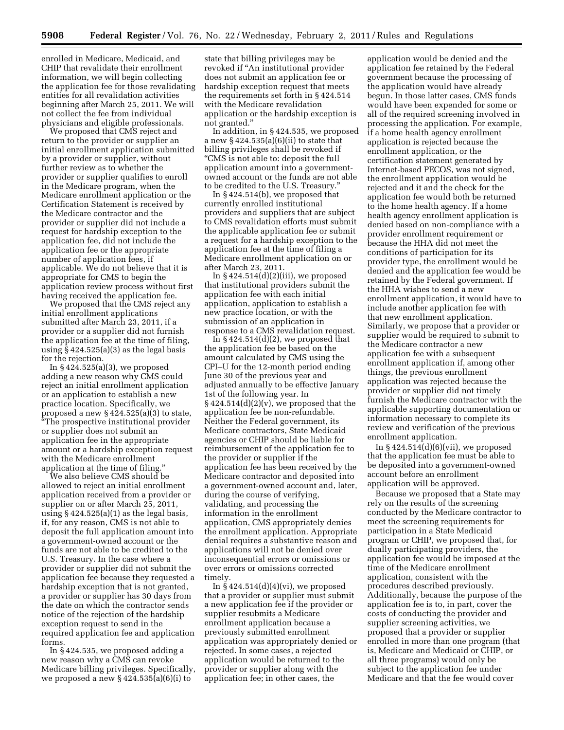enrolled in Medicare, Medicaid, and CHIP that revalidate their enrollment information, we will begin collecting the application fee for those revalidating entities for all revalidation activities beginning after March 25, 2011. We will not collect the fee from individual physicians and eligible professionals.

We proposed that CMS reject and return to the provider or supplier an initial enrollment application submitted by a provider or supplier, without further review as to whether the provider or supplier qualifies to enroll in the Medicare program, when the Medicare enrollment application or the Certification Statement is received by the Medicare contractor and the provider or supplier did not include a request for hardship exception to the application fee, did not include the application fee or the appropriate number of application fees, if applicable. We do not believe that it is appropriate for CMS to begin the application review process without first having received the application fee.

We proposed that the CMS reject any initial enrollment applications submitted after March 23, 2011, if a provider or a supplier did not furnish the application fee at the time of filing, using § 424.525(a)(3) as the legal basis for the rejection.

In  $\S 424.525(a)(3)$ , we proposed adding a new reason why CMS could reject an initial enrollment application or an application to establish a new practice location. Specifically, we proposed a new § 424.525(a)(3) to state, ''The prospective institutional provider or supplier does not submit an application fee in the appropriate amount or a hardship exception request with the Medicare enrollment application at the time of filing.

We also believe CMS should be allowed to reject an initial enrollment application received from a provider or supplier on or after March 25, 2011, using  $§$  424.525(a)(1) as the legal basis, if, for any reason, CMS is not able to deposit the full application amount into a government-owned account or the funds are not able to be credited to the U.S. Treasury. In the case where a provider or supplier did not submit the application fee because they requested a hardship exception that is not granted, a provider or supplier has 30 days from the date on which the contractor sends notice of the rejection of the hardship exception request to send in the required application fee and application forms.

In § 424.535, we proposed adding a new reason why a CMS can revoke Medicare billing privileges. Specifically, we proposed a new  $\S 424.535(a)(6)(i)$  to

state that billing privileges may be revoked if ''An institutional provider does not submit an application fee or hardship exception request that meets the requirements set forth in § 424.514 with the Medicare revalidation application or the hardship exception is not granted.''

In addition, in § 424.535, we proposed a new  $\S 424.535(a)(6)(ii)$  to state that billing privileges shall be revoked if ''CMS is not able to: deposit the full application amount into a governmentowned account or the funds are not able to be credited to the U.S. Treasury.''

In § 424.514(b), we proposed that currently enrolled institutional providers and suppliers that are subject to CMS revalidation efforts must submit the applicable application fee or submit a request for a hardship exception to the application fee at the time of filing a Medicare enrollment application on or after March 23, 2011.

In  $§$  424.514(d)(2)(iii), we proposed that institutional providers submit the application fee with each initial application, application to establish a new practice location, or with the submission of an application in response to a CMS revalidation request.

In  $\S 424.514(d)(2)$ , we proposed that the application fee be based on the amount calculated by CMS using the CPI–U for the 12-month period ending June 30 of the previous year and adjusted annually to be effective January 1st of the following year. In  $\S 424.514(d)(2)(v)$ , we proposed that the application fee be non-refundable. Neither the Federal government, its Medicare contractors, State Medicaid agencies or CHIP should be liable for reimbursement of the application fee to the provider or supplier if the application fee has been received by the Medicare contractor and deposited into a government-owned account and, later, during the course of verifying, validating, and processing the information in the enrollment application, CMS appropriately denies the enrollment application. Appropriate denial requires a substantive reason and applications will not be denied over inconsequential errors or omissions or over errors or omissions corrected timely.

In  $\S$  424.514(d)(4)(vi), we proposed that a provider or supplier must submit a new application fee if the provider or supplier resubmits a Medicare enrollment application because a previously submitted enrollment application was appropriately denied or rejected. In some cases, a rejected application would be returned to the provider or supplier along with the application fee; in other cases, the

application would be denied and the application fee retained by the Federal government because the processing of the application would have already begun. In those latter cases, CMS funds would have been expended for some or all of the required screening involved in processing the application. For example, if a home health agency enrollment application is rejected because the enrollment application, or the certification statement generated by Internet-based PECOS, was not signed, the enrollment application would be rejected and it and the check for the application fee would both be returned to the home health agency. If a home health agency enrollment application is denied based on non-compliance with a provider enrollment requirement or because the HHA did not meet the conditions of participation for its provider type, the enrollment would be denied and the application fee would be retained by the Federal government. If the HHA wishes to send a new enrollment application, it would have to include another application fee with that new enrollment application. Similarly, we propose that a provider or supplier would be required to submit to the Medicare contractor a new application fee with a subsequent enrollment application if, among other things, the previous enrollment application was rejected because the provider or supplier did not timely furnish the Medicare contractor with the applicable supporting documentation or information necessary to complete its review and verification of the previous enrollment application.

In  $§$  424.514 $(d)(6)(vii)$ , we proposed that the application fee must be able to be deposited into a government-owned account before an enrollment application will be approved.

Because we proposed that a State may rely on the results of the screening conducted by the Medicare contractor to meet the screening requirements for participation in a State Medicaid program or CHIP, we proposed that, for dually participating providers, the application fee would be imposed at the time of the Medicare enrollment application, consistent with the procedures described previously. Additionally, because the purpose of the application fee is to, in part, cover the costs of conducting the provider and supplier screening activities, we proposed that a provider or supplier enrolled in more than one program (that is, Medicare and Medicaid or CHIP, or all three programs) would only be subject to the application fee under Medicare and that the fee would cover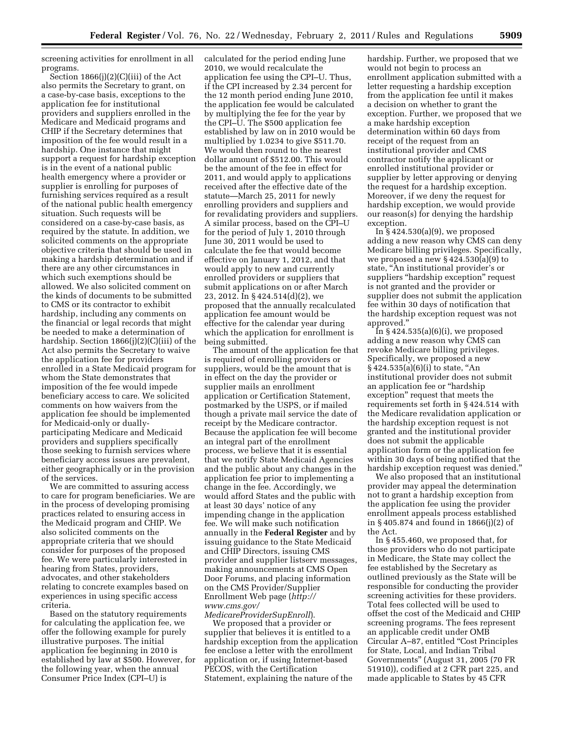screening activities for enrollment in all programs.

Section 1866(j)(2)(C)(iii) of the Act also permits the Secretary to grant, on a case-by-case basis, exceptions to the application fee for institutional providers and suppliers enrolled in the Medicare and Medicaid programs and CHIP if the Secretary determines that imposition of the fee would result in a hardship. One instance that might support a request for hardship exception is in the event of a national public health emergency where a provider or supplier is enrolling for purposes of furnishing services required as a result of the national public health emergency situation. Such requests will be considered on a case-by-case basis, as required by the statute. In addition, we solicited comments on the appropriate objective criteria that should be used in making a hardship determination and if there are any other circumstances in which such exemptions should be allowed. We also solicited comment on the kinds of documents to be submitted to CMS or its contractor to exhibit hardship, including any comments on the financial or legal records that might be needed to make a determination of hardship. Section 1866(j)(2)(C)(iii) of the Act also permits the Secretary to waive the application fee for providers enrolled in a State Medicaid program for whom the State demonstrates that imposition of the fee would impede beneficiary access to care. We solicited comments on how waivers from the application fee should be implemented for Medicaid-only or duallyparticipating Medicare and Medicaid providers and suppliers specifically those seeking to furnish services where beneficiary access issues are prevalent, either geographically or in the provision of the services.

We are committed to assuring access to care for program beneficiaries. We are in the process of developing promising practices related to ensuring access in the Medicaid program and CHIP. We also solicited comments on the appropriate criteria that we should consider for purposes of the proposed fee. We were particularly interested in hearing from States, providers, advocates, and other stakeholders relating to concrete examples based on experiences in using specific access criteria.

Based on the statutory requirements for calculating the application fee, we offer the following example for purely illustrative purposes. The initial application fee beginning in 2010 is established by law at \$500. However, for the following year, when the annual Consumer Price Index (CPI–U) is

calculated for the period ending June 2010, we would recalculate the application fee using the CPI–U. Thus, if the CPI increased by 2.34 percent for the 12 month period ending June 2010, the application fee would be calculated by multiplying the fee for the year by the CPI–U. The \$500 application fee established by law on in 2010 would be multiplied by 1.0234 to give \$511.70. We would then round to the nearest dollar amount of \$512.00. This would be the amount of the fee in effect for 2011, and would apply to applications received after the effective date of the statute—March 25, 2011 for newly enrolling providers and suppliers and for revalidating providers and suppliers. A similar process, based on the CPI–U for the period of July 1, 2010 through June 30, 2011 would be used to calculate the fee that would become effective on January 1, 2012, and that would apply to new and currently enrolled providers or suppliers that submit applications on or after March 23, 2012. In § 424.514(d)(2), we proposed that the annually recalculated application fee amount would be effective for the calendar year during which the application for enrollment is being submitted.

The amount of the application fee that is required of enrolling providers or suppliers, would be the amount that is in effect on the day the provider or supplier mails an enrollment application or Certification Statement, postmarked by the USPS, or if mailed though a private mail service the date of receipt by the Medicare contractor. Because the application fee will become an integral part of the enrollment process, we believe that it is essential that we notify State Medicaid Agencies and the public about any changes in the application fee prior to implementing a change in the fee. Accordingly, we would afford States and the public with at least 30 days' notice of any impending change in the application fee. We will make such notification annually in the **Federal Register** and by issuing guidance to the State Medicaid and CHIP Directors, issuing CMS provider and supplier listserv messages, making announcements at CMS Open Door Forums, and placing information on the CMS Provider/Supplier Enrollment Web page (*[http://](http://www.cms.gov/MedicareProviderSupEnroll)  [www.cms.gov/](http://www.cms.gov/MedicareProviderSupEnroll)* 

*[MedicareProviderSupEnroll](http://www.cms.gov/MedicareProviderSupEnroll)*). We proposed that a provider or supplier that believes it is entitled to a hardship exception from the application fee enclose a letter with the enrollment application or, if using Internet-based PECOS, with the Certification Statement, explaining the nature of the

hardship. Further, we proposed that we would not begin to process an enrollment application submitted with a letter requesting a hardship exception from the application fee until it makes a decision on whether to grant the exception. Further, we proposed that we a make hardship exception determination within 60 days from receipt of the request from an institutional provider and CMS contractor notify the applicant or enrolled institutional provider or supplier by letter approving or denying the request for a hardship exception. Moreover, if we deny the request for hardship exception, we would provide our reason(s) for denying the hardship exception.

In  $\S$  424.530(a)(9), we proposed adding a new reason why CMS can deny Medicare billing privileges. Specifically, we proposed a new § 424.530(a)(9) to state, ''An institutional provider's or suppliers "hardship exception" request is not granted and the provider or supplier does not submit the application fee within 30 days of notification that the hardship exception request was not approved.''

In  $§$  424.535(a)(6)(i), we proposed adding a new reason why CMS can revoke Medicare billing privileges. Specifically, we proposed a new  $§ 424.535(a)(6)(i)$  to state, "An institutional provider does not submit an application fee or ''hardship exception'' request that meets the requirements set forth in § 424.514 with the Medicare revalidation application or the hardship exception request is not granted and the institutional provider does not submit the applicable application form or the application fee within 30 days of being notified that the hardship exception request was denied.''

We also proposed that an institutional provider may appeal the determination not to grant a hardship exception from the application fee using the provider enrollment appeals process established in § 405.874 and found in 1866(j)(2) of the Act.

In § 455.460, we proposed that, for those providers who do not participate in Medicare, the State may collect the fee established by the Secretary as outlined previously as the State will be responsible for conducting the provider screening activities for these providers. Total fees collected will be used to offset the cost of the Medicaid and CHIP screening programs. The fees represent an applicable credit under OMB Circular A-87, entitled "Cost Principles for State, Local, and Indian Tribal Governments'' (August 31, 2005 (70 FR 51910)), codified at 2 CFR part 225, and made applicable to States by 45 CFR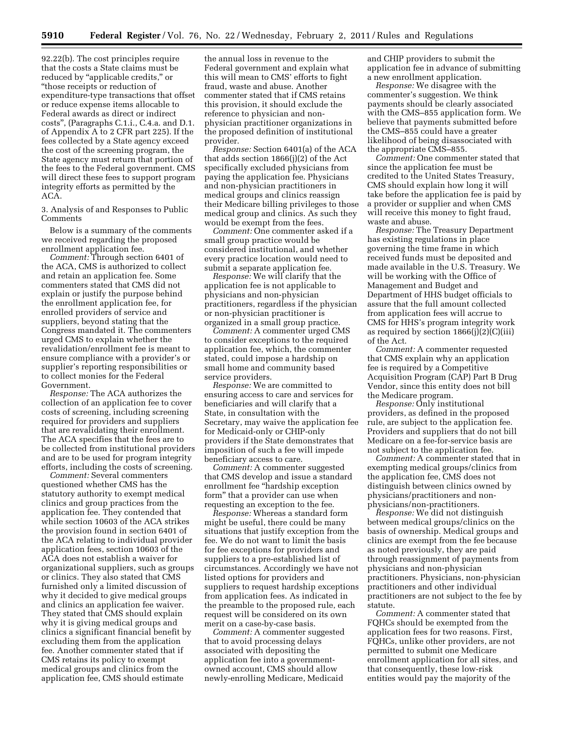92.22(b). The cost principles require that the costs a State claims must be reduced by "applicable credits," or ''those receipts or reduction of expenditure-type transactions that offset or reduce expense items allocable to Federal awards as direct or indirect costs'', (Paragraphs C.1.i., C.4.a. and D.1. of Appendix A to 2 CFR part 225). If the fees collected by a State agency exceed the cost of the screening program, the State agency must return that portion of the fees to the Federal government. CMS will direct these fees to support program integrity efforts as permitted by the ACA.

3. Analysis of and Responses to Public **Comments** 

Below is a summary of the comments we received regarding the proposed enrollment application fee.

*Comment:* Through section 6401 of the ACA, CMS is authorized to collect and retain an application fee. Some commenters stated that CMS did not explain or justify the purpose behind the enrollment application fee, for enrolled providers of service and suppliers, beyond stating that the Congress mandated it. The commenters urged CMS to explain whether the revalidation/enrollment fee is meant to ensure compliance with a provider's or supplier's reporting responsibilities or to collect monies for the Federal Government.

*Response:* The ACA authorizes the collection of an application fee to cover costs of screening, including screening required for providers and suppliers that are revalidating their enrollment. The ACA specifies that the fees are to be collected from institutional providers and are to be used for program integrity efforts, including the costs of screening.

*Comment:* Several commenters questioned whether CMS has the statutory authority to exempt medical clinics and group practices from the application fee. They contended that while section 10603 of the ACA strikes the provision found in section 6401 of the ACA relating to individual provider application fees, section 10603 of the ACA does not establish a waiver for organizational suppliers, such as groups or clinics. They also stated that CMS furnished only a limited discussion of why it decided to give medical groups and clinics an application fee waiver. They stated that CMS should explain why it is giving medical groups and clinics a significant financial benefit by excluding them from the application fee. Another commenter stated that if CMS retains its policy to exempt medical groups and clinics from the application fee, CMS should estimate

the annual loss in revenue to the Federal government and explain what this will mean to CMS' efforts to fight fraud, waste and abuse. Another commenter stated that if CMS retains this provision, it should exclude the reference to physician and nonphysician practitioner organizations in the proposed definition of institutional provider.

*Response:* Section 6401(a) of the ACA that adds section 1866(j)(2) of the Act specifically excluded physicians from paying the application fee. Physicians and non-physician practitioners in medical groups and clinics reassign their Medicare billing privileges to those medical group and clinics. As such they would be exempt from the fees.

*Comment:* One commenter asked if a small group practice would be considered institutional, and whether every practice location would need to submit a separate application fee.

*Response:* We will clarify that the application fee is not applicable to physicians and non-physician practitioners, regardless if the physician or non-physician practitioner is organized in a small group practice.

*Comment:* A commenter urged CMS to consider exceptions to the required application fee, which, the commenter stated, could impose a hardship on small home and community based service providers.

*Response:* We are committed to ensuring access to care and services for beneficiaries and will clarify that a State, in consultation with the Secretary, may waive the application fee for Medicaid-only or CHIP-only providers if the State demonstrates that imposition of such a fee will impede beneficiary access to care.

*Comment:* A commenter suggested that CMS develop and issue a standard enrollment fee ''hardship exception form'' that a provider can use when requesting an exception to the fee.

*Response:* Whereas a standard form might be useful, there could be many situations that justify exception from the fee. We do not want to limit the basis for fee exceptions for providers and suppliers to a pre-established list of circumstances. Accordingly we have not listed options for providers and suppliers to request hardship exceptions from application fees. As indicated in the preamble to the proposed rule, each request will be considered on its own merit on a case-by-case basis.

*Comment:* A commenter suggested that to avoid processing delays associated with depositing the application fee into a governmentowned account, CMS should allow newly-enrolling Medicare, Medicaid

and CHIP providers to submit the application fee in advance of submitting a new enrollment application.

*Response:* We disagree with the commenter's suggestion. We think payments should be clearly associated with the CMS–855 application form. We believe that payments submitted before the CMS–855 could have a greater likelihood of being disassociated with the appropriate CMS–855.

*Comment:* One commenter stated that since the application fee must be credited to the United States Treasury, CMS should explain how long it will take before the application fee is paid by a provider or supplier and when CMS will receive this money to fight fraud, waste and abuse.

*Response:* The Treasury Department has existing regulations in place governing the time frame in which received funds must be deposited and made available in the U.S. Treasury. We will be working with the Office of Management and Budget and Department of HHS budget officials to assure that the full amount collected from application fees will accrue to CMS for HHS's program integrity work as required by section  $1866(j)(2)(C)(iii)$ of the Act.

*Comment:* A commenter requested that CMS explain why an application fee is required by a Competitive Acquisition Program (CAP) Part B Drug Vendor, since this entity does not bill the Medicare program.

*Response:* Only institutional providers, as defined in the proposed rule, are subject to the application fee. Providers and suppliers that do not bill Medicare on a fee-for-service basis are not subject to the application fee.

*Comment:* A commenter stated that in exempting medical groups/clinics from the application fee, CMS does not distinguish between clinics owned by physicians/practitioners and nonphysicians/non-practitioners.

*Response:* We did not distinguish between medical groups/clinics on the basis of ownership. Medical groups and clinics are exempt from the fee because as noted previously, they are paid through reassignment of payments from physicians and non-physician practitioners. Physicians, non-physician practitioners and other individual practitioners are not subject to the fee by statute.

*Comment:* A commenter stated that FQHCs should be exempted from the application fees for two reasons. First, FQHCs, unlike other providers, are not permitted to submit one Medicare enrollment application for all sites, and that consequently, these low-risk entities would pay the majority of the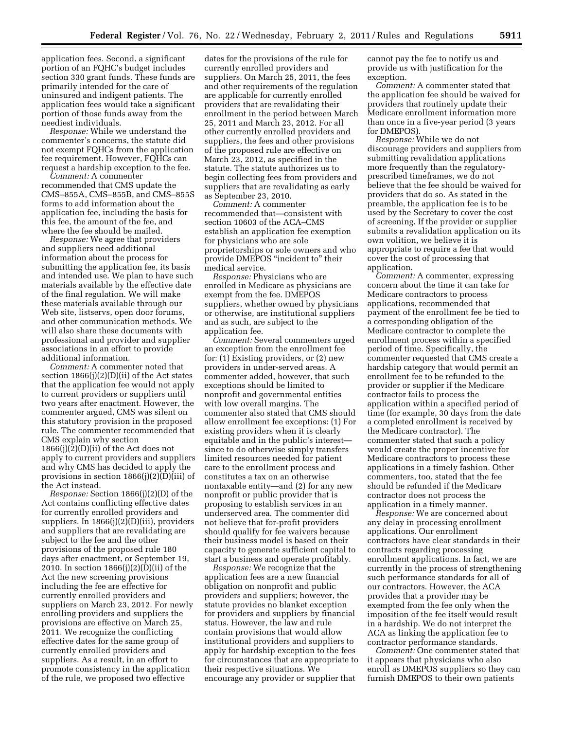application fees. Second, a significant portion of an FQHC's budget includes section 330 grant funds. These funds are primarily intended for the care of uninsured and indigent patients. The application fees would take a significant portion of those funds away from the neediest individuals.

*Response:* While we understand the commenter's concerns, the statute did not exempt FQHCs from the application fee requirement. However, FQHCs can request a hardship exception to the fee.

*Comment:* A commenter recommended that CMS update the CMS–855A, CMS–855B, and CMS–855S forms to add information about the application fee, including the basis for this fee, the amount of the fee, and where the fee should be mailed.

*Response:* We agree that providers and suppliers need additional information about the process for submitting the application fee, its basis and intended use. We plan to have such materials available by the effective date of the final regulation. We will make these materials available through our Web site, listservs, open door forums, and other communication methods. We will also share these documents with professional and provider and supplier associations in an effort to provide additional information.

*Comment:* A commenter noted that section  $1866(j)(2)(D)(ii)$  of the Act states that the application fee would not apply to current providers or suppliers until two years after enactment. However, the commenter argued, CMS was silent on this statutory provision in the proposed rule. The commenter recommended that CMS explain why section  $1866(j)(2)(D)(ii)$  of the Act does not apply to current providers and suppliers and why CMS has decided to apply the provisions in section 1866(j)(2)(D)(iii) of the Act instead.

*Response:* Section 1866(j)(2)(D) of the Act contains conflicting effective dates for currently enrolled providers and suppliers. In 1866(j)(2)(D)(iii), providers and suppliers that are revalidating are subject to the fee and the other provisions of the proposed rule 180 days after enactment, or September 19, 2010. In section 1866(j)(2)(D)(ii) of the Act the new screening provisions including the fee are effective for currently enrolled providers and suppliers on March 23, 2012. For newly enrolling providers and suppliers the provisions are effective on March 25, 2011. We recognize the conflicting effective dates for the same group of currently enrolled providers and suppliers. As a result, in an effort to promote consistency in the application of the rule, we proposed two effective

dates for the provisions of the rule for currently enrolled providers and suppliers. On March 25, 2011, the fees and other requirements of the regulation are applicable for currently enrolled providers that are revalidating their enrollment in the period between March 25, 2011 and March 23, 2012. For all other currently enrolled providers and suppliers, the fees and other provisions of the proposed rule are effective on March 23, 2012, as specified in the statute. The statute authorizes us to begin collecting fees from providers and suppliers that are revalidating as early as September 23, 2010.

*Comment:* A commenter recommended that—consistent with section 10603 of the ACA–CMS establish an application fee exemption for physicians who are sole proprietorships or sole owners and who provide DMEPOS ''incident to'' their medical service.

*Response:* Physicians who are enrolled in Medicare as physicians are exempt from the fee. DMEPOS suppliers, whether owned by physicians or otherwise, are institutional suppliers and as such, are subject to the application fee.

*Comment:* Several commenters urged an exception from the enrollment fee for: (1) Existing providers, or (2) new providers in under-served areas. A commenter added, however, that such exceptions should be limited to nonprofit and governmental entities with low overall margins. The commenter also stated that CMS should allow enrollment fee exceptions: (1) For existing providers when it is clearly equitable and in the public's interest since to do otherwise simply transfers limited resources needed for patient care to the enrollment process and constitutes a tax on an otherwise nontaxable entity—and (2) for any new nonprofit or public provider that is proposing to establish services in an underserved area. The commenter did not believe that for-profit providers should qualify for fee waivers because their business model is based on their capacity to generate sufficient capital to start a business and operate profitably.

*Response:* We recognize that the application fees are a new financial obligation on nonprofit and public providers and suppliers; however, the statute provides no blanket exception for providers and suppliers by financial status. However, the law and rule contain provisions that would allow institutional providers and suppliers to apply for hardship exception to the fees for circumstances that are appropriate to their respective situations. We encourage any provider or supplier that

cannot pay the fee to notify us and provide us with justification for the exception.

*Comment:* A commenter stated that the application fee should be waived for providers that routinely update their Medicare enrollment information more than once in a five-year period (3 years for DMEPOS)

*Response:* While we do not discourage providers and suppliers from submitting revalidation applications more frequently than the regulatoryprescribed timeframes, we do not believe that the fee should be waived for providers that do so. As stated in the preamble, the application fee is to be used by the Secretary to cover the cost of screening. If the provider or supplier submits a revalidation application on its own volition, we believe it is appropriate to require a fee that would cover the cost of processing that application.

*Comment:* A commenter, expressing concern about the time it can take for Medicare contractors to process applications, recommended that payment of the enrollment fee be tied to a corresponding obligation of the Medicare contractor to complete the enrollment process within a specified period of time. Specifically, the commenter requested that CMS create a hardship category that would permit an enrollment fee to be refunded to the provider or supplier if the Medicare contractor fails to process the application within a specified period of time (for example, 30 days from the date a completed enrollment is received by the Medicare contractor). The commenter stated that such a policy would create the proper incentive for Medicare contractors to process these applications in a timely fashion. Other commenters, too, stated that the fee should be refunded if the Medicare contractor does not process the application in a timely manner.

*Response:* We are concerned about any delay in processing enrollment applications. Our enrollment contractors have clear standards in their contracts regarding processing enrollment applications. In fact, we are currently in the process of strengthening such performance standards for all of our contractors. However, the ACA provides that a provider may be exempted from the fee only when the imposition of the fee itself would result in a hardship. We do not interpret the ACA as linking the application fee to contractor performance standards.

*Comment:* One commenter stated that it appears that physicians who also enroll as DMEPOS suppliers so they can furnish DMEPOS to their own patients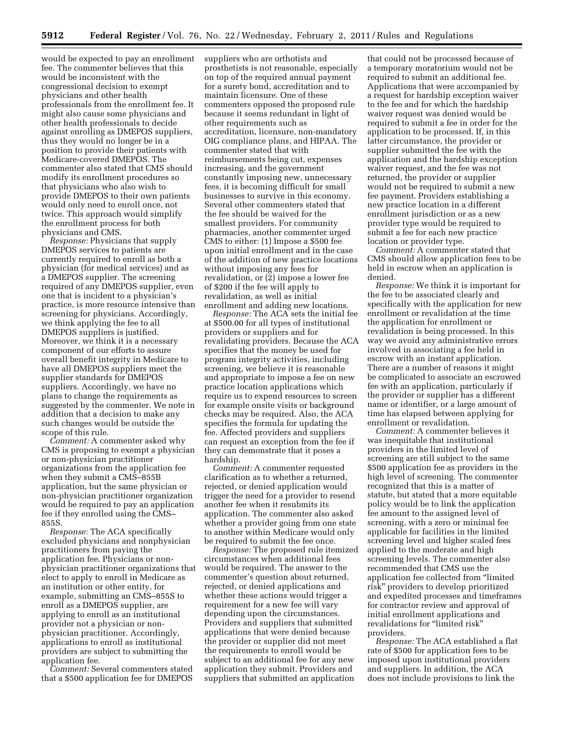would be expected to pay an enrollment fee. The commenter believes that this would be inconsistent with the congressional decision to exempt physicians and other health professionals from the enrollment fee. It might also cause some physicians and other health professionals to decide against enrolling as DMEPOS suppliers, thus they would no longer be in a position to provide their patients with Medicare-covered DMEPOS. The commenter also stated that CMS should modify its enrollment procedures so that physicians who also wish to provide DMEPOS to their own patients would only need to enroll once, not twice. This approach would simplify the enrollment process for both physicians and CMS.

*Response:* Physicians that supply DMEPOS services to patients are currently required to enroll as both a physician (for medical services) and as a DMEPOS supplier. The screening required of any DMEPOS supplier, even one that is incident to a physician's practice, is more resource intensive than screening for physicians. Accordingly, we think applying the fee to all DMEPOS suppliers is justified. Moreover, we think it is a necessary component of our efforts to assure overall benefit integrity in Medicare to have all DMEPOS suppliers meet the supplier standards for DMEPOS suppliers. Accordingly, we have no plans to change the requirements as suggested by the commenter. We note in addition that a decision to make any such changes would be outside the scope of this rule.

*Comment:* A commenter asked why CMS is proposing to exempt a physician or non-physician practitioner organizations from the application fee when they submit a CMS–855B application, but the same physician or non-physician practitioner organization would be required to pay an application fee if they enrolled using the CMS– 855S.

*Response:* The ACA specifically excluded physicians and nonphysician practitioners from paying the application fee. Physicians or nonphysician practitioner organizations that elect to apply to enroll in Medicare as an institution or other entity, for example, submitting an CMS–855S to enroll as a DMEPOS supplier, are applying to enroll as an institutional provider not a physician or nonphysician practitioner. Accordingly, applications to enroll as institutional providers are subject to submitting the application fee.

*Comment:* Several commenters stated that a \$500 application fee for DMEPOS suppliers who are orthotists and prosthetists is not reasonable, especially on top of the required annual payment for a surety bond, accreditation and to maintain licensure. One of these commenters opposed the proposed rule because it seems redundant in light of other requirements such as accreditation, licensure, non-mandatory OIG compliance plans, and HIPAA. The commenter stated that with reimbursements being cut, expenses increasing, and the government constantly imposing new, unnecessary fees, it is becoming difficult for small businesses to survive in this economy. Several other commenters stated that the fee should be waived for the smallest providers. For community pharmacies, another commenter urged CMS to either: (1) Impose a \$500 fee upon initial enrollment and in the case of the addition of new practice locations without imposing any fees for revalidation, or (2) impose a lower fee of \$200 if the fee will apply to revalidation, as well as initial enrollment and adding new locations.

*Response:* The ACA sets the initial fee at \$500.00 for all types of institutional providers or suppliers and for revalidating providers. Because the ACA specifies that the money be used for program integrity activities, including screening, we believe it is reasonable and appropriate to impose a fee on new practice location applications which require us to expend resources to screen for example onsite visits or background checks may be required. Also, the ACA specifies the formula for updating the fee. Affected providers and suppliers can request an exception from the fee if they can demonstrate that it poses a hardship.

*Comment:* A commenter requested clarification as to whether a returned, rejected, or denied application would trigger the need for a provider to resend another fee when it resubmits its application. The commenter also asked whether a provider going from one state to another within Medicare would only be required to submit the fee once.

*Response:* The proposed rule itemized circumstances when additional fees would be required. The answer to the commenter's question about returned, rejected, or denied applications and whether these actions would trigger a requirement for a new fee will vary depending upon the circumstances. Providers and suppliers that submitted applications that were denied because the provider or supplier did not meet the requirements to enroll would be subject to an additional fee for any new application they submit. Providers and suppliers that submitted an application

that could not be processed because of a temporary moratorium would not be required to submit an additional fee. Applications that were accompanied by a request for hardship exception waiver to the fee and for which the hardship waiver request was denied would be required to submit a fee in order for the application to be processed. If, in this latter circumstance, the provider or supplier submitted the fee with the application and the hardship exception waiver request, and the fee was not returned, the provider or supplier would not be required to submit a new fee payment. Providers establishing a new practice location in a different enrollment jurisdiction or as a new provider type would be required to submit a fee for each new practice location or provider type.

*Comment:* A commenter stated that CMS should allow application fees to be held in escrow when an application is denied.

*Response:* We think it is important for the fee to be associated clearly and specifically with the application for new enrollment or revalidation at the time the application for enrollment or revalidation is being processed. In this way we avoid any administrative errors involved in associating a fee held in escrow with an instant application. There are a number of reasons it might be complicated to associate an escrowed fee with an application, particularly if the provider or supplier has a different name or identifier, or a large amount of time has elapsed between applying for enrollment or revalidation.

*Comment:* A commenter believes it was inequitable that institutional providers in the limited level of screening are still subject to the same \$500 application fee as providers in the high level of screening. The commenter recognized that this is a matter of statute, but stated that a more equitable policy would be to link the application fee amount to the assigned level of screening, with a zero or minimal fee applicable for facilities in the limited screening level and higher scaled fees applied to the moderate and high screening levels. The commenter also recommended that CMS use the application fee collected from ''limited risk'' providers to develop prioritized and expedited processes and timeframes for contractor review and approval of initial enrollment applications and revalidations for "limited risk" providers.

*Response:* The ACA established a flat rate of \$500 for application fees to be imposed upon institutional providers and suppliers. In addition, the ACA does not include provisions to link the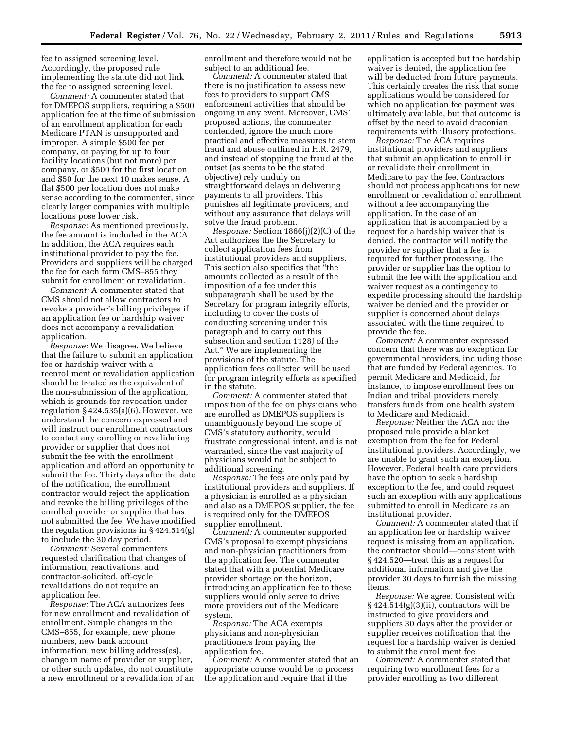fee to assigned screening level. Accordingly, the proposed rule implementing the statute did not link the fee to assigned screening level.

*Comment:* A commenter stated that for DMEPOS suppliers, requiring a \$500 application fee at the time of submission of an enrollment application for each Medicare PTAN is unsupported and improper. A simple \$500 fee per company, or paying for up to four facility locations (but not more) per company, or \$500 for the first location and \$50 for the next 10 makes sense. A flat \$500 per location does not make sense according to the commenter, since clearly larger companies with multiple locations pose lower risk.

*Response:* As mentioned previously, the fee amount is included in the ACA. In addition, the ACA requires each institutional provider to pay the fee. Providers and suppliers will be charged the fee for each form CMS–855 they submit for enrollment or revalidation.

*Comment:* A commenter stated that CMS should not allow contractors to revoke a provider's billing privileges if an application fee or hardship waiver does not accompany a revalidation application.

*Response:* We disagree. We believe that the failure to submit an application fee or hardship waiver with a reenrollment or revalidation application should be treated as the equivalent of the non-submission of the application, which is grounds for revocation under regulation § 424.535(a)(6). However, we understand the concern expressed and will instruct our enrollment contractors to contact any enrolling or revalidating provider or supplier that does not submit the fee with the enrollment application and afford an opportunity to submit the fee. Thirty days after the date of the notification, the enrollment contractor would reject the application and revoke the billing privileges of the enrolled provider or supplier that has not submitted the fee. We have modified the regulation provisions in § 424.514(g) to include the 30 day period.

*Comment:* Several commenters requested clarification that changes of information, reactivations, and contractor-solicited, off-cycle revalidations do not require an application fee.

*Response:* The ACA authorizes fees for new enrollment and revalidation of enrollment. Simple changes in the CMS–855, for example, new phone numbers, new bank account information, new billing address(es), change in name of provider or supplier, or other such updates, do not constitute a new enrollment or a revalidation of an enrollment and therefore would not be subject to an additional fee.

*Comment:* A commenter stated that there is no justification to assess new fees to providers to support CMS enforcement activities that should be ongoing in any event. Moreover, CMS' proposed actions, the commenter contended, ignore the much more practical and effective measures to stem fraud and abuse outlined in H.R. 2479, and instead of stopping the fraud at the outset (as seems to be the stated objective) rely unduly on straightforward delays in delivering payments to all providers. This punishes all legitimate providers, and without any assurance that delays will solve the fraud problem.

*Response:* Section 1866(j)(2)(C) of the Act authorizes the the Secretary to collect application fees from institutional providers and suppliers. This section also specifies that ''the amounts collected as a result of the imposition of a fee under this subparagraph shall be used by the Secretary for program integrity efforts, including to cover the costs of conducting screening under this paragraph and to carry out this subsection and section 1128J of the Act.'' We are implementing the provisions of the statute. The application fees collected will be used for program integrity efforts as specified in the statute.

*Comment:* A commenter stated that imposition of the fee on physicians who are enrolled as DMEPOS suppliers is unambiguously beyond the scope of CMS's statutory authority, would frustrate congressional intent, and is not warranted, since the vast majority of physicians would not be subject to additional screening.

*Response:* The fees are only paid by institutional providers and suppliers. If a physician is enrolled as a physician and also as a DMEPOS supplier, the fee is required only for the DMEPOS supplier enrollment.

*Comment:* A commenter supported CMS's proposal to exempt physicians and non-physician practitioners from the application fee. The commenter stated that with a potential Medicare provider shortage on the horizon, introducing an application fee to these suppliers would only serve to drive more providers out of the Medicare system.

*Response:* The ACA exempts physicians and non-physician practitioners from paying the application fee.

*Comment:* A commenter stated that an appropriate course would be to process the application and require that if the

application is accepted but the hardship waiver is denied, the application fee will be deducted from future payments. This certainly creates the risk that some applications would be considered for which no application fee payment was ultimately available, but that outcome is offset by the need to avoid draconian requirements with illusory protections.

*Response:* The ACA requires institutional providers and suppliers that submit an application to enroll in or revalidate their enrollment in Medicare to pay the fee. Contractors should not process applications for new enrollment or revalidation of enrollment without a fee accompanying the application. In the case of an application that is accompanied by a request for a hardship waiver that is denied, the contractor will notify the provider or supplier that a fee is required for further processing. The provider or supplier has the option to submit the fee with the application and waiver request as a contingency to expedite processing should the hardship waiver be denied and the provider or supplier is concerned about delays associated with the time required to provide the fee.

*Comment:* A commenter expressed concern that there was no exception for governmental providers, including those that are funded by Federal agencies. To permit Medicare and Medicaid, for instance, to impose enrollment fees on Indian and tribal providers merely transfers funds from one health system to Medicare and Medicaid.

*Response:* Neither the ACA nor the proposed rule provide a blanket exemption from the fee for Federal institutional providers. Accordingly, we are unable to grant such an exception. However, Federal health care providers have the option to seek a hardship exception to the fee, and could request such an exception with any applications submitted to enroll in Medicare as an institutional provider.

*Comment:* A commenter stated that if an application fee or hardship waiver request is missing from an application, the contractor should—consistent with § 424.520—treat this as a request for additional information and give the provider 30 days to furnish the missing items.

*Response:* We agree. Consistent with  $\S 424.514(g)(3)(ii)$ , contractors will be instructed to give providers and suppliers 30 days after the provider or supplier receives notification that the request for a hardship waiver is denied to submit the enrollment fee.

*Comment:* A commenter stated that requiring two enrollment fees for a provider enrolling as two different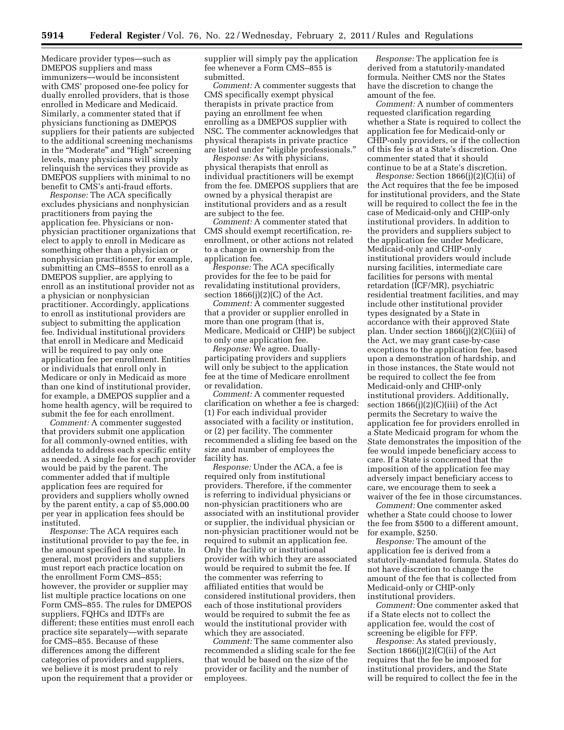Medicare provider types—such as DMEPOS suppliers and mass immunizers—would be inconsistent with CMS' proposed one-fee policy for dually enrolled providers, that is those enrolled in Medicare and Medicaid. Similarly, a commenter stated that if physicians functioning as DMEPOS suppliers for their patients are subjected to the additional screening mechanisms in the "Moderate" and "High" screening levels, many physicians will simply relinquish the services they provide as DMEPOS suppliers with minimal to no benefit to CMS's anti-fraud efforts.

*Response:* The ACA specifically excludes physicians and nonphysician practitioners from paying the application fee. Physicians or nonphysician practitioner organizations that elect to apply to enroll in Medicare as something other than a physician or nonphysician practitioner, for example, submitting an CMS–855S to enroll as a DMEPOS supplier, are applying to enroll as an institutional provider not as a physician or nonphysician practitioner. Accordingly, applications to enroll as institutional providers are subject to submitting the application fee. Individual institutional providers that enroll in Medicare and Medicaid will be required to pay only one application fee per enrollment. Entities or individuals that enroll only in Medicare or only in Medicaid as more than one kind of institutional provider, for example, a DMEPOS supplier and a home health agency, will be required to submit the fee for each enrollment.

*Comment:* A commenter suggested that providers submit one application for all commonly-owned entities, with addenda to address each specific entity as needed. A single fee for each provider would be paid by the parent. The commenter added that if multiple application fees are required for providers and suppliers wholly owned by the parent entity, a cap of \$5,000.00 per year in application fees should be instituted.

*Response:* The ACA requires each institutional provider to pay the fee, in the amount specified in the statute. In general, most providers and suppliers must report each practice location on the enrollment Form CMS–855; however, the provider or supplier may list multiple practice locations on one Form CMS–855. The rules for DMEPOS suppliers, FQHCs and IDTFs are different; these entities must enroll each practice site separately—with separate for CMS–855. Because of these differences among the different categories of providers and suppliers, we believe it is most prudent to rely upon the requirement that a provider or

supplier will simply pay the application fee whenever a Form CMS–855 is submitted.

*Comment:* A commenter suggests that CMS specifically exempt physical therapists in private practice from paying an enrollment fee when enrolling as a DMEPOS supplier with NSC. The commenter acknowledges that physical therapists in private practice are listed under ''eligible professionals.''

*Response:* As with physicians, physical therapists that enroll as individual practitioners will be exempt from the fee. DMEPOS suppliers that are owned by a physical therapist are institutional providers and as a result are subject to the fee.

*Comment:* A commenter stated that CMS should exempt recertification, reenrollment, or other actions not related to a change in ownership from the application fee.

*Response:* The ACA specifically provides for the fee to be paid for revalidating institutional providers, section  $1866(j)(2)(C)$  of the Act.

*Comment:* A commenter suggested that a provider or supplier enrolled in more than one program (that is, Medicare, Medicaid or CHIP) be subject to only one application fee.

*Response:* We agree. Duallyparticipating providers and suppliers will only be subject to the application fee at the time of Medicare enrollment or revalidation.

*Comment:* A commenter requested clarification on whether a fee is charged: (1) For each individual provider associated with a facility or institution, or (2) per facility. The commenter recommended a sliding fee based on the size and number of employees the facility has.

*Response:* Under the ACA, a fee is required only from institutional providers. Therefore, if the commenter is referring to individual physicians or non-physician practitioners who are associated with an institutional provider or supplier, the individual physician or non-physician practitioner would not be required to submit an application fee. Only the facility or institutional provider with which they are associated would be required to submit the fee. If the commenter was referring to affiliated entities that would be considered institutional providers, then each of those institutional providers would be required to submit the fee as would the institutional provider with which they are associated.

*Comment:* The same commenter also recommended a sliding scale for the fee that would be based on the size of the provider or facility and the number of employees.

*Response:* The application fee is derived from a statutorily-mandated formula. Neither CMS nor the States have the discretion to change the amount of the fee.

*Comment:* A number of commenters requested clarification regarding whether a State is required to collect the application fee for Medicaid-only or CHIP-only providers, or if the collection of this fee is at a State's discretion. One commenter stated that it should continue to be at a State's discretion.

*Response:* Section 1866(j)(2)(C)(ii) of the Act requires that the fee be imposed for institutional providers, and the State will be required to collect the fee in the case of Medicaid-only and CHIP-only institutional providers. In addition to the providers and suppliers subject to the application fee under Medicare, Medicaid-only and CHIP-only institutional providers would include nursing facilities, intermediate care facilities for persons with mental retardation (ICF/MR), psychiatric residential treatment facilities, and may include other institutional provider types designated by a State in accordance with their approved State plan. Under section 1866(j)(2)(C)(iii) of the Act, we may grant case-by-case exceptions to the application fee, based upon a demonstration of hardship, and in those instances, the State would not be required to collect the fee from Medicaid-only and CHIP-only institutional providers. Additionally, section 1866(j)(2)(C)(iii) of the Act permits the Secretary to waive the application fee for providers enrolled in a State Medicaid program for whom the State demonstrates the imposition of the fee would impede beneficiary access to care. If a State is concerned that the imposition of the application fee may adversely impact beneficiary access to care, we encourage them to seek a waiver of the fee in those circumstances.

*Comment:* One commenter asked whether a State could choose to lower the fee from \$500 to a different amount, for example, \$250.

*Response:* The amount of the application fee is derived from a statutorily-mandated formula. States do not have discretion to change the amount of the fee that is collected from Medicaid-only or CHIP-only institutional providers.

*Comment:* One commenter asked that if a State elects not to collect the application fee, would the cost of screening be eligible for FFP.

*Response:* As stated previously, Section 1866(j)(2)(C)(ii) of the Act requires that the fee be imposed for institutional providers, and the State will be required to collect the fee in the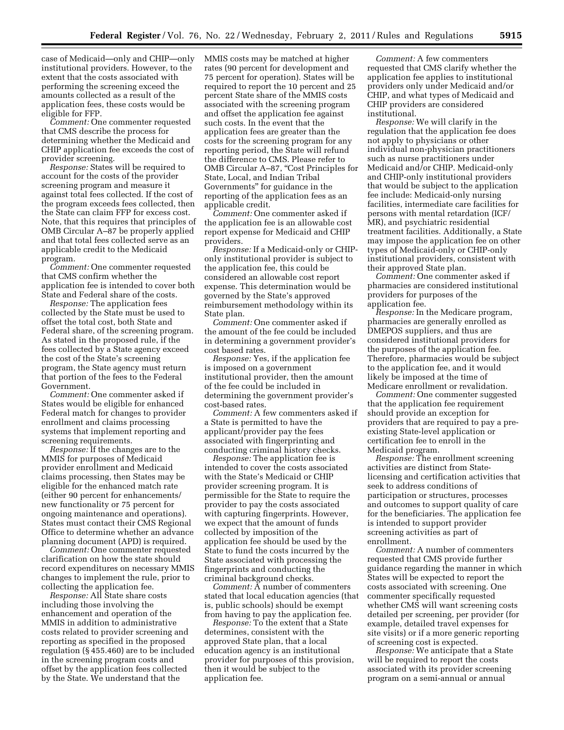case of Medicaid—only and CHIP—only institutional providers. However, to the extent that the costs associated with performing the screening exceed the amounts collected as a result of the application fees, these costs would be eligible for FFP.

*Comment:* One commenter requested that CMS describe the process for determining whether the Medicaid and CHIP application fee exceeds the cost of provider screening.

*Response:* States will be required to account for the costs of the provider screening program and measure it against total fees collected. If the cost of the program exceeds fees collected, then the State can claim FFP for excess cost. Note, that this requires that principles of OMB Circular A–87 be properly applied and that total fees collected serve as an applicable credit to the Medicaid program.

*Comment:* One commenter requested that CMS confirm whether the application fee is intended to cover both State and Federal share of the costs.

*Response:* The application fees collected by the State must be used to offset the total cost, both State and Federal share, of the screening program. As stated in the proposed rule, if the fees collected by a State agency exceed the cost of the State's screening program, the State agency must return that portion of the fees to the Federal Government.

*Comment:* One commenter asked if States would be eligible for enhanced Federal match for changes to provider enrollment and claims processing systems that implement reporting and screening requirements.

*Response:* If the changes are to the MMIS for purposes of Medicaid provider enrollment and Medicaid claims processing, then States may be eligible for the enhanced match rate (either 90 percent for enhancements/ new functionality or 75 percent for ongoing maintenance and operations). States must contact their CMS Regional Office to determine whether an advance planning document (APD) is required.

*Comment:* One commenter requested clarification on how the state should record expenditures on necessary MMIS changes to implement the rule, prior to collecting the application fee.

*Response:* All State share costs including those involving the enhancement and operation of the MMIS in addition to administrative costs related to provider screening and reporting as specified in the proposed regulation (§ 455.460) are to be included in the screening program costs and offset by the application fees collected by the State. We understand that the

MMIS costs may be matched at higher rates (90 percent for development and 75 percent for operation). States will be required to report the 10 percent and 25 percent State share of the MMIS costs associated with the screening program and offset the application fee against such costs. In the event that the application fees are greater than the costs for the screening program for any reporting period, the State will refund the difference to CMS. Please refer to OMB Circular A-87, "Cost Principles for State, Local, and Indian Tribal Governments'' for guidance in the reporting of the application fees as an applicable credit.

*Comment:* One commenter asked if the application fee is an allowable cost report expense for Medicaid and CHIP providers.

*Response:* If a Medicaid-only or CHIPonly institutional provider is subject to the application fee, this could be considered an allowable cost report expense. This determination would be governed by the State's approved reimbursement methodology within its State plan.

*Comment:* One commenter asked if the amount of the fee could be included in determining a government provider's cost based rates.

*Response:* Yes, if the application fee is imposed on a government institutional provider, then the amount of the fee could be included in determining the government provider's cost-based rates.

*Comment:* A few commenters asked if a State is permitted to have the applicant/provider pay the fees associated with fingerprinting and conducting criminal history checks.

*Response:* The application fee is intended to cover the costs associated with the State's Medicaid or CHIP provider screening program. It is permissible for the State to require the provider to pay the costs associated with capturing fingerprints. However, we expect that the amount of funds collected by imposition of the application fee should be used by the State to fund the costs incurred by the State associated with processing the fingerprints and conducting the criminal background checks.

*Comment:* A number of commenters stated that local education agencies (that is, public schools) should be exempt from having to pay the application fee.

*Response:* To the extent that a State determines, consistent with the approved State plan, that a local education agency is an institutional provider for purposes of this provision, then it would be subject to the application fee.

*Comment:* A few commenters requested that CMS clarify whether the application fee applies to institutional providers only under Medicaid and/or CHIP, and what types of Medicaid and CHIP providers are considered institutional.

*Response:* We will clarify in the regulation that the application fee does not apply to physicians or other individual non-physician practitioners such as nurse practitioners under Medicaid and/or CHIP. Medicaid-only and CHIP-only institutional providers that would be subject to the application fee include: Medicaid-only nursing facilities, intermediate care facilities for persons with mental retardation (ICF/ MR), and psychiatric residential treatment facilities. Additionally, a State may impose the application fee on other types of Medicaid-only or CHIP-only institutional providers, consistent with their approved State plan.

*Comment:* One commenter asked if pharmacies are considered institutional providers for purposes of the application fee.

*Response:* In the Medicare program, pharmacies are generally enrolled as DMEPOS suppliers, and thus are considered institutional providers for the purposes of the application fee. Therefore, pharmacies would be subject to the application fee, and it would likely be imposed at the time of Medicare enrollment or revalidation.

*Comment:* One commenter suggested that the application fee requirement should provide an exception for providers that are required to pay a preexisting State-level application or certification fee to enroll in the Medicaid program.

*Response:* The enrollment screening activities are distinct from Statelicensing and certification activities that seek to address conditions of participation or structures, processes and outcomes to support quality of care for the beneficiaries. The application fee is intended to support provider screening activities as part of enrollment.

*Comment:* A number of commenters requested that CMS provide further guidance regarding the manner in which States will be expected to report the costs associated with screening. One commenter specifically requested whether CMS will want screening costs detailed per screening, per provider (for example, detailed travel expenses for site visits) or if a more generic reporting of screening cost is expected.

*Response:* We anticipate that a State will be required to report the costs associated with its provider screening program on a semi-annual or annual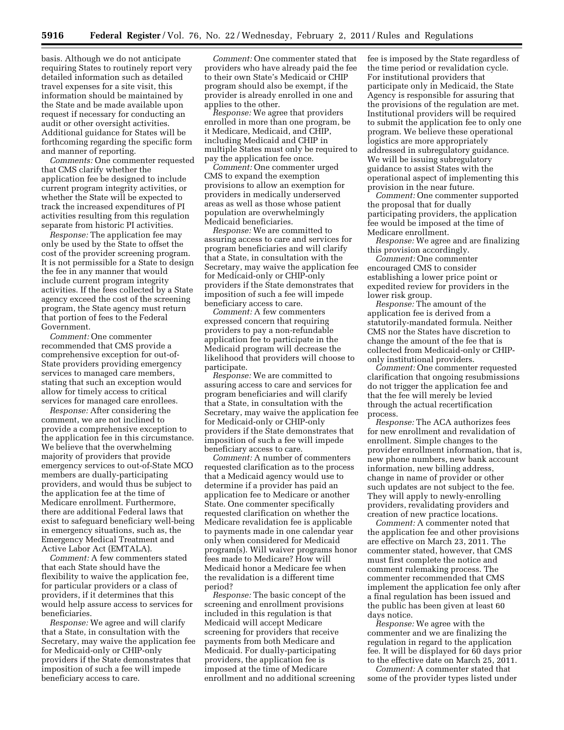basis. Although we do not anticipate requiring States to routinely report very detailed information such as detailed travel expenses for a site visit, this information should be maintained by the State and be made available upon request if necessary for conducting an audit or other oversight activities. Additional guidance for States will be forthcoming regarding the specific form and manner of reporting.

*Comments:* One commenter requested that CMS clarify whether the application fee be designed to include current program integrity activities, or whether the State will be expected to track the increased expenditures of PI activities resulting from this regulation separate from historic PI activities.

*Response:* The application fee may only be used by the State to offset the cost of the provider screening program. It is not permissible for a State to design the fee in any manner that would include current program integrity activities. If the fees collected by a State agency exceed the cost of the screening program, the State agency must return that portion of fees to the Federal Government.

*Comment:* One commenter recommended that CMS provide a comprehensive exception for out-of-State providers providing emergency services to managed care members, stating that such an exception would allow for timely access to critical services for managed care enrollees.

*Response:* After considering the comment, we are not inclined to provide a comprehensive exception to the application fee in this circumstance. We believe that the overwhelming majority of providers that provide emergency services to out-of-State MCO members are dually-participating providers, and would thus be subject to the application fee at the time of Medicare enrollment. Furthermore, there are additional Federal laws that exist to safeguard beneficiary well-being in emergency situations, such as, the Emergency Medical Treatment and Active Labor Act (EMTALA).

*Comment:* A few commenters stated that each State should have the flexibility to waive the application fee, for particular providers or a class of providers, if it determines that this would help assure access to services for beneficiaries.

*Response:* We agree and will clarify that a State, in consultation with the Secretary, may waive the application fee for Medicaid-only or CHIP-only providers if the State demonstrates that imposition of such a fee will impede beneficiary access to care.

*Comment:* One commenter stated that providers who have already paid the fee to their own State's Medicaid or CHIP program should also be exempt, if the provider is already enrolled in one and applies to the other.

*Response:* We agree that providers enrolled in more than one program, be it Medicare, Medicaid, and CHIP, including Medicaid and CHIP in multiple States must only be required to pay the application fee once.

*Comment:* One commenter urged CMS to expand the exemption provisions to allow an exemption for providers in medically underserved areas as well as those whose patient population are overwhelmingly Medicaid beneficiaries.

*Response:* We are committed to assuring access to care and services for program beneficiaries and will clarify that a State, in consultation with the Secretary, may waive the application fee for Medicaid-only or CHIP-only providers if the State demonstrates that imposition of such a fee will impede beneficiary access to care.

*Comment:* A few commenters expressed concern that requiring providers to pay a non-refundable application fee to participate in the Medicaid program will decrease the likelihood that providers will choose to participate.

*Response:* We are committed to assuring access to care and services for program beneficiaries and will clarify that a State, in consultation with the Secretary, may waive the application fee for Medicaid-only or CHIP-only providers if the State demonstrates that imposition of such a fee will impede beneficiary access to care.

*Comment:* A number of commenters requested clarification as to the process that a Medicaid agency would use to determine if a provider has paid an application fee to Medicare or another State. One commenter specifically requested clarification on whether the Medicare revalidation fee is applicable to payments made in one calendar year only when considered for Medicaid program(s). Will waiver programs honor fees made to Medicare? How will Medicaid honor a Medicare fee when the revalidation is a different time period?

*Response:* The basic concept of the screening and enrollment provisions included in this regulation is that Medicaid will accept Medicare screening for providers that receive payments from both Medicare and Medicaid. For dually-participating providers, the application fee is imposed at the time of Medicare enrollment and no additional screening fee is imposed by the State regardless of the time period or revalidation cycle. For institutional providers that participate only in Medicaid, the State Agency is responsible for assuring that the provisions of the regulation are met. Institutional providers will be required to submit the application fee to only one program. We believe these operational logistics are more appropriately addressed in subregulatory guidance. We will be issuing subregulatory guidance to assist States with the operational aspect of implementing this provision in the near future.

*Comment:* One commenter supported the proposal that for dually participating providers, the application fee would be imposed at the time of Medicare enrollment.

*Response:* We agree and are finalizing this provision accordingly.

*Comment:* One commenter encouraged CMS to consider establishing a lower price point or expedited review for providers in the lower risk group.

*Response:* The amount of the application fee is derived from a statutorily-mandated formula. Neither CMS nor the States have discretion to change the amount of the fee that is collected from Medicaid-only or CHIPonly institutional providers.

*Comment:* One commenter requested clarification that ongoing resubmissions do not trigger the application fee and that the fee will merely be levied through the actual recertification process.

*Response:* The ACA authorizes fees for new enrollment and revalidation of enrollment. Simple changes to the provider enrollment information, that is, new phone numbers, new bank account information, new billing address, change in name of provider or other such updates are not subject to the fee. They will apply to newly-enrolling providers, revalidating providers and creation of new practice locations.

*Comment:* A commenter noted that the application fee and other provisions are effective on March 23, 2011. The commenter stated, however, that CMS must first complete the notice and comment rulemaking process. The commenter recommended that CMS implement the application fee only after a final regulation has been issued and the public has been given at least 60 days notice.

*Response:* We agree with the commenter and we are finalizing the regulation in regard to the application fee. It will be displayed for 60 days prior to the effective date on March 25, 2011.

*Comment:* A commenter stated that some of the provider types listed under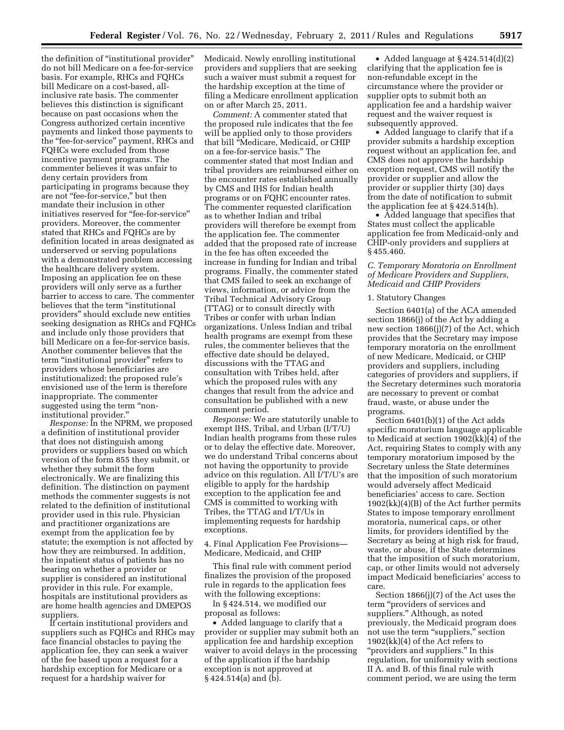the definition of ''institutional provider'' do not bill Medicare on a fee-for-service basis. For example, RHCs and FQHCs bill Medicare on a cost-based, allinclusive rate basis. The commenter believes this distinction is significant because on past occasions when the Congress authorized certain incentive payments and linked those payments to the ''fee-for-service'' payment, RHCs and FQHCs were excluded from those incentive payment programs. The commenter believes it was unfair to deny certain providers from participating in programs because they are not ''fee-for-service,'' but then mandate their inclusion in other initiatives reserved for "fee-for-service" providers. Moreover, the commenter stated that RHCs and FQHCs are by definition located in areas designated as underserved or serving populations with a demonstrated problem accessing the healthcare delivery system. Imposing an application fee on these providers will only serve as a further barrier to access to care. The commenter believes that the term ''institutional providers'' should exclude new entities seeking designation as RHCs and FQHCs and include only those providers that bill Medicare on a fee-for-service basis. Another commenter believes that the term "institutional provider" refers to providers whose beneficiaries are institutionalized; the proposed rule's envisioned use of the term is therefore inappropriate. The commenter suggested using the term "noninstitutional provider.''

*Response:* In the NPRM, we proposed a definition of institutional provider that does not distinguish among providers or suppliers based on which version of the form 855 they submit, or whether they submit the form electronically. We are finalizing this definition. The distinction on payment methods the commenter suggests is not related to the definition of institutional provider used in this rule. Physician and practitioner organizations are exempt from the application fee by statute; the exemption is not affected by how they are reimbursed. In addition, the inpatient status of patients has no bearing on whether a provider or supplier is considered an institutional provider in this rule. For example, hospitals are institutional providers as are home health agencies and DMEPOS suppliers.

If certain institutional providers and suppliers such as FQHCs and RHCs may face financial obstacles to paying the application fee, they can seek a waiver of the fee based upon a request for a hardship exception for Medicare or a request for a hardship waiver for

Medicaid. Newly enrolling institutional providers and suppliers that are seeking such a waiver must submit a request for the hardship exception at the time of filing a Medicare enrollment application on or after March 25, 2011.

*Comment:* A commenter stated that the proposed rule indicates that the fee will be applied only to those providers that bill ''Medicare, Medicaid, or CHIP on a fee-for-service basis.'' The commenter stated that most Indian and tribal providers are reimbursed either on the encounter rates established annually by CMS and IHS for Indian health programs or on FQHC encounter rates. The commenter requested clarification as to whether Indian and tribal providers will therefore be exempt from the application fee. The commenter added that the proposed rate of increase in the fee has often exceeded the increase in funding for Indian and tribal programs. Finally, the commenter stated that CMS failed to seek an exchange of views, information, or advice from the Tribal Technical Advisory Group (TTAG) or to consult directly with Tribes or confer with urban Indian organizations. Unless Indian and tribal health programs are exempt from these rules, the commenter believes that the effective date should be delayed, discussions with the TTAG and consultation with Tribes held, after which the proposed rules with any changes that result from the advice and consultation be published with a new comment period.

*Response:* We are statutorily unable to exempt IHS, Tribal, and Urban (I/T/U) Indian health programs from these rules or to delay the effective date. Moreover, we do understand Tribal concerns about not having the opportunity to provide advice on this regulation. All I/T/U's are eligible to apply for the hardship exception to the application fee and CMS is committed to working with Tribes, the TTAG and I/T/Us in implementing requests for hardship exceptions.

4. Final Application Fee Provisions— Medicare, Medicaid, and CHIP

This final rule with comment period finalizes the provision of the proposed rule in regards to the application fees with the following exceptions:

In § 424.514, we modified our proposal as follows:

• Added language to clarify that a provider or supplier may submit both an application fee and hardship exception waiver to avoid delays in the processing of the application if the hardship exception is not approved at § 424.514(a) and (b).

• Added language at §424.514(d)(2) clarifying that the application fee is non-refundable except in the circumstance where the provider or supplier opts to submit both an application fee and a hardship waiver request and the waiver request is subsequently approved.

• Added language to clarify that if a provider submits a hardship exception request without an application fee, and CMS does not approve the hardship exception request, CMS will notify the provider or supplier and allow the provider or supplier thirty (30) days from the date of notification to submit the application fee at § 424.514(h).

• Added language that specifies that States must collect the applicable application fee from Medicaid-only and CHIP-only providers and suppliers at § 455.460.

# *C. Temporary Moratoria on Enrollment of Medicare Providers and Suppliers, Medicaid and CHIP Providers*

#### 1. Statutory Changes

Section 6401(a) of the ACA amended section 1866(j) of the Act by adding a new section 1866(j)(7) of the Act, which provides that the Secretary may impose temporary moratoria on the enrollment of new Medicare, Medicaid, or CHIP providers and suppliers, including categories of providers and suppliers, if the Secretary determines such moratoria are necessary to prevent or combat fraud, waste, or abuse under the programs.

Section 6401(b)(1) of the Act adds specific moratorium language applicable to Medicaid at section 1902(kk)(4) of the Act, requiring States to comply with any temporary moratorium imposed by the Secretary unless the State determines that the imposition of such moratorium would adversely affect Medicaid beneficiaries' access to care. Section 1902(kk)(4)(B) of the Act further permits States to impose temporary enrollment moratoria, numerical caps, or other limits, for providers identified by the Secretary as being at high risk for fraud, waste, or abuse, if the State determines that the imposition of such moratorium, cap, or other limits would not adversely impact Medicaid beneficiaries' access to care.

Section 1866(j)(7) of the Act uses the term ''providers of services and suppliers.'' Although, as noted previously, the Medicaid program does not use the term "suppliers," section 1902(kk)(4) of the Act refers to "providers and suppliers." In this regulation, for uniformity with sections II A. and B. of this final rule with comment period, we are using the term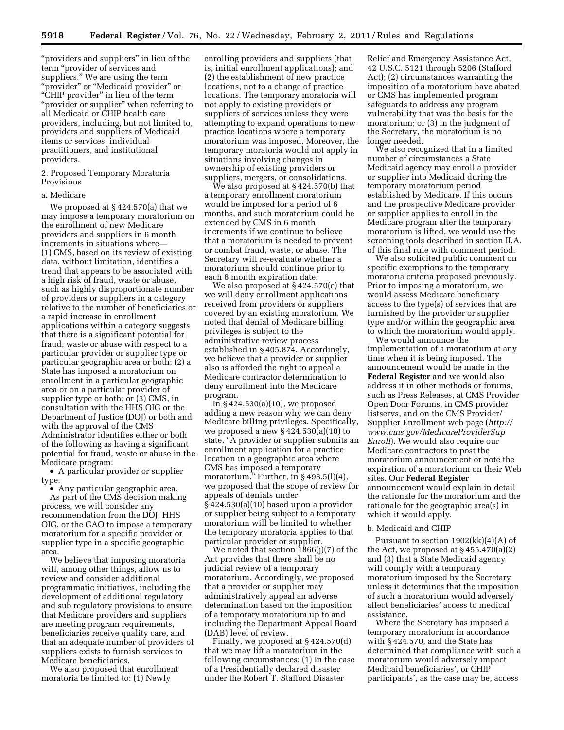"providers and suppliers" in lieu of the term ''provider of services and suppliers.'' We are using the term 'provider" or "Medicaid provider" or "CHIP provider" in lieu of the term ''provider or supplier'' when referring to all Medicaid or CHIP health care providers, including, but not limited to, providers and suppliers of Medicaid items or services, individual practitioners, and institutional providers.

2. Proposed Temporary Moratoria Provisions

#### a. Medicare

We proposed at § 424.570(a) that we may impose a temporary moratorium on the enrollment of new Medicare providers and suppliers in 6 month increments in situations where— (1) CMS, based on its review of existing data, without limitation, identifies a trend that appears to be associated with a high risk of fraud, waste or abuse, such as highly disproportionate number of providers or suppliers in a category relative to the number of beneficiaries or a rapid increase in enrollment applications within a category suggests that there is a significant potential for fraud, waste or abuse with respect to a particular provider or supplier type or particular geographic area or both; (2) a State has imposed a moratorium on enrollment in a particular geographic area or on a particular provider of supplier type or both; or (3) CMS, in consultation with the HHS OIG or the Department of Justice (DOJ) or both and with the approval of the CMS Administrator identifies either or both of the following as having a significant potential for fraud, waste or abuse in the Medicare program:

• A particular provider or supplier type.

• Any particular geographic area. As part of the CMS decision making process, we will consider any recommendation from the DOJ, HHS OIG, or the GAO to impose a temporary moratorium for a specific provider or supplier type in a specific geographic area.

We believe that imposing moratoria will, among other things, allow us to review and consider additional programmatic initiatives, including the development of additional regulatory and sub regulatory provisions to ensure that Medicare providers and suppliers are meeting program requirements, beneficiaries receive quality care, and that an adequate number of providers of suppliers exists to furnish services to Medicare beneficiaries.

We also proposed that enrollment moratoria be limited to: (1) Newly

enrolling providers and suppliers (that is, initial enrollment applications); and (2) the establishment of new practice locations, not to a change of practice locations. The temporary moratoria will not apply to existing providers or suppliers of services unless they were attempting to expand operations to new practice locations where a temporary moratorium was imposed. Moreover, the temporary moratoria would not apply in situations involving changes in ownership of existing providers or suppliers, mergers, or consolidations.

We also proposed at § 424.570(b) that a temporary enrollment moratorium would be imposed for a period of 6 months, and such moratorium could be extended by CMS in 6 month increments if we continue to believe that a moratorium is needed to prevent or combat fraud, waste, or abuse. The Secretary will re-evaluate whether a moratorium should continue prior to each 6 month expiration date.

We also proposed at § 424.570(c) that we will deny enrollment applications received from providers or suppliers covered by an existing moratorium. We noted that denial of Medicare billing privileges is subject to the administrative review process established in § 405.874. Accordingly, we believe that a provider or supplier also is afforded the right to appeal a Medicare contractor determination to deny enrollment into the Medicare program.

In  $\S$  424.530(a)(10), we proposed adding a new reason why we can deny Medicare billing privileges. Specifically, we proposed a new § 424.530(a)(10) to state, ''A provider or supplier submits an enrollment application for a practice location in a geographic area where CMS has imposed a temporary moratorium." Further, in §498.5(l)(4), we proposed that the scope of review for appeals of denials under § 424.530(a)(10) based upon a provider or supplier being subject to a temporary moratorium will be limited to whether the temporary moratoria applies to that particular provider or supplier.

We noted that section 1866(j)(7) of the Act provides that there shall be no judicial review of a temporary moratorium. Accordingly, we proposed that a provider or supplier may administratively appeal an adverse determination based on the imposition of a temporary moratorium up to and including the Department Appeal Board (DAB) level of review.

Finally, we proposed at § 424.570(d) that we may lift a moratorium in the following circumstances: (1) In the case of a Presidentially declared disaster under the Robert T. Stafford Disaster

Relief and Emergency Assistance Act, 42 U.S.C. 5121 through 5206 (Stafford Act); (2) circumstances warranting the imposition of a moratorium have abated or CMS has implemented program safeguards to address any program vulnerability that was the basis for the moratorium; or (3) in the judgment of the Secretary, the moratorium is no longer needed.

We also recognized that in a limited number of circumstances a State Medicaid agency may enroll a provider or supplier into Medicaid during the temporary moratorium period established by Medicare. If this occurs and the prospective Medicare provider or supplier applies to enroll in the Medicare program after the temporary moratorium is lifted, we would use the screening tools described in section II.A. of this final rule with comment period.

We also solicited public comment on specific exemptions to the temporary moratoria criteria proposed previously. Prior to imposing a moratorium, we would assess Medicare beneficiary access to the type(s) of services that are furnished by the provider or supplier type and/or within the geographic area to which the moratorium would apply.

We would announce the implementation of a moratorium at any time when it is being imposed. The announcement would be made in the **Federal Register** and we would also address it in other methods or forums, such as Press Releases, at CMS Provider Open Door Forums, in CMS provider listservs, and on the CMS Provider/ Supplier Enrollment web page (*[http://](http://www.cms.gov/MedicareProviderSupEnroll) [www.cms.gov/MedicareProviderSup](http://www.cms.gov/MedicareProviderSupEnroll) [Enroll](http://www.cms.gov/MedicareProviderSupEnroll)*). We would also require our Medicare contractors to post the moratorium announcement or note the expiration of a moratorium on their Web sites. Our **Federal Register**  announcement would explain in detail the rationale for the moratorium and the rationale for the geographic area(s) in which it would apply.

### b. Medicaid and CHIP

Pursuant to section 1902(kk)(4)(A) of the Act, we proposed at  $\S 455.470(a)(2)$ and (3) that a State Medicaid agency will comply with a temporary moratorium imposed by the Secretary unless it determines that the imposition of such a moratorium would adversely affect beneficiaries' access to medical assistance.

Where the Secretary has imposed a temporary moratorium in accordance with § 424.570, and the State has determined that compliance with such a moratorium would adversely impact Medicaid beneficiaries', or CHIP participants', as the case may be, access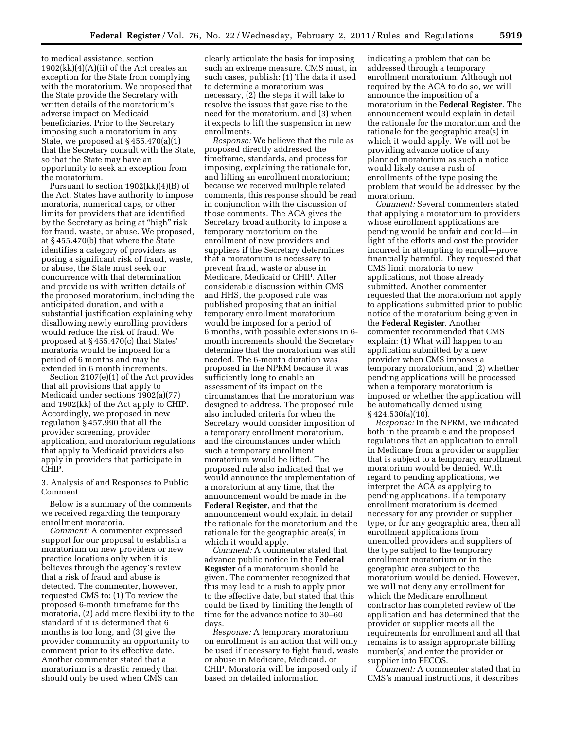to medical assistance, section  $1902(kk)(4)(A)(ii)$  of the Act creates an exception for the State from complying with the moratorium. We proposed that the State provide the Secretary with written details of the moratorium's adverse impact on Medicaid beneficiaries. Prior to the Secretary imposing such a moratorium in any State, we proposed at § 455.470(a)(1) that the Secretary consult with the State, so that the State may have an opportunity to seek an exception from the moratorium.

Pursuant to section 1902(kk)(4)(B) of the Act, States have authority to impose moratoria, numerical caps, or other limits for providers that are identified by the Secretary as being at "high" risk for fraud, waste, or abuse. We proposed, at § 455.470(b) that where the State identifies a category of providers as posing a significant risk of fraud, waste, or abuse, the State must seek our concurrence with that determination and provide us with written details of the proposed moratorium, including the anticipated duration, and with a substantial justification explaining why disallowing newly enrolling providers would reduce the risk of fraud. We proposed at § 455.470(c) that States' moratoria would be imposed for a period of 6 months and may be extended in 6 month increments.

Section 2107(e)(1) of the Act provides that all provisions that apply to Medicaid under sections 1902(a)(77) and 1902(kk) of the Act apply to CHIP. Accordingly, we proposed in new regulation § 457.990 that all the provider screening, provider application, and moratorium regulations that apply to Medicaid providers also apply in providers that participate in CHIP.

3. Analysis of and Responses to Public Comment

Below is a summary of the comments we received regarding the temporary enrollment moratoria.

*Comment:* A commenter expressed support for our proposal to establish a moratorium on new providers or new practice locations only when it is believes through the agency's review that a risk of fraud and abuse is detected. The commenter, however, requested CMS to: (1) To review the proposed 6-month timeframe for the moratoria, (2) add more flexibility to the standard if it is determined that 6 months is too long, and (3) give the provider community an opportunity to comment prior to its effective date. Another commenter stated that a moratorium is a drastic remedy that should only be used when CMS can

clearly articulate the basis for imposing such an extreme measure. CMS must, in such cases, publish: (1) The data it used to determine a moratorium was necessary, (2) the steps it will take to resolve the issues that gave rise to the need for the moratorium, and (3) when it expects to lift the suspension in new enrollments.

*Response:* We believe that the rule as proposed directly addressed the timeframe, standards, and process for imposing, explaining the rationale for, and lifting an enrollment moratorium; because we received multiple related comments, this response should be read in conjunction with the discussion of those comments. The ACA gives the Secretary broad authority to impose a temporary moratorium on the enrollment of new providers and suppliers if the Secretary determines that a moratorium is necessary to prevent fraud, waste or abuse in Medicare, Medicaid or CHIP. After considerable discussion within CMS and HHS, the proposed rule was published proposing that an initial temporary enrollment moratorium would be imposed for a period of 6 months, with possible extensions in 6 month increments should the Secretary determine that the moratorium was still needed. The 6-month duration was proposed in the NPRM because it was sufficiently long to enable an assessment of its impact on the circumstances that the moratorium was designed to address. The proposed rule also included criteria for when the Secretary would consider imposition of a temporary enrollment moratorium, and the circumstances under which such a temporary enrollment moratorium would be lifted. The proposed rule also indicated that we would announce the implementation of a moratorium at any time, that the announcement would be made in the **Federal Register**, and that the announcement would explain in detail the rationale for the moratorium and the rationale for the geographic area(s) in which it would apply.

*Comment:* A commenter stated that advance public notice in the **Federal Register** of a moratorium should be given. The commenter recognized that this may lead to a rush to apply prior to the effective date, but stated that this could be fixed by limiting the length of time for the advance notice to 30–60 days.

*Response:* A temporary moratorium on enrollment is an action that will only be used if necessary to fight fraud, waste or abuse in Medicare, Medicaid, or CHIP. Moratoria will be imposed only if based on detailed information

indicating a problem that can be addressed through a temporary enrollment moratorium. Although not required by the ACA to do so, we will announce the imposition of a moratorium in the **Federal Register**. The announcement would explain in detail the rationale for the moratorium and the rationale for the geographic area(s) in which it would apply. We will not be providing advance notice of any planned moratorium as such a notice would likely cause a rush of enrollments of the type posing the problem that would be addressed by the moratorium.

*Comment:* Several commenters stated that applying a moratorium to providers whose enrollment applications are pending would be unfair and could—in light of the efforts and cost the provider incurred in attempting to enroll—prove financially harmful. They requested that CMS limit moratoria to new applications, not those already submitted. Another commenter requested that the moratorium not apply to applications submitted prior to public notice of the moratorium being given in the **Federal Register**. Another commenter recommended that CMS explain: (1) What will happen to an application submitted by a new provider when CMS imposes a temporary moratorium, and (2) whether pending applications will be processed when a temporary moratorium is imposed or whether the application will be automatically denied using  $§$  424.530(a)(10).

*Response:* In the NPRM, we indicated both in the preamble and the proposed regulations that an application to enroll in Medicare from a provider or supplier that is subject to a temporary enrollment moratorium would be denied. With regard to pending applications, we interpret the ACA as applying to pending applications. If a temporary enrollment moratorium is deemed necessary for any provider or supplier type, or for any geographic area, then all enrollment applications from unenrolled providers and suppliers of the type subject to the temporary enrollment moratorium or in the geographic area subject to the moratorium would be denied. However, we will not deny any enrollment for which the Medicare enrollment contractor has completed review of the application and has determined that the provider or supplier meets all the requirements for enrollment and all that remains is to assign appropriate billing number(s) and enter the provider or supplier into PECOS.

*Comment:* A commenter stated that in CMS's manual instructions, it describes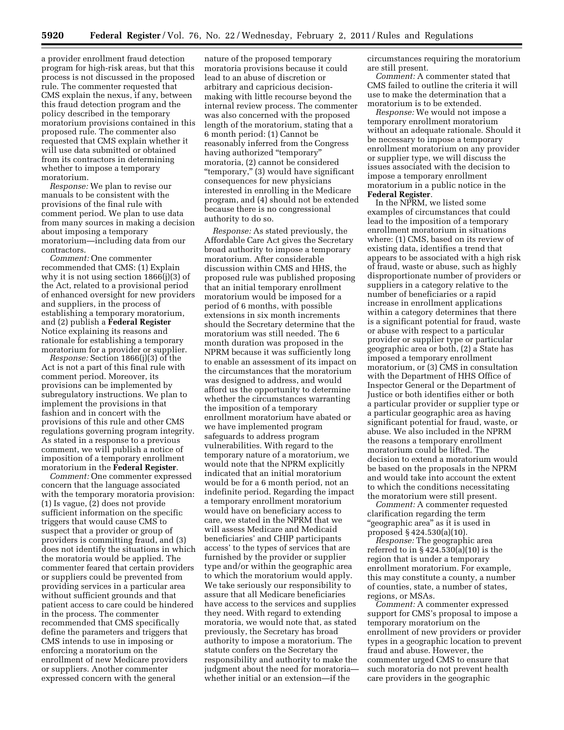a provider enrollment fraud detection program for high-risk areas, but that this process is not discussed in the proposed rule. The commenter requested that CMS explain the nexus, if any, between this fraud detection program and the policy described in the temporary moratorium provisions contained in this proposed rule. The commenter also requested that CMS explain whether it will use data submitted or obtained from its contractors in determining whether to impose a temporary moratorium.

*Response:* We plan to revise our manuals to be consistent with the provisions of the final rule with comment period. We plan to use data from many sources in making a decision about imposing a temporary moratorium—including data from our contractors.

*Comment:* One commenter recommended that CMS: (1) Explain why it is not using section 1866(j)(3) of the Act, related to a provisional period of enhanced oversight for new providers and suppliers, in the process of establishing a temporary moratorium, and (2) publish a **Federal Register**  Notice explaining its reasons and rationale for establishing a temporary moratorium for a provider or supplier.

*Response:* Section 1866(j)(3) of the Act is not a part of this final rule with comment period. Moreover, its provisions can be implemented by subregulatory instructions. We plan to implement the provisions in that fashion and in concert with the provisions of this rule and other CMS regulations governing program integrity. As stated in a response to a previous comment, we will publish a notice of imposition of a temporary enrollment moratorium in the **Federal Register**.

*Comment:* One commenter expressed concern that the language associated with the temporary moratoria provision: (1) Is vague, (2) does not provide sufficient information on the specific triggers that would cause CMS to suspect that a provider or group of providers is committing fraud, and (3) does not identify the situations in which the moratoria would be applied. The commenter feared that certain providers or suppliers could be prevented from providing services in a particular area without sufficient grounds and that patient access to care could be hindered in the process. The commenter recommended that CMS specifically define the parameters and triggers that CMS intends to use in imposing or enforcing a moratorium on the enrollment of new Medicare providers or suppliers. Another commenter expressed concern with the general

nature of the proposed temporary moratoria provisions because it could lead to an abuse of discretion or arbitrary and capricious decisionmaking with little recourse beyond the internal review process. The commenter was also concerned with the proposed length of the moratorium, stating that a 6 month period: (1) Cannot be reasonably inferred from the Congress having authorized "temporary" moratoria, (2) cannot be considered "temporary," (3) would have significant consequences for new physicians interested in enrolling in the Medicare program, and (4) should not be extended because there is no congressional authority to do so.

*Response:* As stated previously, the Affordable Care Act gives the Secretary broad authority to impose a temporary moratorium. After considerable discussion within CMS and HHS, the proposed rule was published proposing that an initial temporary enrollment moratorium would be imposed for a period of 6 months, with possible extensions in six month increments should the Secretary determine that the moratorium was still needed. The 6 month duration was proposed in the NPRM because it was sufficiently long to enable an assessment of its impact on the circumstances that the moratorium was designed to address, and would afford us the opportunity to determine whether the circumstances warranting the imposition of a temporary enrollment moratorium have abated or we have implemented program safeguards to address program vulnerabilities. With regard to the temporary nature of a moratorium, we would note that the NPRM explicitly indicated that an initial moratorium would be for a 6 month period, not an indefinite period. Regarding the impact a temporary enrollment moratorium would have on beneficiary access to care, we stated in the NPRM that we will assess Medicare and Medicaid beneficiaries' and CHIP participants access' to the types of services that are furnished by the provider or supplier type and/or within the geographic area to which the moratorium would apply. We take seriously our responsibility to assure that all Medicare beneficiaries have access to the services and supplies they need. With regard to extending moratoria, we would note that, as stated previously, the Secretary has broad authority to impose a moratorium. The statute confers on the Secretary the responsibility and authority to make the judgment about the need for moratoria whether initial or an extension—if the

circumstances requiring the moratorium are still present.

*Comment:* A commenter stated that CMS failed to outline the criteria it will use to make the determination that a moratorium is to be extended.

*Response:* We would not impose a temporary enrollment moratorium without an adequate rationale. Should it be necessary to impose a temporary enrollment moratorium on any provider or supplier type, we will discuss the issues associated with the decision to impose a temporary enrollment moratorium in a public notice in the **Federal Register**.

In the NPRM, we listed some examples of circumstances that could lead to the imposition of a temporary enrollment moratorium in situations where: (1) CMS, based on its review of existing data, identifies a trend that appears to be associated with a high risk of fraud, waste or abuse, such as highly disproportionate number of providers or suppliers in a category relative to the number of beneficiaries or a rapid increase in enrollment applications within a category determines that there is a significant potential for fraud, waste or abuse with respect to a particular provider or supplier type or particular geographic area or both, (2) a State has imposed a temporary enrollment moratorium, or (3) CMS in consultation with the Department of HHS Office of Inspector General or the Department of Justice or both identifies either or both a particular provider or supplier type or a particular geographic area as having significant potential for fraud, waste, or abuse. We also included in the NPRM the reasons a temporary enrollment moratorium could be lifted. The decision to extend a moratorium would be based on the proposals in the NPRM and would take into account the extent to which the conditions necessitating the moratorium were still present.

*Comment:* A commenter requested clarification regarding the term ''geographic area'' as it is used in proposed § 424.530(a)(10).

*Response:* The geographic area referred to in  $\S 424.530(a)(10)$  is the region that is under a temporary enrollment moratorium. For example, this may constitute a county, a number of counties, state, a number of states, regions, or MSAs.

*Comment:* A commenter expressed support for CMS's proposal to impose a temporary moratorium on the enrollment of new providers or provider types in a geographic location to prevent fraud and abuse. However, the commenter urged CMS to ensure that such moratoria do not prevent health care providers in the geographic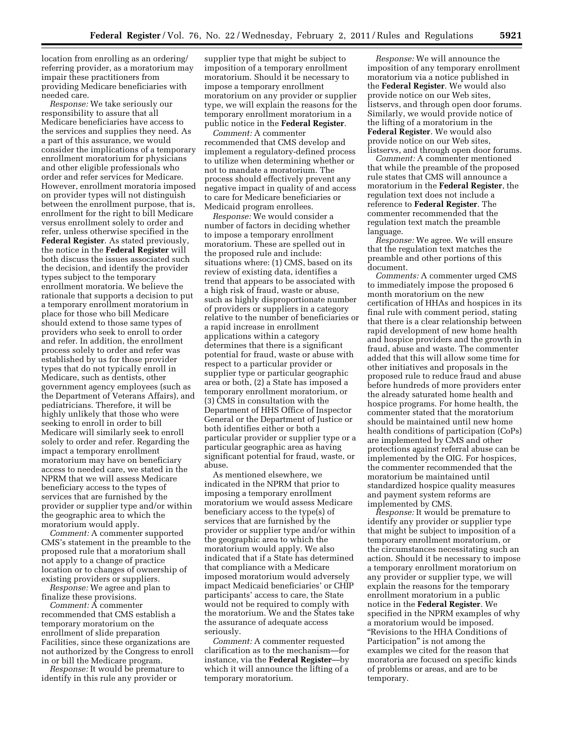location from enrolling as an ordering/ referring provider, as a moratorium may impair these practitioners from providing Medicare beneficiaries with needed care.

*Response:* We take seriously our responsibility to assure that all Medicare beneficiaries have access to the services and supplies they need. As a part of this assurance, we would consider the implications of a temporary enrollment moratorium for physicians and other eligible professionals who order and refer services for Medicare. However, enrollment moratoria imposed on provider types will not distinguish between the enrollment purpose, that is, enrollment for the right to bill Medicare versus enrollment solely to order and refer, unless otherwise specified in the **Federal Register**. As stated previously, the notice in the **Federal Register** will both discuss the issues associated such the decision, and identify the provider types subject to the temporary enrollment moratoria. We believe the rationale that supports a decision to put a temporary enrollment moratorium in place for those who bill Medicare should extend to those same types of providers who seek to enroll to order and refer. In addition, the enrollment process solely to order and refer was established by us for those provider types that do not typically enroll in Medicare, such as dentists, other government agency employees (such as the Department of Veterans Affairs), and pediatricians. Therefore, it will be highly unlikely that those who were seeking to enroll in order to bill Medicare will similarly seek to enroll solely to order and refer. Regarding the impact a temporary enrollment moratorium may have on beneficiary access to needed care, we stated in the NPRM that we will assess Medicare beneficiary access to the types of services that are furnished by the provider or supplier type and/or within the geographic area to which the moratorium would apply.

*Comment:* A commenter supported CMS's statement in the preamble to the proposed rule that a moratorium shall not apply to a change of practice location or to changes of ownership of existing providers or suppliers.

*Response:* We agree and plan to finalize these provisions.

*Comment:* A commenter recommended that CMS establish a temporary moratorium on the enrollment of slide preparation Facilities, since these organizations are not authorized by the Congress to enroll in or bill the Medicare program.

*Response:* It would be premature to identify in this rule any provider or

supplier type that might be subject to imposition of a temporary enrollment moratorium. Should it be necessary to impose a temporary enrollment moratorium on any provider or supplier type, we will explain the reasons for the temporary enrollment moratorium in a public notice in the **Federal Register**.

*Comment:* A commenter recommended that CMS develop and implement a regulatory-defined process to utilize when determining whether or not to mandate a moratorium. The process should effectively prevent any negative impact in quality of and access to care for Medicare beneficiaries or Medicaid program enrollees.

*Response:* We would consider a number of factors in deciding whether to impose a temporary enrollment moratorium. These are spelled out in the proposed rule and include: situations where: (1) CMS, based on its review of existing data, identifies a trend that appears to be associated with a high risk of fraud, waste or abuse, such as highly disproportionate number of providers or suppliers in a category relative to the number of beneficiaries or a rapid increase in enrollment applications within a category determines that there is a significant potential for fraud, waste or abuse with respect to a particular provider or supplier type or particular geographic area or both, (2) a State has imposed a temporary enrollment moratorium, or (3) CMS in consultation with the Department of HHS Office of Inspector General or the Department of Justice or both identifies either or both a particular provider or supplier type or a particular geographic area as having significant potential for fraud, waste, or abuse.

As mentioned elsewhere, we indicated in the NPRM that prior to imposing a temporary enrollment moratorium we would assess Medicare beneficiary access to the type(s) of services that are furnished by the provider or supplier type and/or within the geographic area to which the moratorium would apply. We also indicated that if a State has determined that compliance with a Medicare imposed moratorium would adversely impact Medicaid beneficiaries' or CHIP participants' access to care, the State would not be required to comply with the moratorium. We and the States take the assurance of adequate access seriously.

*Comment:* A commenter requested clarification as to the mechanism—for instance, via the **Federal Register**—by which it will announce the lifting of a temporary moratorium.

*Response:* We will announce the imposition of any temporary enrollment moratorium via a notice published in the **Federal Register**. We would also provide notice on our Web sites, listservs, and through open door forums. Similarly, we would provide notice of the lifting of a moratorium in the **Federal Register**. We would also provide notice on our Web sites, listservs, and through open door forums.

*Comment:* A commenter mentioned that while the preamble of the proposed rule states that CMS will announce a moratorium in the **Federal Register**, the regulation text does not include a reference to **Federal Register**. The commenter recommended that the regulation text match the preamble language.

*Response:* We agree. We will ensure that the regulation text matches the preamble and other portions of this document.

*Comments:* A commenter urged CMS to immediately impose the proposed 6 month moratorium on the new certification of HHAs and hospices in its final rule with comment period, stating that there is a clear relationship between rapid development of new home health and hospice providers and the growth in fraud, abuse and waste. The commenter added that this will allow some time for other initiatives and proposals in the proposed rule to reduce fraud and abuse before hundreds of more providers enter the already saturated home health and hospice programs. For home health, the commenter stated that the moratorium should be maintained until new home health conditions of participation (CoPs) are implemented by CMS and other protections against referral abuse can be implemented by the OIG. For hospices, the commenter recommended that the moratorium be maintained until standardized hospice quality measures and payment system reforms are implemented by CMS.

*Response:* It would be premature to identify any provider or supplier type that might be subject to imposition of a temporary enrollment moratorium, or the circumstances necessitating such an action. Should it be necessary to impose a temporary enrollment moratorium on any provider or supplier type, we will explain the reasons for the temporary enrollment moratorium in a public notice in the **Federal Register**. We specified in the NPRM examples of why a moratorium would be imposed. ''Revisions to the HHA Conditions of Participation'' is not among the examples we cited for the reason that moratoria are focused on specific kinds of problems or areas, and are to be temporary.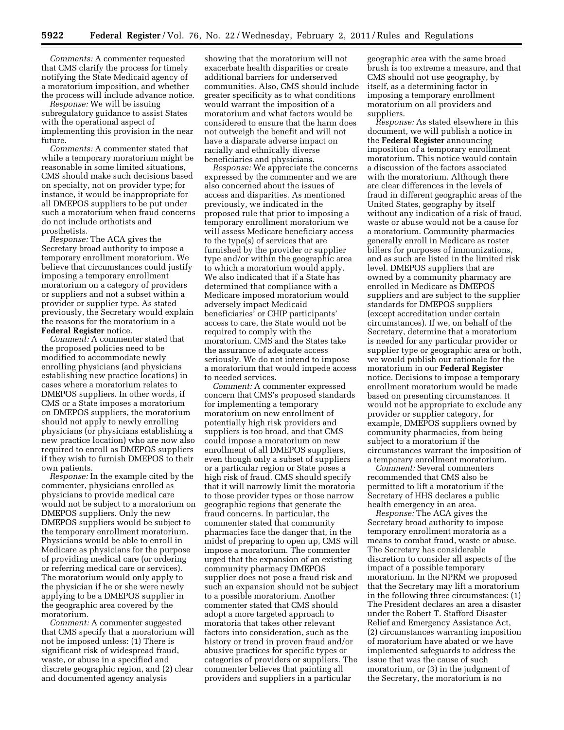*Comments:* A commenter requested that CMS clarify the process for timely notifying the State Medicaid agency of a moratorium imposition, and whether the process will include advance notice.

*Response:* We will be issuing subregulatory guidance to assist States with the operational aspect of implementing this provision in the near future.

*Comments:* A commenter stated that while a temporary moratorium might be reasonable in some limited situations, CMS should make such decisions based on specialty, not on provider type; for instance, it would be inappropriate for all DMEPOS suppliers to be put under such a moratorium when fraud concerns do not include orthotists and prosthetists.

*Response:* The ACA gives the Secretary broad authority to impose a temporary enrollment moratorium. We believe that circumstances could justify imposing a temporary enrollment moratorium on a category of providers or suppliers and not a subset within a provider or supplier type. As stated previously, the Secretary would explain the reasons for the moratorium in a **Federal Register** notice.

*Comment:* A commenter stated that the proposed policies need to be modified to accommodate newly enrolling physicians (and physicians establishing new practice locations) in cases where a moratorium relates to DMEPOS suppliers. In other words, if CMS or a State imposes a moratorium on DMEPOS suppliers, the moratorium should not apply to newly enrolling physicians (or physicians establishing a new practice location) who are now also required to enroll as DMEPOS suppliers if they wish to furnish DMEPOS to their own patients.

*Response:* In the example cited by the commenter, physicians enrolled as physicians to provide medical care would not be subject to a moratorium on DMEPOS suppliers. Only the new DMEPOS suppliers would be subject to the temporary enrollment moratorium. Physicians would be able to enroll in Medicare as physicians for the purpose of providing medical care (or ordering or referring medical care or services). The moratorium would only apply to the physician if he or she were newly applying to be a DMEPOS supplier in the geographic area covered by the moratorium.

*Comment:* A commenter suggested that CMS specify that a moratorium will not be imposed unless: (1) There is significant risk of widespread fraud, waste, or abuse in a specified and discrete geographic region, and (2) clear and documented agency analysis

showing that the moratorium will not exacerbate health disparities or create additional barriers for underserved communities. Also, CMS should include greater specificity as to what conditions would warrant the imposition of a moratorium and what factors would be considered to ensure that the harm does not outweigh the benefit and will not have a disparate adverse impact on racially and ethnically diverse beneficiaries and physicians.

*Response:* We appreciate the concerns expressed by the commenter and we are also concerned about the issues of access and disparities. As mentioned previously, we indicated in the proposed rule that prior to imposing a temporary enrollment moratorium we will assess Medicare beneficiary access to the type(s) of services that are furnished by the provider or supplier type and/or within the geographic area to which a moratorium would apply. We also indicated that if a State has determined that compliance with a Medicare imposed moratorium would adversely impact Medicaid beneficiaries' or CHIP participants' access to care, the State would not be required to comply with the moratorium. CMS and the States take the assurance of adequate access seriously. We do not intend to impose a moratorium that would impede access to needed services.

*Comment:* A commenter expressed concern that CMS's proposed standards for implementing a temporary moratorium on new enrollment of potentially high risk providers and suppliers is too broad, and that CMS could impose a moratorium on new enrollment of all DMEPOS suppliers, even though only a subset of suppliers or a particular region or State poses a high risk of fraud. CMS should specify that it will narrowly limit the moratoria to those provider types or those narrow geographic regions that generate the fraud concerns. In particular, the commenter stated that community pharmacies face the danger that, in the midst of preparing to open up, CMS will impose a moratorium. The commenter urged that the expansion of an existing community pharmacy DMEPOS supplier does not pose a fraud risk and such an expansion should not be subject to a possible moratorium. Another commenter stated that CMS should adopt a more targeted approach to moratoria that takes other relevant factors into consideration, such as the history or trend in proven fraud and/or abusive practices for specific types or categories of providers or suppliers. The commenter believes that painting all providers and suppliers in a particular

geographic area with the same broad brush is too extreme a measure, and that CMS should not use geography, by itself, as a determining factor in imposing a temporary enrollment moratorium on all providers and suppliers.

*Response:* As stated elsewhere in this document, we will publish a notice in the **Federal Register** announcing imposition of a temporary enrollment moratorium. This notice would contain a discussion of the factors associated with the moratorium. Although there are clear differences in the levels of fraud in different geographic areas of the United States, geography by itself without any indication of a risk of fraud, waste or abuse would not be a cause for a moratorium. Community pharmacies generally enroll in Medicare as roster billers for purposes of immunizations, and as such are listed in the limited risk level. DMEPOS suppliers that are owned by a community pharmacy are enrolled in Medicare as DMEPOS suppliers and are subject to the supplier standards for DMEPOS suppliers (except accreditation under certain circumstances). If we, on behalf of the Secretary, determine that a moratorium is needed for any particular provider or supplier type or geographic area or both, we would publish our rationale for the moratorium in our **Federal Register**  notice. Decisions to impose a temporary enrollment moratorium would be made based on presenting circumstances. It would not be appropriate to exclude any provider or supplier category, for example, DMEPOS suppliers owned by community pharmacies, from being subject to a moratorium if the circumstances warrant the imposition of a temporary enrollment moratorium.

*Comment:* Several commenters recommended that CMS also be permitted to lift a moratorium if the Secretary of HHS declares a public health emergency in an area.

*Response:* The ACA gives the Secretary broad authority to impose temporary enrollment moratoria as a means to combat fraud, waste or abuse. The Secretary has considerable discretion to consider all aspects of the impact of a possible temporary moratorium. In the NPRM we proposed that the Secretary may lift a moratorium in the following three circumstances: (1) The President declares an area a disaster under the Robert T. Stafford Disaster Relief and Emergency Assistance Act, (2) circumstances warranting imposition of moratorium have abated or we have implemented safeguards to address the issue that was the cause of such moratorium, or (3) in the judgment of the Secretary, the moratorium is no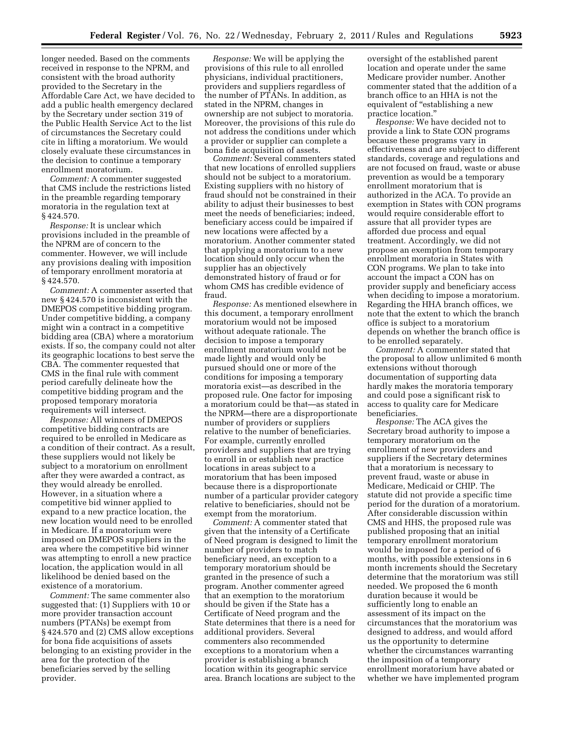longer needed. Based on the comments received in response to the NPRM, and consistent with the broad authority provided to the Secretary in the Affordable Care Act, we have decided to add a public health emergency declared by the Secretary under section 319 of the Public Health Service Act to the list of circumstances the Secretary could cite in lifting a moratorium. We would closely evaluate these circumstances in the decision to continue a temporary enrollment moratorium.

*Comment:* A commenter suggested that CMS include the restrictions listed in the preamble regarding temporary moratoria in the regulation text at § 424.570.

*Response:* It is unclear which provisions included in the preamble of the NPRM are of concern to the commenter. However, we will include any provisions dealing with imposition of temporary enrollment moratoria at § 424.570.

*Comment:* A commenter asserted that new § 424.570 is inconsistent with the DMEPOS competitive bidding program. Under competitive bidding, a company might win a contract in a competitive bidding area (CBA) where a moratorium exists. If so, the company could not alter its geographic locations to best serve the CBA. The commenter requested that CMS in the final rule with comment period carefully delineate how the competitive bidding program and the proposed temporary moratoria requirements will intersect.

*Response:* All winners of DMEPOS competitive bidding contracts are required to be enrolled in Medicare as a condition of their contract. As a result, these suppliers would not likely be subject to a moratorium on enrollment after they were awarded a contract, as they would already be enrolled. However, in a situation where a competitive bid winner applied to expand to a new practice location, the new location would need to be enrolled in Medicare. If a moratorium were imposed on DMEPOS suppliers in the area where the competitive bid winner was attempting to enroll a new practice location, the application would in all likelihood be denied based on the existence of a moratorium.

*Comment:* The same commenter also suggested that: (1) Suppliers with 10 or more provider transaction account numbers (PTANs) be exempt from § 424.570 and (2) CMS allow exceptions for bona fide acquisitions of assets belonging to an existing provider in the area for the protection of the beneficiaries served by the selling provider.

*Response:* We will be applying the provisions of this rule to all enrolled physicians, individual practitioners, providers and suppliers regardless of the number of PTANs. In addition, as stated in the NPRM, changes in ownership are not subject to moratoria. Moreover, the provisions of this rule do not address the conditions under which a provider or supplier can complete a bona fide acquisition of assets.

*Comment:* Several commenters stated that new locations of enrolled suppliers should not be subject to a moratorium. Existing suppliers with no history of fraud should not be constrained in their ability to adjust their businesses to best meet the needs of beneficiaries; indeed, beneficiary access could be impaired if new locations were affected by a moratorium. Another commenter stated that applying a moratorium to a new location should only occur when the supplier has an objectively demonstrated history of fraud or for whom CMS has credible evidence of fraud.

*Response:* As mentioned elsewhere in this document, a temporary enrollment moratorium would not be imposed without adequate rationale. The decision to impose a temporary enrollment moratorium would not be made lightly and would only be pursued should one or more of the conditions for imposing a temporary moratoria exist—as described in the proposed rule. One factor for imposing a moratorium could be that—as stated in the NPRM—there are a disproportionate number of providers or suppliers relative to the number of beneficiaries. For example, currently enrolled providers and suppliers that are trying to enroll in or establish new practice locations in areas subject to a moratorium that has been imposed because there is a disproportionate number of a particular provider category relative to beneficiaries, should not be exempt from the moratorium.

*Comment:* A commenter stated that given that the intensity of a Certificate of Need program is designed to limit the number of providers to match beneficiary need, an exception to a temporary moratorium should be granted in the presence of such a program. Another commenter agreed that an exemption to the moratorium should be given if the State has a Certificate of Need program and the State determines that there is a need for additional providers. Several commenters also recommended exceptions to a moratorium when a provider is establishing a branch location within its geographic service area. Branch locations are subject to the

oversight of the established parent location and operate under the same Medicare provider number. Another commenter stated that the addition of a branch office to an HHA is not the equivalent of "establishing a new practice location.''

*Response:* We have decided not to provide a link to State CON programs because these programs vary in effectiveness and are subject to different standards, coverage and regulations and are not focused on fraud, waste or abuse prevention as would be a temporary enrollment moratorium that is authorized in the ACA. To provide an exemption in States with CON programs would require considerable effort to assure that all provider types are afforded due process and equal treatment. Accordingly, we did not propose an exemption from temporary enrollment moratoria in States with CON programs. We plan to take into account the impact a CON has on provider supply and beneficiary access when deciding to impose a moratorium. Regarding the HHA branch offices, we note that the extent to which the branch office is subject to a moratorium depends on whether the branch office is to be enrolled separately.

*Comment:* A commenter stated that the proposal to allow unlimited 6 month extensions without thorough documentation of supporting data hardly makes the moratoria temporary and could pose a significant risk to access to quality care for Medicare beneficiaries.

*Response:* The ACA gives the Secretary broad authority to impose a temporary moratorium on the enrollment of new providers and suppliers if the Secretary determines that a moratorium is necessary to prevent fraud, waste or abuse in Medicare, Medicaid or CHIP. The statute did not provide a specific time period for the duration of a moratorium. After considerable discussion within CMS and HHS, the proposed rule was published proposing that an initial temporary enrollment moratorium would be imposed for a period of 6 months, with possible extensions in 6 month increments should the Secretary determine that the moratorium was still needed. We proposed the 6 month duration because it would be sufficiently long to enable an assessment of its impact on the circumstances that the moratorium was designed to address, and would afford us the opportunity to determine whether the circumstances warranting the imposition of a temporary enrollment moratorium have abated or whether we have implemented program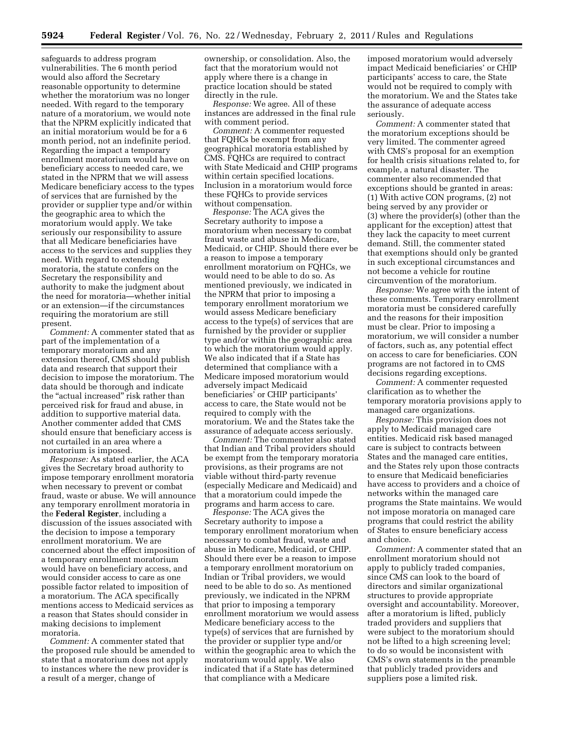safeguards to address program vulnerabilities. The 6 month period would also afford the Secretary reasonable opportunity to determine whether the moratorium was no longer needed. With regard to the temporary nature of a moratorium, we would note that the NPRM explicitly indicated that an initial moratorium would be for a 6 month period, not an indefinite period. Regarding the impact a temporary enrollment moratorium would have on beneficiary access to needed care, we stated in the NPRM that we will assess Medicare beneficiary access to the types of services that are furnished by the provider or supplier type and/or within the geographic area to which the moratorium would apply. We take seriously our responsibility to assure that all Medicare beneficiaries have access to the services and supplies they need. With regard to extending moratoria, the statute confers on the Secretary the responsibility and authority to make the judgment about the need for moratoria—whether initial or an extension—if the circumstances requiring the moratorium are still present.

*Comment:* A commenter stated that as part of the implementation of a temporary moratorium and any extension thereof, CMS should publish data and research that support their decision to impose the moratorium. The data should be thorough and indicate the "actual increased" risk rather than perceived risk for fraud and abuse, in addition to supportive material data. Another commenter added that CMS should ensure that beneficiary access is not curtailed in an area where a moratorium is imposed.

*Response:* As stated earlier, the ACA gives the Secretary broad authority to impose temporary enrollment moratoria when necessary to prevent or combat fraud, waste or abuse. We will announce any temporary enrollment moratoria in the **Federal Register**, including a discussion of the issues associated with the decision to impose a temporary enrollment moratorium. We are concerned about the effect imposition of a temporary enrollment moratorium would have on beneficiary access, and would consider access to care as one possible factor related to imposition of a moratorium. The ACA specifically mentions access to Medicaid services as a reason that States should consider in making decisions to implement moratoria.

*Comment:* A commenter stated that the proposed rule should be amended to state that a moratorium does not apply to instances where the new provider is a result of a merger, change of

ownership, or consolidation. Also, the fact that the moratorium would not apply where there is a change in practice location should be stated directly in the rule.

*Response:* We agree. All of these instances are addressed in the final rule with comment period.

*Comment:* A commenter requested that FQHCs be exempt from any geographical moratoria established by CMS. FQHCs are required to contract with State Medicaid and CHIP programs within certain specified locations. Inclusion in a moratorium would force these FQHCs to provide services without compensation.

*Response:* The ACA gives the Secretary authority to impose a moratorium when necessary to combat fraud waste and abuse in Medicare, Medicaid, or CHIP. Should there ever be a reason to impose a temporary enrollment moratorium on FQHCs, we would need to be able to do so. As mentioned previously, we indicated in the NPRM that prior to imposing a temporary enrollment moratorium we would assess Medicare beneficiary access to the type(s) of services that are furnished by the provider or supplier type and/or within the geographic area to which the moratorium would apply. We also indicated that if a State has determined that compliance with a Medicare imposed moratorium would adversely impact Medicaid beneficiaries' or CHIP participants' access to care, the State would not be required to comply with the moratorium. We and the States take the assurance of adequate access seriously.

*Comment:* The commenter also stated that Indian and Tribal providers should be exempt from the temporary moratoria provisions, as their programs are not viable without third-party revenue (especially Medicare and Medicaid) and that a moratorium could impede the programs and harm access to care.

*Response:* The ACA gives the Secretary authority to impose a temporary enrollment moratorium when necessary to combat fraud, waste and abuse in Medicare, Medicaid, or CHIP. Should there ever be a reason to impose a temporary enrollment moratorium on Indian or Tribal providers, we would need to be able to do so. As mentioned previously, we indicated in the NPRM that prior to imposing a temporary enrollment moratorium we would assess Medicare beneficiary access to the type(s) of services that are furnished by the provider or supplier type and/or within the geographic area to which the moratorium would apply. We also indicated that if a State has determined that compliance with a Medicare

imposed moratorium would adversely impact Medicaid beneficiaries' or CHIP participants' access to care, the State would not be required to comply with the moratorium. We and the States take the assurance of adequate access seriously.

*Comment:* A commenter stated that the moratorium exceptions should be very limited. The commenter agreed with CMS's proposal for an exemption for health crisis situations related to, for example, a natural disaster. The commenter also recommended that exceptions should be granted in areas: (1) With active CON programs, (2) not being served by any provider or (3) where the provider(s) (other than the applicant for the exception) attest that they lack the capacity to meet current demand. Still, the commenter stated that exemptions should only be granted in such exceptional circumstances and not become a vehicle for routine circumvention of the moratorium.

*Response:* We agree with the intent of these comments. Temporary enrollment moratoria must be considered carefully and the reasons for their imposition must be clear. Prior to imposing a moratorium, we will consider a number of factors, such as, any potential effect on access to care for beneficiaries. CON programs are not factored in to CMS decisions regarding exceptions.

*Comment:* A commenter requested clarification as to whether the temporary moratoria provisions apply to managed care organizations.

*Response:* This provision does not apply to Medicaid managed care entities. Medicaid risk based managed care is subject to contracts between States and the managed care entities, and the States rely upon those contracts to ensure that Medicaid beneficiaries have access to providers and a choice of networks within the managed care programs the State maintains. We would not impose moratoria on managed care programs that could restrict the ability of States to ensure beneficiary access and choice.

*Comment:* A commenter stated that an enrollment moratorium should not apply to publicly traded companies, since CMS can look to the board of directors and similar organizational structures to provide appropriate oversight and accountability. Moreover, after a moratorium is lifted, publicly traded providers and suppliers that were subject to the moratorium should not be lifted to a high screening level; to do so would be inconsistent with CMS's own statements in the preamble that publicly traded providers and suppliers pose a limited risk.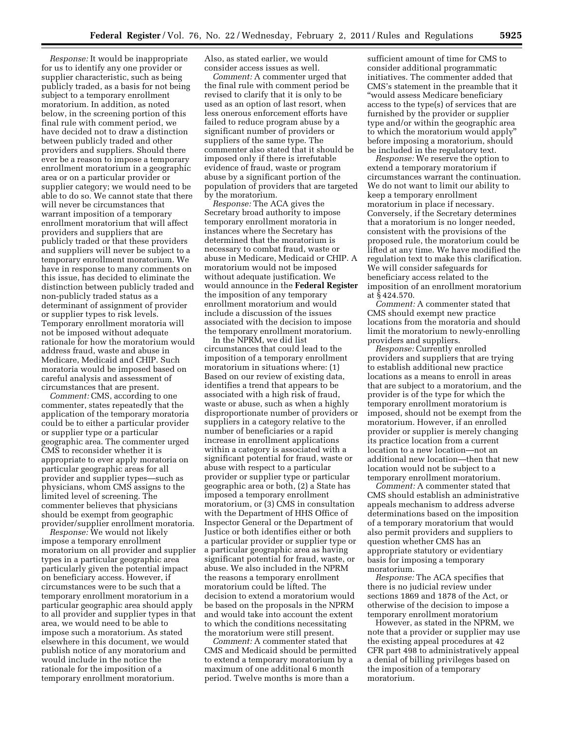*Response:* It would be inappropriate for us to identify any one provider or supplier characteristic, such as being publicly traded, as a basis for not being subject to a temporary enrollment moratorium. In addition, as noted below, in the screening portion of this final rule with comment period, we have decided not to draw a distinction between publicly traded and other providers and suppliers. Should there ever be a reason to impose a temporary enrollment moratorium in a geographic area or on a particular provider or supplier category; we would need to be able to do so. We cannot state that there will never be circumstances that warrant imposition of a temporary enrollment moratorium that will affect providers and suppliers that are publicly traded or that these providers and suppliers will never be subject to a temporary enrollment moratorium. We have in response to many comments on this issue, has decided to eliminate the distinction between publicly traded and non-publicly traded status as a determinant of assignment of provider or supplier types to risk levels. Temporary enrollment moratoria will not be imposed without adequate rationale for how the moratorium would address fraud, waste and abuse in Medicare, Medicaid and CHIP. Such moratoria would be imposed based on careful analysis and assessment of circumstances that are present.

*Comment:* CMS, according to one commenter, states repeatedly that the application of the temporary moratoria could be to either a particular provider or supplier type or a particular geographic area. The commenter urged CMS to reconsider whether it is appropriate to ever apply moratoria on particular geographic areas for all provider and supplier types—such as physicians, whom CMS assigns to the limited level of screening. The commenter believes that physicians should be exempt from geographic provider/supplier enrollment moratoria.

*Response:* We would not likely impose a temporary enrollment moratorium on all provider and supplier types in a particular geographic area particularly given the potential impact on beneficiary access. However, if circumstances were to be such that a temporary enrollment moratorium in a particular geographic area should apply to all provider and supplier types in that area, we would need to be able to impose such a moratorium. As stated elsewhere in this document, we would publish notice of any moratorium and would include in the notice the rationale for the imposition of a temporary enrollment moratorium.

Also, as stated earlier, we would consider access issues as well.

*Comment:* A commenter urged that the final rule with comment period be revised to clarify that it is only to be used as an option of last resort, when less onerous enforcement efforts have failed to reduce program abuse by a significant number of providers or suppliers of the same type. The commenter also stated that it should be imposed only if there is irrefutable evidence of fraud, waste or program abuse by a significant portion of the population of providers that are targeted by the moratorium.

*Response:* The ACA gives the Secretary broad authority to impose temporary enrollment moratoria in instances where the Secretary has determined that the moratorium is necessary to combat fraud, waste or abuse in Medicare, Medicaid or CHIP. A moratorium would not be imposed without adequate justification. We would announce in the **Federal Register**  the imposition of any temporary enrollment moratorium and would include a discussion of the issues associated with the decision to impose the temporary enrollment moratorium.

In the NPRM, we did list circumstances that could lead to the imposition of a temporary enrollment moratorium in situations where: (1) Based on our review of existing data, identifies a trend that appears to be associated with a high risk of fraud, waste or abuse, such as when a highly disproportionate number of providers or suppliers in a category relative to the number of beneficiaries or a rapid increase in enrollment applications within a category is associated with a significant potential for fraud, waste or abuse with respect to a particular provider or supplier type or particular geographic area or both, (2) a State has imposed a temporary enrollment moratorium, or (3) CMS in consultation with the Department of HHS Office of Inspector General or the Department of Justice or both identifies either or both a particular provider or supplier type or a particular geographic area as having significant potential for fraud, waste, or abuse. We also included in the NPRM the reasons a temporary enrollment moratorium could be lifted. The decision to extend a moratorium would be based on the proposals in the NPRM and would take into account the extent to which the conditions necessitating the moratorium were still present.

*Comment:* A commenter stated that CMS and Medicaid should be permitted to extend a temporary moratorium by a maximum of one additional 6 month period. Twelve months is more than a

sufficient amount of time for CMS to consider additional programmatic initiatives. The commenter added that CMS's statement in the preamble that it ''would assess Medicare beneficiary access to the type(s) of services that are furnished by the provider or supplier type and/or within the geographic area to which the moratorium would apply'' before imposing a moratorium, should be included in the regulatory text.

*Response:* We reserve the option to extend a temporary moratorium if circumstances warrant the continuation. We do not want to limit our ability to keep a temporary enrollment moratorium in place if necessary. Conversely, if the Secretary determines that a moratorium is no longer needed, consistent with the provisions of the proposed rule, the moratorium could be lifted at any time. We have modified the regulation text to make this clarification. We will consider safeguards for beneficiary access related to the imposition of an enrollment moratorium at § 424.570.

*Comment:* A commenter stated that CMS should exempt new practice locations from the moratoria and should limit the moratorium to newly-enrolling providers and suppliers.

*Response:* Currently enrolled providers and suppliers that are trying to establish additional new practice locations as a means to enroll in areas that are subject to a moratorium, and the provider is of the type for which the temporary enrollment moratorium is imposed, should not be exempt from the moratorium. However, if an enrolled provider or supplier is merely changing its practice location from a current location to a new location—not an additional new location—then that new location would not be subject to a temporary enrollment moratorium.

*Comment:* A commenter stated that CMS should establish an administrative appeals mechanism to address adverse determinations based on the imposition of a temporary moratorium that would also permit providers and suppliers to question whether CMS has an appropriate statutory or evidentiary basis for imposing a temporary moratorium.

*Response:* The ACA specifies that there is no judicial review under sections 1869 and 1878 of the Act, or otherwise of the decision to impose a temporary enrollment moratorium

However, as stated in the NPRM, we note that a provider or supplier may use the existing appeal procedures at 42 CFR part 498 to administratively appeal a denial of billing privileges based on the imposition of a temporary moratorium.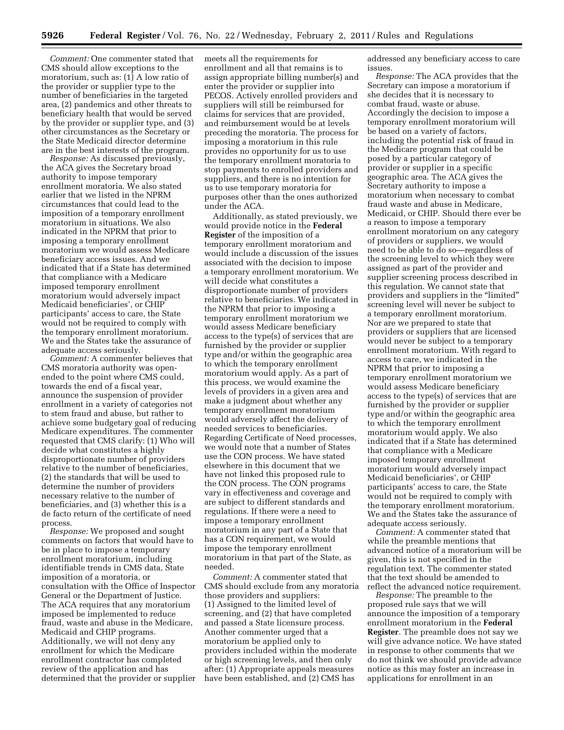*Comment:* One commenter stated that CMS should allow exceptions to the moratorium, such as: (1) A low ratio of the provider or supplier type to the number of beneficiaries in the targeted area, (2) pandemics and other threats to beneficiary health that would be served by the provider or supplier type, and (3) other circumstances as the Secretary or the State Medicaid director determine are in the best interests of the program.

*Response:* As discussed previously, the ACA gives the Secretary broad authority to impose temporary enrollment moratoria. We also stated earlier that we listed in the NPRM circumstances that could lead to the imposition of a temporary enrollment moratorium in situations. We also indicated in the NPRM that prior to imposing a temporary enrollment moratorium we would assess Medicare beneficiary access issues. And we indicated that if a State has determined that compliance with a Medicare imposed temporary enrollment moratorium would adversely impact Medicaid beneficiaries', or CHIP participants' access to care, the State would not be required to comply with the temporary enrollment moratorium. We and the States take the assurance of adequate access seriously.

*Comment:* A commenter believes that CMS moratoria authority was openended to the point where CMS could, towards the end of a fiscal year, announce the suspension of provider enrollment in a variety of categories not to stem fraud and abuse, but rather to achieve some budgetary goal of reducing Medicare expenditures. The commenter requested that CMS clarify: (1) Who will decide what constitutes a highly disproportionate number of providers relative to the number of beneficiaries, (2) the standards that will be used to determine the number of providers necessary relative to the number of beneficiaries, and (3) whether this is a de facto return of the certificate of need process.

*Response:* We proposed and sought comments on factors that would have to be in place to impose a temporary enrollment moratorium, including identifiable trends in CMS data, State imposition of a moratoria, or consultation with the Office of Inspector General or the Department of Justice. The ACA requires that any moratorium imposed be implemented to reduce fraud, waste and abuse in the Medicare, Medicaid and CHIP programs. Additionally, we will not deny any enrollment for which the Medicare enrollment contractor has completed review of the application and has determined that the provider or supplier meets all the requirements for enrollment and all that remains is to assign appropriate billing number(s) and enter the provider or supplier into PECOS. Actively enrolled providers and suppliers will still be reimbursed for claims for services that are provided, and reimbursement would be at levels preceding the moratoria. The process for imposing a moratorium in this rule provides no opportunity for us to use the temporary enrollment moratoria to stop payments to enrolled providers and suppliers, and there is no intention for us to use temporary moratoria for purposes other than the ones authorized under the ACA.

Additionally, as stated previously, we would provide notice in the **Federal Register** of the imposition of a temporary enrollment moratorium and would include a discussion of the issues associated with the decision to impose a temporary enrollment moratorium. We will decide what constitutes a disproportionate number of providers relative to beneficiaries. We indicated in the NPRM that prior to imposing a temporary enrollment moratorium we would assess Medicare beneficiary access to the type(s) of services that are furnished by the provider or supplier type and/or within the geographic area to which the temporary enrollment moratorium would apply. As a part of this process, we would examine the levels of providers in a given area and make a judgment about whether any temporary enrollment moratorium would adversely affect the delivery of needed services to beneficiaries. Regarding Certificate of Need processes, we would note that a number of States use the CON process. We have stated elsewhere in this document that we have not linked this proposed rule to the CON process. The CON programs vary in effectiveness and coverage and are subject to different standards and regulations. If there were a need to impose a temporary enrollment moratorium in any part of a State that has a CON requirement, we would impose the temporary enrollment moratorium in that part of the State, as needed.

*Comment:* A commenter stated that CMS should exclude from any moratoria those providers and suppliers: (1) Assigned to the limited level of screening, and (2) that have completed and passed a State licensure process. Another commenter urged that a moratorium be applied only to providers included within the moderate or high screening levels, and then only after: (1) Appropriate appeals measures have been established, and (2) CMS has

addressed any beneficiary access to care issues.

*Response:* The ACA provides that the Secretary can impose a moratorium if she decides that it is necessary to combat fraud, waste or abuse. Accordingly the decision to impose a temporary enrollment moratorium will be based on a variety of factors, including the potential risk of fraud in the Medicare program that could be posed by a particular category of provider or supplier in a specific geographic area. The ACA gives the Secretary authority to impose a moratorium when necessary to combat fraud waste and abuse in Medicare, Medicaid, or CHIP. Should there ever be a reason to impose a temporary enrollment moratorium on any category of providers or suppliers, we would need to be able to do so—regardless of the screening level to which they were assigned as part of the provider and supplier screening process described in this regulation. We cannot state that providers and suppliers in the "limited" screening level will never be subject to a temporary enrollment moratorium. Nor are we prepared to state that providers or suppliers that are licensed would never be subject to a temporary enrollment moratorium. With regard to access to care, we indicated in the NPRM that prior to imposing a temporary enrollment moratorium we would assess Medicare beneficiary access to the type(s) of services that are furnished by the provider or supplier type and/or within the geographic area to which the temporary enrollment moratorium would apply. We also indicated that if a State has determined that compliance with a Medicare imposed temporary enrollment moratorium would adversely impact Medicaid beneficiaries', or CHIP participants' access to care, the State would not be required to comply with the temporary enrollment moratorium. We and the States take the assurance of adequate access seriously.

*Comment:* A commenter stated that while the preamble mentions that advanced notice of a moratorium will be given, this is not specified in the regulation text. The commenter stated that the text should be amended to reflect the advanced notice requirement.

*Response:* The preamble to the proposed rule says that we will announce the imposition of a temporary enrollment moratorium in the **Federal Register**. The preamble does not say we will give advance notice. We have stated in response to other comments that we do not think we should provide advance notice as this may foster an increase in applications for enrollment in an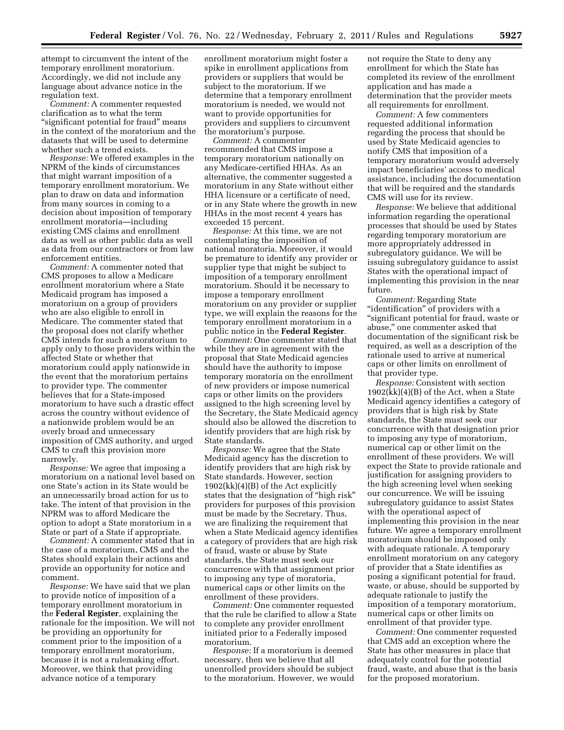attempt to circumvent the intent of the temporary enrollment moratorium. Accordingly, we did not include any language about advance notice in the regulation text.

*Comment:* A commenter requested clarification as to what the term "significant potential for fraud" means in the context of the moratorium and the datasets that will be used to determine whether such a trend exists.

*Response:* We offered examples in the NPRM of the kinds of circumstances that might warrant imposition of a temporary enrollment moratorium. We plan to draw on data and information from many sources in coming to a decision about imposition of temporary enrollment moratoria—including existing CMS claims and enrollment data as well as other public data as well as data from our contractors or from law enforcement entities.

*Comment:* A commenter noted that CMS proposes to allow a Medicare enrollment moratorium where a State Medicaid program has imposed a moratorium on a group of providers who are also eligible to enroll in Medicare. The commenter stated that the proposal does not clarify whether CMS intends for such a moratorium to apply only to those providers within the affected State or whether that moratorium could apply nationwide in the event that the moratorium pertains to provider type. The commenter believes that for a State-imposed moratorium to have such a drastic effect across the country without evidence of a nationwide problem would be an overly broad and unnecessary imposition of CMS authority, and urged CMS to craft this provision more narrowly.

*Response:* We agree that imposing a moratorium on a national level based on one State's action in its State would be an unnecessarily broad action for us to take. The intent of that provision in the NPRM was to afford Medicare the option to adopt a State moratorium in a State or part of a State if appropriate.

*Comment:* A commenter stated that in the case of a moratorium, CMS and the States should explain their actions and provide an opportunity for notice and comment.

*Response:* We have said that we plan to provide notice of imposition of a temporary enrollment moratorium in the **Federal Register**, explaining the rationale for the imposition. We will not be providing an opportunity for comment prior to the imposition of a temporary enrollment moratorium, because it is not a rulemaking effort. Moreover, we think that providing advance notice of a temporary

enrollment moratorium might foster a spike in enrollment applications from providers or suppliers that would be subject to the moratorium. If we determine that a temporary enrollment moratorium is needed, we would not want to provide opportunities for providers and suppliers to circumvent the moratorium's purpose.

*Comment:* A commenter recommended that CMS impose a temporary moratorium nationally on any Medicare-certified HHAs. As an alternative, the commenter suggested a moratorium in any State without either HHA licensure or a certificate of need, or in any State where the growth in new HHAs in the most recent 4 years has exceeded 15 percent.

*Response:* At this time, we are not contemplating the imposition of national moratoria. Moreover, it would be premature to identify any provider or supplier type that might be subject to imposition of a temporary enrollment moratorium. Should it be necessary to impose a temporary enrollment moratorium on any provider or supplier type, we will explain the reasons for the temporary enrollment moratorium in a public notice in the **Federal Register**.

*Comment:* One commenter stated that while they are in agreement with the proposal that State Medicaid agencies should have the authority to impose temporary moratoria on the enrollment of new providers or impose numerical caps or other limits on the providers assigned to the high screening level by the Secretary, the State Medicaid agency should also be allowed the discretion to identify providers that are high risk by State standards.

*Response:* We agree that the State Medicaid agency has the discretion to identify providers that are high risk by State standards. However, section 1902(kk)(4)(B) of the Act explicitly states that the designation of ''high risk'' providers for purposes of this provision must be made by the Secretary. Thus, we are finalizing the requirement that when a State Medicaid agency identifies a category of providers that are high risk of fraud, waste or abuse by State standards, the State must seek our concurrence with that assignment prior to imposing any type of moratoria, numerical caps or other limits on the enrollment of these providers.

*Comment:* One commenter requested that the rule be clarified to allow a State to complete any provider enrollment initiated prior to a Federally imposed moratorium.

*Response:* If a moratorium is deemed necessary, then we believe that all unenrolled providers should be subject to the moratorium. However, we would not require the State to deny any enrollment for which the State has completed its review of the enrollment application and has made a determination that the provider meets all requirements for enrollment.

*Comment:* A few commenters requested additional information regarding the process that should be used by State Medicaid agencies to notify CMS that imposition of a temporary moratorium would adversely impact beneficiaries' access to medical assistance, including the documentation that will be required and the standards CMS will use for its review.

*Response:* We believe that additional information regarding the operational processes that should be used by States regarding temporary moratorium are more appropriately addressed in subregulatory guidance. We will be issuing subregulatory guidance to assist States with the operational impact of implementing this provision in the near future.

*Comment:* Regarding State "identification" of providers with a ''significant potential for fraud, waste or abuse,'' one commenter asked that documentation of the significant risk be required, as well as a description of the rationale used to arrive at numerical caps or other limits on enrollment of that provider type.

*Response:* Consistent with section 1902(kk)(4)(B) of the Act, when a State Medicaid agency identifies a category of providers that is high risk by State standards, the State must seek our concurrence with that designation prior to imposing any type of moratorium, numerical cap or other limit on the enrollment of these providers. We will expect the State to provide rationale and justification for assigning providers to the high screening level when seeking our concurrence. We will be issuing subregulatory guidance to assist States with the operational aspect of implementing this provision in the near future. We agree a temporary enrollment moratorium should be imposed only with adequate rationale. A temporary enrollment moratorium on any category of provider that a State identifies as posing a significant potential for fraud, waste, or abuse, should be supported by adequate rationale to justify the imposition of a temporary moratorium, numerical caps or other limits on enrollment of that provider type.

*Comment:* One commenter requested that CMS add an exception where the State has other measures in place that adequately control for the potential fraud, waste, and abuse that is the basis for the proposed moratorium.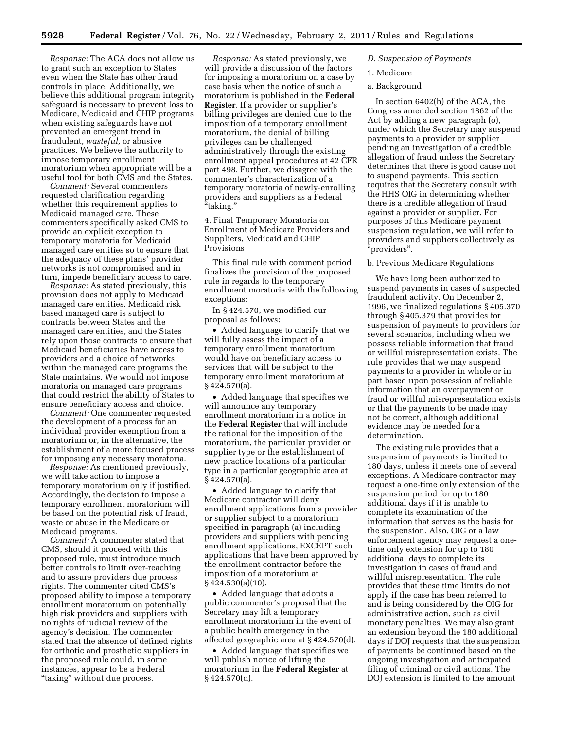*Response:* The ACA does not allow us to grant such an exception to States even when the State has other fraud controls in place. Additionally, we believe this additional program integrity safeguard is necessary to prevent loss to Medicare, Medicaid and CHIP programs when existing safeguards have not prevented an emergent trend in fraudulent, *wasteful,* or abusive practices. We believe the authority to impose temporary enrollment moratorium when appropriate will be a useful tool for both CMS and the States.

*Comment:* Several commenters requested clarification regarding whether this requirement applies to Medicaid managed care. These commenters specifically asked CMS to provide an explicit exception to temporary moratoria for Medicaid managed care entities so to ensure that the adequacy of these plans' provider networks is not compromised and in turn, impede beneficiary access to care.

*Response:* As stated previously, this provision does not apply to Medicaid managed care entities. Medicaid risk based managed care is subject to contracts between States and the managed care entities, and the States rely upon those contracts to ensure that Medicaid beneficiaries have access to providers and a choice of networks within the managed care programs the State maintains. We would not impose moratoria on managed care programs that could restrict the ability of States to ensure beneficiary access and choice.

*Comment:* One commenter requested the development of a process for an individual provider exemption from a moratorium or, in the alternative, the establishment of a more focused process for imposing any necessary moratoria.

*Response:* As mentioned previously, we will take action to impose a temporary moratorium only if justified. Accordingly, the decision to impose a temporary enrollment moratorium will be based on the potential risk of fraud, waste or abuse in the Medicare or Medicaid programs.

*Comment:* A commenter stated that CMS, should it proceed with this proposed rule, must introduce much better controls to limit over-reaching and to assure providers due process rights. The commenter cited CMS's proposed ability to impose a temporary enrollment moratorium on potentially high risk providers and suppliers with no rights of judicial review of the agency's decision. The commenter stated that the absence of defined rights for orthotic and prosthetic suppliers in the proposed rule could, in some instances, appear to be a Federal "taking" without due process.

*Response:* As stated previously, we will provide a discussion of the factors for imposing a moratorium on a case by case basis when the notice of such a moratorium is published in the **Federal Register**. If a provider or supplier's billing privileges are denied due to the imposition of a temporary enrollment moratorium, the denial of billing privileges can be challenged administratively through the existing enrollment appeal procedures at 42 CFR part 498. Further, we disagree with the commenter's characterization of a temporary moratoria of newly-enrolling providers and suppliers as a Federal ''taking.''

4. Final Temporary Moratoria on Enrollment of Medicare Providers and Suppliers, Medicaid and CHIP Provisions

This final rule with comment period finalizes the provision of the proposed rule in regards to the temporary enrollment moratoria with the following exceptions:

In § 424.570, we modified our proposal as follows:

• Added language to clarify that we will fully assess the impact of a temporary enrollment moratorium would have on beneficiary access to services that will be subject to the temporary enrollment moratorium at § 424.570(a).

• Added language that specifies we will announce any temporary enrollment moratorium in a notice in the **Federal Register** that will include the rational for the imposition of the moratorium, the particular provider or supplier type or the establishment of new practice locations of a particular type in a particular geographic area at  $§$  424.570(a).

• Added language to clarify that Medicare contractor will deny enrollment applications from a provider or supplier subject to a moratorium specified in paragraph (a) including providers and suppliers with pending enrollment applications, EXCEPT such applications that have been approved by the enrollment contractor before the imposition of a moratorium at § 424.530(a)(10).

• Added language that adopts a public commenter's proposal that the Secretary may lift a temporary enrollment moratorium in the event of a public health emergency in the affected geographic area at § 424.570(d).

• Added language that specifies we will publish notice of lifting the moratorium in the **Federal Register** at § 424.570(d).

# *D. Suspension of Payments*

- 1. Medicare
- a. Background

In section 6402(h) of the ACA, the Congress amended section 1862 of the Act by adding a new paragraph (o), under which the Secretary may suspend payments to a provider or supplier pending an investigation of a credible allegation of fraud unless the Secretary determines that there is good cause not to suspend payments. This section requires that the Secretary consult with the HHS OIG in determining whether there is a credible allegation of fraud against a provider or supplier. For purposes of this Medicare payment suspension regulation, we will refer to providers and suppliers collectively as ''providers''.

b. Previous Medicare Regulations

We have long been authorized to suspend payments in cases of suspected fraudulent activity. On December 2, 1996, we finalized regulations § 405.370 through § 405.379 that provides for suspension of payments to providers for several scenarios, including when we possess reliable information that fraud or willful misrepresentation exists. The rule provides that we may suspend payments to a provider in whole or in part based upon possession of reliable information that an overpayment or fraud or willful misrepresentation exists or that the payments to be made may not be correct, although additional evidence may be needed for a determination.

The existing rule provides that a suspension of payments is limited to 180 days, unless it meets one of several exceptions. A Medicare contractor may request a one-time only extension of the suspension period for up to 180 additional days if it is unable to complete its examination of the information that serves as the basis for the suspension. Also, OIG or a law enforcement agency may request a onetime only extension for up to 180 additional days to complete its investigation in cases of fraud and willful misrepresentation. The rule provides that these time limits do not apply if the case has been referred to and is being considered by the OIG for administrative action, such as civil monetary penalties. We may also grant an extension beyond the 180 additional days if DOJ requests that the suspension of payments be continued based on the ongoing investigation and anticipated filing of criminal or civil actions. The DOJ extension is limited to the amount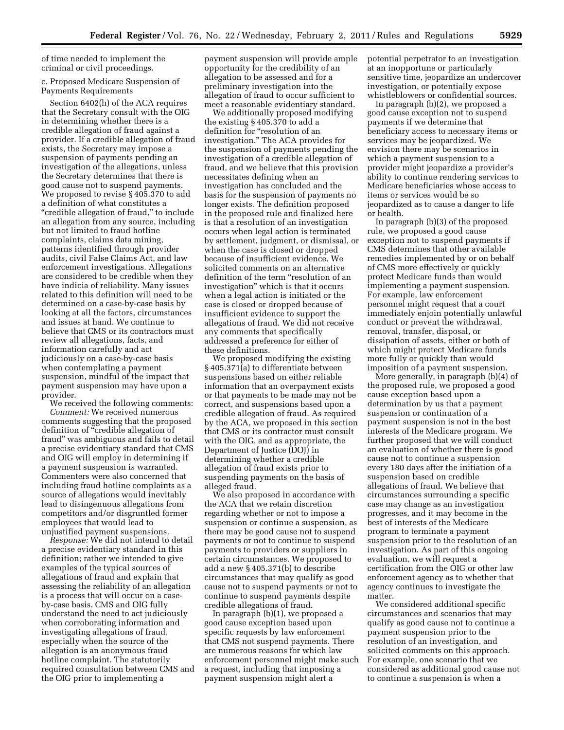of time needed to implement the criminal or civil proceedings.

c. Proposed Medicare Suspension of Payments Requirements

Section 6402(h) of the ACA requires that the Secretary consult with the OIG in determining whether there is a credible allegation of fraud against a provider. If a credible allegation of fraud exists, the Secretary may impose a suspension of payments pending an investigation of the allegations, unless the Secretary determines that there is good cause not to suspend payments. We proposed to revise § 405.370 to add a definition of what constitutes a "credible allegation of fraud," to include an allegation from any source, including but not limited to fraud hotline complaints, claims data mining, patterns identified through provider audits, civil False Claims Act, and law enforcement investigations. Allegations are considered to be credible when they have indicia of reliability. Many issues related to this definition will need to be determined on a case-by-case basis by looking at all the factors, circumstances and issues at hand. We continue to believe that CMS or its contractors must review all allegations, facts, and information carefully and act judiciously on a case-by-case basis when contemplating a payment suspension, mindful of the impact that payment suspension may have upon a provider.

We received the following comments: *Comment:* We received numerous comments suggesting that the proposed definition of "credible allegation of fraud'' was ambiguous and fails to detail a precise evidentiary standard that CMS and OIG will employ in determining if a payment suspension is warranted. Commenters were also concerned that including fraud hotline complaints as a source of allegations would inevitably lead to disingenuous allegations from competitors and/or disgruntled former employees that would lead to

unjustified payment suspensions. *Response:* We did not intend to detail a precise evidentiary standard in this definition; rather we intended to give examples of the typical sources of allegations of fraud and explain that assessing the reliability of an allegation is a process that will occur on a caseby-case basis. CMS and OIG fully understand the need to act judiciously when corroborating information and investigating allegations of fraud, especially when the source of the allegation is an anonymous fraud hotline complaint. The statutorily required consultation between CMS and the OIG prior to implementing a

payment suspension will provide ample opportunity for the credibility of an allegation to be assessed and for a preliminary investigation into the allegation of fraud to occur sufficient to meet a reasonable evidentiary standard.

We additionally proposed modifying the existing § 405.370 to add a definition for ''resolution of an investigation.'' The ACA provides for the suspension of payments pending the investigation of a credible allegation of fraud, and we believe that this provision necessitates defining when an investigation has concluded and the basis for the suspension of payments no longer exists. The definition proposed in the proposed rule and finalized here is that a resolution of an investigation occurs when legal action is terminated by settlement, judgment, or dismissal, or when the case is closed or dropped because of insufficient evidence. We solicited comments on an alternative definition of the term "resolution of an investigation'' which is that it occurs when a legal action is initiated or the case is closed or dropped because of insufficient evidence to support the allegations of fraud. We did not receive any comments that specifically addressed a preference for either of these definitions.

We proposed modifying the existing § 405.371(a) to differentiate between suspensions based on either reliable information that an overpayment exists or that payments to be made may not be correct, and suspensions based upon a credible allegation of fraud. As required by the ACA, we proposed in this section that CMS or its contractor must consult with the OIG, and as appropriate, the Department of Justice (DOJ) in determining whether a credible allegation of fraud exists prior to suspending payments on the basis of alleged fraud.

We also proposed in accordance with the ACA that we retain discretion regarding whether or not to impose a suspension or continue a suspension, as there may be good cause not to suspend payments or not to continue to suspend payments to providers or suppliers in certain circumstances. We proposed to add a new § 405.371(b) to describe circumstances that may qualify as good cause not to suspend payments or not to continue to suspend payments despite credible allegations of fraud.

In paragraph (b)(1), we proposed a good cause exception based upon specific requests by law enforcement that CMS not suspend payments. There are numerous reasons for which law enforcement personnel might make such a request, including that imposing a payment suspension might alert a

potential perpetrator to an investigation at an inopportune or particularly sensitive time, jeopardize an undercover investigation, or potentially expose whistleblowers or confidential sources.

In paragraph (b)(2), we proposed a good cause exception not to suspend payments if we determine that beneficiary access to necessary items or services may be jeopardized. We envision there may be scenarios in which a payment suspension to a provider might jeopardize a provider's ability to continue rendering services to Medicare beneficiaries whose access to items or services would be so jeopardized as to cause a danger to life or health.

In paragraph (b)(3) of the proposed rule, we proposed a good cause exception not to suspend payments if CMS determines that other available remedies implemented by or on behalf of CMS more effectively or quickly protect Medicare funds than would implementing a payment suspension. For example, law enforcement personnel might request that a court immediately enjoin potentially unlawful conduct or prevent the withdrawal, removal, transfer, disposal, or dissipation of assets, either or both of which might protect Medicare funds more fully or quickly than would imposition of a payment suspension.

More generally, in paragraph (b)(4) of the proposed rule, we proposed a good cause exception based upon a determination by us that a payment suspension or continuation of a payment suspension is not in the best interests of the Medicare program. We further proposed that we will conduct an evaluation of whether there is good cause not to continue a suspension every 180 days after the initiation of a suspension based on credible allegations of fraud. We believe that circumstances surrounding a specific case may change as an investigation progresses, and it may become in the best of interests of the Medicare program to terminate a payment suspension prior to the resolution of an investigation. As part of this ongoing evaluation, we will request a certification from the OIG or other law enforcement agency as to whether that agency continues to investigate the matter.

We considered additional specific circumstances and scenarios that may qualify as good cause not to continue a payment suspension prior to the resolution of an investigation, and solicited comments on this approach. For example, one scenario that we considered as additional good cause not to continue a suspension is when a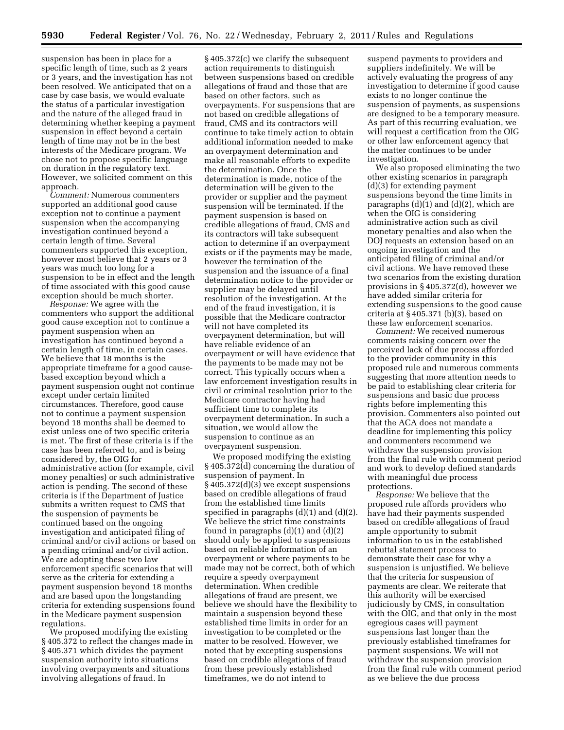suspension has been in place for a specific length of time, such as 2 years or 3 years, and the investigation has not been resolved. We anticipated that on a case by case basis, we would evaluate the status of a particular investigation and the nature of the alleged fraud in determining whether keeping a payment suspension in effect beyond a certain length of time may not be in the best interests of the Medicare program. We chose not to propose specific language on duration in the regulatory text. However, we solicited comment on this approach.

*Comment:* Numerous commenters supported an additional good cause exception not to continue a payment suspension when the accompanying investigation continued beyond a certain length of time. Several commenters supported this exception, however most believe that 2 years or 3 years was much too long for a suspension to be in effect and the length of time associated with this good cause exception should be much shorter.

*Response:* We agree with the commenters who support the additional good cause exception not to continue a payment suspension when an investigation has continued beyond a certain length of time, in certain cases. We believe that 18 months is the appropriate timeframe for a good causebased exception beyond which a payment suspension ought not continue except under certain limited circumstances. Therefore, good cause not to continue a payment suspension beyond 18 months shall be deemed to exist unless one of two specific criteria is met. The first of these criteria is if the case has been referred to, and is being considered by, the OIG for administrative action (for example, civil money penalties) or such administrative action is pending. The second of these criteria is if the Department of Justice submits a written request to CMS that the suspension of payments be continued based on the ongoing investigation and anticipated filing of criminal and/or civil actions or based on a pending criminal and/or civil action. We are adopting these two law enforcement specific scenarios that will serve as the criteria for extending a payment suspension beyond 18 months and are based upon the longstanding criteria for extending suspensions found in the Medicare payment suspension regulations.

We proposed modifying the existing § 405.372 to reflect the changes made in § 405.371 which divides the payment suspension authority into situations involving overpayments and situations involving allegations of fraud. In

§ 405.372(c) we clarify the subsequent action requirements to distinguish between suspensions based on credible allegations of fraud and those that are based on other factors, such as overpayments. For suspensions that are not based on credible allegations of fraud, CMS and its contractors will continue to take timely action to obtain additional information needed to make an overpayment determination and make all reasonable efforts to expedite the determination. Once the determination is made, notice of the determination will be given to the provider or supplier and the payment suspension will be terminated. If the payment suspension is based on credible allegations of fraud, CMS and its contractors will take subsequent action to determine if an overpayment exists or if the payments may be made, however the termination of the suspension and the issuance of a final determination notice to the provider or supplier may be delayed until resolution of the investigation. At the end of the fraud investigation, it is possible that the Medicare contractor will not have completed its overpayment determination, but will have reliable evidence of an overpayment or will have evidence that the payments to be made may not be correct. This typically occurs when a law enforcement investigation results in civil or criminal resolution prior to the Medicare contractor having had sufficient time to complete its overpayment determination. In such a situation, we would allow the suspension to continue as an overpayment suspension.

We proposed modifying the existing § 405.372(d) concerning the duration of suspension of payment. In § 405.372(d)(3) we except suspensions based on credible allegations of fraud from the established time limits specified in paragraphs (d)(1) and (d)(2). We believe the strict time constraints found in paragraphs  $(d)(1)$  and  $(d)(2)$ should only be applied to suspensions based on reliable information of an overpayment or where payments to be made may not be correct, both of which require a speedy overpayment determination. When credible allegations of fraud are present, we believe we should have the flexibility to maintain a suspension beyond these established time limits in order for an investigation to be completed or the matter to be resolved. However, we noted that by excepting suspensions based on credible allegations of fraud from these previously established timeframes, we do not intend to

suspend payments to providers and suppliers indefinitely. We will be actively evaluating the progress of any investigation to determine if good cause exists to no longer continue the suspension of payments, as suspensions are designed to be a temporary measure. As part of this recurring evaluation, we will request a certification from the OIG or other law enforcement agency that the matter continues to be under investigation.

We also proposed eliminating the two other existing scenarios in paragraph (d)(3) for extending payment suspensions beyond the time limits in paragraphs (d)(1) and (d)(2), which are when the OIG is considering administrative action such as civil monetary penalties and also when the DOJ requests an extension based on an ongoing investigation and the anticipated filing of criminal and/or civil actions. We have removed these two scenarios from the existing duration provisions in § 405.372(d), however we have added similar criteria for extending suspensions to the good cause criteria at  $\S 405.371$  (b)(3), based on these law enforcement scenarios.

*Comment:* We received numerous comments raising concern over the perceived lack of due process afforded to the provider community in this proposed rule and numerous comments suggesting that more attention needs to be paid to establishing clear criteria for suspensions and basic due process rights before implementing this provision. Commenters also pointed out that the ACA does not mandate a deadline for implementing this policy and commenters recommend we withdraw the suspension provision from the final rule with comment period and work to develop defined standards with meaningful due process protections.

*Response:* We believe that the proposed rule affords providers who have had their payments suspended based on credible allegations of fraud ample opportunity to submit information to us in the established rebuttal statement process to demonstrate their case for why a suspension is unjustified. We believe that the criteria for suspension of payments are clear. We reiterate that this authority will be exercised judiciously by CMS, in consultation with the OIG, and that only in the most egregious cases will payment suspensions last longer than the previously established timeframes for payment suspensions. We will not withdraw the suspension provision from the final rule with comment period as we believe the due process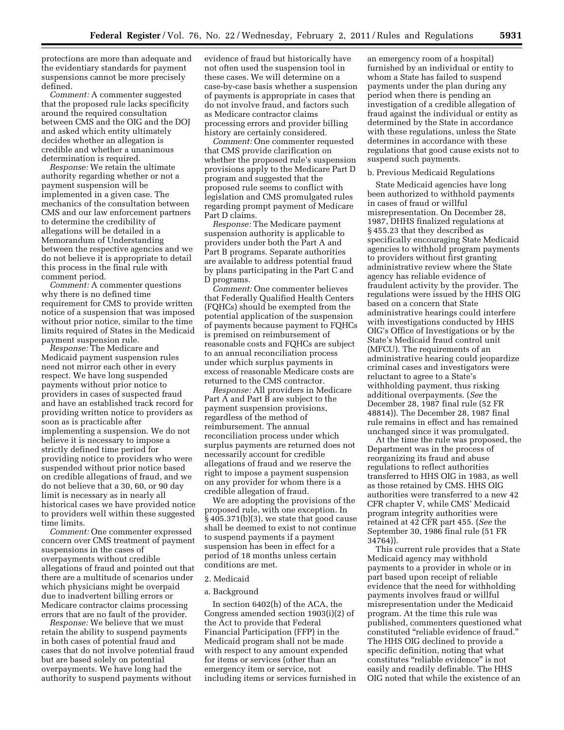protections are more than adequate and the evidentiary standards for payment suspensions cannot be more precisely defined.

*Comment:* A commenter suggested that the proposed rule lacks specificity around the required consultation between CMS and the OIG and the DOJ and asked which entity ultimately decides whether an allegation is credible and whether a unanimous determination is required.

*Response:* We retain the ultimate authority regarding whether or not a payment suspension will be implemented in a given case. The mechanics of the consultation between CMS and our law enforcement partners to determine the credibility of allegations will be detailed in a Memorandum of Understanding between the respective agencies and we do not believe it is appropriate to detail this process in the final rule with comment period.

*Comment:* A commenter questions why there is no defined time requirement for CMS to provide written notice of a suspension that was imposed without prior notice, similar to the time limits required of States in the Medicaid payment suspension rule.

*Response:* The Medicare and Medicaid payment suspension rules need not mirror each other in every respect. We have long suspended payments without prior notice to providers in cases of suspected fraud and have an established track record for providing written notice to providers as soon as is practicable after implementing a suspension. We do not believe it is necessary to impose a strictly defined time period for providing notice to providers who were suspended without prior notice based on credible allegations of fraud, and we do not believe that a 30, 60, or 90 day limit is necessary as in nearly all historical cases we have provided notice to providers well within these suggested time limits.

*Comment:* One commenter expressed concern over CMS treatment of payment suspensions in the cases of overpayments without credible allegations of fraud and pointed out that there are a multitude of scenarios under which physicians might be overpaid due to inadvertent billing errors or Medicare contractor claims processing errors that are no fault of the provider.

*Response:* We believe that we must retain the ability to suspend payments in both cases of potential fraud and cases that do not involve potential fraud but are based solely on potential overpayments. We have long had the authority to suspend payments without

evidence of fraud but historically have not often used the suspension tool in these cases. We will determine on a case-by-case basis whether a suspension of payments is appropriate in cases that do not involve fraud, and factors such as Medicare contractor claims processing errors and provider billing history are certainly considered.

*Comment:* One commenter requested that CMS provide clarification on whether the proposed rule's suspension provisions apply to the Medicare Part D program and suggested that the proposed rule seems to conflict with legislation and CMS promulgated rules regarding prompt payment of Medicare Part D claims.

*Response:* The Medicare payment suspension authority is applicable to providers under both the Part A and Part B programs. Separate authorities are available to address potential fraud by plans participating in the Part C and D programs.

*Comment:* One commenter believes that Federally Qualified Health Centers (FQHCs) should be exempted from the potential application of the suspension of payments because payment to FQHCs is premised on reimbursement of reasonable costs and FQHCs are subject to an annual reconciliation process under which surplus payments in excess of reasonable Medicare costs are returned to the CMS contractor.

*Response:* All providers in Medicare Part A and Part B are subject to the payment suspension provisions, regardless of the method of reimbursement. The annual reconciliation process under which surplus payments are returned does not necessarily account for credible allegations of fraud and we reserve the right to impose a payment suspension on any provider for whom there is a credible allegation of fraud.

We are adopting the provisions of the proposed rule, with one exception. In § 405.371(b)(3), we state that good cause shall be deemed to exist to not continue to suspend payments if a payment suspension has been in effect for a period of 18 months unless certain conditions are met.

#### 2. Medicaid

# a. Background

In section 6402(h) of the ACA, the Congress amended section 1903(i)(2) of the Act to provide that Federal Financial Participation (FFP) in the Medicaid program shall not be made with respect to any amount expended for items or services (other than an emergency item or service, not including items or services furnished in an emergency room of a hospital) furnished by an individual or entity to whom a State has failed to suspend payments under the plan during any period when there is pending an investigation of a credible allegation of fraud against the individual or entity as determined by the State in accordance with these regulations, unless the State determines in accordance with these regulations that good cause exists not to suspend such payments.

#### b. Previous Medicaid Regulations

State Medicaid agencies have long been authorized to withhold payments in cases of fraud or willful misrepresentation. On December 28, 1987, DHHS finalized regulations at § 455.23 that they described as specifically encouraging State Medicaid agencies to withhold program payments to providers without first granting administrative review where the State agency has reliable evidence of fraudulent activity by the provider. The regulations were issued by the HHS OIG based on a concern that State administrative hearings could interfere with investigations conducted by HHS OIG's Office of Investigations or by the State's Medicaid fraud control unit (MFCU). The requirements of an administrative hearing could jeopardize criminal cases and investigators were reluctant to agree to a State's withholding payment, thus risking additional overpayments. (*See* the December 28, 1987 final rule (52 FR 48814)). The December 28, 1987 final rule remains in effect and has remained unchanged since it was promulgated.

At the time the rule was proposed, the Department was in the process of reorganizing its fraud and abuse regulations to reflect authorities transferred to HHS OIG in 1983, as well as those retained by CMS. HHS OIG authorities were transferred to a new 42 CFR chapter V, while CMS' Medicaid program integrity authorities were retained at 42 CFR part 455. (*See* the September 30, 1986 final rule (51 FR 34764)).

This current rule provides that a State Medicaid agency may withhold payments to a provider in whole or in part based upon receipt of reliable evidence that the need for withholding payments involves fraud or willful misrepresentation under the Medicaid program. At the time this rule was published, commenters questioned what constituted ''reliable evidence of fraud.'' The HHS OIG declined to provide a specific definition, noting that what constitutes "reliable evidence" is not easily and readily definable. The HHS OIG noted that while the existence of an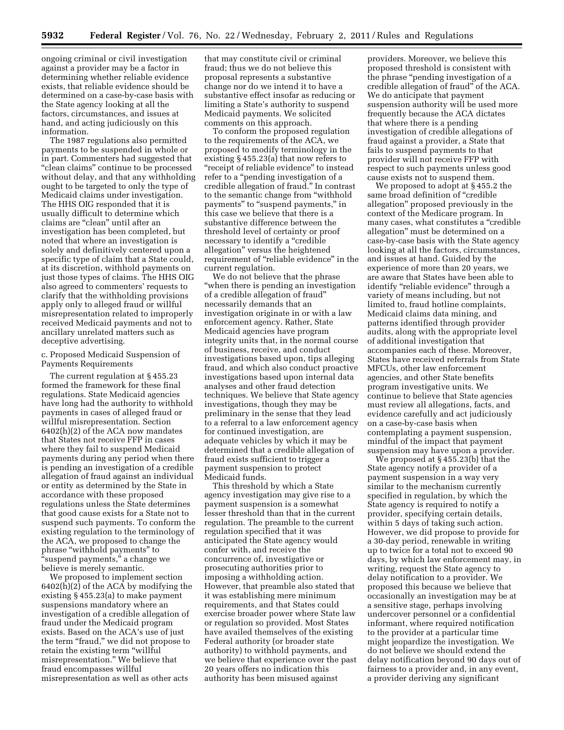ongoing criminal or civil investigation against a provider may be a factor in determining whether reliable evidence exists, that reliable evidence should be determined on a case-by-case basis with the State agency looking at all the factors, circumstances, and issues at hand, and acting judiciously on this information.

The 1987 regulations also permitted payments to be suspended in whole or in part. Commenters had suggested that ''clean claims'' continue to be processed without delay, and that any withholding ought to be targeted to only the type of Medicaid claims under investigation. The HHS OIG responded that it is usually difficult to determine which claims are "clean" until after an investigation has been completed, but noted that where an investigation is solely and definitively centered upon a specific type of claim that a State could, at its discretion, withhold payments on just those types of claims. The HHS OIG also agreed to commenters' requests to clarify that the withholding provisions apply only to alleged fraud or willful misrepresentation related to improperly received Medicaid payments and not to ancillary unrelated matters such as deceptive advertising.

# c. Proposed Medicaid Suspension of Payments Requirements

The current regulation at § 455.23 formed the framework for these final regulations. State Medicaid agencies have long had the authority to withhold payments in cases of alleged fraud or willful misrepresentation. Section 6402(h)(2) of the ACA now mandates that States not receive FFP in cases where they fail to suspend Medicaid payments during any period when there is pending an investigation of a credible allegation of fraud against an individual or entity as determined by the State in accordance with these proposed regulations unless the State determines that good cause exists for a State not to suspend such payments. To conform the existing regulation to the terminology of the ACA, we proposed to change the phrase ''withhold payments'' to ''suspend payments,'' a change we believe is merely semantic.

We proposed to implement section 6402(h)(2) of the ACA by modifying the existing § 455.23(a) to make payment suspensions mandatory where an investigation of a credible allegation of fraud under the Medicaid program exists. Based on the ACA's use of just the term "fraud," we did not propose to retain the existing term "willful misrepresentation.'' We believe that fraud encompasses willful misrepresentation as well as other acts

that may constitute civil or criminal fraud; thus we do not believe this proposal represents a substantive change nor do we intend it to have a substantive effect insofar as reducing or limiting a State's authority to suspend Medicaid payments. We solicited comments on this approach.

To conform the proposed regulation to the requirements of the ACA, we proposed to modify terminology in the existing § 455.23(a) that now refers to "receipt of reliable evidence" to instead refer to a "pending investigation of a credible allegation of fraud.'' In contrast to the semantic change from ''withhold payments" to "suspend payments," in this case we believe that there is a substantive difference between the threshold level of certainty or proof necessary to identify a ''credible allegation'' versus the heightened requirement of "reliable evidence" in the current regulation.

We do not believe that the phrase ''when there is pending an investigation of a credible allegation of fraud'' necessarily demands that an investigation originate in or with a law enforcement agency. Rather, State Medicaid agencies have program integrity units that, in the normal course of business, receive, and conduct investigations based upon, tips alleging fraud, and which also conduct proactive investigations based upon internal data analyses and other fraud detection techniques. We believe that State agency investigations, though they may be preliminary in the sense that they lead to a referral to a law enforcement agency for continued investigation, are adequate vehicles by which it may be determined that a credible allegation of fraud exists sufficient to trigger a payment suspension to protect Medicaid funds.

This threshold by which a State agency investigation may give rise to a payment suspension is a somewhat lesser threshold than that in the current regulation. The preamble to the current regulation specified that it was anticipated the State agency would confer with, and receive the concurrence of, investigative or prosecuting authorities prior to imposing a withholding action. However, that preamble also stated that it was establishing mere minimum requirements, and that States could exercise broader power where State law or regulation so provided. Most States have availed themselves of the existing Federal authority (or broader state authority) to withhold payments, and we believe that experience over the past 20 years offers no indication this authority has been misused against

providers. Moreover, we believe this proposed threshold is consistent with the phrase ''pending investigation of a credible allegation of fraud'' of the ACA. We do anticipate that payment suspension authority will be used more frequently because the ACA dictates that where there is a pending investigation of credible allegations of fraud against a provider, a State that fails to suspend payments to that provider will not receive FFP with respect to such payments unless good cause exists not to suspend them.

We proposed to adopt at § 455.2 the same broad definition of "credible allegation'' proposed previously in the context of the Medicare program. In many cases, what constitutes a "credible" allegation'' must be determined on a case-by-case basis with the State agency looking at all the factors, circumstances, and issues at hand. Guided by the experience of more than 20 years, we are aware that States have been able to identify "reliable evidence" through a variety of means including, but not limited to, fraud hotline complaints, Medicaid claims data mining, and patterns identified through provider audits, along with the appropriate level of additional investigation that accompanies each of these. Moreover, States have received referrals from State MFCUs, other law enforcement agencies, and other State benefits program investigative units. We continue to believe that State agencies must review all allegations, facts, and evidence carefully and act judiciously on a case-by-case basis when contemplating a payment suspension, mindful of the impact that payment suspension may have upon a provider.

We proposed at § 455.23(b) that the State agency notify a provider of a payment suspension in a way very similar to the mechanism currently specified in regulation, by which the State agency is required to notify a provider, specifying certain details, within 5 days of taking such action. However, we did propose to provide for a 30-day period, renewable in writing up to twice for a total not to exceed 90 days, by which law enforcement may, in writing, request the State agency to delay notification to a provider. We proposed this because we believe that occasionally an investigation may be at a sensitive stage, perhaps involving undercover personnel or a confidential informant, where required notification to the provider at a particular time might jeopardize the investigation. We do not believe we should extend the delay notification beyond 90 days out of fairness to a provider and, in any event, a provider deriving any significant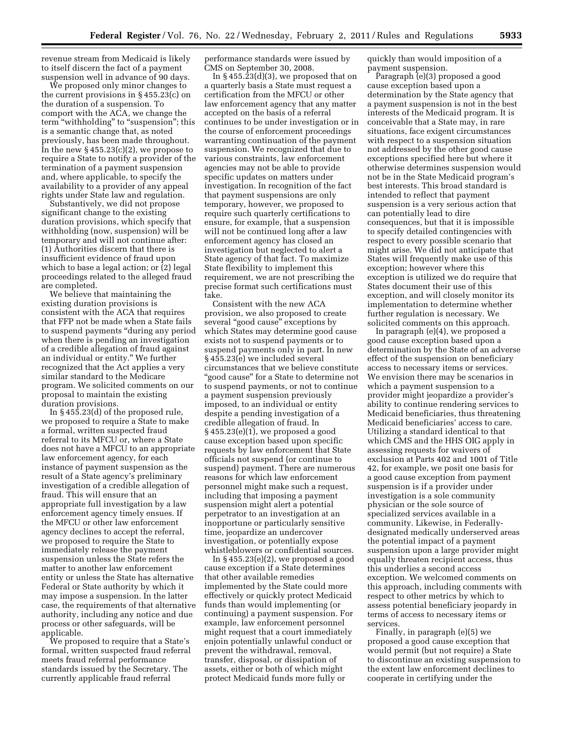revenue stream from Medicaid is likely to itself discern the fact of a payment suspension well in advance of 90 days.

We proposed only minor changes to the current provisions in § 455.23(c) on the duration of a suspension. To comport with the ACA, we change the term "withholding" to "suspension"; this is a semantic change that, as noted previously, has been made throughout. In the new  $\S 455.23(c)(2)$ , we propose to require a State to notify a provider of the termination of a payment suspension and, where applicable, to specify the availability to a provider of any appeal rights under State law and regulation.

Substantively, we did not propose significant change to the existing duration provisions, which specify that withholding (now, suspension) will be temporary and will not continue after: (1) Authorities discern that there is insufficient evidence of fraud upon which to base a legal action; or (2) legal proceedings related to the alleged fraud are completed.

We believe that maintaining the existing duration provisions is consistent with the ACA that requires that FFP not be made when a State fails to suspend payments ''during any period when there is pending an investigation of a credible allegation of fraud against an individual or entity.'' We further recognized that the Act applies a very similar standard to the Medicare program. We solicited comments on our proposal to maintain the existing duration provisions.

In § 455.23(d) of the proposed rule, we proposed to require a State to make a formal, written suspected fraud referral to its MFCU or, where a State does not have a MFCU to an appropriate law enforcement agency, for each instance of payment suspension as the result of a State agency's preliminary investigation of a credible allegation of fraud. This will ensure that an appropriate full investigation by a law enforcement agency timely ensues. If the MFCU or other law enforcement agency declines to accept the referral, we proposed to require the State to immediately release the payment suspension unless the State refers the matter to another law enforcement entity or unless the State has alternative Federal or State authority by which it may impose a suspension. In the latter case, the requirements of that alternative authority, including any notice and due process or other safeguards, will be applicable.

We proposed to require that a State's formal, written suspected fraud referral meets fraud referral performance standards issued by the Secretary. The currently applicable fraud referral

performance standards were issued by CMS on September 30, 2008.

In § 455.23(d)(3), we proposed that on a quarterly basis a State must request a certification from the MFCU or other law enforcement agency that any matter accepted on the basis of a referral continues to be under investigation or in the course of enforcement proceedings warranting continuation of the payment suspension. We recognized that due to various constraints, law enforcement agencies may not be able to provide specific updates on matters under investigation. In recognition of the fact that payment suspensions are only temporary, however, we proposed to require such quarterly certifications to ensure, for example, that a suspension will not be continued long after a law enforcement agency has closed an investigation but neglected to alert a State agency of that fact. To maximize State flexibility to implement this requirement, we are not prescribing the precise format such certifications must take.

Consistent with the new ACA provision, we also proposed to create several "good cause" exceptions by which States may determine good cause exists not to suspend payments or to suspend payments only in part. In new § 455.23(e) we included several circumstances that we believe constitute ''good cause'' for a State to determine not to suspend payments, or not to continue a payment suspension previously imposed, to an individual or entity despite a pending investigation of a credible allegation of fraud. In § 455.23(e)(1), we proposed a good cause exception based upon specific requests by law enforcement that State officials not suspend (or continue to suspend) payment. There are numerous reasons for which law enforcement personnel might make such a request, including that imposing a payment suspension might alert a potential perpetrator to an investigation at an inopportune or particularly sensitive time, jeopardize an undercover investigation, or potentially expose whistleblowers or confidential sources.

In  $\S 455.23(e)(2)$ , we proposed a good cause exception if a State determines that other available remedies implemented by the State could more effectively or quickly protect Medicaid funds than would implementing (or continuing) a payment suspension. For example, law enforcement personnel might request that a court immediately enjoin potentially unlawful conduct or prevent the withdrawal, removal, transfer, disposal, or dissipation of assets, either or both of which might protect Medicaid funds more fully or

quickly than would imposition of a payment suspension.

Paragraph (e)(3) proposed a good cause exception based upon a determination by the State agency that a payment suspension is not in the best interests of the Medicaid program. It is conceivable that a State may, in rare situations, face exigent circumstances with respect to a suspension situation not addressed by the other good cause exceptions specified here but where it otherwise determines suspension would not be in the State Medicaid program's best interests. This broad standard is intended to reflect that payment suspension is a very serious action that can potentially lead to dire consequences, but that it is impossible to specify detailed contingencies with respect to every possible scenario that might arise. We did not anticipate that States will frequently make use of this exception; however where this exception is utilized we do require that States document their use of this exception, and will closely monitor its implementation to determine whether further regulation is necessary. We solicited comments on this approach.

In paragraph (e)(4), we proposed a good cause exception based upon a determination by the State of an adverse effect of the suspension on beneficiary access to necessary items or services. We envision there may be scenarios in which a payment suspension to a provider might jeopardize a provider's ability to continue rendering services to Medicaid beneficiaries, thus threatening Medicaid beneficiaries' access to care. Utilizing a standard identical to that which CMS and the HHS OIG apply in assessing requests for waivers of exclusion at Parts 402 and 1001 of Title 42, for example, we posit one basis for a good cause exception from payment suspension is if a provider under investigation is a sole community physician or the sole source of specialized services available in a community. Likewise, in Federallydesignated medically underserved areas the potential impact of a payment suspension upon a large provider might equally threaten recipient access, thus this underlies a second access exception. We welcomed comments on this approach, including comments with respect to other metrics by which to assess potential beneficiary jeopardy in terms of access to necessary items or services.

Finally, in paragraph (e)(5) we proposed a good cause exception that would permit (but not require) a State to discontinue an existing suspension to the extent law enforcement declines to cooperate in certifying under the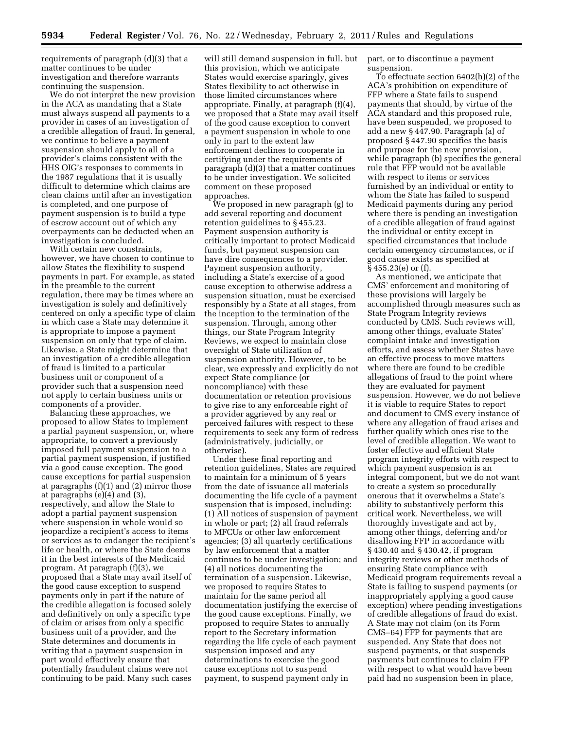requirements of paragraph (d)(3) that a matter continues to be under investigation and therefore warrants continuing the suspension.

We do not interpret the new provision in the ACA as mandating that a State must always suspend all payments to a provider in cases of an investigation of a credible allegation of fraud. In general, we continue to believe a payment suspension should apply to all of a provider's claims consistent with the HHS OIG's responses to comments in the 1987 regulations that it is usually difficult to determine which claims are clean claims until after an investigation is completed, and one purpose of payment suspension is to build a type of escrow account out of which any overpayments can be deducted when an investigation is concluded.

With certain new constraints, however, we have chosen to continue to allow States the flexibility to suspend payments in part. For example, as stated in the preamble to the current regulation, there may be times where an investigation is solely and definitively centered on only a specific type of claim in which case a State may determine it is appropriate to impose a payment suspension on only that type of claim. Likewise, a State might determine that an investigation of a credible allegation of fraud is limited to a particular business unit or component of a provider such that a suspension need not apply to certain business units or components of a provider.

Balancing these approaches, we proposed to allow States to implement a partial payment suspension, or, where appropriate, to convert a previously imposed full payment suspension to a partial payment suspension, if justified via a good cause exception. The good cause exceptions for partial suspension at paragraphs (f)(1) and (2) mirror those at paragraphs (e)(4) and (3), respectively, and allow the State to adopt a partial payment suspension where suspension in whole would so jeopardize a recipient's access to items or services as to endanger the recipient's life or health, or where the State deems it in the best interests of the Medicaid program. At paragraph (f)(3), we proposed that a State may avail itself of the good cause exception to suspend payments only in part if the nature of the credible allegation is focused solely and definitively on only a specific type of claim or arises from only a specific business unit of a provider, and the State determines and documents in writing that a payment suspension in part would effectively ensure that potentially fraudulent claims were not continuing to be paid. Many such cases

will still demand suspension in full, but this provision, which we anticipate States would exercise sparingly, gives States flexibility to act otherwise in those limited circumstances where appropriate. Finally, at paragraph (f)(4), we proposed that a State may avail itself of the good cause exception to convert a payment suspension in whole to one only in part to the extent law enforcement declines to cooperate in certifying under the requirements of paragraph (d)(3) that a matter continues to be under investigation. We solicited comment on these proposed approaches.

We proposed in new paragraph (g) to add several reporting and document retention guidelines to § 455.23. Payment suspension authority is critically important to protect Medicaid funds, but payment suspension can have dire consequences to a provider. Payment suspension authority, including a State's exercise of a good cause exception to otherwise address a suspension situation, must be exercised responsibly by a State at all stages, from the inception to the termination of the suspension. Through, among other things, our State Program Integrity Reviews, we expect to maintain close oversight of State utilization of suspension authority. However, to be clear, we expressly and explicitly do not expect State compliance (or noncompliance) with these documentation or retention provisions to give rise to any enforceable right of a provider aggrieved by any real or perceived failures with respect to these requirements to seek any form of redress (administratively, judicially, or otherwise).

Under these final reporting and retention guidelines, States are required to maintain for a minimum of 5 years from the date of issuance all materials documenting the life cycle of a payment suspension that is imposed, including: (1) All notices of suspension of payment in whole or part; (2) all fraud referrals to MFCUs or other law enforcement agencies; (3) all quarterly certifications by law enforcement that a matter continues to be under investigation; and (4) all notices documenting the termination of a suspension. Likewise, we proposed to require States to maintain for the same period all documentation justifying the exercise of the good cause exceptions. Finally, we proposed to require States to annually report to the Secretary information regarding the life cycle of each payment suspension imposed and any determinations to exercise the good cause exceptions not to suspend payment, to suspend payment only in

part, or to discontinue a payment suspension.

To effectuate section 6402(h)(2) of the ACA's prohibition on expenditure of FFP where a State fails to suspend payments that should, by virtue of the ACA standard and this proposed rule, have been suspended, we proposed to add a new § 447.90. Paragraph (a) of proposed § 447.90 specifies the basis and purpose for the new provision, while paragraph (b) specifies the general rule that FFP would not be available with respect to items or services furnished by an individual or entity to whom the State has failed to suspend Medicaid payments during any period where there is pending an investigation of a credible allegation of fraud against the individual or entity except in specified circumstances that include certain emergency circumstances, or if good cause exists as specified at § 455.23(e) or (f).

As mentioned, we anticipate that CMS' enforcement and monitoring of these provisions will largely be accomplished through measures such as State Program Integrity reviews conducted by CMS. Such reviews will, among other things, evaluate States' complaint intake and investigation efforts, and assess whether States have an effective process to move matters where there are found to be credible allegations of fraud to the point where they are evaluated for payment suspension. However, we do not believe it is viable to require States to report and document to CMS every instance of where any allegation of fraud arises and further qualify which ones rise to the level of credible allegation. We want to foster effective and efficient State program integrity efforts with respect to which payment suspension is an integral component, but we do not want to create a system so procedurally onerous that it overwhelms a State's ability to substantively perform this critical work. Nevertheless, we will thoroughly investigate and act by, among other things, deferring and/or disallowing FFP in accordance with § 430.40 and § 430.42, if program integrity reviews or other methods of ensuring State compliance with Medicaid program requirements reveal a State is failing to suspend payments (or inappropriately applying a good cause exception) where pending investigations of credible allegations of fraud do exist. A State may not claim (on its Form CMS–64) FFP for payments that are suspended. Any State that does not suspend payments, or that suspends payments but continues to claim FFP with respect to what would have been paid had no suspension been in place,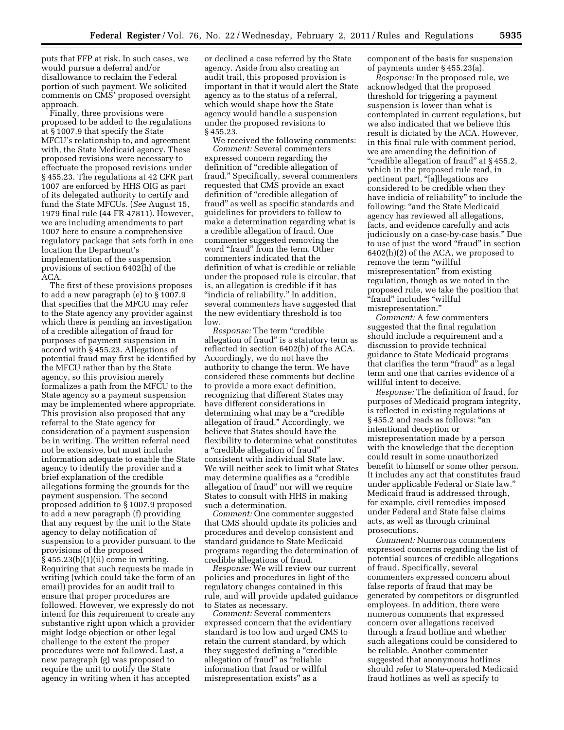puts that FFP at risk. In such cases, we would pursue a deferral and/or disallowance to reclaim the Federal portion of such payment. We solicited comments on CMS' proposed oversight approach.

Finally, three provisions were proposed to be added to the regulations at § 1007.9 that specify the State MFCU's relationship to, and agreement with, the State Medicaid agency. These proposed revisions were necessary to effectuate the proposed revisions under § 455.23. The regulations at 42 CFR part 1007 are enforced by HHS OIG as part of its delegated authority to certify and fund the State MFCUs. (*See* August 15, 1979 final rule (44 FR 47811). However, we are including amendments to part 1007 here to ensure a comprehensive regulatory package that sets forth in one location the Department's implementation of the suspension provisions of section 6402(h) of the ACA.

The first of these provisions proposes to add a new paragraph (e) to § 1007.9 that specifies that the MFCU may refer to the State agency any provider against which there is pending an investigation of a credible allegation of fraud for purposes of payment suspension in accord with § 455.23. Allegations of potential fraud may first be identified by the MFCU rather than by the State agency, so this provision merely formalizes a path from the MFCU to the State agency so a payment suspension may be implemented where appropriate. This provision also proposed that any referral to the State agency for consideration of a payment suspension be in writing. The written referral need not be extensive, but must include information adequate to enable the State agency to identify the provider and a brief explanation of the credible allegations forming the grounds for the payment suspension. The second proposed addition to § 1007.9 proposed to add a new paragraph (f) providing that any request by the unit to the State agency to delay notification of suspension to a provider pursuant to the provisions of the proposed  $\S$  455.23(b)(1)(ii) come in writing. Requiring that such requests be made in writing (which could take the form of an email) provides for an audit trail to ensure that proper procedures are followed. However, we expressly do not intend for this requirement to create any substantive right upon which a provider might lodge objection or other legal challenge to the extent the proper procedures were not followed. Last, a new paragraph (g) was proposed to require the unit to notify the State agency in writing when it has accepted

or declined a case referred by the State agency. Aside from also creating an audit trail, this proposed provision is important in that it would alert the State agency as to the status of a referral, which would shape how the State agency would handle a suspension under the proposed revisions to § 455.23.

We received the following comments: *Comment:* Several commenters expressed concern regarding the definition of "credible allegation of fraud.'' Specifically, several commenters requested that CMS provide an exact definition of "credible allegation of fraud'' as well as specific standards and guidelines for providers to follow to make a determination regarding what is a credible allegation of fraud. One commenter suggested removing the word "fraud" from the term. Other commenters indicated that the definition of what is credible or reliable under the proposed rule is circular, that is, an allegation is credible if it has ''indicia of reliability.'' In addition, several commenters have suggested that the new evidentiary threshold is too low.

*Response:* The term "credible" allegation of fraud'' is a statutory term as reflected in section 6402(h) of the ACA. Accordingly, we do not have the authority to change the term. We have considered these comments but decline to provide a more exact definition, recognizing that different States may have different considerations in determining what may be a "credible" allegation of fraud.'' Accordingly, we believe that States should have the flexibility to determine what constitutes a ''credible allegation of fraud'' consistent with individual State law. We will neither seek to limit what States may determine qualifies as a ''credible allegation of fraud'' nor will we require States to consult with HHS in making such a determination.

*Comment:* One commenter suggested that CMS should update its policies and procedures and develop consistent and standard guidance to State Medicaid programs regarding the determination of credible allegations of fraud.

*Response:* We will review our current policies and procedures in light of the regulatory changes contained in this rule, and will provide updated guidance to States as necessary.

*Comment:* Several commenters expressed concern that the evidentiary standard is too low and urged CMS to retain the current standard, by which they suggested defining a ''credible allegation of fraud" as "reliable information that fraud or willful misrepresentation exists'' as a

component of the basis for suspension of payments under § 455.23(a).

*Response:* In the proposed rule, we acknowledged that the proposed threshold for triggering a payment suspension is lower than what is contemplated in current regulations, but we also indicated that we believe this result is dictated by the ACA. However, in this final rule with comment period, we are amending the definition of "credible allegation of fraud" at §455.2, which in the proposed rule read, in pertinent part, "[a]llegations are considered to be credible when they have indicia of reliability'' to include the following: "and the State Medicaid agency has reviewed all allegations, facts, and evidence carefully and acts judiciously on a case-by-case basis.'' Due to use of just the word "fraud" in section 6402(h)(2) of the ACA, we proposed to remove the term "willful misrepresentation'' from existing regulation, though as we noted in the proposed rule, we take the position that ''fraud'' includes ''willful misrepresentation.''

*Comment:* A few commenters suggested that the final regulation should include a requirement and a discussion to provide technical guidance to State Medicaid programs that clarifies the term "fraud" as a legal term and one that carries evidence of a willful intent to deceive.

*Response:* The definition of fraud, for purposes of Medicaid program integrity, is reflected in existing regulations at § 455.2 and reads as follows: ''an intentional deception or misrepresentation made by a person with the knowledge that the deception could result in some unauthorized benefit to himself or some other person. It includes any act that constitutes fraud under applicable Federal or State law.'' Medicaid fraud is addressed through, for example, civil remedies imposed under Federal and State false claims acts, as well as through criminal prosecutions.

*Comment:* Numerous commenters expressed concerns regarding the list of potential sources of credible allegations of fraud. Specifically, several commenters expressed concern about false reports of fraud that may be generated by competitors or disgruntled employees. In addition, there were numerous comments that expressed concern over allegations received through a fraud hotline and whether such allegations could be considered to be reliable. Another commenter suggested that anonymous hotlines should refer to State-operated Medicaid fraud hotlines as well as specify to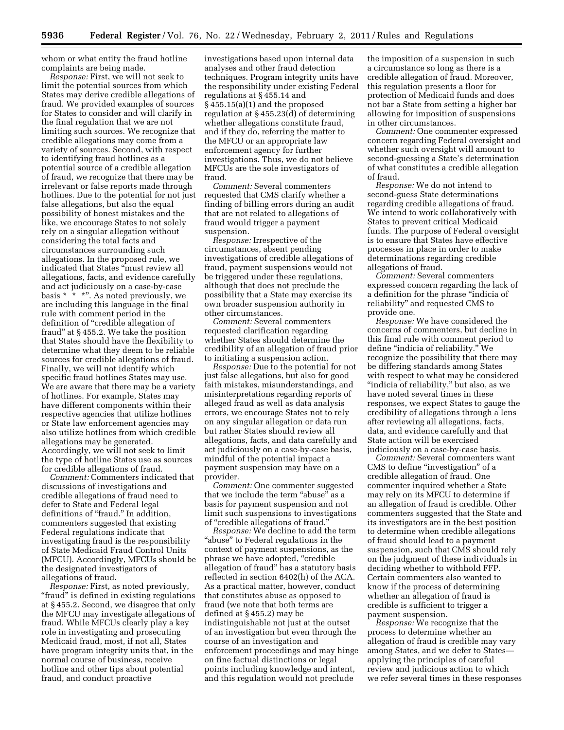whom or what entity the fraud hotline complaints are being made.

*Response:* First, we will not seek to limit the potential sources from which States may derive credible allegations of fraud. We provided examples of sources for States to consider and will clarify in the final regulation that we are not limiting such sources. We recognize that credible allegations may come from a variety of sources. Second, with respect to identifying fraud hotlines as a potential source of a credible allegation of fraud, we recognize that there may be irrelevant or false reports made through hotlines. Due to the potential for not just false allegations, but also the equal possibility of honest mistakes and the like, we encourage States to not solely rely on a singular allegation without considering the total facts and circumstances surrounding such allegations. In the proposed rule, we indicated that States ''must review all allegations, facts, and evidence carefully and act judiciously on a case-by-case basis  $* * *$ ". As noted previously, we are including this language in the final rule with comment period in the definition of "credible allegation of fraud'' at § 455.2. We take the position that States should have the flexibility to determine what they deem to be reliable sources for credible allegations of fraud. Finally, we will not identify which specific fraud hotlines States may use. We are aware that there may be a variety of hotlines. For example, States may have different components within their respective agencies that utilize hotlines or State law enforcement agencies may also utilize hotlines from which credible allegations may be generated. Accordingly, we will not seek to limit the type of hotline States use as sources for credible allegations of fraud.

*Comment:* Commenters indicated that discussions of investigations and credible allegations of fraud need to defer to State and Federal legal definitions of "fraud." In addition, commenters suggested that existing Federal regulations indicate that investigating fraud is the responsibility of State Medicaid Fraud Control Units (MFCU). Accordingly, MFCUs should be the designated investigators of allegations of fraud.

*Response:* First, as noted previously, "fraud" is defined in existing regulations at § 455.2. Second, we disagree that only the MFCU may investigate allegations of fraud. While MFCUs clearly play a key role in investigating and prosecuting Medicaid fraud, most, if not all, States have program integrity units that, in the normal course of business, receive hotline and other tips about potential fraud, and conduct proactive

investigations based upon internal data analyses and other fraud detection techniques. Program integrity units have the responsibility under existing Federal regulations at § 455.14 and § 455.15(a)(1) and the proposed regulation at § 455.23(d) of determining whether allegations constitute fraud, and if they do, referring the matter to the MFCU or an appropriate law enforcement agency for further investigations. Thus, we do not believe MFCUs are the sole investigators of fraud.

*Comment:* Several commenters requested that CMS clarify whether a finding of billing errors during an audit that are not related to allegations of fraud would trigger a payment suspension.

*Response:* Irrespective of the circumstances, absent pending investigations of credible allegations of fraud, payment suspensions would not be triggered under these regulations, although that does not preclude the possibility that a State may exercise its own broader suspension authority in other circumstances.

*Comment:* Several commenters requested clarification regarding whether States should determine the credibility of an allegation of fraud prior to initiating a suspension action.

*Response:* Due to the potential for not just false allegations, but also for good faith mistakes, misunderstandings, and misinterpretations regarding reports of alleged fraud as well as data analysis errors, we encourage States not to rely on any singular allegation or data run but rather States should review all allegations, facts, and data carefully and act judiciously on a case-by-case basis, mindful of the potential impact a payment suspension may have on a provider.

*Comment:* One commenter suggested that we include the term ''abuse'' as a basis for payment suspension and not limit such suspensions to investigations of ''credible allegations of fraud.''

*Response:* We decline to add the term "abuse" to Federal regulations in the context of payment suspensions, as the phrase we have adopted, ''credible allegation of fraud'' has a statutory basis reflected in section 6402(h) of the ACA. As a practical matter, however, conduct that constitutes abuse as opposed to fraud (we note that both terms are defined at § 455.2) may be indistinguishable not just at the outset of an investigation but even through the course of an investigation and enforcement proceedings and may hinge on fine factual distinctions or legal points including knowledge and intent, and this regulation would not preclude

the imposition of a suspension in such a circumstance so long as there is a credible allegation of fraud. Moreover, this regulation presents a floor for protection of Medicaid funds and does not bar a State from setting a higher bar allowing for imposition of suspensions in other circumstances.

*Comment:* One commenter expressed concern regarding Federal oversight and whether such oversight will amount to second-guessing a State's determination of what constitutes a credible allegation of fraud.

*Response:* We do not intend to second-guess State determinations regarding credible allegations of fraud. We intend to work collaboratively with States to prevent critical Medicaid funds. The purpose of Federal oversight is to ensure that States have effective processes in place in order to make determinations regarding credible allegations of fraud.

*Comment:* Several commenters expressed concern regarding the lack of a definition for the phrase ''indicia of reliability'' and requested CMS to provide one.

*Response:* We have considered the concerns of commenters, but decline in this final rule with comment period to define ''indicia of reliability.'' We recognize the possibility that there may be differing standards among States with respect to what may be considered "indicia of reliability," but also, as we have noted several times in these responses, we expect States to gauge the credibility of allegations through a lens after reviewing all allegations, facts, data, and evidence carefully and that State action will be exercised judiciously on a case-by-case basis.

*Comment:* Several commenters want CMS to define ''investigation'' of a credible allegation of fraud. One commenter inquired whether a State may rely on its MFCU to determine if an allegation of fraud is credible. Other commenters suggested that the State and its investigators are in the best position to determine when credible allegations of fraud should lead to a payment suspension, such that CMS should rely on the judgment of these individuals in deciding whether to withhold FFP. Certain commenters also wanted to know if the process of determining whether an allegation of fraud is credible is sufficient to trigger a payment suspension.

*Response:* We recognize that the process to determine whether an allegation of fraud is credible may vary among States, and we defer to States applying the principles of careful review and judicious action to which we refer several times in these responses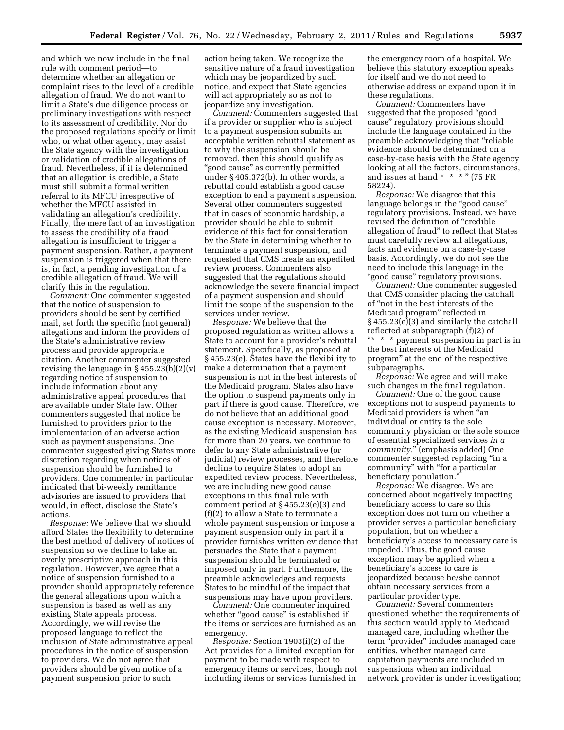and which we now include in the final rule with comment period—to determine whether an allegation or complaint rises to the level of a credible allegation of fraud. We do not want to limit a State's due diligence process or preliminary investigations with respect to its assessment of credibility. Nor do the proposed regulations specify or limit who, or what other agency, may assist the State agency with the investigation or validation of credible allegations of fraud. Nevertheless, if it is determined that an allegation is credible, a State must still submit a formal written referral to its MFCU irrespective of whether the MFCU assisted in validating an allegation's credibility. Finally, the mere fact of an investigation to assess the credibility of a fraud allegation is insufficient to trigger a payment suspension. Rather, a payment suspension is triggered when that there is, in fact, a pending investigation of a credible allegation of fraud. We will clarify this in the regulation.

*Comment:* One commenter suggested that the notice of suspension to providers should be sent by certified mail, set forth the specific (not general) allegations and inform the providers of the State's administrative review process and provide appropriate citation. Another commenter suggested revising the language in § 455.23(b)(2)(v) regarding notice of suspension to include information about any administrative appeal procedures that are available under State law. Other commenters suggested that notice be furnished to providers prior to the implementation of an adverse action such as payment suspensions. One commenter suggested giving States more discretion regarding when notices of suspension should be furnished to providers. One commenter in particular indicated that bi-weekly remittance advisories are issued to providers that would, in effect, disclose the State's actions.

*Response:* We believe that we should afford States the flexibility to determine the best method of delivery of notices of suspension so we decline to take an overly prescriptive approach in this regulation. However, we agree that a notice of suspension furnished to a provider should appropriately reference the general allegations upon which a suspension is based as well as any existing State appeals process. Accordingly, we will revise the proposed language to reflect the inclusion of State administrative appeal procedures in the notice of suspension to providers. We do not agree that providers should be given notice of a payment suspension prior to such

action being taken. We recognize the sensitive nature of a fraud investigation which may be jeopardized by such notice, and expect that State agencies will act appropriately so as not to jeopardize any investigation.

*Comment:* Commenters suggested that if a provider or supplier who is subject to a payment suspension submits an acceptable written rebuttal statement as to why the suspension should be removed, then this should qualify as ''good cause'' as currently permitted under § 405.372(b). In other words, a rebuttal could establish a good cause exception to end a payment suspension. Several other commenters suggested that in cases of economic hardship, a provider should be able to submit evidence of this fact for consideration by the State in determining whether to terminate a payment suspension, and requested that CMS create an expedited review process. Commenters also suggested that the regulations should acknowledge the severe financial impact of a payment suspension and should limit the scope of the suspension to the services under review.

*Response:* We believe that the proposed regulation as written allows a State to account for a provider's rebuttal statement. Specifically, as proposed at § 455.23(e), States have the flexibility to make a determination that a payment suspension is not in the best interests of the Medicaid program. States also have the option to suspend payments only in part if there is good cause. Therefore, we do not believe that an additional good cause exception is necessary. Moreover, as the existing Medicaid suspension has for more than 20 years, we continue to defer to any State administrative (or judicial) review processes, and therefore decline to require States to adopt an expedited review process. Nevertheless, we are including new good cause exceptions in this final rule with comment period at § 455.23(e)(3) and (f)(2) to allow a State to terminate a whole payment suspension or impose a payment suspension only in part if a provider furnishes written evidence that persuades the State that a payment suspension should be terminated or imposed only in part. Furthermore, the preamble acknowledges and requests States to be mindful of the impact that suspensions may have upon providers.

*Comment:* One commenter inquired whether "good cause" is established if the items or services are furnished as an emergency.

*Response:* Section 1903(i)(2) of the Act provides for a limited exception for payment to be made with respect to emergency items or services, though not including items or services furnished in

the emergency room of a hospital. We believe this statutory exception speaks for itself and we do not need to otherwise address or expand upon it in these regulations.

*Comment:* Commenters have suggested that the proposed ''good cause'' regulatory provisions should include the language contained in the preamble acknowledging that ''reliable evidence should be determined on a case-by-case basis with the State agency looking at all the factors, circumstances, and issues at hand \* \* \* " (75 FR 58224).

*Response:* We disagree that this language belongs in the ''good cause'' regulatory provisions. Instead, we have revised the definition of ''credible allegation of fraud'' to reflect that States must carefully review all allegations, facts and evidence on a case-by-case basis. Accordingly, we do not see the need to include this language in the ''good cause'' regulatory provisions.

*Comment:* One commenter suggested that CMS consider placing the catchall of ''not in the best interests of the Medicaid program'' reflected in § 455.23(e)(3) and similarly the catchall reflected at subparagraph (f)(2) of ''\* \* \* payment suspension in part is in the best interests of the Medicaid program'' at the end of the respective subparagraphs.

*Response:* We agree and will make such changes in the final regulation.

*Comment:* One of the good cause exceptions not to suspend payments to Medicaid providers is when ''an individual or entity is the sole community physician or the sole source of essential specialized services *in a community.*'' (emphasis added) One commenter suggested replacing ''in a community'' with ''for a particular beneficiary population.'

*Response:* We disagree. We are concerned about negatively impacting beneficiary access to care so this exception does not turn on whether a provider serves a particular beneficiary population, but on whether a beneficiary's access to necessary care is impeded. Thus, the good cause exception may be applied when a beneficiary's access to care is jeopardized because he/she cannot obtain necessary services from a particular provider type.

*Comment:* Several commenters questioned whether the requirements of this section would apply to Medicaid managed care, including whether the term "provider" includes managed care entities, whether managed care capitation payments are included in suspensions when an individual network provider is under investigation;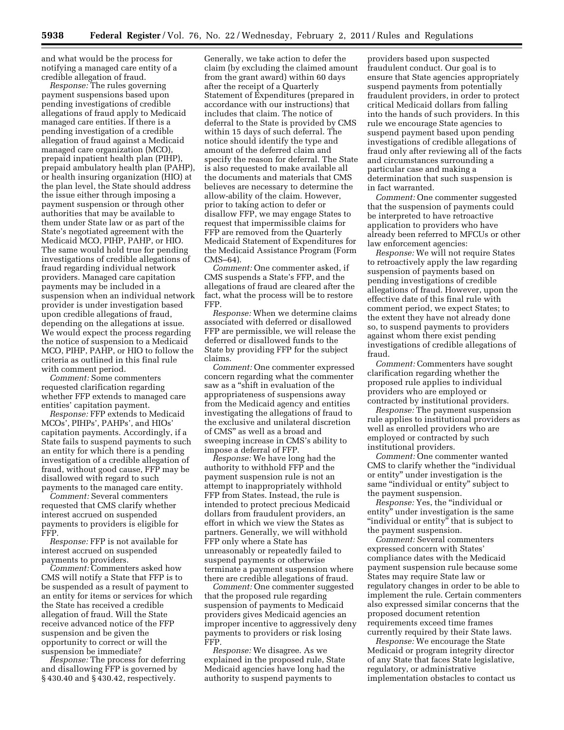and what would be the process for notifying a managed care entity of a credible allegation of fraud.

*Response:* The rules governing payment suspensions based upon pending investigations of credible allegations of fraud apply to Medicaid managed care entities. If there is a pending investigation of a credible allegation of fraud against a Medicaid managed care organization (MCO), prepaid inpatient health plan (PIHP), prepaid ambulatory health plan (PAHP), or health insuring organization (HIO) at the plan level, the State should address the issue either through imposing a payment suspension or through other authorities that may be available to them under State law or as part of the State's negotiated agreement with the Medicaid MCO, PIHP, PAHP, or HIO. The same would hold true for pending investigations of credible allegations of fraud regarding individual network providers. Managed care capitation payments may be included in a suspension when an individual network provider is under investigation based upon credible allegations of fraud, depending on the allegations at issue. We would expect the process regarding the notice of suspension to a Medicaid MCO, PIHP, PAHP, or HIO to follow the criteria as outlined in this final rule with comment period.

*Comment:* Some commenters requested clarification regarding whether FFP extends to managed care entities' capitation payment.

*Response:* FFP extends to Medicaid MCOs', PIHPs', PAHPs', and HIOs' capitation payments. Accordingly, if a State fails to suspend payments to such an entity for which there is a pending investigation of a credible allegation of fraud, without good cause, FFP may be disallowed with regard to such payments to the managed care entity.

*Comment:* Several commenters requested that CMS clarify whether interest accrued on suspended payments to providers is eligible for FFP.

*Response:* FFP is not available for interest accrued on suspended payments to providers.

*Comment:* Commenters asked how CMS will notify a State that FFP is to be suspended as a result of payment to an entity for items or services for which the State has received a credible allegation of fraud. Will the State receive advanced notice of the FFP suspension and be given the opportunity to correct or will the suspension be immediate?

*Response:* The process for deferring and disallowing FFP is governed by § 430.40 and § 430.42, respectively.

Generally, we take action to defer the claim (by excluding the claimed amount from the grant award) within 60 days after the receipt of a Quarterly Statement of Expenditures (prepared in accordance with our instructions) that includes that claim. The notice of deferral to the State is provided by CMS within 15 days of such deferral. The notice should identify the type and amount of the deferred claim and specify the reason for deferral. The State is also requested to make available all the documents and materials that CMS believes are necessary to determine the allow-ability of the claim. However, prior to taking action to defer or disallow FFP, we may engage States to request that impermissible claims for FFP are removed from the Quarterly Medicaid Statement of Expenditures for the Medicaid Assistance Program (Form CMS–64).

*Comment:* One commenter asked, if CMS suspends a State's FFP, and the allegations of fraud are cleared after the fact, what the process will be to restore FFP.

*Response:* When we determine claims associated with deferred or disallowed FFP are permissible, we will release the deferred or disallowed funds to the State by providing FFP for the subject claims.

*Comment:* One commenter expressed concern regarding what the commenter saw as a ''shift in evaluation of the appropriateness of suspensions away from the Medicaid agency and entities investigating the allegations of fraud to the exclusive and unilateral discretion of CMS'' as well as a broad and sweeping increase in CMS's ability to impose a deferral of FFP.

*Response:* We have long had the authority to withhold FFP and the payment suspension rule is not an attempt to inappropriately withhold FFP from States. Instead, the rule is intended to protect precious Medicaid dollars from fraudulent providers, an effort in which we view the States as partners. Generally, we will withhold FFP only where a State has unreasonably or repeatedly failed to suspend payments or otherwise terminate a payment suspension where there are credible allegations of fraud.

*Comment:* One commenter suggested that the proposed rule regarding suspension of payments to Medicaid providers gives Medicaid agencies an improper incentive to aggressively deny payments to providers or risk losing FFP.

*Response:* We disagree. As we explained in the proposed rule, State Medicaid agencies have long had the authority to suspend payments to

providers based upon suspected fraudulent conduct. Our goal is to ensure that State agencies appropriately suspend payments from potentially fraudulent providers, in order to protect critical Medicaid dollars from falling into the hands of such providers. In this rule we encourage State agencies to suspend payment based upon pending investigations of credible allegations of fraud only after reviewing all of the facts and circumstances surrounding a particular case and making a determination that such suspension is in fact warranted.

*Comment:* One commenter suggested that the suspension of payments could be interpreted to have retroactive application to providers who have already been referred to MFCUs or other law enforcement agencies:

*Response:* We will not require States to retroactively apply the law regarding suspension of payments based on pending investigations of credible allegations of fraud. However, upon the effective date of this final rule with comment period, we expect States; to the extent they have not already done so, to suspend payments to providers against whom there exist pending investigations of credible allegations of fraud.

*Comment:* Commenters have sought clarification regarding whether the proposed rule applies to individual providers who are employed or contracted by institutional providers.

*Response:* The payment suspension rule applies to institutional providers as well as enrolled providers who are employed or contracted by such institutional providers.

*Comment:* One commenter wanted CMS to clarify whether the ''individual or entity'' under investigation is the same "individual or entity" subject to the payment suspension.

*Response:* Yes, the ''individual or entity'' under investigation is the same "individual or entity" that is subject to the payment suspension.

*Comment:* Several commenters expressed concern with States' compliance dates with the Medicaid payment suspension rule because some States may require State law or regulatory changes in order to be able to implement the rule. Certain commenters also expressed similar concerns that the proposed document retention requirements exceed time frames currently required by their State laws.

*Response:* We encourage the State Medicaid or program integrity director of any State that faces State legislative, regulatory, or administrative implementation obstacles to contact us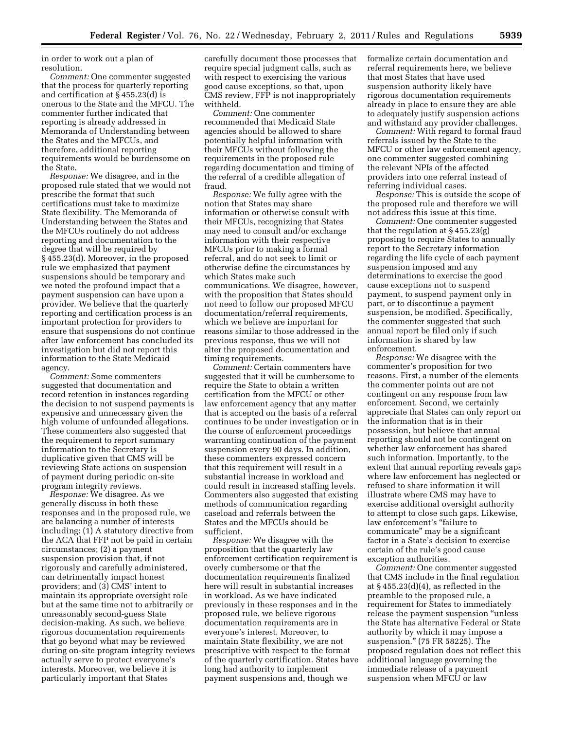in order to work out a plan of resolution.

*Comment:* One commenter suggested that the process for quarterly reporting and certification at  $\hat{S}$  455.23(d) is onerous to the State and the MFCU. The commenter further indicated that reporting is already addressed in Memoranda of Understanding between the States and the MFCUs, and therefore, additional reporting requirements would be burdensome on the State.

*Response:* We disagree, and in the proposed rule stated that we would not prescribe the format that such certifications must take to maximize State flexibility. The Memoranda of Understanding between the States and the MFCUs routinely do not address reporting and documentation to the degree that will be required by § 455.23(d). Moreover, in the proposed rule we emphasized that payment suspensions should be temporary and we noted the profound impact that a payment suspension can have upon a provider. We believe that the quarterly reporting and certification process is an important protection for providers to ensure that suspensions do not continue after law enforcement has concluded its investigation but did not report this information to the State Medicaid agency.

*Comment:* Some commenters suggested that documentation and record retention in instances regarding the decision to not suspend payments is expensive and unnecessary given the high volume of unfounded allegations. These commenters also suggested that the requirement to report summary information to the Secretary is duplicative given that CMS will be reviewing State actions on suspension of payment during periodic on-site program integrity reviews.

*Response:* We disagree. As we generally discuss in both these responses and in the proposed rule, we are balancing a number of interests including: (1) A statutory directive from the ACA that FFP not be paid in certain circumstances; (2) a payment suspension provision that, if not rigorously and carefully administered, can detrimentally impact honest providers; and (3) CMS' intent to maintain its appropriate oversight role but at the same time not to arbitrarily or unreasonably second-guess State decision-making. As such, we believe rigorous documentation requirements that go beyond what may be reviewed during on-site program integrity reviews actually serve to protect everyone's interests. Moreover, we believe it is particularly important that States

carefully document those processes that require special judgment calls, such as with respect to exercising the various good cause exceptions, so that, upon CMS review, FFP is not inappropriately withheld.

*Comment:* One commenter recommended that Medicaid State agencies should be allowed to share potentially helpful information with their MFCUs without following the requirements in the proposed rule regarding documentation and timing of the referral of a credible allegation of fraud.

*Response:* We fully agree with the notion that States may share information or otherwise consult with their MFCUs, recognizing that States may need to consult and/or exchange information with their respective MFCUs prior to making a formal referral, and do not seek to limit or otherwise define the circumstances by which States make such communications. We disagree, however, with the proposition that States should not need to follow our proposed MFCU documentation/referral requirements, which we believe are important for reasons similar to those addressed in the previous response, thus we will not alter the proposed documentation and timing requirements.

*Comment:* Certain commenters have suggested that it will be cumbersome to require the State to obtain a written certification from the MFCU or other law enforcement agency that any matter that is accepted on the basis of a referral continues to be under investigation or in the course of enforcement proceedings warranting continuation of the payment suspension every 90 days. In addition, these commenters expressed concern that this requirement will result in a substantial increase in workload and could result in increased staffing levels. Commenters also suggested that existing methods of communication regarding caseload and referrals between the States and the MFCUs should be sufficient.

*Response:* We disagree with the proposition that the quarterly law enforcement certification requirement is overly cumbersome or that the documentation requirements finalized here will result in substantial increases in workload. As we have indicated previously in these responses and in the proposed rule, we believe rigorous documentation requirements are in everyone's interest. Moreover, to maintain State flexibility, we are not prescriptive with respect to the format of the quarterly certification. States have long had authority to implement payment suspensions and, though we

formalize certain documentation and referral requirements here, we believe that most States that have used suspension authority likely have rigorous documentation requirements already in place to ensure they are able to adequately justify suspension actions and withstand any provider challenges.

*Comment:* With regard to formal fraud referrals issued by the State to the MFCU or other law enforcement agency, one commenter suggested combining the relevant NPIs of the affected providers into one referral instead of referring individual cases.

*Response:* This is outside the scope of the proposed rule and therefore we will not address this issue at this time.

*Comment:* One commenter suggested that the regulation at  $\S$  455.23(g) proposing to require States to annually report to the Secretary information regarding the life cycle of each payment suspension imposed and any determinations to exercise the good cause exceptions not to suspend payment, to suspend payment only in part, or to discontinue a payment suspension, be modified. Specifically, the commenter suggested that such annual report be filed only if such information is shared by law enforcement.

*Response:* We disagree with the commenter's proposition for two reasons. First, a number of the elements the commenter points out are not contingent on any response from law enforcement. Second, we certainly appreciate that States can only report on the information that is in their possession, but believe that annual reporting should not be contingent on whether law enforcement has shared such information. Importantly, to the extent that annual reporting reveals gaps where law enforcement has neglected or refused to share information it will illustrate where CMS may have to exercise additional oversight authority to attempt to close such gaps. Likewise, law enforcement's "failure to communicate'' may be a significant factor in a State's decision to exercise certain of the rule's good cause exception authorities.

*Comment:* One commenter suggested that CMS include in the final regulation at  $\S$  455.23(d)(4), as reflected in the preamble to the proposed rule, a requirement for States to immediately release the payment suspension ''unless the State has alternative Federal or State authority by which it may impose a suspension.'' (75 FR 58225). The proposed regulation does not reflect this additional language governing the immediate release of a payment suspension when MFCU or law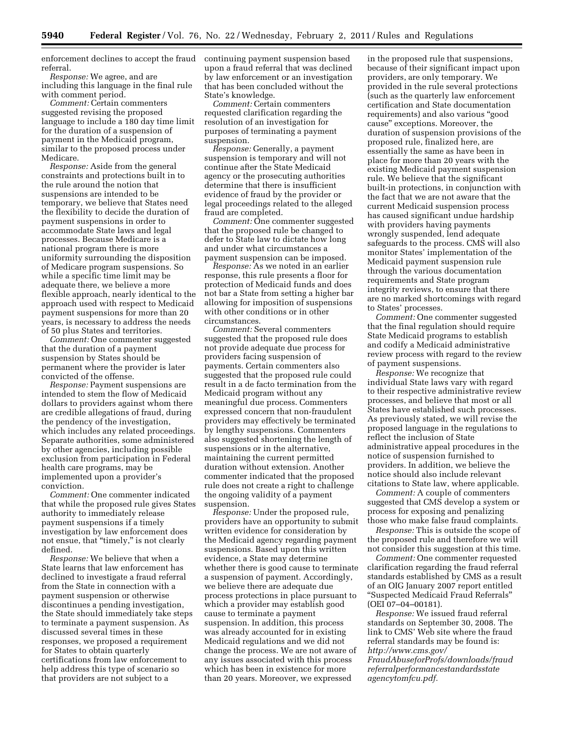enforcement declines to accept the fraud continuing payment suspension based referral.

*Response:* We agree, and are including this language in the final rule with comment period.

*Comment:* Certain commenters suggested revising the proposed language to include a 180 day time limit for the duration of a suspension of payment in the Medicaid program, similar to the proposed process under Medicare.

*Response:* Aside from the general constraints and protections built in to the rule around the notion that suspensions are intended to be temporary, we believe that States need the flexibility to decide the duration of payment suspensions in order to accommodate State laws and legal processes. Because Medicare is a national program there is more uniformity surrounding the disposition of Medicare program suspensions. So while a specific time limit may be adequate there, we believe a more flexible approach, nearly identical to the approach used with respect to Medicaid payment suspensions for more than 20 years, is necessary to address the needs of 50 plus States and territories.

*Comment:* One commenter suggested that the duration of a payment suspension by States should be permanent where the provider is later convicted of the offense.

*Response:* Payment suspensions are intended to stem the flow of Medicaid dollars to providers against whom there are credible allegations of fraud, during the pendency of the investigation, which includes any related proceedings. Separate authorities, some administered by other agencies, including possible exclusion from participation in Federal health care programs, may be implemented upon a provider's conviction.

*Comment:* One commenter indicated that while the proposed rule gives States authority to immediately release payment suspensions if a timely investigation by law enforcement does not ensue, that "timely," is not clearly defined.

*Response:* We believe that when a State learns that law enforcement has declined to investigate a fraud referral from the State in connection with a payment suspension or otherwise discontinues a pending investigation, the State should immediately take steps to terminate a payment suspension. As discussed several times in these responses, we proposed a requirement for States to obtain quarterly certifications from law enforcement to help address this type of scenario so that providers are not subject to a

upon a fraud referral that was declined by law enforcement or an investigation that has been concluded without the State's knowledge.

*Comment:* Certain commenters requested clarification regarding the resolution of an investigation for purposes of terminating a payment suspension.

*Response:* Generally, a payment suspension is temporary and will not continue after the State Medicaid agency or the prosecuting authorities determine that there is insufficient evidence of fraud by the provider or legal proceedings related to the alleged fraud are completed.

*Comment:* One commenter suggested that the proposed rule be changed to defer to State law to dictate how long and under what circumstances a payment suspension can be imposed.

*Response:* As we noted in an earlier response, this rule presents a floor for protection of Medicaid funds and does not bar a State from setting a higher bar allowing for imposition of suspensions with other conditions or in other circumstances.

*Comment:* Several commenters suggested that the proposed rule does not provide adequate due process for providers facing suspension of payments. Certain commenters also suggested that the proposed rule could result in a de facto termination from the Medicaid program without any meaningful due process. Commenters expressed concern that non-fraudulent providers may effectively be terminated by lengthy suspensions. Commenters also suggested shortening the length of suspensions or in the alternative, maintaining the current permitted duration without extension. Another commenter indicated that the proposed rule does not create a right to challenge the ongoing validity of a payment suspension.

*Response:* Under the proposed rule, providers have an opportunity to submit written evidence for consideration by the Medicaid agency regarding payment suspensions. Based upon this written evidence, a State may determine whether there is good cause to terminate a suspension of payment. Accordingly, we believe there are adequate due process protections in place pursuant to which a provider may establish good cause to terminate a payment suspension. In addition, this process was already accounted for in existing Medicaid regulations and we did not change the process. We are not aware of any issues associated with this process which has been in existence for more than 20 years. Moreover, we expressed

in the proposed rule that suspensions, because of their significant impact upon providers, are only temporary. We provided in the rule several protections (such as the quarterly law enforcement certification and State documentation requirements) and also various ''good cause'' exceptions. Moreover, the duration of suspension provisions of the proposed rule, finalized here, are essentially the same as have been in place for more than 20 years with the existing Medicaid payment suspension rule. We believe that the significant built-in protections, in conjunction with the fact that we are not aware that the current Medicaid suspension process has caused significant undue hardship with providers having payments wrongly suspended, lend adequate safeguards to the process. CMS will also monitor States' implementation of the Medicaid payment suspension rule through the various documentation requirements and State program integrity reviews, to ensure that there are no marked shortcomings with regard to States' processes.

*Comment:* One commenter suggested that the final regulation should require State Medicaid programs to establish and codify a Medicaid administrative review process with regard to the review of payment suspensions.

*Response:* We recognize that individual State laws vary with regard to their respective administrative review processes, and believe that most or all States have established such processes. As previously stated, we will revise the proposed language in the regulations to reflect the inclusion of State administrative appeal procedures in the notice of suspension furnished to providers. In addition, we believe the notice should also include relevant citations to State law, where applicable.

*Comment:* A couple of commenters suggested that CMS develop a system or process for exposing and penalizing those who make false fraud complaints.

*Response:* This is outside the scope of the proposed rule and therefore we will not consider this suggestion at this time.

*Comment:* One commenter requested clarification regarding the fraud referral standards established by CMS as a result of an OIG January 2007 report entitled ''Suspected Medicaid Fraud Referrals'' (OEI 07–04–00181).

*Response:* We issued fraud referral standards on September 30, 2008. The link to CMS' Web site where the fraud referral standards may be found is: *[http://www.cms.gov/](http://www.cms.gov/FraudAbuseforProfs/downloads/fraudreferralperformancestandardsstateagencytomfcu.pdf) [FraudAbuseforProfs/downloads/fraud](http://www.cms.gov/FraudAbuseforProfs/downloads/fraudreferralperformancestandardsstateagencytomfcu.pdf) [referralperformancestandardsstate](http://www.cms.gov/FraudAbuseforProfs/downloads/fraudreferralperformancestandardsstateagencytomfcu.pdf)*

*[agencytomfcu.pdf.](http://www.cms.gov/FraudAbuseforProfs/downloads/fraudreferralperformancestandardsstateagencytomfcu.pdf)*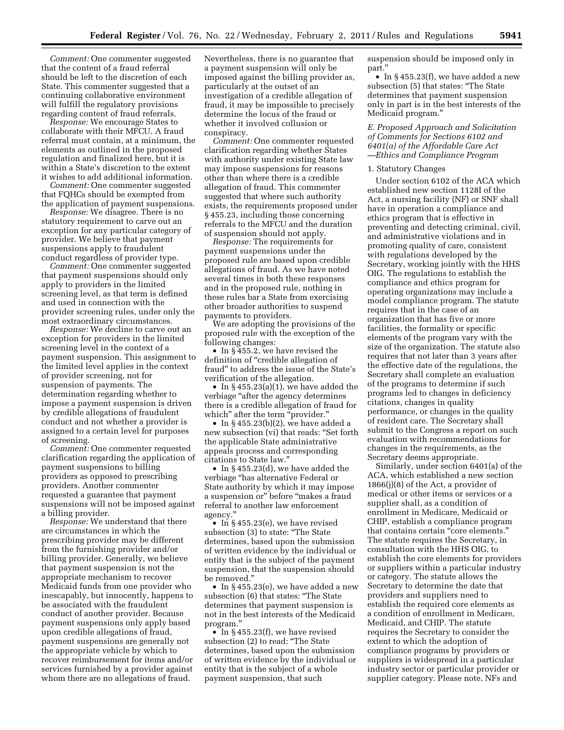*Comment:* One commenter suggested that the content of a fraud referral should be left to the discretion of each State. This commenter suggested that a continuing collaborative environment will fulfill the regulatory provisions regarding content of fraud referrals.

*Response:* We encourage States to collaborate with their MFCU. A fraud referral must contain, at a minimum, the elements as outlined in the proposed regulation and finalized here, but it is within a State's discretion to the extent it wishes to add additional information.

*Comment:* One commenter suggested that FQHCs should be exempted from the application of payment suspensions.

*Response:* We disagree. There is no statutory requirement to carve out an exception for any particular category of provider. We believe that payment suspensions apply to fraudulent conduct regardless of provider type.

*Comment:* One commenter suggested that payment suspensions should only apply to providers in the limited screening level, as that term is defined and used in connection with the provider screening rules, under only the most extraordinary circumstances.

*Response:* We decline to carve out an exception for providers in the limited screening level in the context of a payment suspension. This assignment to the limited level applies in the context of provider screening, not for suspension of payments. The determination regarding whether to impose a payment suspension is driven by credible allegations of fraudulent conduct and not whether a provider is assigned to a certain level for purposes of screening.

*Comment:* One commenter requested clarification regarding the application of payment suspensions to billing providers as opposed to prescribing providers. Another commenter requested a guarantee that payment suspensions will not be imposed against a billing provider.

*Response:* We understand that there are circumstances in which the prescribing provider may be different from the furnishing provider and/or billing provider. Generally, we believe that payment suspension is not the appropriate mechanism to recover Medicaid funds from one provider who inescapably, but innocently, happens to be associated with the fraudulent conduct of another provider. Because payment suspensions only apply based upon credible allegations of fraud, payment suspensions are generally not the appropriate vehicle by which to recover reimbursement for items and/or services furnished by a provider against whom there are no allegations of fraud.

Nevertheless, there is no guarantee that a payment suspension will only be imposed against the billing provider as, particularly at the outset of an investigation of a credible allegation of fraud, it may be impossible to precisely determine the locus of the fraud or whether it involved collusion or conspiracy.

*Comment:* One commenter requested clarification regarding whether States with authority under existing State law may impose suspensions for reasons other than where there is a credible allegation of fraud. This commenter suggested that where such authority exists, the requirements proposed under § 455.23, including those concerning referrals to the MFCU and the duration of suspension should not apply.

*Response:* The requirements for payment suspensions under the proposed rule are based upon credible allegations of fraud. As we have noted several times in both these responses and in the proposed rule, nothing in these rules bar a State from exercising other broader authorities to suspend payments to providers.

We are adopting the provisions of the proposed rule with the exception of the following changes:

• In §455.2, we have revised the definition of "credible allegation of fraud'' to address the issue of the State's verification of the allegation.

• In  $\S 455.23(a)(1)$ , we have added the verbiage "after the agency determines there is a credible allegation of fraud for which" after the term "provider."

• In  $\S$  455.23(b)(2), we have added a new subsection (vi) that reads: ''Set forth the applicable State administrative appeals process and corresponding citations to State law.''

• In § 455.23(d), we have added the verbiage ''has alternative Federal or State authority by which it may impose a suspension or'' before ''makes a fraud referral to another law enforcement agency.''

• In §455.23(e), we have revised subsection (3) to state: ''The State determines, based upon the submission of written evidence by the individual or entity that is the subject of the payment suspension, that the suspension should be removed.''

• In § 455.23(e), we have added a new subsection (6) that states: ''The State determines that payment suspension is not in the best interests of the Medicaid program.''

• In §455.23(f), we have revised subsection (2) to read: ''The State determines, based upon the submission of written evidence by the individual or entity that is the subject of a whole payment suspension, that such

suspension should be imposed only in part.''

• In §455.23(f), we have added a new subsection (5) that states: ''The State determines that payment suspension only in part is in the best interests of the Medicaid program.''

# *E. Proposed Approach and Solicitation of Comments for Sections 6102 and 6401(a) of the Affordable Care Act —Ethics and Compliance Program*

#### 1. Statutory Changes

Under section 6102 of the ACA which established new section 1128I of the Act, a nursing facility (NF) or SNF shall have in operation a compliance and ethics program that is effective in preventing and detecting criminal, civil, and administrative violations and in promoting quality of care, consistent with regulations developed by the Secretary, working jointly with the HHS OIG. The regulations to establish the compliance and ethics program for operating organizations may include a model compliance program. The statute requires that in the case of an organization that has five or more facilities, the formality or specific elements of the program vary with the size of the organization. The statute also requires that not later than 3 years after the effective date of the regulations, the Secretary shall complete an evaluation of the programs to determine if such programs led to changes in deficiency citations, changes in quality performance, or changes in the quality of resident care. The Secretary shall submit to the Congress a report on such evaluation with recommendations for changes in the requirements, as the Secretary deems appropriate.

Similarly, under section 6401(a) of the ACA, which established a new section 1866(j)(8) of the Act, a provider of medical or other items or services or a supplier shall, as a condition of enrollment in Medicare, Medicaid or CHIP, establish a compliance program that contains certain ''core elements.'' The statute requires the Secretary, in consultation with the HHS OIG, to establish the core elements for providers or suppliers within a particular industry or category. The statute allows the Secretary to determine the date that providers and suppliers need to establish the required core elements as a condition of enrollment in Medicare, Medicaid, and CHIP. The statute requires the Secretary to consider the extent to which the adoption of compliance programs by providers or suppliers is widespread in a particular industry sector or particular provider or supplier category. Please note, NFs and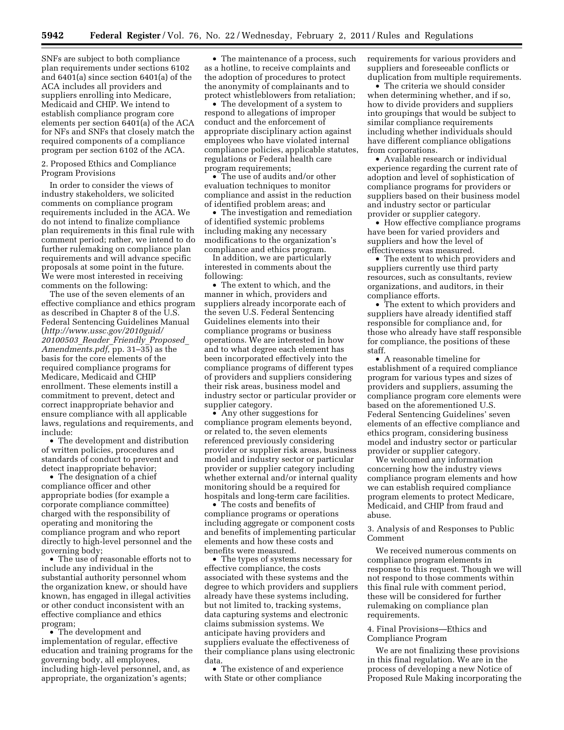SNFs are subject to both compliance plan requirements under sections 6102 and 6401(a) since section 6401(a) of the ACA includes all providers and suppliers enrolling into Medicare, Medicaid and CHIP. We intend to establish compliance program core elements per section 6401(a) of the ACA for NFs and SNFs that closely match the required components of a compliance program per section 6102 of the ACA.

2. Proposed Ethics and Compliance Program Provisions

In order to consider the views of industry stakeholders, we solicited comments on compliance program requirements included in the ACA. We do not intend to finalize compliance plan requirements in this final rule with comment period; rather, we intend to do further rulemaking on compliance plan requirements and will advance specific proposals at some point in the future. We were most interested in receiving comments on the following:

The use of the seven elements of an effective compliance and ethics program as described in Chapter 8 of the U.S. Federal Sentencing Guidelines Manual (*[http://www.ussc.gov/2010guid/](http://www.ussc.gov/2010guid/20100503_Reader_Friendly_Proposed_Amendments.pdf) [20100503](http://www.ussc.gov/2010guid/20100503_Reader_Friendly_Proposed_Amendments.pdf)*\_*Reader*\_*Friendly*\_*Proposed*\_ *[Amendments.pdf,](http://www.ussc.gov/2010guid/20100503_Reader_Friendly_Proposed_Amendments.pdf)* pp. 31–35) as the basis for the core elements of the required compliance programs for Medicare, Medicaid and CHIP enrollment. These elements instill a commitment to prevent, detect and correct inappropriate behavior and ensure compliance with all applicable laws, regulations and requirements, and include:

• The development and distribution of written policies, procedures and standards of conduct to prevent and detect inappropriate behavior;

• The designation of a chief compliance officer and other appropriate bodies (for example a corporate compliance committee) charged with the responsibility of operating and monitoring the compliance program and who report directly to high-level personnel and the governing body;

• The use of reasonable efforts not to include any individual in the substantial authority personnel whom the organization knew, or should have known, has engaged in illegal activities or other conduct inconsistent with an effective compliance and ethics program;

• The development and implementation of regular, effective education and training programs for the governing body, all employees, including high-level personnel, and, as appropriate, the organization's agents;

• The maintenance of a process, such as a hotline, to receive complaints and the adoption of procedures to protect the anonymity of complainants and to protect whistleblowers from retaliation;

• The development of a system to respond to allegations of improper conduct and the enforcement of appropriate disciplinary action against employees who have violated internal compliance policies, applicable statutes, regulations or Federal health care program requirements;

• The use of audits and/or other evaluation techniques to monitor compliance and assist in the reduction of identified problem areas; and

• The investigation and remediation of identified systemic problems including making any necessary modifications to the organization's compliance and ethics program.

In addition, we are particularly interested in comments about the following:

• The extent to which, and the manner in which, providers and suppliers already incorporate each of the seven U.S. Federal Sentencing Guidelines elements into their compliance programs or business operations. We are interested in how and to what degree each element has been incorporated effectively into the compliance programs of different types of providers and suppliers considering their risk areas, business model and industry sector or particular provider or supplier category.

• Any other suggestions for compliance program elements beyond, or related to, the seven elements referenced previously considering provider or supplier risk areas, business model and industry sector or particular provider or supplier category including whether external and/or internal quality monitoring should be a required for hospitals and long-term care facilities.

• The costs and benefits of compliance programs or operations including aggregate or component costs and benefits of implementing particular elements and how these costs and benefits were measured.

• The types of systems necessary for effective compliance, the costs associated with these systems and the degree to which providers and suppliers already have these systems including, but not limited to, tracking systems, data capturing systems and electronic claims submission systems. We anticipate having providers and suppliers evaluate the effectiveness of their compliance plans using electronic data.

• The existence of and experience with State or other compliance

requirements for various providers and suppliers and foreseeable conflicts or duplication from multiple requirements.

• The criteria we should consider when determining whether, and if so, how to divide providers and suppliers into groupings that would be subject to similar compliance requirements including whether individuals should have different compliance obligations from corporations.

• Available research or individual experience regarding the current rate of adoption and level of sophistication of compliance programs for providers or suppliers based on their business model and industry sector or particular provider or supplier category.

• How effective compliance programs have been for varied providers and suppliers and how the level of effectiveness was measured.

• The extent to which providers and suppliers currently use third party resources, such as consultants, review organizations, and auditors, in their compliance efforts.

• The extent to which providers and suppliers have already identified staff responsible for compliance and, for those who already have staff responsible for compliance, the positions of these staff.

• A reasonable timeline for establishment of a required compliance program for various types and sizes of providers and suppliers, assuming the compliance program core elements were based on the aforementioned U.S. Federal Sentencing Guidelines' seven elements of an effective compliance and ethics program, considering business model and industry sector or particular provider or supplier category.

We welcomed any information concerning how the industry views compliance program elements and how we can establish required compliance program elements to protect Medicare, Medicaid, and CHIP from fraud and abuse.

3. Analysis of and Responses to Public Comment

We received numerous comments on compliance program elements in response to this request. Though we will not respond to those comments within this final rule with comment period, these will be considered for further rulemaking on compliance plan requirements.

4. Final Provisions—Ethics and Compliance Program

We are not finalizing these provisions in this final regulation. We are in the process of developing a new Notice of Proposed Rule Making incorporating the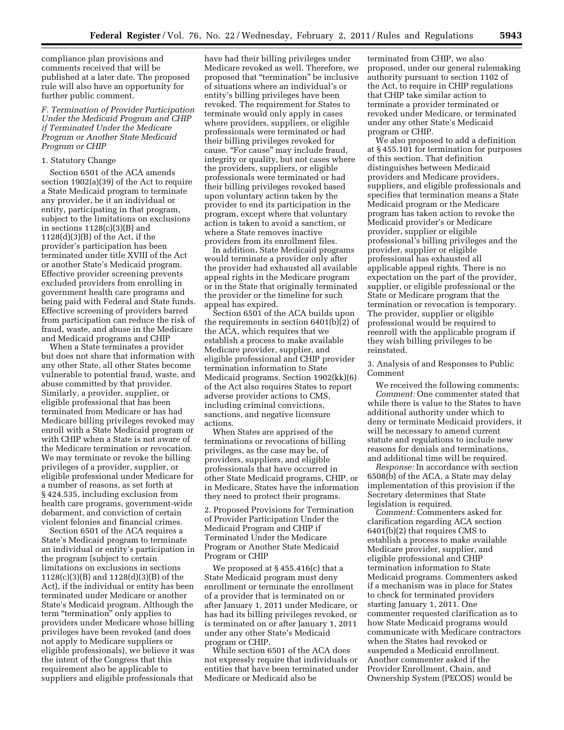compliance plan provisions and comments received that will be published at a later date. The proposed rule will also have an opportunity for further public comment.

*F. Termination of Provider Participation Under the Medicaid Program and CHIP if Terminated Under the Medicare Program or Another State Medicaid Program or CHIP* 

### 1. Statutory Change

Section 6501 of the ACA amends section 1902(a)(39) of the Act to require a State Medicaid program to terminate any provider, be it an individual or entity, participating in that program, subject to the limitations on exclusions in sections  $1128(c)(3)(B)$  and 1128(d)(3)(B) of the Act, if the provider's participation has been terminated under title XVIII of the Act or another State's Medicaid program. Effective provider screening prevents excluded providers from enrolling in government health care programs and being paid with Federal and State funds. Effective screening of providers barred from participation can reduce the risk of fraud, waste, and abuse in the Medicare and Medicaid programs and CHIP

When a State terminates a provider but does not share that information with any other State, all other States become vulnerable to potential fraud, waste, and abuse committed by that provider. Similarly, a provider, supplier, or eligible professional that has been terminated from Medicare or has had Medicare billing privileges revoked may enroll with a State Medicaid program or with CHIP when a State is not aware of the Medicare termination or revocation. We may terminate or revoke the billing privileges of a provider, supplier, or eligible professional under Medicare for a number of reasons, as set forth at § 424.535, including exclusion from health care programs, government-wide debarment, and conviction of certain violent felonies and financial crimes.

Section 6501 of the ACA requires a State's Medicaid program to terminate an individual or entity's participation in the program (subject to certain limitations on exclusions in sections 1128(c)(3)(B) and 1128(d)(3)(B) of the Act), if the individual or entity has been terminated under Medicare or another State's Medicaid program. Although the term "termination" only applies to providers under Medicare whose billing privileges have been revoked (and does not apply to Medicare suppliers or eligible professionals), we believe it was the intent of the Congress that this requirement also be applicable to suppliers and eligible professionals that

have had their billing privileges under Medicare revoked as well. Therefore, we proposed that ''termination'' be inclusive of situations where an individual's or entity's billing privileges have been revoked. The requirement for States to terminate would only apply in cases where providers, suppliers, or eligible professionals were terminated or had their billing privileges revoked for cause. "For cause" may include fraud, integrity or quality, but not cases where the providers, suppliers, or eligible professionals were terminated or had their billing privileges revoked based upon voluntary action taken by the provider to end its participation in the program, except where that voluntary action is taken to avoid a sanction, or where a State removes inactive providers from its enrollment files.

In addition, State Medicaid programs would terminate a provider only after the provider had exhausted all available appeal rights in the Medicare program or in the State that originally terminated the provider or the timeline for such appeal has expired.

Section 6501 of the ACA builds upon the requirements in section 6401(b)(2) of the ACA, which requires that we establish a process to make available Medicare provider, supplier, and eligible professional and CHIP provider termination information to State Medicaid programs. Section 1902(kk)(6) of the Act also requires States to report adverse provider actions to CMS, including criminal convictions, sanctions, and negative licensure actions.

When States are apprised of the terminations or revocations of billing privileges, as the case may be, of providers, suppliers, and eligible professionals that have occurred in other State Medicaid programs, CHIP, or in Medicare, States have the information they need to protect their programs.

2. Proposed Provisions for Termination of Provider Participation Under the Medicaid Program and CHIP if Terminated Under the Medicare Program or Another State Medicaid Program or CHIP

We proposed at § 455.416(c) that a State Medicaid program must deny enrollment or terminate the enrollment of a provider that is terminated on or after January 1, 2011 under Medicare, or has had its billing privileges revoked, or is terminated on or after January 1, 2011 under any other State's Medicaid program or CHIP.

While section 6501 of the ACA does not expressly require that individuals or entities that have been terminated under Medicare or Medicaid also be

terminated from CHIP, we also proposed, under our general rulemaking authority pursuant to section 1102 of the Act, to require in CHIP regulations that CHIP take similar action to terminate a provider terminated or revoked under Medicare, or terminated under any other State's Medicaid program or CHIP.

We also proposed to add a definition at § 455.101 for termination for purposes of this section. That definition distinguishes between Medicaid providers and Medicare providers, suppliers, and eligible professionals and specifies that termination means a State Medicaid program or the Medicare program has taken action to revoke the Medicaid provider's or Medicare provider, supplier or eligible professional's billing privileges and the provider, supplier or eligible professional has exhausted all applicable appeal rights. There is no expectation on the part of the provider, supplier, or eligible professional or the State or Medicare program that the termination or revocation is temporary. The provider, supplier or eligible professional would be required to reenroll with the applicable program if they wish billing privileges to be reinstated.

3. Analysis of and Responses to Public Comment

We received the following comments: *Comment:* One commenter stated that while there is value to the States to have additional authority under which to deny or terminate Medicaid providers, it will be necessary to amend current statute and regulations to include new reasons for denials and terminations, and additional time will be required.

*Response:* In accordance with section 6508(b) of the ACA, a State may delay implementation of this provision if the Secretary determines that State legislation is required.

*Comment:* Commenters asked for clarification regarding ACA section 6401(b)(2) that requires CMS to establish a process to make available Medicare provider, supplier, and eligible professional and CHIP termination information to State Medicaid programs. Commenters asked if a mechanism was in place for States to check for terminated providers starting January 1, 2011. One commenter requested clarification as to how State Medicaid programs would communicate with Medicare contractors when the States had revoked or suspended a Medicaid enrollment. Another commenter asked if the Provider Enrollment, Chain, and Ownership System (PECOS) would be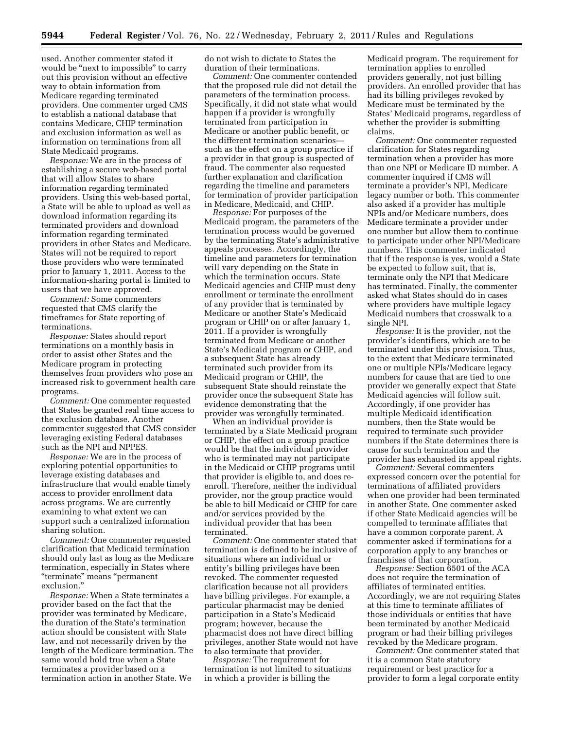used. Another commenter stated it would be "next to impossible" to carry out this provision without an effective way to obtain information from Medicare regarding terminated providers. One commenter urged CMS to establish a national database that contains Medicare, CHIP termination and exclusion information as well as information on terminations from all State Medicaid programs.

*Response:* We are in the process of establishing a secure web-based portal that will allow States to share information regarding terminated providers. Using this web-based portal, a State will be able to upload as well as download information regarding its terminated providers and download information regarding terminated providers in other States and Medicare. States will not be required to report those providers who were terminated prior to January 1, 2011. Access to the information-sharing portal is limited to users that we have approved.

*Comment:* Some commenters requested that CMS clarify the timeframes for State reporting of terminations.

*Response:* States should report terminations on a monthly basis in order to assist other States and the Medicare program in protecting themselves from providers who pose an increased risk to government health care programs.

*Comment:* One commenter requested that States be granted real time access to the exclusion database. Another commenter suggested that CMS consider leveraging existing Federal databases such as the NPI and NPPES.

*Response:* We are in the process of exploring potential opportunities to leverage existing databases and infrastructure that would enable timely access to provider enrollment data across programs. We are currently examining to what extent we can support such a centralized information sharing solution.

*Comment:* One commenter requested clarification that Medicaid termination should only last as long as the Medicare termination, especially in States where ''terminate'' means ''permanent exclusion.''

*Response:* When a State terminates a provider based on the fact that the provider was terminated by Medicare, the duration of the State's termination action should be consistent with State law, and not necessarily driven by the length of the Medicare termination. The same would hold true when a State terminates a provider based on a termination action in another State. We

do not wish to dictate to States the duration of their terminations.

*Comment:* One commenter contended that the proposed rule did not detail the parameters of the termination process. Specifically, it did not state what would happen if a provider is wrongfully terminated from participation in Medicare or another public benefit, or the different termination scenarios such as the effect on a group practice if a provider in that group is suspected of fraud. The commenter also requested further explanation and clarification regarding the timeline and parameters for termination of provider participation in Medicare, Medicaid, and CHIP.

*Response:* For purposes of the Medicaid program, the parameters of the termination process would be governed by the terminating State's administrative appeals processes. Accordingly, the timeline and parameters for termination will vary depending on the State in which the termination occurs. State Medicaid agencies and CHIP must deny enrollment or terminate the enrollment of any provider that is terminated by Medicare or another State's Medicaid program or CHIP on or after January 1, 2011. If a provider is wrongfully terminated from Medicare or another State's Medicaid program or CHIP, and a subsequent State has already terminated such provider from its Medicaid program or CHIP, the subsequent State should reinstate the provider once the subsequent State has evidence demonstrating that the provider was wrongfully terminated.

When an individual provider is terminated by a State Medicaid program or CHIP, the effect on a group practice would be that the individual provider who is terminated may not participate in the Medicaid or CHIP programs until that provider is eligible to, and does reenroll. Therefore, neither the individual provider, nor the group practice would be able to bill Medicaid or CHIP for care and/or services provided by the individual provider that has been terminated.

*Comment:* One commenter stated that termination is defined to be inclusive of situations where an individual or entity's billing privileges have been revoked. The commenter requested clarification because not all providers have billing privileges. For example, a particular pharmacist may be denied participation in a State's Medicaid program; however, because the pharmacist does not have direct billing privileges, another State would not have to also terminate that provider.

*Response:* The requirement for termination is not limited to situations in which a provider is billing the

Medicaid program. The requirement for termination applies to enrolled providers generally, not just billing providers. An enrolled provider that has had its billing privileges revoked by Medicare must be terminated by the States' Medicaid programs, regardless of whether the provider is submitting claims.

*Comment:* One commenter requested clarification for States regarding termination when a provider has more than one NPI or Medicare ID number. A commenter inquired if CMS will terminate a provider's NPI, Medicare legacy number or both. This commenter also asked if a provider has multiple NPIs and/or Medicare numbers, does Medicare terminate a provider under one number but allow them to continue to participate under other NPI/Medicare numbers. This commenter indicated that if the response is yes, would a State be expected to follow suit, that is, terminate only the NPI that Medicare has terminated. Finally, the commenter asked what States should do in cases where providers have multiple legacy Medicaid numbers that crosswalk to a single NPI.

*Response:* It is the provider, not the provider's identifiers, which are to be terminated under this provision. Thus, to the extent that Medicare terminated one or multiple NPIs/Medicare legacy numbers for cause that are tied to one provider we generally expect that State Medicaid agencies will follow suit. Accordingly, if one provider has multiple Medicaid identification numbers, then the State would be required to terminate such provider numbers if the State determines there is cause for such termination and the provider has exhausted its appeal rights.

*Comment:* Several commenters expressed concern over the potential for terminations of affiliated providers when one provider had been terminated in another State. One commenter asked if other State Medicaid agencies will be compelled to terminate affiliates that have a common corporate parent. A commenter asked if terminations for a corporation apply to any branches or franchises of that corporation.

*Response:* Section 6501 of the ACA does not require the termination of affiliates of terminated entities. Accordingly, we are not requiring States at this time to terminate affiliates of those individuals or entities that have been terminated by another Medicaid program or had their billing privileges revoked by the Medicare program.

*Comment:* One commenter stated that it is a common State statutory requirement or best practice for a provider to form a legal corporate entity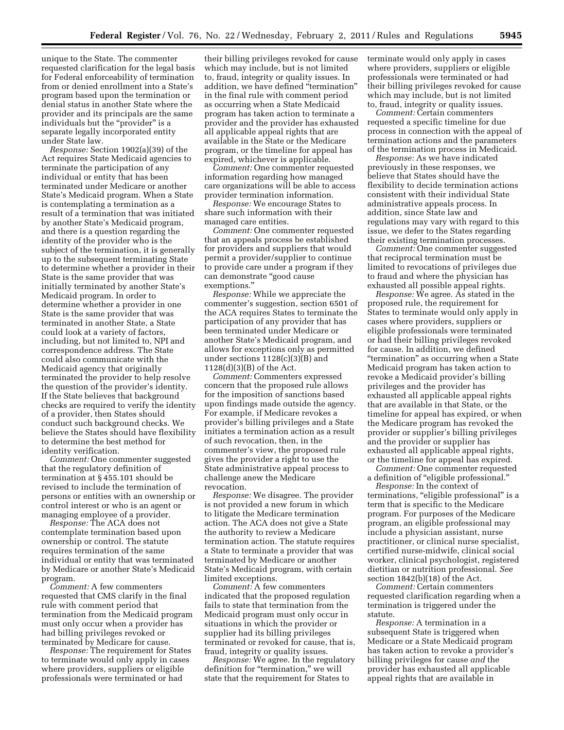unique to the State. The commenter requested clarification for the legal basis for Federal enforceability of termination from or denied enrollment into a State's program based upon the termination or denial status in another State where the provider and its principals are the same individuals but the "provider" is a separate legally incorporated entity under State law.

*Response:* Section 1902(a)(39) of the Act requires State Medicaid agencies to terminate the participation of any individual or entity that has been terminated under Medicare or another State's Medicaid program. When a State is contemplating a termination as a result of a termination that was initiated by another State's Medicaid program, and there is a question regarding the identity of the provider who is the subject of the termination, it is generally up to the subsequent terminating State to determine whether a provider in their State is the same provider that was initially terminated by another State's Medicaid program. In order to determine whether a provider in one State is the same provider that was terminated in another State, a State could look at a variety of factors, including, but not limited to, NPI and correspondence address. The State could also communicate with the Medicaid agency that originally terminated the provider to help resolve the question of the provider's identity. If the State believes that background checks are required to verify the identity of a provider, then States should conduct such background checks. We believe the States should have flexibility to determine the best method for identity verification.

*Comment:* One commenter suggested that the regulatory definition of termination at § 455.101 should be revised to include the termination of persons or entities with an ownership or control interest or who is an agent or managing employee of a provider.

*Response:* The ACA does not contemplate termination based upon ownership or control. The statute requires termination of the same individual or entity that was terminated by Medicare or another State's Medicaid program.

*Comment:* A few commenters requested that CMS clarify in the final rule with comment period that termination from the Medicaid program must only occur when a provider has had billing privileges revoked or terminated by Medicare for cause.

*Response:* The requirement for States to terminate would only apply in cases where providers, suppliers or eligible professionals were terminated or had

their billing privileges revoked for cause which may include, but is not limited to, fraud, integrity or quality issues. In addition, we have defined ''termination'' in the final rule with comment period as occurring when a State Medicaid program has taken action to terminate a provider and the provider has exhausted all applicable appeal rights that are available in the State or the Medicare program, or the timeline for appeal has expired, whichever is applicable.

*Comment:* One commenter requested information regarding how managed care organizations will be able to access provider termination information.

*Response:* We encourage States to share such information with their managed care entities.

*Comment:* One commenter requested that an appeals process be established for providers and suppliers that would permit a provider/supplier to continue to provide care under a program if they can demonstrate ''good cause exemptions.''

*Response:* While we appreciate the commenter's suggestion, section 6501 of the ACA requires States to terminate the participation of any provider that has been terminated under Medicare or another State's Medicaid program, and allows for exceptions only as permitted under sections 1128(c)(3)(B) and 1128(d)(3)(B) of the Act.

*Comment:* Commenters expressed concern that the proposed rule allows for the imposition of sanctions based upon findings made outside the agency. For example, if Medicare revokes a provider's billing privileges and a State initiates a termination action as a result of such revocation, then, in the commenter's view, the proposed rule gives the provider a right to use the State administrative appeal process to challenge anew the Medicare revocation.

*Response:* We disagree. The provider is not provided a new forum in which to litigate the Medicare termination action. The ACA does not give a State the authority to review a Medicare termination action. The statute requires a State to terminate a provider that was terminated by Medicare or another State's Medicaid program, with certain limited exceptions.

*Comment:* A few commenters indicated that the proposed regulation fails to state that termination from the Medicaid program must only occur in situations in which the provider or supplier had its billing privileges terminated or revoked for cause, that is, fraud, integrity or quality issues.

*Response:* We agree. In the regulatory definition for "termination," we will state that the requirement for States to

terminate would only apply in cases where providers, suppliers or eligible professionals were terminated or had their billing privileges revoked for cause which may include, but is not limited to, fraud, integrity or quality issues.

*Comment:* Certain commenters requested a specific timeline for due process in connection with the appeal of termination actions and the parameters of the termination process in Medicaid.

*Response:* As we have indicated previously in these responses, we believe that States should have the flexibility to decide termination actions consistent with their individual State administrative appeals process. In addition, since State law and regulations may vary with regard to this issue, we defer to the States regarding their existing termination processes.

*Comment:* One commenter suggested that reciprocal termination must be limited to revocations of privileges due to fraud and where the physician has exhausted all possible appeal rights.

*Response:* We agree. As stated in the proposed rule, the requirement for States to terminate would only apply in cases where providers, suppliers or eligible professionals were terminated or had their billing privileges revoked for cause. In addition, we defined ''termination'' as occurring when a State Medicaid program has taken action to revoke a Medicaid provider's billing privileges and the provider has exhausted all applicable appeal rights that are available in that State, or the timeline for appeal has expired, or when the Medicare program has revoked the provider or supplier's billing privileges and the provider or supplier has exhausted all applicable appeal rights, or the timeline for appeal has expired.

*Comment:* One commenter requested a definition of ''eligible professional.''

*Response:* In the context of terminations, "eligible professional" is a term that is specific to the Medicare program. For purposes of the Medicare program, an eligible professional may include a physician assistant, nurse practitioner, or clinical nurse specialist, certified nurse-midwife, clinical social worker, clinical psychologist, registered dietitian or nutrition professional. *See*  section 1842(b)(18) of the Act.

*Comment:* Certain commenters requested clarification regarding when a termination is triggered under the statute.

*Response:* A termination in a subsequent State is triggered when Medicare or a State Medicaid program has taken action to revoke a provider's billing privileges for cause *and* the provider has exhausted all applicable appeal rights that are available in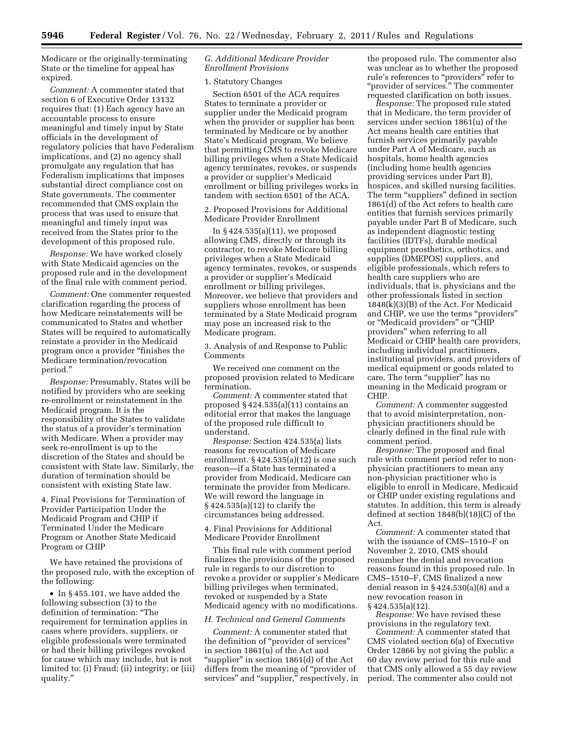Medicare or the originally-terminating State or the timeline for appeal has expired.

*Comment:* A commenter stated that section 6 of Executive Order 13132 requires that: (1) Each agency have an accountable process to ensure meaningful and timely input by State officials in the development of regulatory policies that have Federalism implications, and (2) no agency shall promulgate any regulation that has Federalism implications that imposes substantial direct compliance cost on State governments. The commenter recommended that CMS explain the process that was used to ensure that meaningful and timely input was received from the States prior to the development of this proposed rule.

*Response:* We have worked closely with State Medicaid agencies on the proposed rule and in the development of the final rule with comment period.

*Comment:* One commenter requested clarification regarding the process of how Medicare reinstatements will be communicated to States and whether States will be required to automatically reinstate a provider in the Medicaid program once a provider "finishes the Medicare termination/revocation period.''

*Response:* Presumably, States will be notified by providers who are seeking re-enrollment or reinstatement in the Medicaid program. It is the responsibility of the States to validate the status of a provider's termination with Medicare. When a provider may seek re-enrollment is up to the discretion of the States and should be consistent with State law. Similarly, the duration of termination should be consistent with existing State law.

4. Final Provisions for Termination of Provider Participation Under the Medicaid Program and CHIP if Terminated Under the Medicare Program or Another State Medicaid Program or CHIP

We have retained the provisions of the proposed rule, with the exception of the following:

• In § 455.101, we have added the following subsection (3) to the definition of termination: ''The requirement for termination applies in cases where providers, suppliers, or eligible professionals were terminated or had their billing privileges revoked for cause which may include, but is not limited to: (i) Fraud; (ii) integrity; or (iii) quality.''

# *G. Additional Medicare Provider Enrollment Provisions*

# 1. Statutory Changes

Section 6501 of the ACA requires States to terminate a provider or supplier under the Medicaid program when the provider or supplier has been terminated by Medicare or by another State's Medicaid program. We believe that permitting CMS to revoke Medicare billing privileges when a State Medicaid agency terminates, revokes, or suspends a provider or supplier's Medicaid enrollment or billing privileges works in tandem with section 6501 of the ACA.

2. Proposed Provisions for Additional Medicare Provider Enrollment

In § 424.535(a)(11), we proposed allowing CMS, directly or through its contractor, to revoke Medicare billing privileges when a State Medicaid agency terminates, revokes, or suspends a provider or supplier's Medicaid enrollment or billing privileges. Moreover, we believe that providers and suppliers whose enrollment has been terminated by a State Medicaid program may pose an increased risk to the Medicare program.

3. Analysis of and Response to Public Comments

We received one comment on the proposed provision related to Medicare termination.

*Comment:* A commenter stated that proposed § 424.535(a)(11) contains an editorial error that makes the language of the proposed rule difficult to understand.

*Response:* Section 424.535(a) lists reasons for revocation of Medicare enrollment. § 424.535(a)(12) is one such reason—if a State has terminated a provider from Medicaid, Medicare can terminate the provider from Medicare. We will reword the language in § 424.535(a)(12) to clarify the circumstances being addressed.

4. Final Provisions for Additional Medicare Provider Enrollment

This final rule with comment period finalizes the provisions of the proposed rule in regards to our discretion to revoke a provider or supplier's Medicare billing privileges when terminated, revoked or suspended by a State Medicaid agency with no modifications.

#### *H. Technical and General Comments*

*Comment:* A commenter stated that the definition of ''provider of services'' in section 1861(u) of the Act and "supplier" in section 1861(d) of the Act differs from the meaning of ''provider of services" and "supplier," respectively, in

the proposed rule. The commenter also was unclear as to whether the proposed rule's references to "providers" refer to "provider of services." The commenter requested clarification on both issues.

*Response:* The proposed rule stated that in Medicare, the term provider of services under section 1861(u) of the Act means health care entities that furnish services primarily payable under Part A of Medicare, such as hospitals, home health agencies (including home health agencies providing services under Part B), hospices, and skilled nursing facilities. The term "suppliers" defined in section 1861(d) of the Act refers to health care entities that furnish services primarily payable under Part B of Medicare, such as independent diagnostic testing facilities (IDTFs), durable medical equipment prosthetics, orthotics, and supplies (DMEPOS) suppliers, and eligible professionals, which refers to health care suppliers who are individuals, that is, physicians and the other professionals listed in section 1848(k)(3)(B) of the Act. For Medicaid and CHIP, we use the terms ''providers'' or ''Medicaid providers'' or ''CHIP providers'' when referring to all Medicaid or CHIP health care providers, including individual practitioners, institutional providers, and providers of medical equipment or goods related to care. The term "supplier" has no meaning in the Medicaid program or CHIP.

*Comment:* A commenter suggested that to avoid misinterpretation, nonphysician practitioners should be clearly defined in the final rule with comment period.

*Response:* The proposed and final rule with comment period refer to nonphysician practitioners to mean any non-physician practitioner who is eligible to enroll in Medicare, Medicaid or CHIP under existing regulations and statutes. In addition, this term is already defined at section 1848(b)(18)(C) of the Act.

*Comment:* A commenter stated that with the issuance of CMS–1510–F on November 2, 2010, CMS should renumber the denial and revocation reasons found in this proposed rule. In CMS–1510–F, CMS finalized a new denial reason in § 424.530(a)(8) and a new revocation reason in § 424.535(a)(12).

*Response:* We have revised these provisions in the regulatory text.

*Comment:* A commenter stated that CMS violated section 6(a) of Executive Order 12866 by not giving the public a 60 day review period for this rule and that CMS only allowed a 55 day review period. The commenter also could not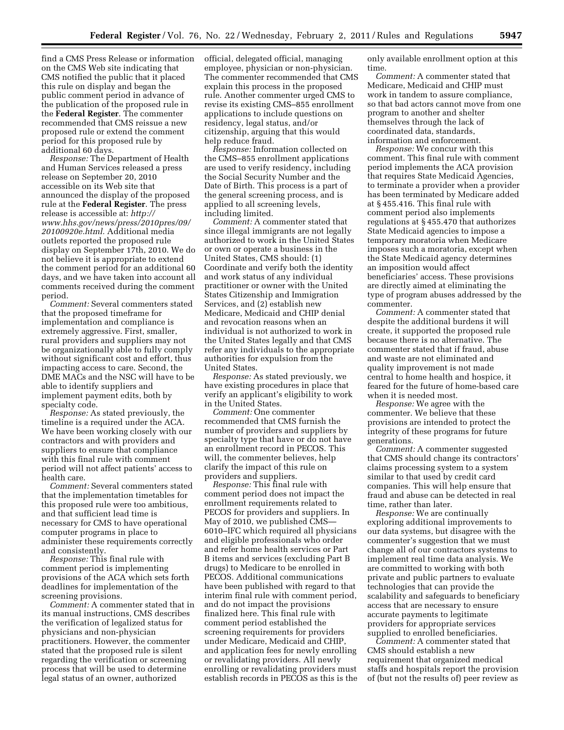find a CMS Press Release or information on the CMS Web site indicating that CMS notified the public that it placed this rule on display and began the public comment period in advance of the publication of the proposed rule in the **Federal Register**. The commenter recommended that CMS reissue a new proposed rule or extend the comment period for this proposed rule by additional 60 days.

*Response:* The Department of Health and Human Services released a press release on September 20, 2010 accessible on its Web site that announced the display of the proposed rule at the **Federal Register**. The press release is accessible at: *[http://](http://www.hhs.gov/news/press/2010pres/09/20100920e.html) [www.hhs.gov/news/press/2010pres/09/](http://www.hhs.gov/news/press/2010pres/09/20100920e.html) [20100920e.html.](http://www.hhs.gov/news/press/2010pres/09/20100920e.html)* Additional media outlets reported the proposed rule display on September 17th, 2010. We do not believe it is appropriate to extend the comment period for an additional 60 days, and we have taken into account all comments received during the comment period.

*Comment:* Several commenters stated that the proposed timeframe for implementation and compliance is extremely aggressive. First, smaller, rural providers and suppliers may not be organizationally able to fully comply without significant cost and effort, thus impacting access to care. Second, the DME MACs and the NSC will have to be able to identify suppliers and implement payment edits, both by specialty code.

*Response:* As stated previously, the timeline is a required under the ACA. We have been working closely with our contractors and with providers and suppliers to ensure that compliance with this final rule with comment period will not affect patients' access to health care.

*Comment:* Several commenters stated that the implementation timetables for this proposed rule were too ambitious, and that sufficient lead time is necessary for CMS to have operational computer programs in place to administer these requirements correctly and consistently.

*Response:* This final rule with comment period is implementing provisions of the ACA which sets forth deadlines for implementation of the screening provisions.

*Comment:* A commenter stated that in its manual instructions, CMS describes the verification of legalized status for physicians and non-physician practitioners. However, the commenter stated that the proposed rule is silent regarding the verification or screening process that will be used to determine legal status of an owner, authorized

official, delegated official, managing employee, physician or non-physician. The commenter recommended that CMS explain this process in the proposed rule. Another commenter urged CMS to revise its existing CMS–855 enrollment applications to include questions on residency, legal status, and/or citizenship, arguing that this would help reduce fraud.

*Response:* Information collected on the CMS–855 enrollment applications are used to verify residency, including the Social Security Number and the Date of Birth. This process is a part of the general screening process, and is applied to all screening levels, including limited.

*Comment:* A commenter stated that since illegal immigrants are not legally authorized to work in the United States or own or operate a business in the United States, CMS should: (1) Coordinate and verify both the identity and work status of any individual practitioner or owner with the United States Citizenship and Immigration Services, and (2) establish new Medicare, Medicaid and CHIP denial and revocation reasons when an individual is not authorized to work in the United States legally and that CMS refer any individuals to the appropriate authorities for expulsion from the United States.

*Response:* As stated previously, we have existing procedures in place that verify an applicant's eligibility to work in the United States.

*Comment:* One commenter recommended that CMS furnish the number of providers and suppliers by specialty type that have or do not have an enrollment record in PECOS. This will, the commenter believes, help clarify the impact of this rule on providers and suppliers.

*Response:* This final rule with comment period does not impact the enrollment requirements related to PECOS for providers and suppliers. In May of 2010, we published CMS— 6010–IFC which required all physicians and eligible professionals who order and refer home health services or Part B items and services (excluding Part B drugs) to Medicare to be enrolled in PECOS. Additional communications have been published with regard to that interim final rule with comment period, and do not impact the provisions finalized here. This final rule with comment period established the screening requirements for providers under Medicare, Medicaid and CHIP, and application fees for newly enrolling or revalidating providers. All newly enrolling or revalidating providers must establish records in PECOS as this is the only available enrollment option at this time.

*Comment:* A commenter stated that Medicare, Medicaid and CHIP must work in tandem to assure compliance, so that bad actors cannot move from one program to another and shelter themselves through the lack of coordinated data, standards, information and enforcement.

*Response:* We concur with this comment. This final rule with comment period implements the ACA provision that requires State Medicaid Agencies, to terminate a provider when a provider has been terminated by Medicare added at § 455.416. This final rule with comment period also implements regulations at § 455.470 that authorizes State Medicaid agencies to impose a temporary moratoria when Medicare imposes such a moratoria, except when the State Medicaid agency determines an imposition would affect beneficiaries' access. These provisions are directly aimed at eliminating the type of program abuses addressed by the commenter.

*Comment:* A commenter stated that despite the additional burdens it will create, it supported the proposed rule because there is no alternative. The commenter stated that if fraud, abuse and waste are not eliminated and quality improvement is not made central to home health and hospice, it feared for the future of home-based care when it is needed most.

*Response:* We agree with the commenter. We believe that these provisions are intended to protect the integrity of these programs for future generations.

*Comment:* A commenter suggested that CMS should change its contractors' claims processing system to a system similar to that used by credit card companies. This will help ensure that fraud and abuse can be detected in real time, rather than later.

*Response:* We are continually exploring additional improvements to our data systems, but disagree with the commenter's suggestion that we must change all of our contractors systems to implement real time data analysis. We are committed to working with both private and public partners to evaluate technologies that can provide the scalability and safeguards to beneficiary access that are necessary to ensure accurate payments to legitimate providers for appropriate services supplied to enrolled beneficiaries.

*Comment:* A commenter stated that CMS should establish a new requirement that organized medical staffs and hospitals report the provision of (but not the results of) peer review as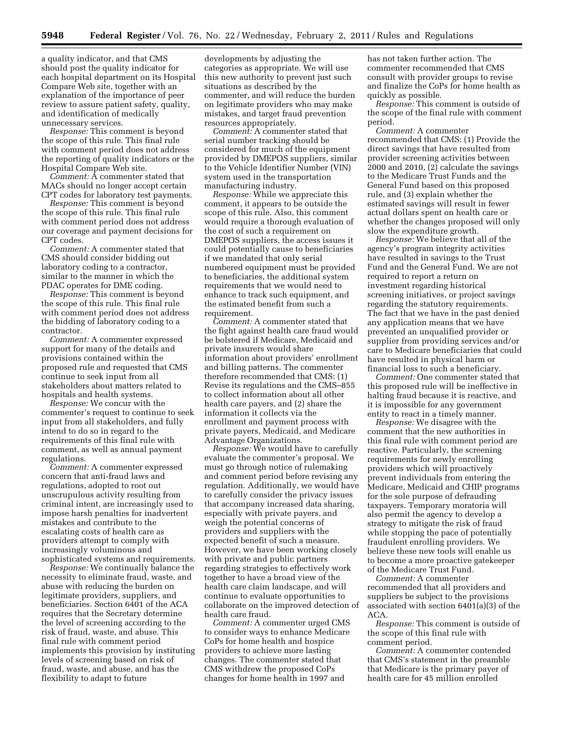a quality indicator, and that CMS should post the quality indicator for each hospital department on its Hospital Compare Web site, together with an explanation of the importance of peer review to assure patient safety, quality, and identification of medically unnecessary services.

*Response:* This comment is beyond the scope of this rule. This final rule with comment period does not address the reporting of quality indicators or the Hospital Compare Web site.

*Comment:* A commenter stated that MACs should no longer accept certain CPT codes for laboratory test payments.

*Response:* This comment is beyond the scope of this rule. This final rule with comment period does not address our coverage and payment decisions for CPT codes.

*Comment:* A commenter stated that CMS should consider bidding out laboratory coding to a contractor, similar to the manner in which the PDAC operates for DME coding.

*Response:* This comment is beyond the scope of this rule. This final rule with comment period does not address the bidding of laboratory coding to a contractor.

*Comment:* A commenter expressed support for many of the details and provisions contained within the proposed rule and requested that CMS continue to seek input from all stakeholders about matters related to hospitals and health systems.

*Response:* We concur with the commenter's request to continue to seek input from all stakeholders, and fully intend to do so in regard to the requirements of this final rule with comment, as well as annual payment regulations.

*Comment:* A commenter expressed concern that anti-fraud laws and regulations, adopted to root out unscrupulous activity resulting from criminal intent, are increasingly used to impose harsh penalties for inadvertent mistakes and contribute to the escalating costs of health care as providers attempt to comply with increasingly voluminous and sophisticated systems and requirements.

*Response:* We continually balance the necessity to eliminate fraud, waste, and abuse with reducing the burden on legitimate providers, suppliers, and beneficiaries. Section 6401 of the ACA requires that the Secretary determine the level of screening according to the risk of fraud, waste, and abuse. This final rule with comment period implements this provision by instituting levels of screening based on risk of fraud, waste, and abuse, and has the flexibility to adapt to future

developments by adjusting the categories as appropriate. We will use this new authority to prevent just such situations as described by the commenter, and will reduce the burden on legitimate providers who may make mistakes, and target fraud prevention resources appropriately.

*Comment:* A commenter stated that serial number tracking should be considered for much of the equipment provided by DMEPOS suppliers, similar to the Vehicle Identifier Number (VIN) system used in the transportation manufacturing industry.

*Response:* While we appreciate this comment, it appears to be outside the scope of this rule. Also, this comment would require a thorough evaluation of the cost of such a requirement on DMEPOS suppliers, the access issues it could potentially cause to beneficiaries if we mandated that only serial numbered equipment must be provided to beneficiaries, the additional system requirements that we would need to enhance to track such equipment, and the estimated benefit from such a requirement.

*Comment:* A commenter stated that the fight against health care fraud would be bolstered if Medicare, Medicaid and private insurers would share information about providers' enrollment and billing patterns. The commenter therefore recommended that CMS: (1) Revise its regulations and the CMS–855 to collect information about all other health care payers, and (2) share the information it collects via the enrollment and payment process with private payers, Medicaid, and Medicare Advantage Organizations.

*Response:* We would have to carefully evaluate the commenter's proposal. We must go through notice of rulemaking and comment period before revising any regulation. Additionally, we would have to carefully consider the privacy issues that accompany increased data sharing, especially with private payers, and weigh the potential concerns of providers and suppliers with the expected benefit of such a measure. However, we have been working closely with private and public partners regarding strategies to effectively work together to have a broad view of the health care claim landscape, and will continue to evaluate opportunities to collaborate on the improved detection of health care fraud.

*Comment:* A commenter urged CMS to consider ways to enhance Medicare CoPs for home health and hospice providers to achieve more lasting changes. The commenter stated that CMS withdrew the proposed CoPs changes for home health in 1997 and

has not taken further action. The commenter recommended that CMS consult with provider groups to revise and finalize the CoPs for home health as quickly as possible.

*Response:* This comment is outside of the scope of the final rule with comment period.

*Comment:* A commenter recommended that CMS: (1) Provide the direct savings that have resulted from provider screening activities between 2000 and 2010, (2) calculate the savings to the Medicare Trust Funds and the General Fund based on this proposed rule, and (3) explain whether the estimated savings will result in fewer actual dollars spent on health care or whether the changes proposed will only slow the expenditure growth.

*Response:* We believe that all of the agency's program integrity activities have resulted in savings to the Trust Fund and the General Fund. We are not required to report a return on investment regarding historical screening initiatives, or project savings regarding the statutory requirements. The fact that we have in the past denied any application means that we have prevented an unqualified provider or supplier from providing services and/or care to Medicare beneficiaries that could have resulted in physical harm or financial loss to such a beneficiary.

*Comment:* One commenter stated that this proposed rule will be ineffective in halting fraud because it is reactive, and it is impossible for any government entity to react in a timely manner.

*Response:* We disagree with the comment that the new authorities in this final rule with comment period are reactive. Particularly, the screening requirements for newly enrolling providers which will proactively prevent individuals from entering the Medicare, Medicaid and CHIP programs for the sole purpose of defrauding taxpayers. Temporary moratoria will also permit the agency to develop a strategy to mitigate the risk of fraud while stopping the pace of potentially fraudulent enrolling providers. We believe these new tools will enable us to become a more proactive gatekeeper of the Medicare Trust Fund.

*Comment:* A commenter recommended that all providers and suppliers be subject to the provisions associated with section 6401(a)(3) of the ACA.

*Response:* This comment is outside of the scope of this final rule with comment period.

*Comment:* A commenter contended that CMS's statement in the preamble that Medicare is the primary payer of health care for 45 million enrolled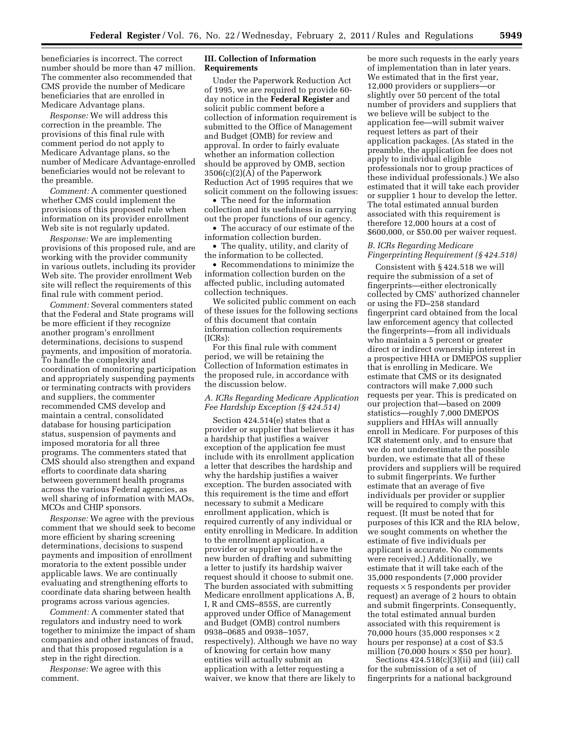beneficiaries is incorrect. The correct number should be more than 47 million. The commenter also recommended that CMS provide the number of Medicare beneficiaries that are enrolled in Medicare Advantage plans.

*Response:* We will address this correction in the preamble. The provisions of this final rule with comment period do not apply to Medicare Advantage plans, so the number of Medicare Advantage-enrolled beneficiaries would not be relevant to the preamble.

*Comment:* A commenter questioned whether CMS could implement the provisions of this proposed rule when information on its provider enrollment Web site is not regularly updated.

*Response:* We are implementing provisions of this proposed rule, and are working with the provider community in various outlets, including its provider Web site. The provider enrollment Web site will reflect the requirements of this final rule with comment period.

*Comment:* Several commenters stated that the Federal and State programs will be more efficient if they recognize another program's enrollment determinations, decisions to suspend payments, and imposition of moratoria. To handle the complexity and coordination of monitoring participation and appropriately suspending payments or terminating contracts with providers and suppliers, the commenter recommended CMS develop and maintain a central, consolidated database for housing participation status, suspension of payments and imposed moratoria for all three programs. The commenters stated that CMS should also strengthen and expand efforts to coordinate data sharing between government health programs across the various Federal agencies, as well sharing of information with MAOs, MCOs and CHIP sponsors.

*Response:* We agree with the previous comment that we should seek to become more efficient by sharing screening determinations, decisions to suspend payments and imposition of enrollment moratoria to the extent possible under applicable laws. We are continually evaluating and strengthening efforts to coordinate data sharing between health programs across various agencies.

*Comment:* A commenter stated that regulators and industry need to work together to minimize the impact of sham companies and other instances of fraud, and that this proposed regulation is a step in the right direction.

*Response:* We agree with this comment.

# **III. Collection of Information Requirements**

Under the Paperwork Reduction Act of 1995, we are required to provide 60 day notice in the **Federal Register** and solicit public comment before a collection of information requirement is submitted to the Office of Management and Budget (OMB) for review and approval. In order to fairly evaluate whether an information collection should be approved by OMB, section 3506(c)(2)(A) of the Paperwork Reduction Act of 1995 requires that we solicit comment on the following issues:

• The need for the information collection and its usefulness in carrying out the proper functions of our agency.

• The accuracy of our estimate of the information collection burden.

• The quality, utility, and clarity of the information to be collected.

• Recommendations to minimize the information collection burden on the affected public, including automated collection techniques.

We solicited public comment on each of these issues for the following sections of this document that contain information collection requirements (ICRs):

For this final rule with comment period, we will be retaining the Collection of Information estimates in the proposed rule, in accordance with the discussion below.

## *A. ICRs Regarding Medicare Application Fee Hardship Exception (§ 424.514)*

Section 424.514(e) states that a provider or supplier that believes it has a hardship that justifies a waiver exception of the application fee must include with its enrollment application a letter that describes the hardship and why the hardship justifies a waiver exception. The burden associated with this requirement is the time and effort necessary to submit a Medicare enrollment application, which is required currently of any individual or entity enrolling in Medicare. In addition to the enrollment application, a provider or supplier would have the new burden of drafting and submitting a letter to justify its hardship waiver request should it choose to submit one. The burden associated with submitting Medicare enrollment applications A, B, I, R and CMS–855S, are currently approved under Office of Management and Budget (OMB) control numbers 0938–0685 and 0938–1057, respectively). Although we have no way of knowing for certain how many entities will actually submit an application with a letter requesting a waiver, we know that there are likely to

be more such requests in the early years of implementation than in later years. We estimated that in the first year, 12,000 providers or suppliers—or slightly over 50 percent of the total number of providers and suppliers that we believe will be subject to the application fee—will submit waiver request letters as part of their application packages. (As stated in the preamble, the application fee does not apply to individual eligible professionals nor to group practices of these individual professionals.) We also estimated that it will take each provider or supplier 1 hour to develop the letter. The total estimated annual burden associated with this requirement is therefore 12,000 hours at a cost of \$600,000, or \$50.00 per waiver request.

## *B. ICRs Regarding Medicare Fingerprinting Requirement (§ 424.518)*

Consistent with § 424.518 we will require the submission of a set of fingerprints—either electronically collected by CMS' authorized channeler or using the FD–258 standard fingerprint card obtained from the local law enforcement agency that collected the fingerprints—from all individuals who maintain a 5 percent or greater direct or indirect ownership interest in a prospective HHA or DMEPOS supplier that is enrolling in Medicare. We estimate that CMS or its designated contractors will make 7,000 such requests per year. This is predicated on our projection that—based on 2009 statistics—roughly 7,000 DMEPOS suppliers and HHAs will annually enroll in Medicare. For purposes of this ICR statement only, and to ensure that we do not underestimate the possible burden, we estimate that all of these providers and suppliers will be required to submit fingerprints. We further estimate that an average of five individuals per provider or supplier will be required to comply with this request. (It must be noted that for purposes of this ICR and the RIA below, we sought comments on whether the estimate of five individuals per applicant is accurate. No comments were received.) Additionally, we estimate that it will take each of the 35,000 respondents (7,000 provider requests × 5 respondents per provider request) an average of 2 hours to obtain and submit fingerprints. Consequently, the total estimated annual burden associated with this requirement is 70,000 hours (35,000 responses  $\times$  2 hours per response) at a cost of \$3.5 million (70,000 hours  $\times$  \$50 per hour).

Sections  $424.518(c)(3)(ii)$  and (iii) call for the submission of a set of fingerprints for a national background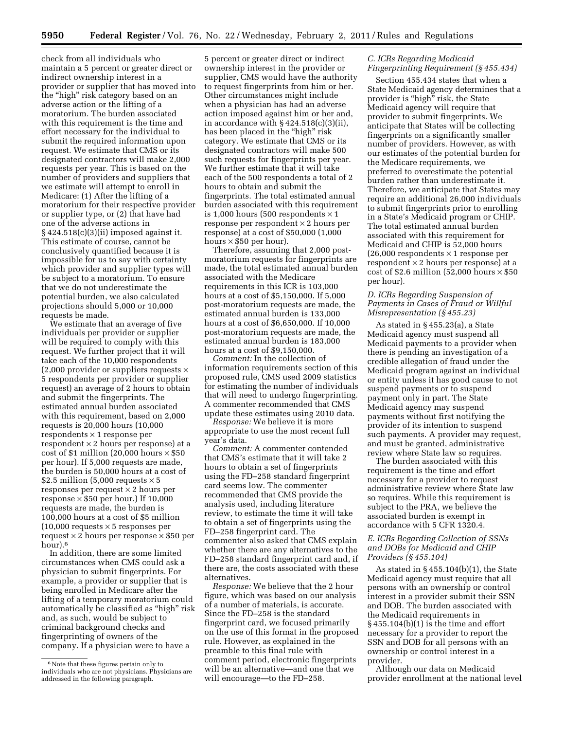check from all individuals who maintain a 5 percent or greater direct or indirect ownership interest in a provider or supplier that has moved into the "high" risk category based on an adverse action or the lifting of a moratorium. The burden associated with this requirement is the time and effort necessary for the individual to submit the required information upon request. We estimate that CMS or its designated contractors will make 2,000 requests per year. This is based on the number of providers and suppliers that we estimate will attempt to enroll in Medicare: (1) After the lifting of a moratorium for their respective provider or supplier type, or (2) that have had one of the adverse actions in § 424.518(c)(3)(ii) imposed against it. This estimate of course, cannot be conclusively quantified because it is impossible for us to say with certainty which provider and supplier types will be subject to a moratorium. To ensure that we do not underestimate the potential burden, we also calculated projections should 5,000 or 10,000 requests be made.

We estimate that an average of five individuals per provider or supplier will be required to comply with this request. We further project that it will take each of the 10,000 respondents (2,000 provider or suppliers requests  $\times$ 5 respondents per provider or supplier request) an average of 2 hours to obtain and submit the fingerprints. The estimated annual burden associated with this requirement, based on 2,000 requests is 20,000 hours (10,000 respondents × 1 response per respondent × 2 hours per response) at a cost of \$1 million (20,000 hours  $\times$  \$50 per hour). If 5,000 requests are made, the burden is 50,000 hours at a cost of \$2.5 million (5,000 requests  $\times$  5 responses per request  $\times$  2 hours per response  $\times$  \$50 per hour.) If 10,000 requests are made, the burden is 100,000 hours at a cost of \$5 million  $(10,000$  requests  $\times$  5 responses per request  $\times$  2 hours per response  $\times$  \$50 per hour).6

In addition, there are some limited circumstances when CMS could ask a physician to submit fingerprints. For example, a provider or supplier that is being enrolled in Medicare after the lifting of a temporary moratorium could automatically be classified as ''high'' risk and, as such, would be subject to criminal background checks and fingerprinting of owners of the company. If a physician were to have a

5 percent or greater direct or indirect ownership interest in the provider or supplier, CMS would have the authority to request fingerprints from him or her. Other circumstances might include when a physician has had an adverse action imposed against him or her and, in accordance with § 424.518(c)(3)(ii), has been placed in the "high" risk category. We estimate that CMS or its designated contractors will make 500 such requests for fingerprints per year. We further estimate that it will take each of the 500 respondents a total of 2 hours to obtain and submit the fingerprints. The total estimated annual burden associated with this requirement is 1,000 hours (500 respondents  $\times$  1 response per respondent × 2 hours per response) at a cost of \$50,000 (1,000 hours × \$50 per hour).

Therefore, assuming that 2,000 postmoratorium requests for fingerprints are made, the total estimated annual burden associated with the Medicare requirements in this ICR is 103,000 hours at a cost of \$5,150,000. If 5,000 post-moratorium requests are made, the estimated annual burden is 133,000 hours at a cost of \$6,650,000. If 10,000 post-moratorium requests are made, the estimated annual burden is 183,000 hours at a cost of \$9,150,000.

*Comment:* In the collection of information requirements section of this proposed rule, CMS used 2009 statistics for estimating the number of individuals that will need to undergo fingerprinting. A commenter recommended that CMS update these estimates using 2010 data.

*Response:* We believe it is more appropriate to use the most recent full year's data.

*Comment:* A commenter contended that CMS's estimate that it will take 2 hours to obtain a set of fingerprints using the FD–258 standard fingerprint card seems low. The commenter recommended that CMS provide the analysis used, including literature review, to estimate the time it will take to obtain a set of fingerprints using the FD–258 fingerprint card. The commenter also asked that CMS explain whether there are any alternatives to the FD–258 standard fingerprint card and, if there are, the costs associated with these alternatives.

*Response:* We believe that the 2 hour figure, which was based on our analysis of a number of materials, is accurate. Since the FD–258 is the standard fingerprint card, we focused primarily on the use of this format in the proposed rule. However, as explained in the preamble to this final rule with comment period, electronic fingerprints will be an alternative—and one that we will encourage—to the FD–258.

## *C. ICRs Regarding Medicaid Fingerprinting Requirement (§ 455.434)*

Section 455.434 states that when a State Medicaid agency determines that a provider is "high" risk, the State Medicaid agency will require that provider to submit fingerprints. We anticipate that States will be collecting fingerprints on a significantly smaller number of providers. However, as with our estimates of the potential burden for the Medicare requirements, we preferred to overestimate the potential burden rather than underestimate it. Therefore, we anticipate that States may require an additional 26,000 individuals to submit fingerprints prior to enrolling in a State's Medicaid program or CHIP. The total estimated annual burden associated with this requirement for Medicaid and CHIP is 52,000 hours (26,000 respondents × 1 response per respondent  $\times$  2 hours per response) at a cost of \$2.6 million (52,000 hours  $\times$  \$50 per hour).

# *D. ICRs Regarding Suspension of Payments in Cases of Fraud or Willful Misrepresentation (§ 455.23)*

As stated in § 455.23(a), a State Medicaid agency must suspend all Medicaid payments to a provider when there is pending an investigation of a credible allegation of fraud under the Medicaid program against an individual or entity unless it has good cause to not suspend payments or to suspend payment only in part. The State Medicaid agency may suspend payments without first notifying the provider of its intention to suspend such payments. A provider may request, and must be granted, administrative review where State law so requires.

The burden associated with this requirement is the time and effort necessary for a provider to request administrative review where State law so requires. While this requirement is subject to the PRA, we believe the associated burden is exempt in accordance with 5 CFR 1320.4.

# *E. ICRs Regarding Collection of SSNs and DOBs for Medicaid and CHIP Providers (§ 455.104)*

As stated in § 455.104(b)(1), the State Medicaid agency must require that all persons with an ownership or control interest in a provider submit their SSN and DOB. The burden associated with the Medicaid requirements in § 455.104(b)(1) is the time and effort necessary for a provider to report the SSN and DOB for all persons with an ownership or control interest in a provider.

Although our data on Medicaid provider enrollment at the national level

<sup>&</sup>lt;sup>6</sup> Note that these figures pertain only to individuals who are not physicians. Physicians are addressed in the following paragraph.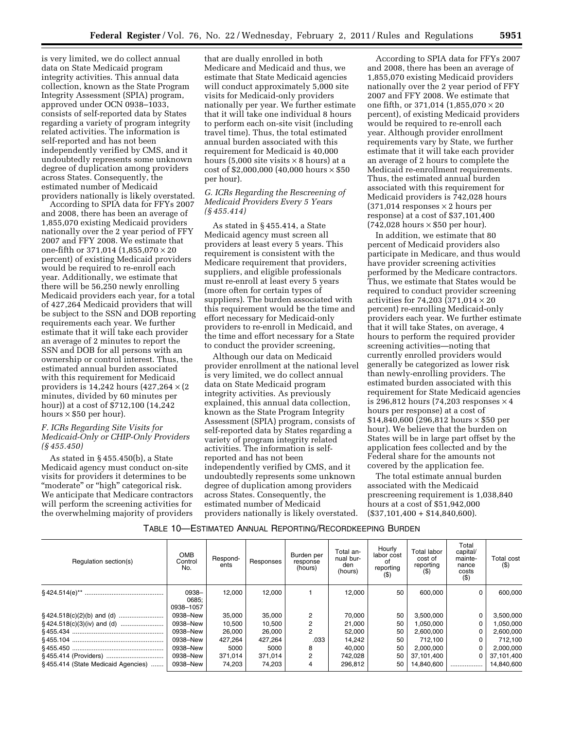is very limited, we do collect annual data on State Medicaid program integrity activities. This annual data collection, known as the State Program Integrity Assessment (SPIA) program, approved under OCN 0938–1033, consists of self-reported data by States regarding a variety of program integrity related activities. The information is self-reported and has not been independently verified by CMS, and it undoubtedly represents some unknown degree of duplication among providers across States. Consequently, the estimated number of Medicaid providers nationally is likely overstated.

According to SPIA data for FFYs 2007 and 2008, there has been an average of 1,855,070 existing Medicaid providers nationally over the 2 year period of FFY 2007 and FFY 2008. We estimate that one-fifth or 371,014  $(1,855,070 \times 20)$ percent) of existing Medicaid providers would be required to re-enroll each year. Additionally, we estimate that there will be 56,250 newly enrolling Medicaid providers each year, for a total of 427,264 Medicaid providers that will be subject to the SSN and DOB reporting requirements each year. We further estimate that it will take each provider an average of 2 minutes to report the SSN and DOB for all persons with an ownership or control interest. Thus, the estimated annual burden associated with this requirement for Medicaid providers is  $14,242$  hours  $(427,264 \times (2$ minutes, divided by 60 minutes per hour)) at a cost of \$712,100 (14,242 hours  $\times$  \$50 per hour).

# *F. ICRs Regarding Site Visits for Medicaid-Only or CHIP-Only Providers (§ 455.450)*

As stated in § 455.450(b), a State Medicaid agency must conduct on-site visits for providers it determines to be "moderate" or "high" categorical risk. We anticipate that Medicare contractors will perform the screening activities for the overwhelming majority of providers

that are dually enrolled in both Medicare and Medicaid and thus, we estimate that State Medicaid agencies will conduct approximately 5,000 site visits for Medicaid-only providers nationally per year. We further estimate that it will take one individual 8 hours to perform each on-site visit (including travel time). Thus, the total estimated annual burden associated with this requirement for Medicaid is 40,000 hours (5,000 site visits  $\times$  8 hours) at a cost of \$2,000,000 (40,000 hours  $\times$  \$50 per hour).

# *G. ICRs Regarding the Rescreening of Medicaid Providers Every 5 Years (§ 455.414)*

As stated in § 455.414, a State Medicaid agency must screen all providers at least every 5 years. This requirement is consistent with the Medicare requirement that providers, suppliers, and eligible professionals must re-enroll at least every 5 years (more often for certain types of suppliers). The burden associated with this requirement would be the time and effort necessary for Medicaid-only providers to re-enroll in Medicaid, and the time and effort necessary for a State to conduct the provider screening,

Although our data on Medicaid provider enrollment at the national level is very limited, we do collect annual data on State Medicaid program integrity activities. As previously explained, this annual data collection, known as the State Program Integrity Assessment (SPIA) program, consists of self-reported data by States regarding a variety of program integrity related activities. The information is selfreported and has not been independently verified by CMS, and it undoubtedly represents some unknown degree of duplication among providers across States. Consequently, the estimated number of Medicaid providers nationally is likely overstated.

According to SPIA data for FFYs 2007 and 2008, there has been an average of 1,855,070 existing Medicaid providers nationally over the 2 year period of FFY 2007 and FFY 2008. We estimate that one fifth, or 371,014  $(1,855,070 \times 20)$ percent), of existing Medicaid providers would be required to re-enroll each year. Although provider enrollment requirements vary by State, we further estimate that it will take each provider an average of 2 hours to complete the Medicaid re-enrollment requirements. Thus, the estimated annual burden associated with this requirement for Medicaid providers is 742,028 hours  $(371,014$  responses  $\times$  2 hours per response) at a cost of \$37,101,400  $(742,028 \text{ hours} \times $50 \text{ per hour}).$ 

In addition, we estimate that 80 percent of Medicaid providers also participate in Medicare, and thus would have provider screening activities performed by the Medicare contractors. Thus, we estimate that States would be required to conduct provider screening activities for 74,203 (371,014  $\times$  20 percent) re-enrolling Medicaid-only providers each year. We further estimate that it will take States, on average, 4 hours to perform the required provider screening activities—noting that currently enrolled providers would generally be categorized as lower risk than newly-enrolling providers. The estimated burden associated with this requirement for State Medicaid agencies is 296,812 hours (74,203 responses  $\times$  4 hours per response) at a cost of \$14,840,600 (296,812 hours × \$50 per hour). We believe that the burden on States will be in large part offset by the application fees collected and by the Federal share for the amounts not covered by the application fee.

The total estimate annual burden associated with the Medicaid prescreening requirement is 1,038,840 hours at a cost of \$51,942,000  $($37,101,400 + $14,840,600).$ 

# TABLE 10—ESTIMATED ANNUAL REPORTING/RECORDKEEPING BURDEN

| Regulation section(s)              | <b>OMB</b><br>Control<br>No. | Respond-<br>ents | Responses | Burden per<br>response<br>(hours) | Total an-<br>nual bur-<br>den<br>(hours) | Hourly<br>labor cost<br>οt<br>reporting<br>$($ \$) | Total labor<br>cost of<br>reporting | Total<br>capital/<br>mainte-<br>nance<br>costs<br>$($ \$) | Total cost<br>$($ \$) |
|------------------------------------|------------------------------|------------------|-----------|-----------------------------------|------------------------------------------|----------------------------------------------------|-------------------------------------|-----------------------------------------------------------|-----------------------|
|                                    | 0938-<br>0685:<br>0938-1057  | 12.000           | 12.000    |                                   | 12,000                                   | 50                                                 | 600,000                             | 0                                                         | 600,000               |
|                                    | 0938-New                     | 35.000           | 35.000    | 2                                 | 70.000                                   | 50                                                 | 3,500,000                           | 0                                                         | 3,500,000             |
|                                    | 0938-New                     | 10.500           | 10.500    | 2                                 | 21,000                                   | 50                                                 | 1,050,000                           | 0                                                         | 1.050.000             |
|                                    | 0938-New                     | 26,000           | 26,000    | 2                                 | 52,000                                   | 50                                                 | 2,600,000                           | 0                                                         | 2,600,000             |
|                                    | 0938-New                     | 427.264          | 427.264   | .033                              | 14,242                                   | 50                                                 | 712.100                             | 0                                                         | 712.100               |
|                                    | 0938-New                     | 5000             | 5000      | 8                                 | 40.000                                   | 50                                                 | 2,000,000                           | 0                                                         | 2,000,000             |
|                                    | 0938-New                     | 371,014          | 371.014   | 2                                 | 742,028                                  | 50                                                 | 37,101,400                          | 0                                                         | 37,101,400            |
| §455.414 (State Medicaid Agencies) | 0938-New                     | 74.203           | 74.203    | 4                                 | 296.812                                  | 50                                                 | 14.840.600                          |                                                           | 14.840.600            |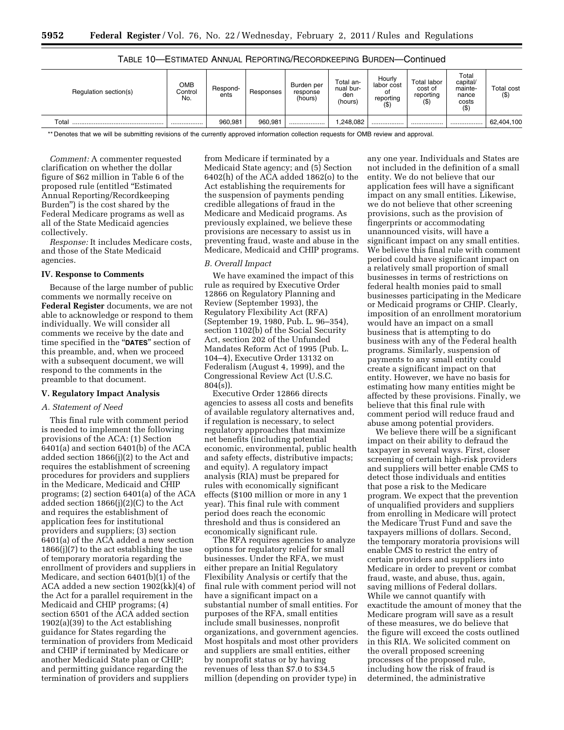| Regulation section(s)  | ОМВ<br>Control<br>No. | Respond-<br>ents | Responses | Burden per<br>response<br>(hours) | Total an-<br>nual bur-<br>den<br>(hours) | Hourly<br>labor cost<br>Οl<br>reporting<br>(\$) | Total labor<br>cost of<br>reporting<br>$($ \$ | Total<br>capital<br>mainte-<br>nance<br>costs<br>$($ \$) | Total cost<br>$($ \$) |
|------------------------|-----------------------|------------------|-----------|-----------------------------------|------------------------------------------|-------------------------------------------------|-----------------------------------------------|----------------------------------------------------------|-----------------------|
| $\tau$ <sub>otai</sub> |                       | 960.981          | 960.981   |                                   | .248.082                                 |                                                 |                                               |                                                          | 62.404.100            |

# TABLE 10—ESTIMATED ANNUAL REPORTING/RECORDKEEPING BURDEN—Continued

\*\* Denotes that we will be submitting revisions of the currently approved information collection requests for OMB review and approval.

*Comment:* A commenter requested clarification on whether the dollar figure of \$62 million in Table 6 of the proposed rule (entitled ''Estimated Annual Reporting/Recordkeeping Burden'') is the cost shared by the Federal Medicare programs as well as all of the State Medicaid agencies collectively.

*Response:* It includes Medicare costs, and those of the State Medicaid agencies.

### **IV. Response to Comments**

Because of the large number of public comments we normally receive on **Federal Register** documents, we are not able to acknowledge or respond to them individually. We will consider all comments we receive by the date and time specified in the ''**DATES**'' section of this preamble, and, when we proceed with a subsequent document, we will respond to the comments in the preamble to that document.

# **V. Regulatory Impact Analysis**

# *A. Statement of Need*

This final rule with comment period is needed to implement the following provisions of the ACA: (1) Section 6401(a) and section 6401(b) of the ACA added section 1866(j)(2) to the Act and requires the establishment of screening procedures for providers and suppliers in the Medicare, Medicaid and CHIP programs; (2) section 6401(a) of the ACA added section 1866(j)(2)(C) to the Act and requires the establishment of application fees for institutional providers and suppliers; (3) section 6401(a) of the ACA added a new section 1866(j)(7) to the act establishing the use of temporary moratoria regarding the enrollment of providers and suppliers in Medicare, and section  $6401(b)(1)$  of the ACA added a new section 1902(kk)(4) of the Act for a parallel requirement in the Medicaid and CHIP programs; (4) section 6501 of the ACA added section 1902(a)(39) to the Act establishing guidance for States regarding the termination of providers from Medicaid and CHIP if terminated by Medicare or another Medicaid State plan or CHIP; and permitting guidance regarding the termination of providers and suppliers

from Medicare if terminated by a Medicaid State agency; and (5) Section 6402(h) of the ACA added 1862(o) to the Act establishing the requirements for the suspension of payments pending credible allegations of fraud in the Medicare and Medicaid programs. As previously explained, we believe these provisions are necessary to assist us in preventing fraud, waste and abuse in the Medicare, Medicaid and CHIP programs.

### *B. Overall Impact*

We have examined the impact of this rule as required by Executive Order 12866 on Regulatory Planning and Review (September 1993), the Regulatory Flexibility Act (RFA) (September 19, 1980, Pub. L. 96–354), section 1102(b) of the Social Security Act, section 202 of the Unfunded Mandates Reform Act of 1995 (Pub. L. 104–4), Executive Order 13132 on Federalism (August 4, 1999), and the Congressional Review Act (U.S.C. 804(s)).

Executive Order 12866 directs agencies to assess all costs and benefits of available regulatory alternatives and, if regulation is necessary, to select regulatory approaches that maximize net benefits (including potential economic, environmental, public health and safety effects, distributive impacts; and equity). A regulatory impact analysis (RIA) must be prepared for rules with economically significant effects (\$100 million or more in any 1 year). This final rule with comment period does reach the economic threshold and thus is considered an economically significant rule.

The RFA requires agencies to analyze options for regulatory relief for small businesses. Under the RFA, we must either prepare an Initial Regulatory Flexibility Analysis or certify that the final rule with comment period will not have a significant impact on a substantial number of small entities. For purposes of the RFA, small entities include small businesses, nonprofit organizations, and government agencies. Most hospitals and most other providers and suppliers are small entities, either by nonprofit status or by having revenues of less than \$7.0 to \$34.5 million (depending on provider type) in

any one year. Individuals and States are not included in the definition of a small entity. We do not believe that our application fees will have a significant impact on any small entities. Likewise, we do not believe that other screening provisions, such as the provision of fingerprints or accommodating unannounced visits, will have a significant impact on any small entities. We believe this final rule with comment period could have significant impact on a relatively small proportion of small businesses in terms of restrictions on federal health monies paid to small businesses participating in the Medicare or Medicaid programs or CHIP. Clearly, imposition of an enrollment moratorium would have an impact on a small business that is attempting to do business with any of the Federal health programs. Similarly, suspension of payments to any small entity could create a significant impact on that entity. However, we have no basis for estimating how many entities might be affected by these provisions. Finally, we believe that this final rule with comment period will reduce fraud and abuse among potential providers.

We believe there will be a significant impact on their ability to defraud the taxpayer in several ways. First, closer screening of certain high-risk providers and suppliers will better enable CMS to detect those individuals and entities that pose a risk to the Medicare program. We expect that the prevention of unqualified providers and suppliers from enrolling in Medicare will protect the Medicare Trust Fund and save the taxpayers millions of dollars. Second, the temporary moratoria provisions will enable CMS to restrict the entry of certain providers and suppliers into Medicare in order to prevent or combat fraud, waste, and abuse, thus, again, saving millions of Federal dollars. While we cannot quantify with exactitude the amount of money that the Medicare program will save as a result of these measures, we do believe that the figure will exceed the costs outlined in this RIA. We solicited comment on the overall proposed screening processes of the proposed rule, including how the risk of fraud is determined, the administrative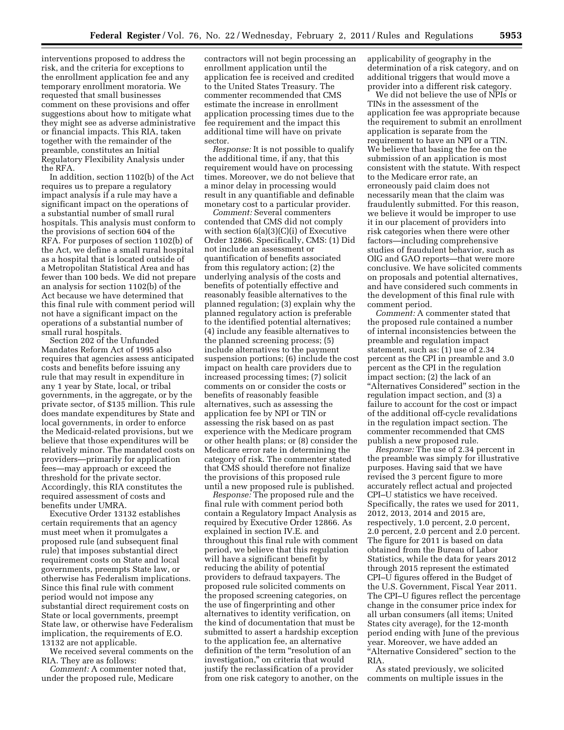interventions proposed to address the risk, and the criteria for exceptions to the enrollment application fee and any temporary enrollment moratoria. We requested that small businesses comment on these provisions and offer suggestions about how to mitigate what they might see as adverse administrative or financial impacts. This RIA, taken together with the remainder of the preamble, constitutes an Initial Regulatory Flexibility Analysis under the RFA.

In addition, section 1102(b) of the Act requires us to prepare a regulatory impact analysis if a rule may have a significant impact on the operations of a substantial number of small rural hospitals. This analysis must conform to the provisions of section 604 of the RFA. For purposes of section 1102(b) of the Act, we define a small rural hospital as a hospital that is located outside of a Metropolitan Statistical Area and has fewer than 100 beds. We did not prepare an analysis for section 1102(b) of the Act because we have determined that this final rule with comment period will not have a significant impact on the operations of a substantial number of small rural hospitals.

Section 202 of the Unfunded Mandates Reform Act of 1995 also requires that agencies assess anticipated costs and benefits before issuing any rule that may result in expenditure in any 1 year by State, local, or tribal governments, in the aggregate, or by the private sector, of \$135 million. This rule does mandate expenditures by State and local governments, in order to enforce the Medicaid-related provisions, but we believe that those expenditures will be relatively minor. The mandated costs on providers—primarily for application fees—may approach or exceed the threshold for the private sector. Accordingly, this RIA constitutes the required assessment of costs and benefits under UMRA.

Executive Order 13132 establishes certain requirements that an agency must meet when it promulgates a proposed rule (and subsequent final rule) that imposes substantial direct requirement costs on State and local governments, preempts State law, or otherwise has Federalism implications. Since this final rule with comment period would not impose any substantial direct requirement costs on State or local governments, preempt State law, or otherwise have Federalism implication, the requirements of E.O. 13132 are not applicable.

We received several comments on the RIA. They are as follows:

*Comment:* A commenter noted that, under the proposed rule, Medicare

contractors will not begin processing an enrollment application until the application fee is received and credited to the United States Treasury. The commenter recommended that CMS estimate the increase in enrollment application processing times due to the fee requirement and the impact this additional time will have on private sector.

*Response:* It is not possible to qualify the additional time, if any, that this requirement would have on processing times. Moreover, we do not believe that a minor delay in processing would result in any quantifiable and definable monetary cost to a particular provider.

*Comment:* Several commenters contended that CMS did not comply with section  $6(a)(3)(C)(i)$  of Executive Order 12866. Specifically, CMS: (1) Did not include an assessment or quantification of benefits associated from this regulatory action; (2) the underlying analysis of the costs and benefits of potentially effective and reasonably feasible alternatives to the planned regulation; (3) explain why the planned regulatory action is preferable to the identified potential alternatives; (4) include any feasible alternatives to the planned screening process; (5) include alternatives to the payment suspension portions; (6) include the cost impact on health care providers due to increased processing times; (7) solicit comments on or consider the costs or benefits of reasonably feasible alternatives, such as assessing the application fee by NPI or TIN or assessing the risk based on as past experience with the Medicare program or other health plans; or (8) consider the Medicare error rate in determining the category of risk. The commenter stated that CMS should therefore not finalize the provisions of this proposed rule until a new proposed rule is published.

*Response:* The proposed rule and the final rule with comment period both contain a Regulatory Impact Analysis as required by Executive Order 12866. As explained in section IV.E. and throughout this final rule with comment period, we believe that this regulation will have a significant benefit by reducing the ability of potential providers to defraud taxpayers. The proposed rule solicited comments on the proposed screening categories, on the use of fingerprinting and other alternatives to identity verification, on the kind of documentation that must be submitted to assert a hardship exception to the application fee, an alternative definition of the term "resolution of an investigation,'' on criteria that would justify the reclassification of a provider from one risk category to another, on the applicability of geography in the determination of a risk category, and on additional triggers that would move a provider into a different risk category.

We did not believe the use of NPIs or TINs in the assessment of the application fee was appropriate because the requirement to submit an enrollment application is separate from the requirement to have an NPI or a TIN. We believe that basing the fee on the submission of an application is most consistent with the statute. With respect to the Medicare error rate, an erroneously paid claim does not necessarily mean that the claim was fraudulently submitted. For this reason, we believe it would be improper to use it in our placement of providers into risk categories when there were other factors—including comprehensive studies of fraudulent behavior, such as OIG and GAO reports—that were more conclusive. We have solicited comments on proposals and potential alternatives, and have considered such comments in the development of this final rule with comment period.

*Comment:* A commenter stated that the proposed rule contained a number of internal inconsistencies between the preamble and regulation impact statement, such as: (1) use of 2.34 percent as the CPI in preamble and 3.0 percent as the CPI in the regulation impact section; (2) the lack of an ''Alternatives Considered'' section in the regulation impact section, and (3) a failure to account for the cost or impact of the additional off-cycle revalidations in the regulation impact section. The commenter recommended that CMS publish a new proposed rule.

*Response:* The use of 2.34 percent in the preamble was simply for illustrative purposes. Having said that we have revised the 3 percent figure to more accurately reflect actual and projected CPI–U statistics we have received. Specifically, the rates we used for 2011, 2012, 2013, 2014 and 2015 are, respectively, 1.0 percent, 2.0 percent, 2.0 percent, 2.0 percent and 2.0 percent. The figure for 2011 is based on data obtained from the Bureau of Labor Statistics, while the data for years 2012 through 2015 represent the estimated CPI–U figures offered in the Budget of the U.S. Government, Fiscal Year 2011. The CPI–U figures reflect the percentage change in the consumer price index for all urban consumers (all items; United States city average), for the 12-month period ending with June of the previous year. Moreover, we have added an ''Alternative Considered'' section to the RIA.

As stated previously, we solicited comments on multiple issues in the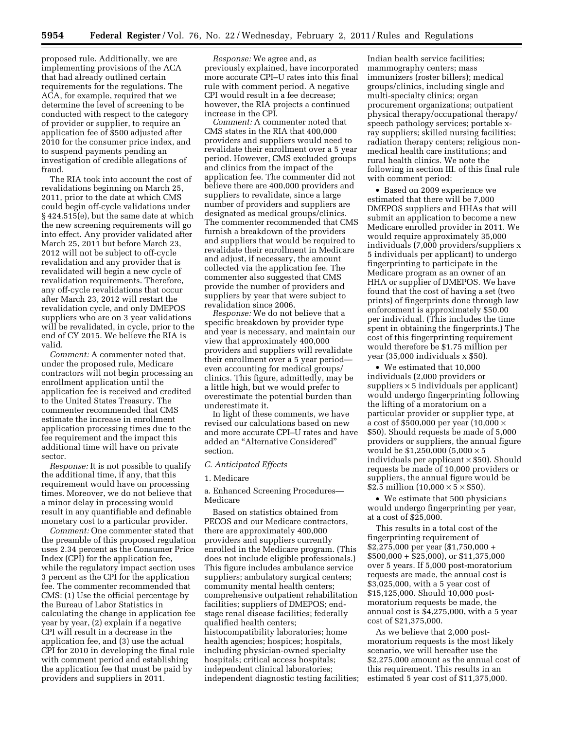proposed rule. Additionally, we are implementing provisions of the ACA that had already outlined certain requirements for the regulations. The ACA, for example, required that we determine the level of screening to be conducted with respect to the category of provider or supplier, to require an application fee of \$500 adjusted after 2010 for the consumer price index, and to suspend payments pending an investigation of credible allegations of fraud.

The RIA took into account the cost of revalidations beginning on March 25, 2011, prior to the date at which CMS could begin off-cycle validations under § 424.515(e), but the same date at which the new screening requirements will go into effect. Any provider validated after March 25, 2011 but before March 23, 2012 will not be subject to off-cycle revalidation and any provider that is revalidated will begin a new cycle of revalidation requirements. Therefore, any off-cycle revalidations that occur after March 23, 2012 will restart the revalidation cycle, and only DMEPOS suppliers who are on 3 year validations will be revalidated, in cycle, prior to the end of CY 2015. We believe the RIA is valid.

*Comment:* A commenter noted that, under the proposed rule, Medicare contractors will not begin processing an enrollment application until the application fee is received and credited to the United States Treasury. The commenter recommended that CMS estimate the increase in enrollment application processing times due to the fee requirement and the impact this additional time will have on private sector.

*Response:* It is not possible to qualify the additional time, if any, that this requirement would have on processing times. Moreover, we do not believe that a minor delay in processing would result in any quantifiable and definable monetary cost to a particular provider.

*Comment:* One commenter stated that the preamble of this proposed regulation uses 2.34 percent as the Consumer Price Index (CPI) for the application fee, while the regulatory impact section uses 3 percent as the CPI for the application fee. The commenter recommended that CMS: (1) Use the official percentage by the Bureau of Labor Statistics in calculating the change in application fee year by year, (2) explain if a negative CPI will result in a decrease in the application fee, and (3) use the actual CPI for 2010 in developing the final rule with comment period and establishing the application fee that must be paid by providers and suppliers in 2011.

*Response:* We agree and, as previously explained, have incorporated more accurate CPI–U rates into this final rule with comment period. A negative CPI would result in a fee decrease; however, the RIA projects a continued increase in the CPI.

*Comment:* A commenter noted that CMS states in the RIA that 400,000 providers and suppliers would need to revalidate their enrollment over a 5 year period. However, CMS excluded groups and clinics from the impact of the application fee. The commenter did not believe there are 400,000 providers and suppliers to revalidate, since a large number of providers and suppliers are designated as medical groups/clinics. The commenter recommended that CMS furnish a breakdown of the providers and suppliers that would be required to revalidate their enrollment in Medicare and adjust, if necessary, the amount collected via the application fee. The commenter also suggested that CMS provide the number of providers and suppliers by year that were subject to revalidation since 2006.

*Response:* We do not believe that a specific breakdown by provider type and year is necessary, and maintain our view that approximately 400,000 providers and suppliers will revalidate their enrollment over a 5 year period even accounting for medical groups/ clinics. This figure, admittedly, may be a little high, but we would prefer to overestimate the potential burden than underestimate it.

In light of these comments, we have revised our calculations based on new and more accurate CPI–U rates and have added an ''Alternative Considered'' section.

# *C. Anticipated Effects*

#### 1. Medicare

# a. Enhanced Screening Procedures— Medicare

Based on statistics obtained from PECOS and our Medicare contractors, there are approximately 400,000 providers and suppliers currently enrolled in the Medicare program. (This does not include eligible professionals.) This figure includes ambulance service suppliers; ambulatory surgical centers; community mental health centers; comprehensive outpatient rehabilitation facilities; suppliers of DMEPOS; endstage renal disease facilities; federally qualified health centers; histocompatibility laboratories; home health agencies; hospices; hospitals, including physician-owned specialty hospitals; critical access hospitals; independent clinical laboratories; independent diagnostic testing facilities;

Indian health service facilities; mammography centers; mass immunizers (roster billers); medical groups/clinics, including single and multi-specialty clinics; organ procurement organizations; outpatient physical therapy/occupational therapy/ speech pathology services; portable xray suppliers; skilled nursing facilities; radiation therapy centers; religious nonmedical health care institutions; and rural health clinics. We note the following in section III. of this final rule with comment period:

• Based on 2009 experience we estimated that there will be 7,000 DMEPOS suppliers and HHAs that will submit an application to become a new Medicare enrolled provider in 2011. We would require approximately 35,000 individuals (7,000 providers/suppliers x 5 individuals per applicant) to undergo fingerprinting to participate in the Medicare program as an owner of an HHA or supplier of DMEPOS. We have found that the cost of having a set (two prints) of fingerprints done through law enforcement is approximately \$50.00 per individual. (This includes the time spent in obtaining the fingerprints.) The cost of this fingerprinting requirement would therefore be \$1.75 million per year (35,000 individuals x \$50).

• We estimated that 10,000 individuals (2,000 providers or suppliers  $\times$  5 individuals per applicant) would undergo fingerprinting following the lifting of a moratorium on a particular provider or supplier type, at a cost of \$500,000 per year (10,000 × \$50). Should requests be made of 5,000 providers or suppliers, the annual figure would be \$1,250,000 (5,000 × 5 individuals per applicant  $\times$  \$50). Should requests be made of 10,000 providers or suppliers, the annual figure would be \$2.5 million  $(10,000 \times 5 \times $50)$ .

• We estimate that 500 physicians would undergo fingerprinting per year, at a cost of \$25,000.

This results in a total cost of the fingerprinting requirement of \$2,275,000 per year (\$1,750,000 + \$500,000 + \$25,000), or \$11,375,000 over 5 years. If 5,000 post-moratorium requests are made, the annual cost is \$3,025,000, with a 5 year cost of \$15,125,000. Should 10,000 postmoratorium requests be made, the annual cost is \$4,275,000, with a 5 year cost of \$21,375,000.

As we believe that 2,000 postmoratorium requests is the most likely scenario, we will hereafter use the \$2,275,000 amount as the annual cost of this requirement. This results in an estimated 5 year cost of \$11,375,000.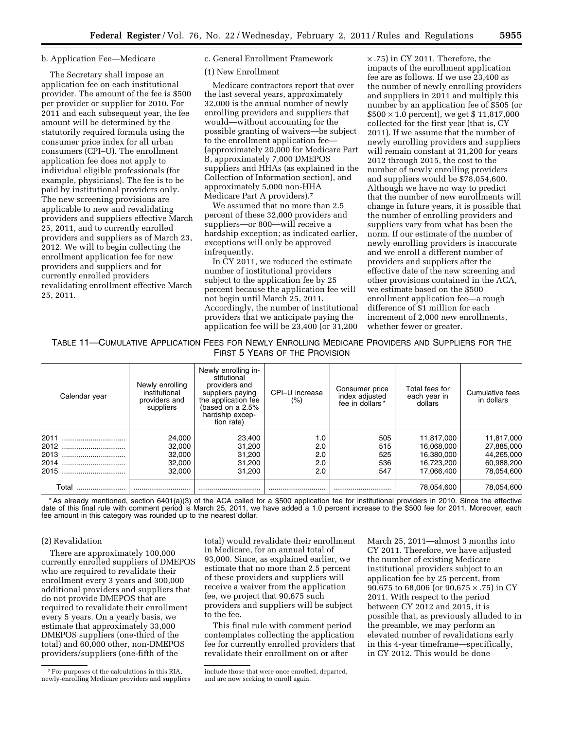# b. Application Fee—Medicare

The Secretary shall impose an application fee on each institutional provider. The amount of the fee is \$500 per provider or supplier for 2010. For 2011 and each subsequent year, the fee amount will be determined by the statutorily required formula using the consumer price index for all urban consumers (CPI–U). The enrollment application fee does not apply to individual eligible professionals (for example, physicians). The fee is to be paid by institutional providers only. The new screening provisions are applicable to new and revalidating providers and suppliers effective March 25, 2011, and to currently enrolled providers and suppliers as of March 23, 2012. We will to begin collecting the enrollment application fee for new providers and suppliers and for currently enrolled providers revalidating enrollment effective March 25, 2011.

c. General Enrollment Framework

# (1) New Enrollment

Medicare contractors report that over the last several years, approximately 32,000 is the annual number of newly enrolling providers and suppliers that would—without accounting for the possible granting of waivers—be subject to the enrollment application fee— (approximately 20,000 for Medicare Part B, approximately 7,000 DMEPOS suppliers and HHAs (as explained in the Collection of Information section), and approximately 5,000 non-HHA Medicare Part A providers).7

We assumed that no more than 2.5 percent of these 32,000 providers and suppliers—or 800—will receive a hardship exception; as indicated earlier, exceptions will only be approved infrequently.

In CY 2011, we reduced the estimate number of institutional providers subject to the application fee by 25 percent because the application fee will not begin until March 25, 2011. Accordingly, the number of institutional providers that we anticipate paying the application fee will be 23,400 (or 31,200

× .75) in CY 2011. Therefore, the impacts of the enrollment application fee are as follows. If we use 23,400 as the number of newly enrolling providers and suppliers in 2011 and multiply this number by an application fee of \$505 (or  $$500 \times 1.0$  percent), we get \$11,817,000 collected for the first year (that is, CY 2011). If we assume that the number of newly enrolling providers and suppliers will remain constant at 31,200 for years 2012 through 2015, the cost to the number of newly enrolling providers and suppliers would be \$78,054,600. Although we have no way to predict that the number of new enrollments will change in future years, it is possible that the number of enrolling providers and suppliers vary from what has been the norm. If our estimate of the number of newly enrolling providers is inaccurate and we enroll a different number of providers and suppliers after the effective date of the new screening and other provisions contained in the ACA, we estimate based on the \$500 enrollment application fee—a rough difference of \$1 million for each increment of 2,000 new enrollments, whether fewer or greater.

TABLE 11—CUMULATIVE APPLICATION FEES FOR NEWLY ENROLLING MEDICARE PROVIDERS AND SUPPLIERS FOR THE FIRST 5 YEARS OF THE PROVISION

| Calendar year | Newly enrolling<br>institutional<br>providers and<br>suppliers | Newly enrolling in-<br>stitutional<br>providers and<br>suppliers paying<br>the application fee<br>(based on a $2.5\%$<br>hardship excep-<br>tion rate) | CPI-U increase<br>$(\% )$ | Consumer price<br>index adjusted<br>fee in dollars* | Total fees for<br>each year in<br>dollars | Cumulative fees<br>in dollars |
|---------------|----------------------------------------------------------------|--------------------------------------------------------------------------------------------------------------------------------------------------------|---------------------------|-----------------------------------------------------|-------------------------------------------|-------------------------------|
| 2011          | 24.000                                                         | 23,400                                                                                                                                                 | 1.0                       | 505                                                 | 11,817,000                                | 11.817.000                    |
| 2012          | 32,000                                                         | 31,200                                                                                                                                                 | 2.0                       | 515                                                 | 16,068,000                                | 27,885,000                    |
| 2013          | 32.000                                                         | 31,200                                                                                                                                                 | 2.0                       | 525                                                 | 16.380.000                                | 44.265.000                    |
| 2014          | 32,000                                                         | 31,200                                                                                                                                                 | 2.0                       | 536                                                 | 16.723.200                                | 60,988,200                    |
| 2015          | 32,000                                                         | 31,200                                                                                                                                                 | 2.0                       | 547                                                 | 17.066.400                                | 78,054,600                    |
| Total         |                                                                |                                                                                                                                                        |                           |                                                     | 78.054.600                                | 78.054.600                    |

\* As already mentioned, section 6401(a)(3) of the ACA called for a \$500 application fee for institutional providers in 2010. Since the effective date of this final rule with comment period is March 25, 2011, we have added a 1.0 percent increase to the \$500 fee for 2011. Moreover, each fee amount in this category was rounded up to the nearest dollar.

# (2) Revalidation

There are approximately 100,000 currently enrolled suppliers of DMEPOS who are required to revalidate their enrollment every 3 years and 300,000 additional providers and suppliers that do not provide DMEPOS that are required to revalidate their enrollment every 5 years. On a yearly basis, we estimate that approximately 33,000 DMEPOS suppliers (one-third of the total) and 60,000 other, non-DMEPOS providers/suppliers (one-fifth of the

7For purposes of the calculations in this RIA, newly-enrolling Medicare providers and suppliers

total) would revalidate their enrollment in Medicare, for an annual total of 93,000. Since, as explained earlier, we estimate that no more than 2.5 percent of these providers and suppliers will receive a waiver from the application fee, we project that 90,675 such providers and suppliers will be subject to the fee.

This final rule with comment period contemplates collecting the application fee for currently enrolled providers that revalidate their enrollment on or after

March 25, 2011—almost 3 months into CY 2011. Therefore, we have adjusted the number of existing Medicare institutional providers subject to an application fee by 25 percent, from 90,675 to 68,006 (or 90,675 × .75) in CY 2011. With respect to the period between CY 2012 and 2015, it is possible that, as previously alluded to in the preamble, we may perform an elevated number of revalidations early in this 4-year timeframe—specifically, in CY 2012. This would be done

include those that were once enrolled, departed, and are now seeking to enroll again.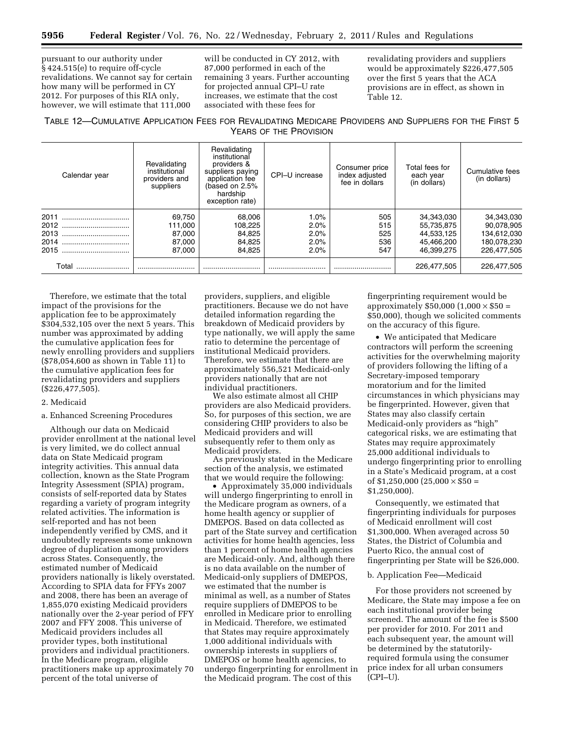pursuant to our authority under § 424.515(e) to require off-cycle revalidations. We cannot say for certain how many will be performed in CY 2012. For purposes of this RIA only, however, we will estimate that 111,000

will be conducted in CY 2012, with 87,000 performed in each of the remaining 3 years. Further accounting for projected annual CPI–U rate increases, we estimate that the cost associated with these fees for

revalidating providers and suppliers would be approximately \$226,477,505 over the first 5 years that the ACA provisions are in effect, as shown in Table 12.

TABLE 12—CUMULATIVE APPLICATION FEES FOR REVALIDATING MEDICARE PROVIDERS AND SUPPLIERS FOR THE FIRST 5 YEARS OF THE PROVISION

| Calendar year | Revalidating<br>institutional<br>providers and<br>suppliers | Revalidating<br>institutional<br>providers &<br>suppliers paying<br>application fee<br>(based on 2.5%<br>hardship<br>exception rate) | CPI-U increase | Consumer price<br>index adjusted<br>fee in dollars | Total fees for<br>each year<br>(in dollars) | Cumulative fees<br>(in dollars) |
|---------------|-------------------------------------------------------------|--------------------------------------------------------------------------------------------------------------------------------------|----------------|----------------------------------------------------|---------------------------------------------|---------------------------------|
| 2011          | 69,750                                                      | 68,006                                                                                                                               | 1.0%           | 505                                                | 34,343,030                                  | 34,343,030                      |
| 2012          | 111.000                                                     | 108,225                                                                                                                              | 2.0%           | 515                                                | 55,735,875                                  | 90,078,905                      |
| 2013<br>      | 87,000                                                      | 84,825                                                                                                                               | 2.0%           | 525                                                | 44.533.125                                  | 134.612.030                     |
| 2014<br>      | 87,000                                                      | 84,825                                                                                                                               | 2.0%           | 536                                                | 45,466,200                                  | 180,078,230                     |
| 2015<br>      | 87,000                                                      | 84.825                                                                                                                               | 2.0%           | 547                                                | 46.399.275                                  | 226.477.505                     |
| Total         |                                                             |                                                                                                                                      |                |                                                    | 226.477.505                                 | 226,477,505                     |

Therefore, we estimate that the total impact of the provisions for the application fee to be approximately \$304,532,105 over the next 5 years. This number was approximated by adding the cumulative application fees for newly enrolling providers and suppliers (\$78,054,600 as shown in Table 11) to the cumulative application fees for revalidating providers and suppliers (\$226,477,505).

## 2. Medicaid

## a. Enhanced Screening Procedures

Although our data on Medicaid provider enrollment at the national level is very limited, we do collect annual data on State Medicaid program integrity activities. This annual data collection, known as the State Program Integrity Assessment (SPIA) program, consists of self-reported data by States regarding a variety of program integrity related activities. The information is self-reported and has not been independently verified by CMS, and it undoubtedly represents some unknown degree of duplication among providers across States. Consequently, the estimated number of Medicaid providers nationally is likely overstated. According to SPIA data for FFYs 2007 and 2008, there has been an average of 1,855,070 existing Medicaid providers nationally over the 2-year period of FFY 2007 and FFY 2008. This universe of Medicaid providers includes all provider types, both institutional providers and individual practitioners. In the Medicare program, eligible practitioners make up approximately 70 percent of the total universe of

providers, suppliers, and eligible practitioners. Because we do not have detailed information regarding the breakdown of Medicaid providers by type nationally, we will apply the same ratio to determine the percentage of institutional Medicaid providers. Therefore, we estimate that there are approximately 556,521 Medicaid-only providers nationally that are not individual practitioners.

We also estimate almost all CHIP providers are also Medicaid providers. So, for purposes of this section, we are considering CHIP providers to also be Medicaid providers and will subsequently refer to them only as Medicaid providers.

As previously stated in the Medicare section of the analysis, we estimated that we would require the following:

• Approximately 35,000 individuals will undergo fingerprinting to enroll in the Medicare program as owners, of a home health agency or supplier of DMEPOS. Based on data collected as part of the State survey and certification activities for home health agencies, less than 1 percent of home health agencies are Medicaid-only. And, although there is no data available on the number of Medicaid-only suppliers of DMEPOS, we estimated that the number is minimal as well, as a number of States require suppliers of DMEPOS to be enrolled in Medicare prior to enrolling in Medicaid. Therefore, we estimated that States may require approximately 1,000 additional individuals with ownership interests in suppliers of DMEPOS or home health agencies, to undergo fingerprinting for enrollment in the Medicaid program. The cost of this

fingerprinting requirement would be approximately  $$50,000$   $(1,000 \times $50 =$ \$50,000), though we solicited comments on the accuracy of this figure.

• We anticipated that Medicare contractors will perform the screening activities for the overwhelming majority of providers following the lifting of a Secretary-imposed temporary moratorium and for the limited circumstances in which physicians may be fingerprinted. However, given that States may also classify certain Medicaid-only providers as "high" categorical risks, we are estimating that States may require approximately 25,000 additional individuals to undergo fingerprinting prior to enrolling in a State's Medicaid program, at a cost of  $$1,250,000$   $(25,000 \times $50 =$ \$1,250,000).

Consequently, we estimated that fingerprinting individuals for purposes of Medicaid enrollment will cost \$1,300,000. When averaged across 50 States, the District of Columbia and Puerto Rico, the annual cost of fingerprinting per State will be \$26,000.

## b. Application Fee—Medicaid

For those providers not screened by Medicare, the State may impose a fee on each institutional provider being screened. The amount of the fee is \$500 per provider for 2010. For 2011 and each subsequent year, the amount will be determined by the statutorilyrequired formula using the consumer price index for all urban consumers (CPI–U).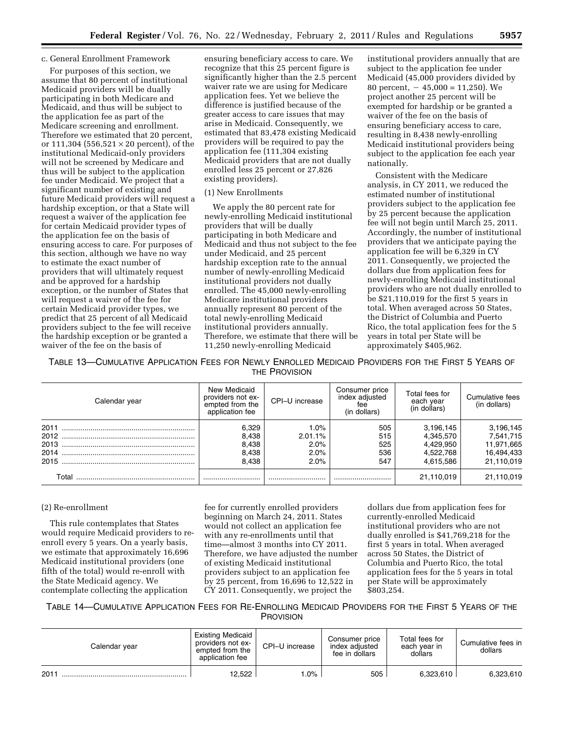# c. General Enrollment Framework

For purposes of this section, we assume that 80 percent of institutional Medicaid providers will be dually participating in both Medicare and Medicaid, and thus will be subject to the application fee as part of the Medicare screening and enrollment. Therefore we estimated that 20 percent, or 111,304 (556,521  $\times$  20 percent), of the institutional Medicaid-only providers will not be screened by Medicare and thus will be subject to the application fee under Medicaid. We project that a significant number of existing and future Medicaid providers will request a hardship exception, or that a State will request a waiver of the application fee for certain Medicaid provider types of the application fee on the basis of ensuring access to care. For purposes of this section, although we have no way to estimate the exact number of providers that will ultimately request and be approved for a hardship exception, or the number of States that will request a waiver of the fee for certain Medicaid provider types, we predict that 25 percent of all Medicaid providers subject to the fee will receive the hardship exception or be granted a waiver of the fee on the basis of

ensuring beneficiary access to care. We recognize that this 25 percent figure is significantly higher than the 2.5 percent waiver rate we are using for Medicare application fees. Yet we believe the difference is justified because of the greater access to care issues that may arise in Medicaid. Consequently, we estimated that 83,478 existing Medicaid providers will be required to pay the application fee (111,304 existing Medicaid providers that are not dually enrolled less 25 percent or 27,826 existing providers).

## (1) New Enrollments

We apply the 80 percent rate for newly-enrolling Medicaid institutional providers that will be dually participating in both Medicare and Medicaid and thus not subject to the fee under Medicaid, and 25 percent hardship exception rate to the annual number of newly-enrolling Medicaid institutional providers not dually enrolled. The 45,000 newly-enrolling Medicare institutional providers annually represent 80 percent of the total newly-enrolling Medicaid institutional providers annually. Therefore, we estimate that there will be 11,250 newly-enrolling Medicaid

institutional providers annually that are subject to the application fee under Medicaid (45,000 providers divided by 80 percent,  $-45,000 = 11,250$ . We project another 25 percent will be exempted for hardship or be granted a waiver of the fee on the basis of ensuring beneficiary access to care, resulting in 8,438 newly-enrolling Medicaid institutional providers being subject to the application fee each year nationally.

Consistent with the Medicare analysis, in CY 2011, we reduced the estimated number of institutional providers subject to the application fee by 25 percent because the application fee will not begin until March 25, 2011. Accordingly, the number of institutional providers that we anticipate paying the application fee will be 6,329 in CY 2011. Consequently, we projected the dollars due from application fees for newly-enrolling Medicaid institutional providers who are not dually enrolled to be \$21,110,019 for the first 5 years in total. When averaged across 50 States, the District of Columbia and Puerto Rico, the total application fees for the 5 years in total per State will be approximately \$405,962.

TABLE 13—CUMULATIVE APPLICATION FEES FOR NEWLY ENROLLED MEDICAID PROVIDERS FOR THE FIRST 5 YEARS OF THE PROVISION

| Calendar year                        | New Medicaid<br>providers not ex-<br>empted from the<br>application fee | CPI-U increase                          | Consumer price<br>index adjusted<br>fee<br>(in dollars) | Total fees for<br>each year<br>(in dollars)                   | Cumulative fees<br>(in dollars)                                  |
|--------------------------------------|-------------------------------------------------------------------------|-----------------------------------------|---------------------------------------------------------|---------------------------------------------------------------|------------------------------------------------------------------|
| 2011<br>2012<br>2013<br>2014<br>2015 | 6.329<br>8,438<br>8,438<br>8.438<br>8.438                               | 1.0%<br>2.01.1%<br>2.0%<br>2.0%<br>2.0% | 505<br>515<br>525<br>536<br>547                         | 3,196,145<br>4,345,570<br>4,429,950<br>4,522,768<br>4.615.586 | 3,196,145<br>7,541,715<br>11,971,665<br>16,494,433<br>21,110,019 |
| ั∩tal                                |                                                                         |                                         |                                                         | 21,110,019                                                    | 21.110.019                                                       |

# (2) Re-enrollment

This rule contemplates that States would require Medicaid providers to reenroll every 5 years. On a yearly basis, we estimate that approximately 16,696 Medicaid institutional providers (one fifth of the total) would re-enroll with the State Medicaid agency. We contemplate collecting the application

fee for currently enrolled providers beginning on March 24, 2011. States would not collect an application fee with any re-enrollments until that time—almost 3 months into CY 2011. Therefore, we have adjusted the number of existing Medicaid institutional providers subject to an application fee by 25 percent, from 16,696 to 12,522 in CY 2011. Consequently, we project the

dollars due from application fees for currently-enrolled Medicaid institutional providers who are not dually enrolled is \$41,769,218 for the first 5 years in total. When averaged across 50 States, the District of Columbia and Puerto Rico, the total application fees for the 5 years in total per State will be approximately \$803,254.

TABLE 14—CUMULATIVE APPLICATION FEES FOR RE-ENROLLING MEDICAID PROVIDERS FOR THE FIRST 5 YEARS OF THE **PROVISION** 

| Calendar year | <b>Existing Medicaid</b><br>providers not ex-<br>empted from the<br>application fee | CPI-U increase | Consumer price<br>index adiusted<br>fee in dollars | Total fees for<br>each vear in<br>dollars | Cumulative fees in<br>dollars |
|---------------|-------------------------------------------------------------------------------------|----------------|----------------------------------------------------|-------------------------------------------|-------------------------------|
| 2011          | 12.522                                                                              | $.0\%$         | 505                                                | 6.323.610                                 | 6.323.610                     |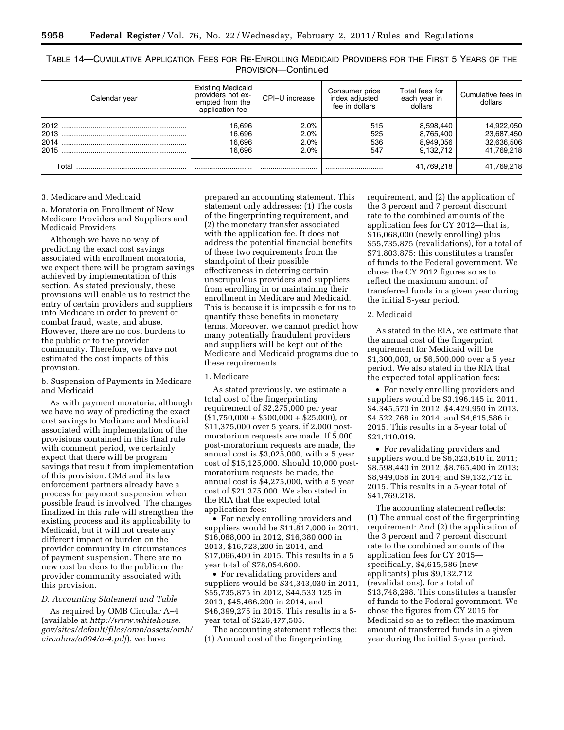TABLE 14—CUMULATIVE APPLICATION FEES FOR RE-ENROLLING MEDICAID PROVIDERS FOR THE FIRST 5 YEARS OF THE PROVISION—Continued

| Calendar year | <b>Existing Medicaid</b><br>providers not ex-<br>empted from the<br>application fee | CPI-U increase               | Consumer price<br>index adjusted<br>fee in dollars | Total fees for<br>each year in<br>dollars        | Cumulative fees in<br>dollars                        |
|---------------|-------------------------------------------------------------------------------------|------------------------------|----------------------------------------------------|--------------------------------------------------|------------------------------------------------------|
| 2015          | 16,696<br>16,696<br>16,696<br>16.696                                                | 2.0%<br>2.0%<br>2.0%<br>2.0% | 515<br>525<br>536<br>547                           | 8,598,440<br>8,765,400<br>8,949,056<br>9.132.712 | 14,922,050<br>23,687,450<br>32,636,506<br>41.769.218 |
| Total         |                                                                                     |                              |                                                    | 41.769.218                                       | 41,769,218                                           |

### 3. Medicare and Medicaid

a. Moratoria on Enrollment of New Medicare Providers and Suppliers and Medicaid Providers

Although we have no way of predicting the exact cost savings associated with enrollment moratoria, we expect there will be program savings achieved by implementation of this section. As stated previously, these provisions will enable us to restrict the entry of certain providers and suppliers into Medicare in order to prevent or combat fraud, waste, and abuse. However, there are no cost burdens to the public or to the provider community. Therefore, we have not estimated the cost impacts of this provision.

b. Suspension of Payments in Medicare and Medicaid

As with payment moratoria, although we have no way of predicting the exact cost savings to Medicare and Medicaid associated with implementation of the provisions contained in this final rule with comment period, we certainly expect that there will be program savings that result from implementation of this provision. CMS and its law enforcement partners already have a process for payment suspension when possible fraud is involved. The changes finalized in this rule will strengthen the existing process and its applicability to Medicaid, but it will not create any different impact or burden on the provider community in circumstances of payment suspension. There are no new cost burdens to the public or the provider community associated with this provision.

## *D. Accounting Statement and Table*

As required by OMB Circular A–4 (available at *[http://www.whitehouse.](http://www.whitehouse.gov/sites/default/files/omb/assets/omb/circulars/a004/a-4.pdf) [gov/sites/default/files/omb/assets/omb/](http://www.whitehouse.gov/sites/default/files/omb/assets/omb/circulars/a004/a-4.pdf) [circulars/a004/a-4.pdf](http://www.whitehouse.gov/sites/default/files/omb/assets/omb/circulars/a004/a-4.pdf)*), we have

prepared an accounting statement. This statement only addresses: (1) The costs of the fingerprinting requirement, and (2) the monetary transfer associated with the application fee. It does not address the potential financial benefits of these two requirements from the standpoint of their possible effectiveness in deterring certain unscrupulous providers and suppliers from enrolling in or maintaining their enrollment in Medicare and Medicaid. This is because it is impossible for us to quantify these benefits in monetary terms. Moreover, we cannot predict how many potentially fraudulent providers and suppliers will be kept out of the Medicare and Medicaid programs due to these requirements.

# 1. Medicare

As stated previously, we estimate a total cost of the fingerprinting requirement of \$2,275,000 per year  $($1,750,000 + $500,000 + $25,000],$  or \$11,375,000 over 5 years, if 2,000 postmoratorium requests are made. If 5,000 post-moratorium requests are made, the annual cost is \$3,025,000, with a 5 year cost of \$15,125,000. Should 10,000 postmoratorium requests be made, the annual cost is \$4,275,000, with a 5 year cost of \$21,375,000. We also stated in the RIA that the expected total application fees:

• For newly enrolling providers and suppliers would be \$11,817,000 in 2011, \$16,068,000 in 2012, \$16,380,000 in 2013, \$16,723,200 in 2014, and \$17,066,400 in 2015. This results in a 5 year total of \$78,054,600.

• For revalidating providers and suppliers would be \$34,343,030 in 2011, \$55,735,875 in 2012, \$44,533,125 in 2013, \$45,466,200 in 2014, and \$46,399,275 in 2015. This results in a 5 year total of \$226,477,505.

The accounting statement reflects the: (1) Annual cost of the fingerprinting

requirement, and (2) the application of the 3 percent and 7 percent discount rate to the combined amounts of the application fees for CY 2012—that is, \$16,068,000 (newly enrolling) plus \$55,735,875 (revalidations), for a total of \$71,803,875; this constitutes a transfer of funds to the Federal government. We chose the CY 2012 figures so as to reflect the maximum amount of transferred funds in a given year during the initial 5-year period.

# 2. Medicaid

As stated in the RIA, we estimate that the annual cost of the fingerprint requirement for Medicaid will be \$1,300,000, or \$6,500,000 over a 5 year period. We also stated in the RIA that the expected total application fees:

• For newly enrolling providers and suppliers would be \$3,196,145 in 2011, \$4,345,570 in 2012, \$4,429,950 in 2013, \$4,522,768 in 2014, and \$4,615,586 in 2015. This results in a 5-year total of \$21,110,019.

• For revalidating providers and suppliers would be \$6,323,610 in 2011; \$8,598,440 in 2012; \$8,765,400 in 2013; \$8,949,056 in 2014; and \$9,132,712 in 2015. This results in a 5-year total of \$41,769,218.

The accounting statement reflects: (1) The annual cost of the fingerprinting requirement: And (2) the application of the 3 percent and 7 percent discount rate to the combined amounts of the application fees for CY 2015 specifically, \$4,615,586 (new applicants) plus \$9,132,712 (revalidations), for a total of \$13,748,298. This constitutes a transfer of funds to the Federal government. We chose the figures from CY 2015 for Medicaid so as to reflect the maximum amount of transferred funds in a given year during the initial 5-year period.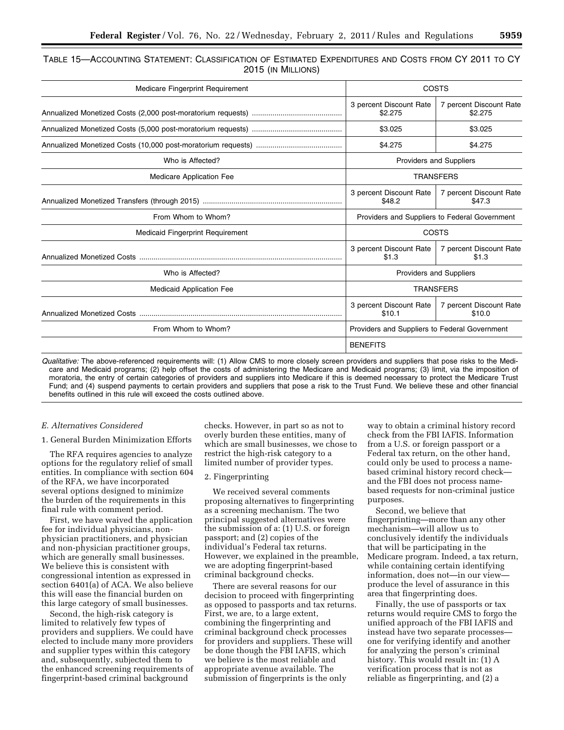| TABLE 15—ACCOUNTING STATEMENT: CLASSIFICATION OF ESTIMATED EXPENDITURES AND COSTS FROM CY 2011 TO CY |                    |  |  |
|------------------------------------------------------------------------------------------------------|--------------------|--|--|
|                                                                                                      | 2015 (IN MILLIONS) |  |  |

| Medicare Fingerprint Requirement | COSTS                                         |                                    |  |
|----------------------------------|-----------------------------------------------|------------------------------------|--|
|                                  | 3 percent Discount Rate<br>\$2.275            | 7 percent Discount Rate<br>\$2.275 |  |
|                                  | \$3.025                                       | \$3.025                            |  |
|                                  | \$4.275                                       | \$4.275                            |  |
| Who is Affected?                 | <b>Providers and Suppliers</b>                |                                    |  |
| <b>Medicare Application Fee</b>  |                                               | <b>TRANSFERS</b>                   |  |
|                                  | 3 percent Discount Rate<br>\$48.2             | 7 percent Discount Rate<br>\$47.3  |  |
| From Whom to Whom?               | Providers and Suppliers to Federal Government |                                    |  |
| Medicaid Fingerprint Requirement | COSTS                                         |                                    |  |
|                                  | 3 percent Discount Rate<br>\$1.3              | 7 percent Discount Rate<br>\$1.3   |  |
| Who is Affected?                 | <b>Providers and Suppliers</b>                |                                    |  |
| <b>Medicaid Application Fee</b>  | <b>TRANSFERS</b>                              |                                    |  |
|                                  | 3 percent Discount Rate<br>\$10.1             | 7 percent Discount Rate<br>\$10.0  |  |
| From Whom to Whom?               | Providers and Suppliers to Federal Government |                                    |  |
|                                  | <b>BENEFITS</b>                               |                                    |  |

*Qualitative:* The above-referenced requirements will: (1) Allow CMS to more closely screen providers and suppliers that pose risks to the Medicare and Medicaid programs; (2) help offset the costs of administering the Medicare and Medicaid programs; (3) limit, via the imposition of moratoria, the entry of certain categories of providers and suppliers into Medicare if this is deemed necessary to protect the Medicare Trust Fund; and (4) suspend payments to certain providers and suppliers that pose a risk to the Trust Fund. We believe these and other financial benefits outlined in this rule will exceed the costs outlined above.

#### *E. Alternatives Considered*

1. General Burden Minimization Efforts

The RFA requires agencies to analyze options for the regulatory relief of small entities. In compliance with section 604 of the RFA, we have incorporated several options designed to minimize the burden of the requirements in this final rule with comment period.

First, we have waived the application fee for individual physicians, nonphysician practitioners, and physician and non-physician practitioner groups, which are generally small businesses. We believe this is consistent with congressional intention as expressed in section 6401(a) of ACA. We also believe this will ease the financial burden on this large category of small businesses.

Second, the high-risk category is limited to relatively few types of providers and suppliers. We could have elected to include many more providers and supplier types within this category and, subsequently, subjected them to the enhanced screening requirements of fingerprint-based criminal background

checks. However, in part so as not to overly burden these entities, many of which are small businesses, we chose to restrict the high-risk category to a limited number of provider types.

# 2. Fingerprinting

We received several comments proposing alternatives to fingerprinting as a screening mechanism. The two principal suggested alternatives were the submission of a: (1) U.S. or foreign passport; and (2) copies of the individual's Federal tax returns. However, we explained in the preamble, we are adopting fingerprint-based criminal background checks.

There are several reasons for our decision to proceed with fingerprinting as opposed to passports and tax returns. First, we are, to a large extent, combining the fingerprinting and criminal background check processes for providers and suppliers. These will be done though the FBI IAFIS, which we believe is the most reliable and appropriate avenue available. The submission of fingerprints is the only

way to obtain a criminal history record check from the FBI IAFIS. Information from a U.S. or foreign passport or a Federal tax return, on the other hand, could only be used to process a namebased criminal history record check and the FBI does not process namebased requests for non-criminal justice purposes.

Second, we believe that fingerprinting—more than any other mechanism—will allow us to conclusively identify the individuals that will be participating in the Medicare program. Indeed, a tax return, while containing certain identifying information, does not—in our view produce the level of assurance in this area that fingerprinting does.

Finally, the use of passports or tax returns would require CMS to forgo the unified approach of the FBI IAFIS and instead have two separate processes one for verifying identify and another for analyzing the person's criminal history. This would result in: (1) A verification process that is not as reliable as fingerprinting, and (2) a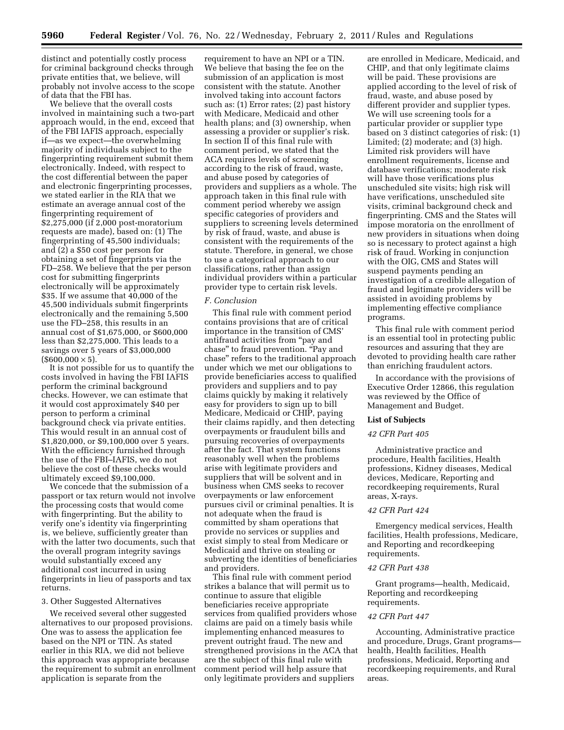distinct and potentially costly process for criminal background checks through private entities that, we believe, will probably not involve access to the scope of data that the FBI has.

We believe that the overall costs involved in maintaining such a two-part approach would, in the end, exceed that of the FBI IAFIS approach, especially if—as we expect—the overwhelming majority of individuals subject to the fingerprinting requirement submit them electronically. Indeed, with respect to the cost differential between the paper and electronic fingerprinting processes, we stated earlier in the RIA that we estimate an average annual cost of the fingerprinting requirement of \$2,275,000 (if 2,000 post-moratorium requests are made), based on: (1) The fingerprinting of 45,500 individuals; and (2) a \$50 cost per person for obtaining a set of fingerprints via the FD–258. We believe that the per person cost for submitting fingerprints electronically will be approximately \$35. If we assume that 40,000 of the 45,500 individuals submit fingerprints electronically and the remaining 5,500 use the FD–258, this results in an annual cost of \$1,675,000, or \$600,000 less than \$2,275,000. This leads to a savings over 5 years of \$3,000,000  $($600,000 \times 5).$ 

It is not possible for us to quantify the costs involved in having the FBI IAFIS perform the criminal background checks. However, we can estimate that it would cost approximately \$40 per person to perform a criminal background check via private entities. This would result in an annual cost of \$1,820,000, or \$9,100,000 over 5 years. With the efficiency furnished through the use of the FBI–IAFIS, we do not believe the cost of these checks would ultimately exceed \$9,100,000.

We concede that the submission of a passport or tax return would not involve the processing costs that would come with fingerprinting. But the ability to verify one's identity via fingerprinting is, we believe, sufficiently greater than with the latter two documents, such that the overall program integrity savings would substantially exceed any additional cost incurred in using fingerprints in lieu of passports and tax returns.

### 3. Other Suggested Alternatives

We received several other suggested alternatives to our proposed provisions. One was to assess the application fee based on the NPI or TIN. As stated earlier in this RIA, we did not believe this approach was appropriate because the requirement to submit an enrollment application is separate from the

requirement to have an NPI or a TIN. We believe that basing the fee on the submission of an application is most consistent with the statute. Another involved taking into account factors such as: (1) Error rates; (2) past history with Medicare, Medicaid and other health plans; and (3) ownership, when assessing a provider or supplier's risk. In section II of this final rule with comment period, we stated that the ACA requires levels of screening according to the risk of fraud, waste, and abuse posed by categories of providers and suppliers as a whole. The approach taken in this final rule with comment period whereby we assign specific categories of providers and suppliers to screening levels determined by risk of fraud, waste, and abuse is consistent with the requirements of the statute. Therefore, in general, we chose to use a categorical approach to our classifications, rather than assign individual providers within a particular provider type to certain risk levels.

#### *F. Conclusion*

This final rule with comment period contains provisions that are of critical importance in the transition of CMS' antifraud activities from ''pay and chase'' to fraud prevention. ''Pay and chase'' refers to the traditional approach under which we met our obligations to provide beneficiaries access to qualified providers and suppliers and to pay claims quickly by making it relatively easy for providers to sign up to bill Medicare, Medicaid or CHIP, paying their claims rapidly, and then detecting overpayments or fraudulent bills and pursuing recoveries of overpayments after the fact. That system functions reasonably well when the problems arise with legitimate providers and suppliers that will be solvent and in business when CMS seeks to recover overpayments or law enforcement pursues civil or criminal penalties. It is not adequate when the fraud is committed by sham operations that provide no services or supplies and exist simply to steal from Medicare or Medicaid and thrive on stealing or subverting the identities of beneficiaries and providers.

This final rule with comment period strikes a balance that will permit us to continue to assure that eligible beneficiaries receive appropriate services from qualified providers whose claims are paid on a timely basis while implementing enhanced measures to prevent outright fraud. The new and strengthened provisions in the ACA that are the subject of this final rule with comment period will help assure that only legitimate providers and suppliers

are enrolled in Medicare, Medicaid, and CHIP, and that only legitimate claims will be paid. These provisions are applied according to the level of risk of fraud, waste, and abuse posed by different provider and supplier types. We will use screening tools for a particular provider or supplier type based on 3 distinct categories of risk: (1) Limited; (2) moderate; and (3) high. Limited risk providers will have enrollment requirements, license and database verifications; moderate risk will have those verifications plus unscheduled site visits; high risk will have verifications, unscheduled site visits, criminal background check and fingerprinting. CMS and the States will impose moratoria on the enrollment of new providers in situations when doing so is necessary to protect against a high risk of fraud. Working in conjunction with the OIG, CMS and States will suspend payments pending an investigation of a credible allegation of fraud and legitimate providers will be assisted in avoiding problems by implementing effective compliance programs.

This final rule with comment period is an essential tool in protecting public resources and assuring that they are devoted to providing health care rather than enriching fraudulent actors.

In accordance with the provisions of Executive Order 12866, this regulation was reviewed by the Office of Management and Budget.

# **List of Subjects**

# *42 CFR Part 405*

Administrative practice and procedure, Health facilities, Health professions, Kidney diseases, Medical devices, Medicare, Reporting and recordkeeping requirements, Rural areas, X-rays.

# *42 CFR Part 424*

Emergency medical services, Health facilities, Health professions, Medicare, and Reporting and recordkeeping requirements.

#### *42 CFR Part 438*

Grant programs—health, Medicaid, Reporting and recordkeeping requirements.

### *42 CFR Part 447*

Accounting, Administrative practice and procedure, Drugs, Grant programs health, Health facilities, Health professions, Medicaid, Reporting and recordkeeping requirements, and Rural areas.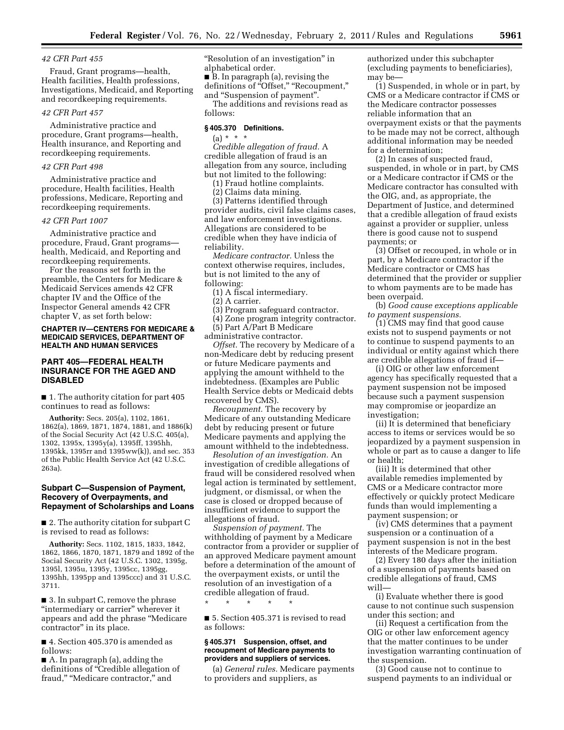# *42 CFR Part 455*

Fraud, Grant programs—health, Health facilities, Health professions, Investigations, Medicaid, and Reporting and recordkeeping requirements.

## *42 CFR Part 457*

Administrative practice and procedure, Grant programs—health, Health insurance, and Reporting and recordkeeping requirements.

# *42 CFR Part 498*

Administrative practice and procedure, Health facilities, Health professions, Medicare, Reporting and recordkeeping requirements.

#### *42 CFR Part 1007*

Administrative practice and procedure, Fraud, Grant programs health, Medicaid, and Reporting and recordkeeping requirements.

For the reasons set forth in the preamble, the Centers for Medicare & Medicaid Services amends 42 CFR chapter IV and the Office of the Inspector General amends 42 CFR chapter V, as set forth below:

# **CHAPTER IV—CENTERS FOR MEDICARE & MEDICAID SERVICES, DEPARTMENT OF HEALTH AND HUMAN SERVICES**

# **PART 405—FEDERAL HEALTH INSURANCE FOR THE AGED AND DISABLED**

■ 1. The authority citation for part 405 continues to read as follows:

**Authority:** Secs. 205(a), 1102, 1861, 1862(a), 1869, 1871, 1874, 1881, and 1886(k) of the Social Security Act (42 U.S.C. 405(a), 1302, 1395x, 1395y(a), 1395ff, 1395hh, 1395kk, 1395rr and 1395ww(k)), and sec. 353 of the Public Health Service Act (42 U.S.C. 263a).

# **Subpart C—Suspension of Payment, Recovery of Overpayments, and Repayment of Scholarships and Loans**

■ 2. The authority citation for subpart C is revised to read as follows:

**Authority:** Secs. 1102, 1815, 1833, 1842, 1862, 1866, 1870, 1871, 1879 and 1892 of the Social Security Act (42 U.S.C. 1302, 1395g, 1395l, 1395u, 1395y, 1395cc, 1395gg, 1395hh, 1395pp and 1395ccc) and 31 U.S.C. 3711.

■ 3. In subpart C, remove the phrase "intermediary or carrier" wherever it appears and add the phrase ''Medicare contractor'' in its place.

■ 4. Section 405.370 is amended as follows:

■ A. In paragraph (a), adding the definitions of "Credible allegation of fraud," "Medicare contractor," and

''Resolution of an investigation'' in alphabetical order.

■ B. In paragraph (a), revising the definitions of "Offset," "Recoupment," and ''Suspension of payment''.

The additions and revisions read as follows:

# **§ 405.370 Definitions.**

 $(a) * * * *$ 

*Credible allegation of fraud.* A credible allegation of fraud is an allegation from any source, including but not limited to the following:

(1) Fraud hotline complaints.

(2) Claims data mining.

(3) Patterns identified through provider audits, civil false claims cases, and law enforcement investigations. Allegations are considered to be credible when they have indicia of reliability.

*Medicare contractor.* Unless the context otherwise requires, includes, but is not limited to the any of following:

(1) A fiscal intermediary.

(2) A carrier.

(3) Program safeguard contractor.

(4) Zone program integrity contractor.

(5) Part A/Part B Medicare administrative contractor.

*Offset.* The recovery by Medicare of a non-Medicare debt by reducing present or future Medicare payments and applying the amount withheld to the indebtedness. (Examples are Public Health Service debts or Medicaid debts recovered by CMS).

*Recoupment.* The recovery by Medicare of any outstanding Medicare debt by reducing present or future Medicare payments and applying the amount withheld to the indebtedness.

*Resolution of an investigation.* An investigation of credible allegations of fraud will be considered resolved when legal action is terminated by settlement, judgment, or dismissal, or when the case is closed or dropped because of insufficient evidence to support the allegations of fraud.

*Suspension of payment.* The withholding of payment by a Medicare contractor from a provider or supplier of an approved Medicare payment amount before a determination of the amount of the overpayment exists, or until the resolution of an investigation of a credible allegation of fraud.

\* \* \* \* \*

■ 5. Section 405.371 is revised to read as follows:

### **§ 405.371 Suspension, offset, and recoupment of Medicare payments to providers and suppliers of services.**

(a) *General rules.* Medicare payments to providers and suppliers, as

authorized under this subchapter (excluding payments to beneficiaries), may be—

(1) Suspended, in whole or in part, by CMS or a Medicare contractor if CMS or the Medicare contractor possesses reliable information that an overpayment exists or that the payments to be made may not be correct, although additional information may be needed for a determination;

(2) In cases of suspected fraud, suspended, in whole or in part, by CMS or a Medicare contractor if CMS or the Medicare contractor has consulted with the OIG, and, as appropriate, the Department of Justice, and determined that a credible allegation of fraud exists against a provider or supplier, unless there is good cause not to suspend payments; or

(3) Offset or recouped, in whole or in part, by a Medicare contractor if the Medicare contractor or CMS has determined that the provider or supplier to whom payments are to be made has been overpaid.

(b) *Good cause exceptions applicable to payment suspensions.* 

(1) CMS may find that good cause exists not to suspend payments or not to continue to suspend payments to an individual or entity against which there are credible allegations of fraud if—

(i) OIG or other law enforcement agency has specifically requested that a payment suspension not be imposed because such a payment suspension may compromise or jeopardize an investigation;

(ii) It is determined that beneficiary access to items or services would be so jeopardized by a payment suspension in whole or part as to cause a danger to life or health;

(iii) It is determined that other available remedies implemented by CMS or a Medicare contractor more effectively or quickly protect Medicare funds than would implementing a payment suspension; or

(iv) CMS determines that a payment suspension or a continuation of a payment suspension is not in the best interests of the Medicare program.

(2) Every 180 days after the initiation of a suspension of payments based on credible allegations of fraud, CMS will—

(i) Evaluate whether there is good cause to not continue such suspension under this section; and

(ii) Request a certification from the OIG or other law enforcement agency that the matter continues to be under investigation warranting continuation of the suspension.

(3) Good cause not to continue to suspend payments to an individual or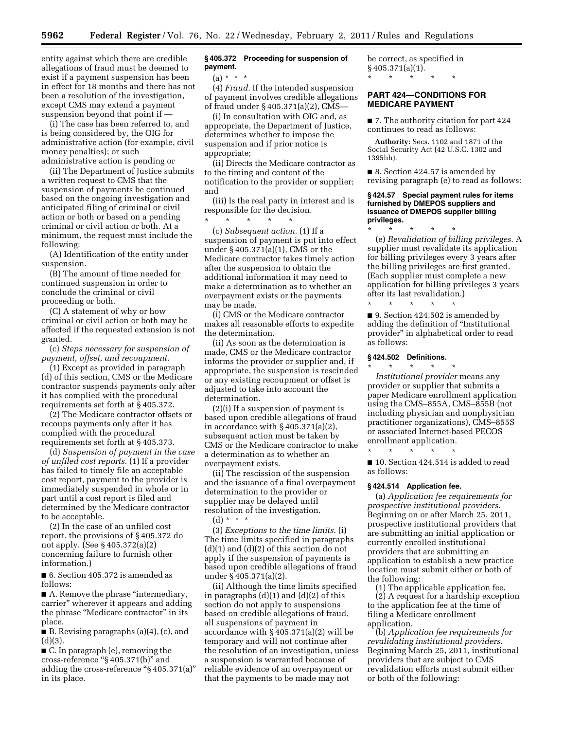entity against which there are credible allegations of fraud must be deemed to exist if a payment suspension has been in effect for 18 months and there has not been a resolution of the investigation, except CMS may extend a payment suspension beyond that point if —

(i) The case has been referred to, and is being considered by, the OIG for administrative action (for example, civil money penalties); or such administrative action is pending or

(ii) The Department of Justice submits a written request to CMS that the suspension of payments be continued based on the ongoing investigation and anticipated filing of criminal or civil action or both or based on a pending criminal or civil action or both. At a minimum, the request must include the following:

(A) Identification of the entity under suspension.

(B) The amount of time needed for continued suspension in order to conclude the criminal or civil proceeding or both.

(C) A statement of why or how criminal or civil action or both may be affected if the requested extension is not granted.

(c) *Steps necessary for suspension of payment, offset, and recoupment.* 

(1) Except as provided in paragraph (d) of this section, CMS or the Medicare contractor suspends payments only after it has complied with the procedural requirements set forth at § 405.372.

(2) The Medicare contractor offsets or recoups payments only after it has complied with the procedural requirements set forth at § 405.373.

(d) *Suspension of payment in the case of unfiled cost reports.* (1) If a provider has failed to timely file an acceptable cost report, payment to the provider is immediately suspended in whole or in part until a cost report is filed and determined by the Medicare contractor to be acceptable.

(2) In the case of an unfiled cost report, the provisions of § 405.372 do not apply. (See § 405.372(a)(2) concerning failure to furnish other information.)

■ 6. Section 405.372 is amended as follows:

■ A. Remove the phrase "intermediary, carrier'' wherever it appears and adding the phrase ''Medicare contractor'' in its place.

■ B. Revising paragraphs (a)(4), (c), and  $(d)(3)$ .

■ C. In paragraph (e), removing the cross-reference ''§ 405.371(b)'' and adding the cross-reference ''§ 405.371(a)'' in its place.

# **§ 405.372 Proceeding for suspension of payment.**

 $(a) * * * *$ 

(4) *Fraud.* If the intended suspension of payment involves credible allegations of fraud under § 405.371(a)(2), CMS—

(i) In consultation with OIG and, as appropriate, the Department of Justice, determines whether to impose the suspension and if prior notice is appropriate;

(ii) Directs the Medicare contractor as to the timing and content of the notification to the provider or supplier; and

(iii) Is the real party in interest and is responsible for the decision. \* \* \* \* \*

(c) *Subsequent action.* (1) If a suspension of payment is put into effect under § 405.371(a)(1), CMS or the Medicare contractor takes timely action after the suspension to obtain the additional information it may need to make a determination as to whether an overpayment exists or the payments may be made.

(i) CMS or the Medicare contractor makes all reasonable efforts to expedite the determination.

(ii) As soon as the determination is made, CMS or the Medicare contractor informs the provider or supplier and, if appropriate, the suspension is rescinded or any existing recoupment or offset is adjusted to take into account the determination.

(2)(i) If a suspension of payment is based upon credible allegations of fraud in accordance with § 405.371(a)(2), subsequent action must be taken by CMS or the Medicare contractor to make a determination as to whether an overpayment exists.

(ii) The rescission of the suspension and the issuance of a final overpayment determination to the provider or supplier may be delayed until resolution of the investigation. (d) \* \* \*

(3) *Exceptions to the time limits.* (i) The time limits specified in paragraphs (d)(1) and (d)(2) of this section do not apply if the suspension of payments is based upon credible allegations of fraud under § 405.371(a)(2).

(ii) Although the time limits specified in paragraphs  $(d)(1)$  and  $(d)(2)$  of this section do not apply to suspensions based on credible allegations of fraud, all suspensions of payment in accordance with § 405.371(a)(2) will be temporary and will not continue after the resolution of an investigation, unless a suspension is warranted because of reliable evidence of an overpayment or that the payments to be made may not

be correct, as specified in  $§$  405.371(a)(1). \* \* \* \* \*

# **PART 424—CONDITIONS FOR MEDICARE PAYMENT**

■ 7. The authority citation for part 424 continues to read as follows:

**Authority:** Secs. 1102 and 1871 of the Social Security Act (42 U.S.C. 1302 and 1395hh).

■ 8. Section 424.57 is amended by revising paragraph (e) to read as follows:

# **§ 424.57 Special payment rules for items furnished by DMEPOS suppliers and issuance of DMEPOS supplier billing privileges.**

\* \* \* \* \* (e) *Revalidation of billing privileges.* A supplier must revalidate its application for billing privileges every 3 years after the billing privileges are first granted. (Each supplier must complete a new application for billing privileges 3 years after its last revalidation.)

■ 9. Section 424.502 is amended by adding the definition of ''Institutional provider'' in alphabetical order to read as follows:

# **§ 424.502 Definitions.**

\* \* \* \* \*

\* \* \* \* \* *Institutional provider* means any provider or supplier that submits a paper Medicare enrollment application using the CMS–855A, CMS–855B (not including physician and nonphysician practitioner organizations), CMS–855S or associated Internet-based PECOS enrollment application.

\* \* \* \* \*

■ 10. Section 424.514 is added to read as follows:

# **§ 424.514 Application fee.**

(a) *Application fee requirements for prospective institutional providers.*  Beginning on or after March 25, 2011, prospective institutional providers that are submitting an initial application or currently enrolled institutional providers that are submitting an application to establish a new practice location must submit either or both of the following:

(1) The applicable application fee. (2) A request for a hardship exception to the application fee at the time of filing a Medicare enrollment application.

(b) *Application fee requirements for revalidating institutional providers.*  Beginning March 25, 2011, institutional providers that are subject to CMS revalidation efforts must submit either or both of the following: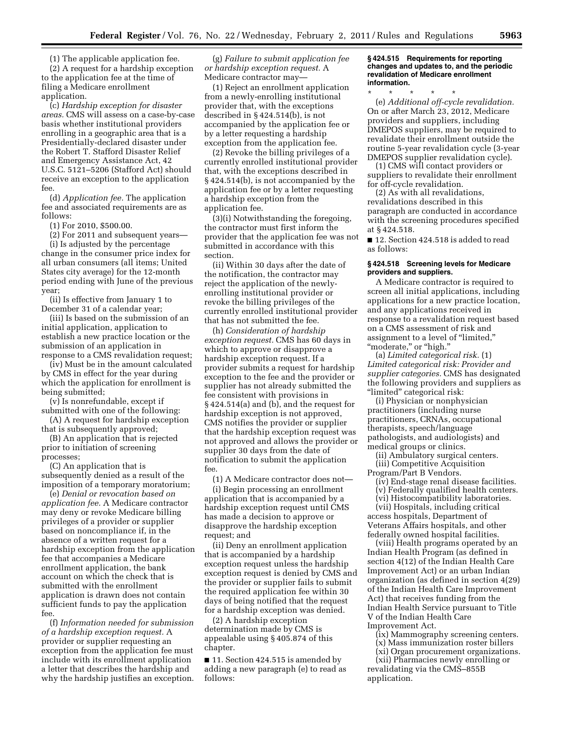(1) The applicable application fee.

(2) A request for a hardship exception to the application fee at the time of filing a Medicare enrollment application.

(c) *Hardship exception for disaster areas.* CMS will assess on a case-by-case basis whether institutional providers enrolling in a geographic area that is a Presidentially-declared disaster under the Robert T. Stafford Disaster Relief and Emergency Assistance Act, 42 U.S.C. 5121–5206 (Stafford Act) should receive an exception to the application fee.

(d) *Application fee.* The application fee and associated requirements are as follows:

(1) For 2010, \$500.00.

(2) For 2011 and subsequent years—

(i) Is adjusted by the percentage change in the consumer price index for all urban consumers (all items; United States city average) for the 12-month period ending with June of the previous year;

(ii) Is effective from January 1 to December 31 of a calendar year;

(iii) Is based on the submission of an initial application, application to establish a new practice location or the submission of an application in response to a CMS revalidation request;

(iv) Must be in the amount calculated

by CMS in effect for the year during which the application for enrollment is being submitted;

(v) Is nonrefundable, except if submitted with one of the following:

(A) A request for hardship exception that is subsequently approved;

(B) An application that is rejected prior to initiation of screening processes;

(C) An application that is subsequently denied as a result of the imposition of a temporary moratorium;

(e) *Denial or revocation based on application fee.* A Medicare contractor may deny or revoke Medicare billing privileges of a provider or supplier based on noncompliance if, in the absence of a written request for a hardship exception from the application fee that accompanies a Medicare enrollment application, the bank account on which the check that is submitted with the enrollment application is drawn does not contain sufficient funds to pay the application fee.

(f) *Information needed for submission of a hardship exception request.* A provider or supplier requesting an exception from the application fee must include with its enrollment application a letter that describes the hardship and why the hardship justifies an exception.

(g) *Failure to submit application fee or hardship exception request.* A Medicare contractor may—

(1) Reject an enrollment application from a newly-enrolling institutional provider that, with the exceptions described in § 424.514(b), is not accompanied by the application fee or by a letter requesting a hardship exception from the application fee.

(2) Revoke the billing privileges of a currently enrolled institutional provider that, with the exceptions described in § 424.514(b), is not accompanied by the application fee or by a letter requesting a hardship exception from the application fee.

(3)(i) Notwithstanding the foregoing, the contractor must first inform the provider that the application fee was not submitted in accordance with this section.

(ii) Within 30 days after the date of the notification, the contractor may reject the application of the newlyenrolling institutional provider or revoke the billing privileges of the currently enrolled institutional provider that has not submitted the fee.

(h) *Consideration of hardship exception request.* CMS has 60 days in which to approve or disapprove a hardship exception request. If a provider submits a request for hardship exception to the fee and the provider or supplier has not already submitted the fee consistent with provisions in § 424.514(a) and (b), and the request for hardship exception is not approved, CMS notifies the provider or supplier that the hardship exception request was not approved and allows the provider or supplier 30 days from the date of notification to submit the application fee.

(1) A Medicare contractor does not—

(i) Begin processing an enrollment application that is accompanied by a hardship exception request until CMS has made a decision to approve or disapprove the hardship exception request; and

(ii) Deny an enrollment application that is accompanied by a hardship exception request unless the hardship exception request is denied by CMS and the provider or supplier fails to submit the required application fee within 30 days of being notified that the request for a hardship exception was denied.

(2) A hardship exception determination made by CMS is appealable using § 405.874 of this chapter.

■ 11. Section 424.515 is amended by adding a new paragraph (e) to read as follows:

## **§ 424.515 Requirements for reporting changes and updates to, and the periodic revalidation of Medicare enrollment information.**

\* \* \* \* \* (e) *Additional off-cycle revalidation.*  On or after March 23, 2012, Medicare providers and suppliers, including DMEPOS suppliers, may be required to revalidate their enrollment outside the routine 5-year revalidation cycle (3-year DMEPOS supplier revalidation cycle).

(1) CMS will contact providers or suppliers to revalidate their enrollment for off-cycle revalidation.

(2) As with all revalidations, revalidations described in this paragraph are conducted in accordance with the screening procedures specified at § 424.518.

■ 12. Section 424.518 is added to read as follows:

### **§ 424.518 Screening levels for Medicare providers and suppliers.**

A Medicare contractor is required to screen all initial applications, including applications for a new practice location, and any applications received in response to a revalidation request based on a CMS assessment of risk and assignment to a level of ''limited,'' ''moderate,'' or ''high.''

(a) *Limited categorical risk.* (1) *Limited categorical risk: Provider and supplier categories.* CMS has designated the following providers and suppliers as "limited" categorical risk:

(i) Physician or nonphysician practitioners (including nurse practitioners, CRNAs, occupational therapists, speech/language pathologists, and audiologists) and medical groups or clinics.

(ii) Ambulatory surgical centers.

(iii) Competitive Acquisition

Program/Part B Vendors. (iv) End-stage renal disease facilities.

- (v) Federally qualified health centers.
- (vi) Histocompatibility laboratories.

(vii) Hospitals, including critical access hospitals, Department of Veterans Affairs hospitals, and other federally owned hospital facilities.

(viii) Health programs operated by an Indian Health Program (as defined in section 4(12) of the Indian Health Care Improvement Act) or an urban Indian organization (as defined in section 4(29) of the Indian Health Care Improvement Act) that receives funding from the Indian Health Service pursuant to Title V of the Indian Health Care Improvement Act.

(ix) Mammography screening centers.

- (x) Mass immunization roster billers
- (xi) Organ procurement organizations. (xii) Pharmacies newly enrolling or revalidating via the CMS–855B application.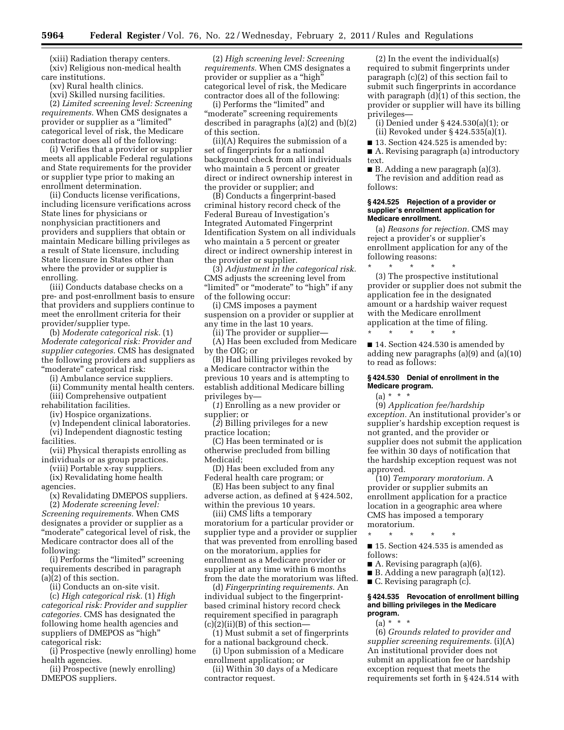(xiii) Radiation therapy centers. (xiv) Religious non-medical health care institutions.

(xv) Rural health clinics.

(xvi) Skilled nursing facilities.

(2) *Limited screening level: Screening requirements.* When CMS designates a provider or supplier as a "limited" categorical level of risk, the Medicare contractor does all of the following:

(i) Verifies that a provider or supplier meets all applicable Federal regulations and State requirements for the provider or supplier type prior to making an enrollment determination.

(ii) Conducts license verifications, including licensure verifications across State lines for physicians or nonphysician practitioners and providers and suppliers that obtain or maintain Medicare billing privileges as a result of State licensure, including State licensure in States other than where the provider or supplier is enrolling.

(iii) Conducts database checks on a pre- and post-enrollment basis to ensure that providers and suppliers continue to meet the enrollment criteria for their provider/supplier type.

(b) *Moderate categorical risk.* (1) *Moderate categorical risk: Provider and supplier categories.* CMS has designated the following providers and suppliers as "moderate" categorical risk:

(i) Ambulance service suppliers.

(ii) Community mental health centers. (iii) Comprehensive outpatient

rehabilitation facilities.

(iv) Hospice organizations.

(v) Independent clinical laboratories. (vi) Independent diagnostic testing

facilities.

- (vii) Physical therapists enrolling as individuals or as group practices.
- (viii) Portable x-ray suppliers. (ix) Revalidating home health

agencies.

(x) Revalidating DMEPOS suppliers.

(2) *Moderate screening level: Screening requirements.* When CMS designates a provider or supplier as a "moderate" categorical level of risk, the Medicare contractor does all of the following:

(i) Performs the ''limited'' screening requirements described in paragraph (a)(2) of this section.

(ii) Conducts an on-site visit.

(c) *High categorical risk.* (1) *High categorical risk: Provider and supplier categories.* CMS has designated the following home health agencies and suppliers of DMEPOS as "high" categorical risk:

(i) Prospective (newly enrolling) home health agencies.

(ii) Prospective (newly enrolling) DMEPOS suppliers.

(2) *High screening level: Screening requirements.* When CMS designates a provider or supplier as a "high" categorical level of risk, the Medicare contractor does all of the following:

(i) Performs the ''limited'' and ''moderate'' screening requirements described in paragraphs (a)(2) and (b)(2) of this section.

(ii)(A) Requires the submission of a set of fingerprints for a national background check from all individuals who maintain a 5 percent or greater direct or indirect ownership interest in the provider or supplier; and

(B) Conducts a fingerprint-based criminal history record check of the Federal Bureau of Investigation's Integrated Automated Fingerprint Identification System on all individuals who maintain a 5 percent or greater direct or indirect ownership interest in the provider or supplier.

(3) *Adjustment in the categorical risk.*  CMS adjusts the screening level from "limited" or "moderate" to "high" if any of the following occur:

(i) CMS imposes a payment suspension on a provider or supplier at any time in the last 10 years.

(ii) The provider or supplier— (A) Has been excluded from Medicare by the OIG; or

(B) Had billing privileges revoked by a Medicare contractor within the previous 10 years and is attempting to establish additional Medicare billing privileges by—

(*1*) Enrolling as a new provider or supplier; or

(*2*) Billing privileges for a new practice location;

(C) Has been terminated or is otherwise precluded from billing Medicaid;

(D) Has been excluded from any Federal health care program; or

(E) Has been subject to any final adverse action, as defined at § 424.502, within the previous 10 years.

(iii) CMS lifts a temporary moratorium for a particular provider or supplier type and a provider or supplier that was prevented from enrolling based on the moratorium, applies for enrollment as a Medicare provider or supplier at any time within 6 months from the date the moratorium was lifted.

(d) *Fingerprinting requirements.* An individual subject to the fingerprintbased criminal history record check requirement specified in paragraph  $(c)(2)(ii)(B)$  of this section—

(1) Must submit a set of fingerprints for a national background check.

(i) Upon submission of a Medicare enrollment application; or

(ii) Within 30 days of a Medicare contractor request.

(2) In the event the individual(s) required to submit fingerprints under paragraph (c)(2) of this section fail to submit such fingerprints in accordance with paragraph (d)(1) of this section, the provider or supplier will have its billing privileges—

(i) Denied under § 424.530(a)(1); or (ii) Revoked under § 424.535(a)(1).

■ 13. Section 424.525 is amended by:

■ A. Revising paragraph (a) introductory text.

■ B. Adding a new paragraph (a)(3). The revision and addition read as follows:

### **§ 424.525 Rejection of a provider or supplier's enrollment application for Medicare enrollment.**

(a) *Reasons for rejection.* CMS may reject a provider's or supplier's enrollment application for any of the following reasons:

\* \* \* \* \* (3) The prospective institutional provider or supplier does not submit the application fee in the designated amount or a hardship waiver request with the Medicare enrollment application at the time of filing. \* \* \* \* \*

■ 14. Section 424.530 is amended by adding new paragraphs (a)(9) and (a)(10) to read as follows:

# **§ 424.530 Denial of enrollment in the Medicare program.**

 $(a) * * * *$ 

(9) *Application fee/hardship exception.* An institutional provider's or supplier's hardship exception request is not granted, and the provider or supplier does not submit the application fee within 30 days of notification that the hardship exception request was not approved.

(10) *Temporary moratorium.* A provider or supplier submits an enrollment application for a practice location in a geographic area where CMS has imposed a temporary moratorium.

\* \* \* \* \* ■ 15. Section 424.535 is amended as

follows: A. Revising paragraph  $(a)(6)$ .

■ B. Adding a new paragraph (a)(12).

■ C. Revising paragraph (c).

## **§ 424.535 Revocation of enrollment billing and billing privileges in the Medicare program.**

(a) \* \* \*

(6) *Grounds related to provider and supplier screening requirements.* (i)(A) An institutional provider does not submit an application fee or hardship exception request that meets the requirements set forth in § 424.514 with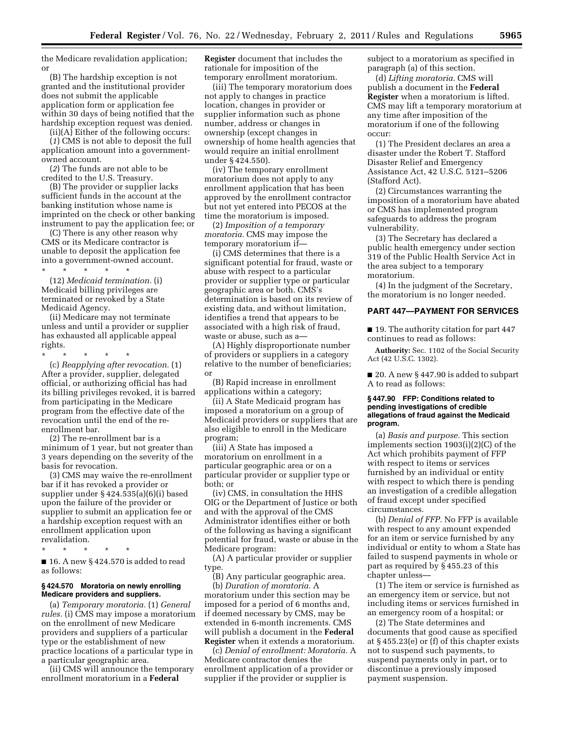the Medicare revalidation application; or

(B) The hardship exception is not granted and the institutional provider does not submit the applicable application form or application fee within 30 days of being notified that the hardship exception request was denied.

(ii)(A) Either of the following occurs:

(*1*) CMS is not able to deposit the full application amount into a governmentowned account.

(*2*) The funds are not able to be credited to the U.S. Treasury.

(B) The provider or supplier lacks sufficient funds in the account at the banking institution whose name is imprinted on the check or other banking instrument to pay the application fee; or

(C) There is any other reason why CMS or its Medicare contractor is unable to deposit the application fee into a government-owned account.

\* \* \* \* \* (12) *Medicaid termination.* (i) Medicaid billing privileges are terminated or revoked by a State Medicaid Agency.

(ii) Medicare may not terminate unless and until a provider or supplier has exhausted all applicable appeal rights.

\* \* \* \* \* (c) *Reapplying after revocation.* (1) After a provider, supplier, delegated official, or authorizing official has had its billing privileges revoked, it is barred from participating in the Medicare program from the effective date of the revocation until the end of the reenrollment bar.

(2) The re-enrollment bar is a minimum of 1 year, but not greater than 3 years depending on the severity of the basis for revocation.

(3) CMS may waive the re-enrollment bar if it has revoked a provider or supplier under § 424.535(a)(6)(i) based upon the failure of the provider or supplier to submit an application fee or a hardship exception request with an enrollment application upon revalidation.

\* \* \* \* \*

 $\blacksquare$  16. A new § 424.570 is added to read as follows:

#### **§ 424.570 Moratoria on newly enrolling Medicare providers and suppliers.**

(a) *Temporary moratoria.* (1) *General rules.* (i) CMS may impose a moratorium on the enrollment of new Medicare providers and suppliers of a particular type or the establishment of new practice locations of a particular type in a particular geographic area.

(ii) CMS will announce the temporary enrollment moratorium in a **Federal** 

**Register** document that includes the rationale for imposition of the temporary enrollment moratorium.

(iii) The temporary moratorium does not apply to changes in practice location, changes in provider or supplier information such as phone number, address or changes in ownership (except changes in ownership of home health agencies that would require an initial enrollment under § 424.550).

(iv) The temporary enrollment moratorium does not apply to any enrollment application that has been approved by the enrollment contractor but not yet entered into PECOS at the time the moratorium is imposed.

(2) *Imposition of a temporary moratoria.* CMS may impose the temporary moratorium if—

(i) CMS determines that there is a significant potential for fraud, waste or abuse with respect to a particular provider or supplier type or particular geographic area or both. CMS's determination is based on its review of existing data, and without limitation, identifies a trend that appears to be associated with a high risk of fraud, waste or abuse, such as a—

(A) Highly disproportionate number of providers or suppliers in a category relative to the number of beneficiaries; or

(B) Rapid increase in enrollment applications within a category;

(ii) A State Medicaid program has imposed a moratorium on a group of Medicaid providers or suppliers that are also eligible to enroll in the Medicare program;

(iii) A State has imposed a moratorium on enrollment in a particular geographic area or on a particular provider or supplier type or both; or

(iv) CMS, in consultation the HHS OIG or the Department of Justice or both and with the approval of the CMS Administrator identifies either or both of the following as having a significant potential for fraud, waste or abuse in the Medicare program:

(A) A particular provider or supplier type.

(B) Any particular geographic area. (b) *Duration of moratoria.* A moratorium under this section may be imposed for a period of 6 months and, if deemed necessary by CMS, may be extended in 6-month increments. CMS will publish a document in the **Federal Register** when it extends a moratorium.

(c) *Denial of enrollment: Moratoria.* A Medicare contractor denies the enrollment application of a provider or supplier if the provider or supplier is

subject to a moratorium as specified in paragraph (a) of this section.

(d) *Lifting moratoria.* CMS will publish a document in the **Federal Register** when a moratorium is lifted. CMS may lift a temporary moratorium at any time after imposition of the moratorium if one of the following occur:

(1) The President declares an area a disaster under the Robert T. Stafford Disaster Relief and Emergency Assistance Act, 42 U.S.C. 5121–5206 (Stafford Act).

(2) Circumstances warranting the imposition of a moratorium have abated or CMS has implemented program safeguards to address the program vulnerability.

(3) The Secretary has declared a public health emergency under section 319 of the Public Health Service Act in the area subject to a temporary moratorium.

(4) In the judgment of the Secretary, the moratorium is no longer needed.

#### **PART 447—PAYMENT FOR SERVICES**

■ 19. The authority citation for part 447 continues to read as follows:

**Authority:** Sec. 1102 of the Social Security Act (42 U.S.C. 1302).

■ 20. A new § 447.90 is added to subpart A to read as follows:

## **§ 447.90 FFP: Conditions related to pending investigations of credible allegations of fraud against the Medicaid program.**

(a) *Basis and purpose.* This section implements section 1903(i)(2)(C) of the Act which prohibits payment of FFP with respect to items or services furnished by an individual or entity with respect to which there is pending an investigation of a credible allegation of fraud except under specified circumstances.

(b) *Denial of FFP.* No FFP is available with respect to any amount expended for an item or service furnished by any individual or entity to whom a State has failed to suspend payments in whole or part as required by § 455.23 of this chapter unless—

(1) The item or service is furnished as an emergency item or service, but not including items or services furnished in an emergency room of a hospital; or

(2) The State determines and documents that good cause as specified at § 455.23(e) or (f) of this chapter exists not to suspend such payments, to suspend payments only in part, or to discontinue a previously imposed payment suspension.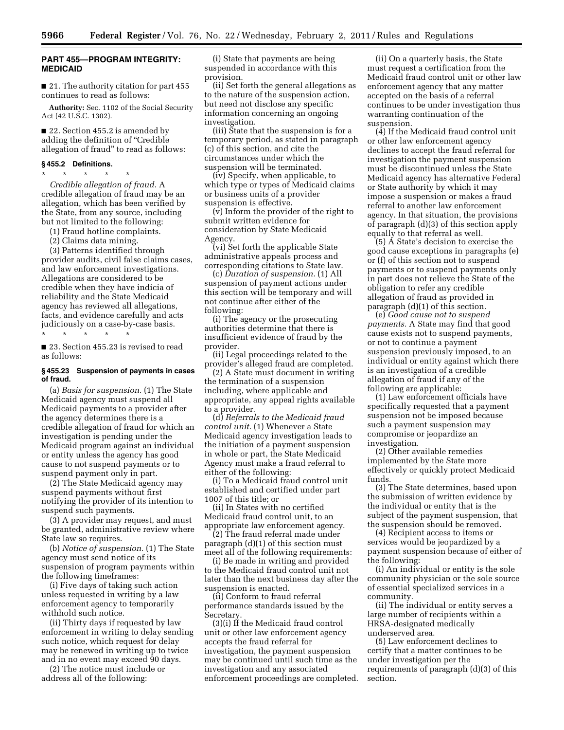# **PART 455—PROGRAM INTEGRITY: MEDICAID**

■ 21. The authority citation for part 455 continues to read as follows:

**Authority:** Sec. 1102 of the Social Security Act (42 U.S.C. 1302).

■ 22. Section 455.2 is amended by adding the definition of ''Credible allegation of fraud'' to read as follows:

#### **§ 455.2 Definitions.**

\* \* \* \* \* *Credible allegation of fraud.* A credible allegation of fraud may be an allegation, which has been verified by the State, from any source, including but not limited to the following:

(1) Fraud hotline complaints.

(2) Claims data mining.

(3) Patterns identified through provider audits, civil false claims cases, and law enforcement investigations. Allegations are considered to be credible when they have indicia of reliability and the State Medicaid agency has reviewed all allegations, facts, and evidence carefully and acts judiciously on a case-by-case basis. \* \* \* \* \*

■ 23. Section 455.23 is revised to read as follows:

## **§ 455.23 Suspension of payments in cases of fraud.**

(a) *Basis for suspension.* (1) The State Medicaid agency must suspend all Medicaid payments to a provider after the agency determines there is a credible allegation of fraud for which an investigation is pending under the Medicaid program against an individual or entity unless the agency has good cause to not suspend payments or to suspend payment only in part.

(2) The State Medicaid agency may suspend payments without first notifying the provider of its intention to suspend such payments.

(3) A provider may request, and must be granted, administrative review where State law so requires.

(b) *Notice of suspension.* (1) The State agency must send notice of its suspension of program payments within the following timeframes:

(i) Five days of taking such action unless requested in writing by a law enforcement agency to temporarily withhold such notice.

(ii) Thirty days if requested by law enforcement in writing to delay sending such notice, which request for delay may be renewed in writing up to twice and in no event may exceed 90 days.

(2) The notice must include or address all of the following:

(i) State that payments are being suspended in accordance with this provision.

(ii) Set forth the general allegations as to the nature of the suspension action, but need not disclose any specific information concerning an ongoing investigation.

(iii) State that the suspension is for a temporary period, as stated in paragraph (c) of this section, and cite the circumstances under which the suspension will be terminated.

(iv) Specify, when applicable, to which type or types of Medicaid claims or business units of a provider suspension is effective.

(v) Inform the provider of the right to submit written evidence for consideration by State Medicaid Agency.

(vi) Set forth the applicable State administrative appeals process and corresponding citations to State law.

(c) *Duration of suspension.* (1) All suspension of payment actions under this section will be temporary and will not continue after either of the following:

(i) The agency or the prosecuting authorities determine that there is insufficient evidence of fraud by the provider.

(ii) Legal proceedings related to the provider's alleged fraud are completed.

(2) A State must document in writing the termination of a suspension including, where applicable and appropriate, any appeal rights available to a provider.

(d) *Referrals to the Medicaid fraud control unit.* (1) Whenever a State Medicaid agency investigation leads to the initiation of a payment suspension in whole or part, the State Medicaid Agency must make a fraud referral to either of the following:

(i) To a Medicaid fraud control unit established and certified under part 1007 of this title; or

(ii) In States with no certified Medicaid fraud control unit, to an appropriate law enforcement agency.

(2) The fraud referral made under paragraph (d)(1) of this section must meet all of the following requirements:

(i) Be made in writing and provided to the Medicaid fraud control unit not later than the next business day after the suspension is enacted.

(ii) Conform to fraud referral performance standards issued by the Secretary.

(3)(i) If the Medicaid fraud control unit or other law enforcement agency accepts the fraud referral for investigation, the payment suspension may be continued until such time as the investigation and any associated enforcement proceedings are completed.

(ii) On a quarterly basis, the State must request a certification from the Medicaid fraud control unit or other law enforcement agency that any matter accepted on the basis of a referral continues to be under investigation thus warranting continuation of the suspension.

(4) If the Medicaid fraud control unit or other law enforcement agency declines to accept the fraud referral for investigation the payment suspension must be discontinued unless the State Medicaid agency has alternative Federal or State authority by which it may impose a suspension or makes a fraud referral to another law enforcement agency. In that situation, the provisions of paragraph (d)(3) of this section apply equally to that referral as well.

(5) A State's decision to exercise the good cause exceptions in paragraphs (e) or (f) of this section not to suspend payments or to suspend payments only in part does not relieve the State of the obligation to refer any credible allegation of fraud as provided in paragraph (d)(1) of this section.

(e) *Good cause not to suspend payments.* A State may find that good cause exists not to suspend payments, or not to continue a payment suspension previously imposed, to an individual or entity against which there is an investigation of a credible allegation of fraud if any of the following are applicable:

(1) Law enforcement officials have specifically requested that a payment suspension not be imposed because such a payment suspension may compromise or jeopardize an investigation.

(2) Other available remedies implemented by the State more effectively or quickly protect Medicaid funds.

(3) The State determines, based upon the submission of written evidence by the individual or entity that is the subject of the payment suspension, that the suspension should be removed.

(4) Recipient access to items or services would be jeopardized by a payment suspension because of either of the following:

(i) An individual or entity is the sole community physician or the sole source of essential specialized services in a community.

(ii) The individual or entity serves a large number of recipients within a HRSA-designated medically underserved area.

(5) Law enforcement declines to certify that a matter continues to be under investigation per the requirements of paragraph (d)(3) of this section.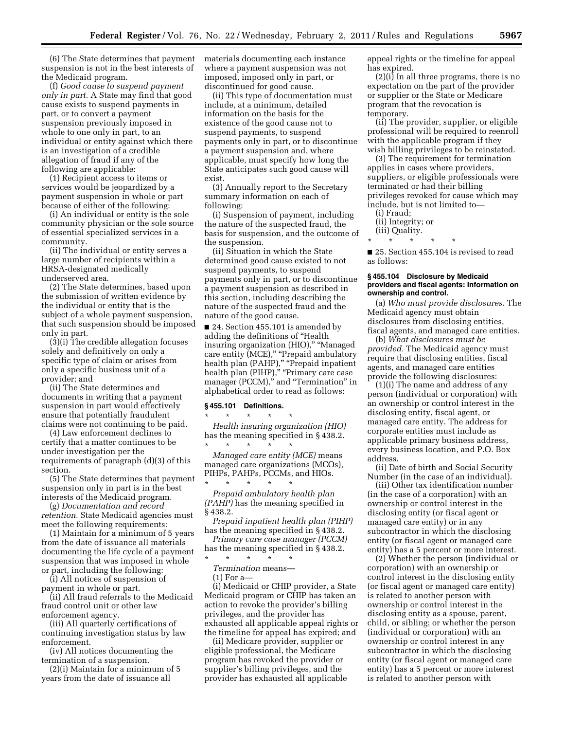(6) The State determines that payment suspension is not in the best interests of the Medicaid program.

(f) *Good cause to suspend payment only in part.* A State may find that good cause exists to suspend payments in part, or to convert a payment suspension previously imposed in whole to one only in part, to an individual or entity against which there is an investigation of a credible allegation of fraud if any of the following are applicable:

(1) Recipient access to items or services would be jeopardized by a payment suspension in whole or part because of either of the following:

(i) An individual or entity is the sole community physician or the sole source of essential specialized services in a community.

(ii) The individual or entity serves a large number of recipients within a HRSA-designated medically underserved area.

(2) The State determines, based upon the submission of written evidence by the individual or entity that is the subject of a whole payment suspension, that such suspension should be imposed only in part.

(3)(i) The credible allegation focuses solely and definitively on only a specific type of claim or arises from only a specific business unit of a provider; and

(ii) The State determines and documents in writing that a payment suspension in part would effectively ensure that potentially fraudulent claims were not continuing to be paid.

(4) Law enforcement declines to certify that a matter continues to be under investigation per the requirements of paragraph (d)(3) of this section.

(5) The State determines that payment suspension only in part is in the best interests of the Medicaid program.

(g) *Documentation and record retention.* State Medicaid agencies must meet the following requirements:

(1) Maintain for a minimum of 5 years from the date of issuance all materials documenting the life cycle of a payment suspension that was imposed in whole or part, including the following:

(i) All notices of suspension of payment in whole or part.

(ii) All fraud referrals to the Medicaid fraud control unit or other law enforcement agency.

(iii) All quarterly certifications of continuing investigation status by law enforcement.

(iv) All notices documenting the termination of a suspension.

(2)(i) Maintain for a minimum of 5 years from the date of issuance all

materials documenting each instance where a payment suspension was not imposed, imposed only in part, or discontinued for good cause.

(ii) This type of documentation must include, at a minimum, detailed information on the basis for the existence of the good cause not to suspend payments, to suspend payments only in part, or to discontinue a payment suspension and, where applicable, must specify how long the State anticipates such good cause will exist.

(3) Annually report to the Secretary summary information on each of following:

(i) Suspension of payment, including the nature of the suspected fraud, the basis for suspension, and the outcome of the suspension.

(ii) Situation in which the State determined good cause existed to not suspend payments, to suspend payments only in part, or to discontinue a payment suspension as described in this section, including describing the nature of the suspected fraud and the nature of the good cause.

■ 24. Section 455.101 is amended by adding the definitions of ''Health insuring organization (HIO)," "Managed care entity (MCE)," "Prepaid ambulatory health plan (PAHP)," "Prepaid inpatient health plan (PIHP)," "Primary care case manager (PCCM)," and "Termination" in alphabetical order to read as follows:

#### **§ 455.101 Definitions.**   $\star$   $\star$   $\star$

*Health insuring organization (HIO)*  has the meaning specified in § 438.2. \* \* \* \* \*

*Managed care entity (MCE)* means managed care organizations (MCOs), PIHPs, PAHPs, PCCMs, and HIOs.

\* \* \* \* \* *Prepaid ambulatory health plan (PAHP)* has the meaning specified in § 438.2.

*Prepaid inpatient health plan (PIHP)*  has the meaning specified in § 438.2.

*Primary care case manager (PCCM)* 

has the meaning specified in §438.2. \* \* \* \* \*

*Termination* means—

(1) For a—

(i) Medicaid or CHIP provider, a State Medicaid program or CHIP has taken an action to revoke the provider's billing privileges, and the provider has exhausted all applicable appeal rights or the timeline for appeal has expired; and

(ii) Medicare provider, supplier or eligible professional, the Medicare program has revoked the provider or supplier's billing privileges, and the provider has exhausted all applicable appeal rights or the timeline for appeal has expired.

(2)(i) In all three programs, there is no expectation on the part of the provider or supplier or the State or Medicare program that the revocation is temporary.

(ii) The provider, supplier, or eligible professional will be required to reenroll with the applicable program if they wish billing privileges to be reinstated.

(3) The requirement for termination applies in cases where providers, suppliers, or eligible professionals were terminated or had their billing privileges revoked for cause which may include, but is not limited to—

- (i) Fraud;
- (ii) Integrity; or

(iii) Quality.

\* \* \* \* \*

■ 25. Section 455.104 is revised to read as follows:

#### **§ 455.104 Disclosure by Medicaid providers and fiscal agents: Information on ownership and control.**

(a) *Who must provide disclosures.* The Medicaid agency must obtain disclosures from disclosing entities, fiscal agents, and managed care entities.

(b) *What disclosures must be provided.* The Medicaid agency must require that disclosing entities, fiscal agents, and managed care entities provide the following disclosures:

(1)(i) The name and address of any person (individual or corporation) with an ownership or control interest in the disclosing entity, fiscal agent, or managed care entity. The address for corporate entities must include as applicable primary business address, every business location, and P.O. Box address.

(ii) Date of birth and Social Security Number (in the case of an individual).

(iii) Other tax identification number (in the case of a corporation) with an ownership or control interest in the disclosing entity (or fiscal agent or managed care entity) or in any subcontractor in which the disclosing entity (or fiscal agent or managed care entity) has a 5 percent or more interest.

(2) Whether the person (individual or corporation) with an ownership or control interest in the disclosing entity (or fiscal agent or managed care entity) is related to another person with ownership or control interest in the disclosing entity as a spouse, parent, child, or sibling; or whether the person (individual or corporation) with an ownership or control interest in any subcontractor in which the disclosing entity (or fiscal agent or managed care entity) has a 5 percent or more interest is related to another person with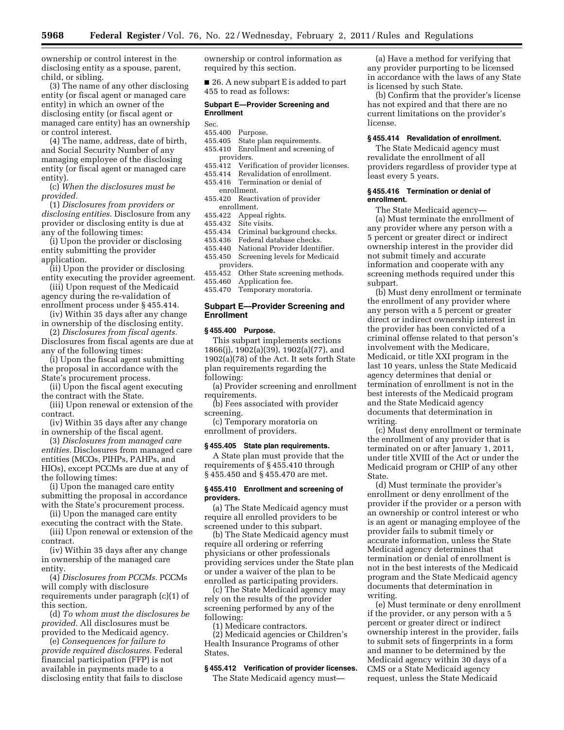ownership or control interest in the disclosing entity as a spouse, parent, child, or sibling.

(3) The name of any other disclosing entity (or fiscal agent or managed care entity) in which an owner of the disclosing entity (or fiscal agent or managed care entity) has an ownership or control interest.

(4) The name, address, date of birth, and Social Security Number of any managing employee of the disclosing entity (or fiscal agent or managed care entity).

(c) *When the disclosures must be provided.* 

(1) *Disclosures from providers or disclosing entities.* Disclosure from any provider or disclosing entity is due at any of the following times:

(i) Upon the provider or disclosing entity submitting the provider application.

(ii) Upon the provider or disclosing entity executing the provider agreement.

(iii) Upon request of the Medicaid agency during the re-validation of enrollment process under § 455.414.

(iv) Within 35 days after any change in ownership of the disclosing entity.

(2) *Disclosures from fiscal agents.*  Disclosures from fiscal agents are due at any of the following times:

(i) Upon the fiscal agent submitting the proposal in accordance with the State's procurement process.

(ii) Upon the fiscal agent executing the contract with the State.

(iii) Upon renewal or extension of the contract.

(iv) Within 35 days after any change in ownership of the fiscal agent.

(3) *Disclosures from managed care entities.* Disclosures from managed care entities (MCOs, PIHPs, PAHPs, and HIOs), except PCCMs are due at any of the following times:

(i) Upon the managed care entity submitting the proposal in accordance with the State's procurement process.

(ii) Upon the managed care entity executing the contract with the State.

(iii) Upon renewal or extension of the contract.

(iv) Within 35 days after any change in ownership of the managed care entity.

(4) *Disclosures from PCCMs.* PCCMs will comply with disclosure requirements under paragraph (c)(1) of this section.

(d) *To whom must the disclosures be provided.* All disclosures must be provided to the Medicaid agency.

(e) *Consequences for failure to provide required disclosures.* Federal financial participation (FFP) is not available in payments made to a disclosing entity that fails to disclose

ownership or control information as required by this section.

■ 26. A new subpart E is added to part 455 to read as follows:

# **Subpart E—Provider Screening and Enrollment**

- Sec.
- 455.400 Purpose.
- 455.405 State plan requirements.
- 455.410 Enrollment and screening of
- providers.<br>!455.412 Veri Verification of provider licenses.
- 455.414 Revalidation of enrollment.
- 455.416 Termination or denial of enrollment.
- 455.420 Reactivation of provider enrollment.
- 455.422 Appeal rights.
- 455.432 Site visits.
- 455.434 Criminal background checks.
- 
- 455.436 Federal database checks. National Provider Identifier.
- 455.450 Screening levels for Medicaid providers.
- 455.452 Other State screening methods.
- 455.460 Application fee.
- 455.470 Temporary moratoria.

# **Subpart E—Provider Screening and Enrollment**

#### **§ 455.400 Purpose.**

This subpart implements sections 1866(j), 1902(a)(39), 1902(a)(77), and 1902(a)(78) of the Act. It sets forth State plan requirements regarding the following:

(a) Provider screening and enrollment requirements.

(b) Fees associated with provider screening.

(c) Temporary moratoria on enrollment of providers.

# **§ 455.405 State plan requirements.**

A State plan must provide that the requirements of § 455.410 through § 455.450 and § 455.470 are met.

#### **§ 455.410 Enrollment and screening of providers.**

(a) The State Medicaid agency must require all enrolled providers to be screened under to this subpart.

(b) The State Medicaid agency must require all ordering or referring physicians or other professionals providing services under the State plan or under a waiver of the plan to be enrolled as participating providers.

(c) The State Medicaid agency may rely on the results of the provider screening performed by any of the following:

(1) Medicare contractors. (2) Medicaid agencies or Children's Health Insurance Programs of other States.

# **§ 455.412 Verification of provider licenses.**

The State Medicaid agency must—

(a) Have a method for verifying that any provider purporting to be licensed in accordance with the laws of any State is licensed by such State.

(b) Confirm that the provider's license has not expired and that there are no current limitations on the provider's license.

#### **§ 455.414 Revalidation of enrollment.**

The State Medicaid agency must revalidate the enrollment of all providers regardless of provider type at least every 5 years.

### **§ 455.416 Termination or denial of enrollment.**

The State Medicaid agency—

(a) Must terminate the enrollment of any provider where any person with a 5 percent or greater direct or indirect ownership interest in the provider did not submit timely and accurate information and cooperate with any screening methods required under this subpart.

(b) Must deny enrollment or terminate the enrollment of any provider where any person with a 5 percent or greater direct or indirect ownership interest in the provider has been convicted of a criminal offense related to that person's involvement with the Medicare, Medicaid, or title XXI program in the last 10 years, unless the State Medicaid agency determines that denial or termination of enrollment is not in the best interests of the Medicaid program and the State Medicaid agency documents that determination in writing.

(c) Must deny enrollment or terminate the enrollment of any provider that is terminated on or after January 1, 2011, under title XVIII of the Act or under the Medicaid program or CHIP of any other State.

(d) Must terminate the provider's enrollment or deny enrollment of the provider if the provider or a person with an ownership or control interest or who is an agent or managing employee of the provider fails to submit timely or accurate information, unless the State Medicaid agency determines that termination or denial of enrollment is not in the best interests of the Medicaid program and the State Medicaid agency documents that determination in writing.

(e) Must terminate or deny enrollment if the provider, or any person with a 5 percent or greater direct or indirect ownership interest in the provider, fails to submit sets of fingerprints in a form and manner to be determined by the Medicaid agency within 30 days of a CMS or a State Medicaid agency request, unless the State Medicaid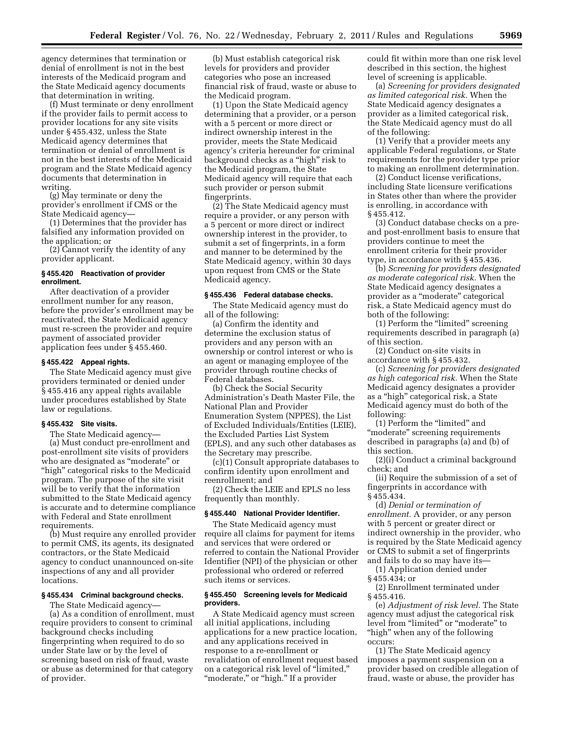agency determines that termination or denial of enrollment is not in the best interests of the Medicaid program and the State Medicaid agency documents that determination in writing.

(f) Must terminate or deny enrollment if the provider fails to permit access to provider locations for any site visits under § 455.432, unless the State Medicaid agency determines that termination or denial of enrollment is not in the best interests of the Medicaid program and the State Medicaid agency documents that determination in writing.

(g) May terminate or deny the provider's enrollment if CMS or the State Medicaid agency—

(1) Determines that the provider has falsified any information provided on the application; or

(2) Cannot verify the identity of any provider applicant.

## **§ 455.420 Reactivation of provider enrollment.**

After deactivation of a provider enrollment number for any reason, before the provider's enrollment may be reactivated, the State Medicaid agency must re-screen the provider and require payment of associated provider application fees under § 455.460.

### **§ 455.422 Appeal rights.**

The State Medicaid agency must give providers terminated or denied under § 455.416 any appeal rights available under procedures established by State law or regulations.

## **§ 455.432 Site visits.**

The State Medicaid agency—

(a) Must conduct pre-enrollment and post-enrollment site visits of providers who are designated as ''moderate'' or "high" categorical risks to the Medicaid program. The purpose of the site visit will be to verify that the information submitted to the State Medicaid agency is accurate and to determine compliance with Federal and State enrollment requirements.

(b) Must require any enrolled provider to permit CMS, its agents, its designated contractors, or the State Medicaid agency to conduct unannounced on-site inspections of any and all provider locations.

## **§ 455.434 Criminal background checks.**

The State Medicaid agency—

(a) As a condition of enrollment, must require providers to consent to criminal background checks including fingerprinting when required to do so under State law or by the level of screening based on risk of fraud, waste or abuse as determined for that category of provider.

(b) Must establish categorical risk levels for providers and provider categories who pose an increased financial risk of fraud, waste or abuse to the Medicaid program.

(1) Upon the State Medicaid agency determining that a provider, or a person with a 5 percent or more direct or indirect ownership interest in the provider, meets the State Medicaid agency's criteria hereunder for criminal background checks as a ''high'' risk to the Medicaid program, the State Medicaid agency will require that each such provider or person submit fingerprints.

(2) The State Medicaid agency must require a provider, or any person with a 5 percent or more direct or indirect ownership interest in the provider, to submit a set of fingerprints, in a form and manner to be determined by the State Medicaid agency, within 30 days upon request from CMS or the State Medicaid agency.

## **§ 455.436 Federal database checks.**

The State Medicaid agency must do all of the following:

(a) Confirm the identity and determine the exclusion status of providers and any person with an ownership or control interest or who is an agent or managing employee of the provider through routine checks of Federal databases.

(b) Check the Social Security Administration's Death Master File, the National Plan and Provider Enumeration System (NPPES), the List of Excluded Individuals/Entities (LEIE), the Excluded Parties List System (EPLS), and any such other databases as the Secretary may prescribe.

(c)(1) Consult appropriate databases to confirm identity upon enrollment and reenrollment; and

(2) Check the LEIE and EPLS no less frequently than monthly.

### **§ 455.440 National Provider Identifier.**

The State Medicaid agency must require all claims for payment for items and services that were ordered or referred to contain the National Provider Identifier (NPI) of the physician or other professional who ordered or referred such items or services.

#### **§ 455.450 Screening levels for Medicaid providers.**

A State Medicaid agency must screen all initial applications, including applications for a new practice location, and any applications received in response to a re-enrollment or revalidation of enrollment request based on a categorical risk level of ''limited,'' "moderate," or "high." If a provider

could fit within more than one risk level described in this section, the highest level of screening is applicable.

(a) *Screening for providers designated as limited categorical risk.* When the State Medicaid agency designates a provider as a limited categorical risk, the State Medicaid agency must do all of the following:

(1) Verify that a provider meets any applicable Federal regulations, or State requirements for the provider type prior to making an enrollment determination.

(2) Conduct license verifications, including State licensure verifications in States other than where the provider is enrolling, in accordance with § 455.412.

(3) Conduct database checks on a preand post-enrollment basis to ensure that providers continue to meet the enrollment criteria for their provider type, in accordance with § 455.436.

(b) *Screening for providers designated as moderate categorical risk.* When the State Medicaid agency designates a provider as a ''moderate'' categorical risk, a State Medicaid agency must do both of the following:

(1) Perform the ''limited'' screening requirements described in paragraph (a) of this section.

(2) Conduct on-site visits in accordance with § 455.432.

(c) *Screening for providers designated as high categorical risk.* When the State Medicaid agency designates a provider as a ''high'' categorical risk, a State Medicaid agency must do both of the following:

(1) Perform the "limited" and ''moderate'' screening requirements described in paragraphs (a) and (b) of this section.

(2)(i) Conduct a criminal background check; and

(ii) Require the submission of a set of fingerprints in accordance with § 455.434.

(d) *Denial or termination of enrollment.* A provider, or any person with 5 percent or greater direct or indirect ownership in the provider, who is required by the State Medicaid agency or CMS to submit a set of fingerprints and fails to do so may have its—

(1) Application denied under § 455.434; or

(2) Enrollment terminated under § 455.416.

(e) *Adjustment of risk level.* The State agency must adjust the categorical risk level from "limited" or "moderate" to "high" when any of the following occurs:

(1) The State Medicaid agency imposes a payment suspension on a provider based on credible allegation of fraud, waste or abuse, the provider has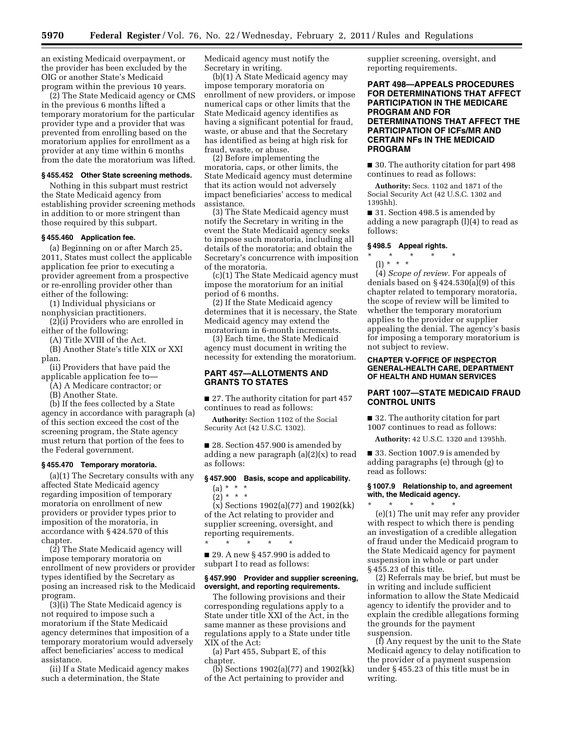an existing Medicaid overpayment, or the provider has been excluded by the OIG or another State's Medicaid program within the previous 10 years.

(2) The State Medicaid agency or CMS in the previous 6 months lifted a temporary moratorium for the particular provider type and a provider that was prevented from enrolling based on the moratorium applies for enrollment as a provider at any time within 6 months from the date the moratorium was lifted.

### **§ 455.452 Other State screening methods.**

Nothing in this subpart must restrict the State Medicaid agency from establishing provider screening methods in addition to or more stringent than those required by this subpart.

### **§ 455.460 Application fee.**

(a) Beginning on or after March 25, 2011, States must collect the applicable application fee prior to executing a provider agreement from a prospective or re-enrolling provider other than either of the following:

(1) Individual physicians or nonphysician practitioners.

(2)(i) Providers who are enrolled in either of the following:

(A) Title XVIII of the Act.

(B) Another State's title XIX or XXI plan.

(ii) Providers that have paid the

applicable application fee to—

(A) A Medicare contractor; or

(B) Another State.

(b) If the fees collected by a State agency in accordance with paragraph (a) of this section exceed the cost of the screening program, the State agency must return that portion of the fees to the Federal government.

# **§ 455.470 Temporary moratoria.**

(a)(1) The Secretary consults with any affected State Medicaid agency regarding imposition of temporary moratoria on enrollment of new providers or provider types prior to imposition of the moratoria, in accordance with § 424.570 of this chapter.

(2) The State Medicaid agency will impose temporary moratoria on enrollment of new providers or provider types identified by the Secretary as posing an increased risk to the Medicaid program.

(3)(i) The State Medicaid agency is not required to impose such a moratorium if the State Medicaid agency determines that imposition of a temporary moratorium would adversely affect beneficiaries' access to medical assistance.

(ii) If a State Medicaid agency makes such a determination, the State

Medicaid agency must notify the Secretary in writing.

(b)(1) A State Medicaid agency may impose temporary moratoria on enrollment of new providers, or impose numerical caps or other limits that the State Medicaid agency identifies as having a significant potential for fraud, waste, or abuse and that the Secretary has identified as being at high risk for fraud, waste, or abuse.

(2) Before implementing the moratoria, caps, or other limits, the State Medicaid agency must determine that its action would not adversely impact beneficiaries' access to medical assistance.

(3) The State Medicaid agency must notify the Secretary in writing in the event the State Medicaid agency seeks to impose such moratoria, including all details of the moratoria; and obtain the Secretary's concurrence with imposition of the moratoria.

(c)(1) The State Medicaid agency must impose the moratorium for an initial period of 6 months.

(2) If the State Medicaid agency determines that it is necessary, the State Medicaid agency may extend the moratorium in 6-month increments.

(3) Each time, the State Medicaid agency must document in writing the necessity for extending the moratorium.

## **PART 457—ALLOTMENTS AND GRANTS TO STATES**

■ 27. The authority citation for part 457 continues to read as follows:

**Authority:** Section 1102 of the Social Security Act (42 U.S.C. 1302).

■ 28. Section 457.900 is amended by adding a new paragraph (a)(2)(x) to read as follows:

### **§ 457.900 Basis, scope and applicability.**

 $(a) * * * *$  $(2)^*$  \* \*

(x) Sections 1902(a)(77) and 1902(kk) of the Act relating to provider and supplier screening, oversight, and reporting requirements.

■ 29. A new § 457.990 is added to subpart I to read as follows:

\* \* \* \* \*

## **§ 457.990 Provider and supplier screening, oversight, and reporting requirements.**

The following provisions and their corresponding regulations apply to a State under title XXI of the Act, in the same manner as these provisions and regulations apply to a State under title XIX of the Act:

(a) Part 455, Subpart E, of this chapter.

(b) Sections 1902(a)(77) and 1902(kk) of the Act pertaining to provider and

supplier screening, oversight, and reporting requirements.

# **PART 498—APPEALS PROCEDURES FOR DETERMINATIONS THAT AFFECT PARTICIPATION IN THE MEDICARE PROGRAM AND FOR DETERMINATIONS THAT AFFECT THE PARTICIPATION OF ICFs/MR AND CERTAIN NFs IN THE MEDICAID PROGRAM**

■ 30. The authority citation for part 498 continues to read as follows:

**Authority:** Secs. 1102 and 1871 of the Social Security Act (42 U.S.C. 1302 and 1395hh).

■ 31. Section 498.5 is amended by adding a new paragraph (l)(4) to read as follows:

## **§ 498.5 Appeal rights.**

\* \* \* \* \* (l) \* \* \*

(4) *Scope of review.* For appeals of denials based on  $\S 424.530(a)(9)$  of this chapter related to temporary moratoria, the scope of review will be limited to whether the temporary moratorium applies to the provider or supplier appealing the denial. The agency's basis for imposing a temporary moratorium is not subject to review.

### **CHAPTER V-OFFICE OF INSPECTOR GENERAL-HEALTH CARE, DEPARTMENT OF HEALTH AND HUMAN SERVICES**

# **PART 1007—STATE MEDICAID FRAUD CONTROL UNITS**

■ 32. The authority citation for part 1007 continues to read as follows:

**Authority:** 42 U.S.C. 1320 and 1395hh.

■ 33. Section 1007.9 is amended by adding paragraphs (e) through (g) to read as follows:

# **§ 1007.9 Relationship to, and agreement with, the Medicaid agency.**

\* \* \* \* \* (e)(1) The unit may refer any provider with respect to which there is pending an investigation of a credible allegation of fraud under the Medicaid program to the State Medicaid agency for payment suspension in whole or part under § 455.23 of this title.

(2) Referrals may be brief, but must be in writing and include sufficient information to allow the State Medicaid agency to identify the provider and to explain the credible allegations forming the grounds for the payment suspension.

(f) Any request by the unit to the State Medicaid agency to delay notification to the provider of a payment suspension under § 455.23 of this title must be in writing.